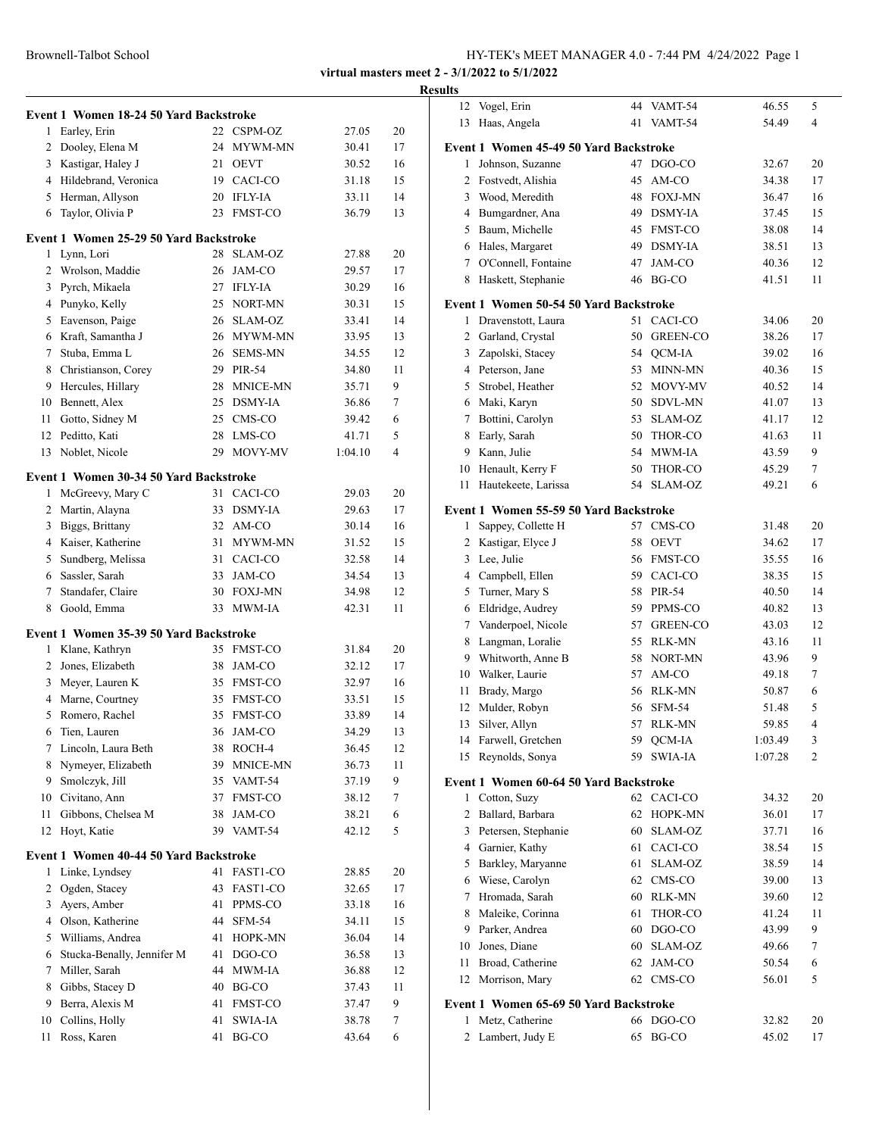Brownell-Talbot School

|                |                                        |    |                 |         |    | <b>Results</b>  |
|----------------|----------------------------------------|----|-----------------|---------|----|-----------------|
|                | Event 1 Women 18-24 50 Yard Backstroke |    |                 |         |    |                 |
|                | 1 Earley, Erin                         |    | 22 CSPM-OZ      | 27.05   | 20 |                 |
|                | 2 Dooley, Elena M                      |    | 24 MYWM-MN      | 30.41   | 17 | Eve             |
|                | 3 Kastigar, Haley J                    | 21 | <b>OEVT</b>     | 30.52   | 16 |                 |
|                | 4 Hildebrand, Veronica                 |    | 19 CACI-CO      | 31.18   | 15 |                 |
|                | 5 Herman, Allyson                      |    | 20 IFLY-IA      | 33.11   | 14 |                 |
| 6              | Taylor, Olivia P                       |    | 23 FMST-CO      | 36.79   | 13 |                 |
|                | Event 1 Women 25-29 50 Yard Backstroke |    |                 |         |    |                 |
| 1              | Lynn, Lori                             |    | 28 SLAM-OZ      | 27.88   | 20 |                 |
|                | 2 Wrolson, Maddie                      |    | 26 JAM-CO       | 29.57   | 17 |                 |
|                | 3 Pyrch, Mikaela                       |    | 27 IFLY-IA      | 30.29   | 16 |                 |
|                | 4 Punyko, Kelly                        |    | 25 NORT-MN      | 30.31   | 15 | Eve             |
|                | 5 Eavenson, Paige                      |    | 26 SLAM-OZ      | 33.41   | 14 |                 |
|                | 6 Kraft, Samantha J                    |    | 26 MYWM-MN      | 33.95   | 13 |                 |
|                | 7 Stuba, Emma L                        | 26 | <b>SEMS-MN</b>  | 34.55   | 12 |                 |
|                | 8 Christianson, Corey                  | 29 | <b>PIR-54</b>   | 34.80   | 11 |                 |
|                | 9 Hercules, Hillary                    | 28 | <b>MNICE-MN</b> | 35.71   | 9  |                 |
| 10             | Bennett, Alex                          | 25 | <b>DSMY-IA</b>  | 36.86   | 7  |                 |
| 11             | Gotto, Sidney M                        | 25 | CMS-CO          | 39.42   | 6  |                 |
| 12             | Peditto, Kati                          | 28 | LMS-CO          | 41.71   | 5  |                 |
| 13             | Noblet, Nicole                         | 29 | MOVY-MV         | 1:04.10 | 4  |                 |
|                | Event 1 Women 30-34 50 Yard Backstroke |    |                 |         |    |                 |
|                | 1 McGreevy, Mary C                     |    | 31 CACI-CO      | 29.03   | 20 |                 |
|                | 2 Martin, Alayna                       |    | 33 DSMY-IA      | 29.63   | 17 | Ev <sub>o</sub> |
|                | 3 Biggs, Brittany                      |    | 32 AM-CO        | 30.14   | 16 |                 |
|                | 4 Kaiser, Katherine                    | 31 | MYWM-MN         | 31.52   | 15 |                 |
| 5              | Sundberg, Melissa                      | 31 | CACI-CO         | 32.58   | 14 |                 |
|                | 6 Sassler, Sarah                       | 33 | JAM-CO          | 34.54   | 13 |                 |
| $7^{\circ}$    | Standafer, Claire                      | 30 | <b>FOXJ-MN</b>  | 34.98   | 12 |                 |
| 8              | Goold, Emma                            | 33 | <b>MWM-IA</b>   | 42.31   | 11 |                 |
|                | Event 1 Women 35-39 50 Yard Backstroke |    |                 |         |    |                 |
| 1              | Klane, Kathryn                         |    | 35 FMST-CO      | 31.84   | 20 |                 |
|                | 2 Jones, Elizabeth                     |    | 38 JAM-CO       | 32.12   | 17 |                 |
|                | 3 Meyer, Lauren K                      |    | 35 FMST-CO      | 32.97   | 16 |                 |
|                | 4 Marne, Courtney                      |    | 35 FMST-CO      | 33.51   | 15 |                 |
| 5              | Romero, Rachel                         | 35 | <b>FMST-CO</b>  | 33.89   | 14 |                 |
| 6              | Tien, Lauren                           |    | 36 JAM-CO       | 34.29   | 13 |                 |
| 7              | Lincoln, Laura Beth                    | 38 | ROCH-4          | 36.45   | 12 |                 |
| 8              | Nymeyer, Elizabeth                     | 39 | MNICE-MN        | 36.73   | 11 |                 |
| 9              | Smolczyk, Jill                         | 35 | VAMT-54         | 37.19   | 9  | Ev              |
| 10             | Civitano, Ann                          | 37 | FMST-CO         | 38.12   | 7  |                 |
| 11             | Gibbons, Chelsea M                     | 38 | JAM-CO          | 38.21   | 6  |                 |
|                | 12 Hoyt, Katie                         |    | 39 VAMT-54      | 42.12   | 5  |                 |
|                | Event 1 Women 40-44 50 Yard Backstroke |    |                 |         |    |                 |
| 1              | Linke, Lyndsey                         |    | 41 FAST1-CO     | 28.85   | 20 |                 |
| $\overline{2}$ | Ogden, Stacey                          | 43 | FAST1-CO        | 32.65   | 17 |                 |
|                | 3 Ayers, Amber                         | 41 | PPMS-CO         | 33.18   | 16 |                 |
|                | 4 Olson, Katherine                     | 44 | <b>SFM-54</b>   | 34.11   | 15 |                 |
|                | 5 Williams, Andrea                     | 41 | HOPK-MN         | 36.04   | 14 |                 |
| 6              | Stucka-Benally, Jennifer M             | 41 | DGO-CO          | 36.58   | 13 |                 |
| 7              | Miller, Sarah                          | 44 | MWM-IA          | 36.88   | 12 |                 |
| 8              | Gibbs, Stacey D                        | 40 | BG-CO           | 37.43   | 11 |                 |
| 9              | Berra, Alexis M                        | 41 | FMST-CO         | 37.47   | 9  | Ev              |
| 10             | Collins, Holly                         | 41 | SWIA-IA         | 38.78   | 7  |                 |
| 11             | Ross, Karen                            | 41 | BG-CO           | 43.64   | 6  |                 |
|                |                                        |    |                 |         |    |                 |

| 12 | Vogel, Erin                                            | 44 | VAMT-54         | 46.55   | 5              |
|----|--------------------------------------------------------|----|-----------------|---------|----------------|
| 13 | Haas, Angela                                           | 41 | VAMT-54         | 54.49   | 4              |
|    |                                                        |    |                 |         |                |
|    | Event 1 Women 45-49 50 Yard Backstroke                 | 47 |                 |         |                |
| 1  | Johnson, Suzanne<br>2 Fostvedt, Alishia                |    | DGO-CO<br>AM-CO | 32.67   | 20             |
|    |                                                        | 45 |                 | 34.38   | 17             |
| 3  | Wood, Meredith                                         | 48 | <b>FOXJ-MN</b>  | 36.47   | 16             |
| 4  | Bumgardner, Ana                                        | 49 | DSMY-IA         | 37.45   | 15             |
| 5  | Baum, Michelle                                         | 45 | <b>FMST-CO</b>  | 38.08   | 14             |
| 6  | Hales, Margaret<br>O'Connell, Fontaine                 | 49 | <b>DSMY-IA</b>  | 38.51   | 13             |
| 7  |                                                        | 47 | JAM-CO          | 40.36   | 12             |
| 8  | Haskett, Stephanie                                     | 46 | BG-CO           | 41.51   | 11             |
|    | Event 1 Women 50-54 50 Yard Backstroke                 |    |                 |         |                |
| 1  | Dravenstott, Laura                                     | 51 | CACI-CO         | 34.06   | 20             |
| 2  | Garland, Crystal                                       | 50 | <b>GREEN-CO</b> | 38.26   | 17             |
| 3  | Zapolski, Stacey                                       | 54 | QCM-IA          | 39.02   | 16             |
|    | 4 Peterson, Jane                                       | 53 | MINN-MN         | 40.36   | 15             |
|    | 5 Strobel, Heather                                     | 52 | MOVY-MV         | 40.52   | 14             |
|    | 6 Maki, Karyn                                          | 50 | <b>SDVL-MN</b>  | 41.07   | 13             |
| 7  | Bottini, Carolyn                                       | 53 | SLAM-OZ         | 41.17   | 12             |
| 8  | Early, Sarah                                           | 50 | THOR-CO         | 41.63   | 11             |
| 9  | Kann, Julie                                            | 54 | MWM-IA          | 43.59   | 9              |
| 10 | Henault, Kerry F                                       | 50 | THOR-CO         | 45.29   | 7              |
| 11 | Hautekeete, Larissa                                    | 54 | SLAM-OZ         | 49.21   | 6              |
|    | Event 1 Women 55-59 50 Yard Backstroke                 |    |                 |         |                |
| 1  | Sappey, Collette H                                     | 57 | CMS-CO          | 31.48   | 20             |
|    | 2 Kastigar, Elyce J                                    | 58 | <b>OEVT</b>     | 34.62   | 17             |
| 3  | Lee, Julie                                             | 56 | <b>FMST-CO</b>  | 35.55   | 16             |
|    | 4 Campbell, Ellen                                      |    | 59 CACI-CO      | 38.35   | 15             |
| 5  | Turner, Mary S                                         | 58 | PIR-54          | 40.50   | 14             |
| 6  | Eldridge, Audrey                                       | 59 | PPMS-CO         | 40.82   | 13             |
| 7  | Vanderpoel, Nicole                                     | 57 | <b>GREEN-CO</b> | 43.03   | 12             |
| 8  | Langman, Loralie                                       | 55 | <b>RLK-MN</b>   | 43.16   | 11             |
| 9  | Whitworth, Anne B                                      | 58 | <b>NORT-MN</b>  | 43.96   | 9              |
| 10 | Walker, Laurie                                         | 57 | AM-CO           | 49.18   | 7              |
| 11 | Brady, Margo                                           | 56 | RLK-MN          | 50.87   | 6              |
| 12 | Mulder, Robyn                                          | 56 | <b>SFM-54</b>   | 51.48   | 5              |
| 13 | Silver, Allyn                                          | 57 | <b>RLK-MN</b>   | 59.85   | $\overline{4}$ |
|    | 14 Farwell, Gretchen                                   |    | 59 QCM-IA       | 1:03.49 | $\mathfrak{Z}$ |
|    | 15 Reynolds, Sonya                                     | 59 | SWIA-IA         | 1:07.28 | 2              |
|    |                                                        |    |                 |         |                |
| 1  | Event 1 Women 60-64 50 Yard Backstroke<br>Cotton, Suzy |    | 62 CACI-CO      | 34.32   | 20             |
| 2  | Ballard, Barbara                                       | 62 | HOPK-MN         | 36.01   | 17             |
| 3  | Petersen, Stephanie                                    | 60 | SLAM-OZ         | 37.71   | 16             |
|    | 4 Garnier, Kathy                                       | 61 | CACI-CO         | 38.54   | 15             |
| 5  | Barkley, Maryanne                                      | 61 | SLAM-OZ         | 38.59   | 14             |
| 6  | Wiese, Carolyn                                         | 62 | CMS-CO          | 39.00   | 13             |
| 7  | Hromada, Sarah                                         | 60 | <b>RLK-MN</b>   | 39.60   | 12             |
| 8  | Maleike, Corinna                                       | 61 | THOR-CO         | 41.24   | 11             |
| 9  | Parker, Andrea                                         | 60 | DGO-CO          | 43.99   | 9              |
| 10 | Jones, Diane                                           | 60 | SLAM-OZ         | 49.66   | 7              |
| 11 | Broad, Catherine                                       | 62 | JAM-CO          | 50.54   | 6              |
| 12 | Morrison, Mary                                         | 62 | CMS-CO          | 56.01   | 5              |
|    |                                                        |    |                 |         |                |
|    | Event 1 Women 65-69 50 Yard Backstroke                 |    |                 |         |                |
| 1  | Metz, Catherine                                        |    | 66 DGO-CO       | 32.82   | 20             |
| 2  | Lambert, Judy E                                        | 65 | BG-CO           | 45.02   | 17             |
|    |                                                        |    |                 |         |                |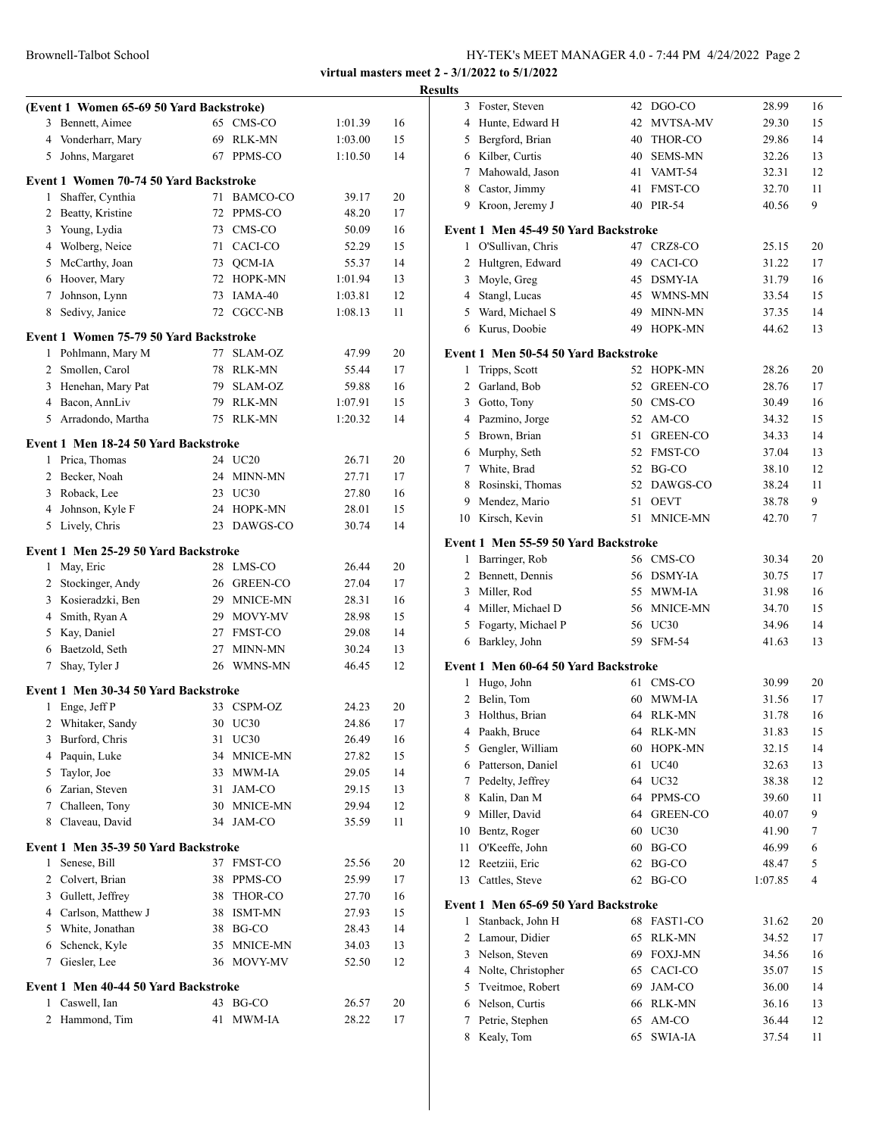|                | (Event 1 Women 65-69 50 Yard Backstroke) |    |                 |         |    |
|----------------|------------------------------------------|----|-----------------|---------|----|
| 3              | Bennett, Aimee                           |    | 65 CMS-CO       | 1:01.39 | 16 |
|                | 4 Vonderharr, Mary                       |    | 69 RLK-MN       | 1:03.00 | 15 |
| 5              | Johns, Margaret                          |    | 67 PPMS-CO      | 1:10.50 | 14 |
|                | Event 1 Women 70-74 50 Yard Backstroke   |    |                 |         |    |
| 1              | Shaffer, Cynthia                         | 71 | <b>BAMCO-CO</b> | 39.17   | 20 |
| $\overline{2}$ | Beatty, Kristine                         | 72 | PPMS-CO         | 48.20   | 17 |
| 3              | Young, Lydia                             |    | 73 CMS-CO       | 50.09   | 16 |
|                | 4 Wolberg, Neice                         |    | 71 CACI-CO      | 52.29   | 15 |
|                | 5 McCarthy, Joan                         |    | 73 OCM-IA       | 55.37   | 14 |
|                | 6 Hoover, Mary                           |    | 72 HOPK-MN      | 1:01.94 | 13 |
| $7^{\circ}$    | Johnson, Lynn                            |    | 73 IAMA-40      | 1:03.81 | 12 |
| 8              | Sedivy, Janice                           |    | 72 CGCC-NB      | 1:08.13 | 11 |
|                | Event 1 Women 75-79 50 Yard Backstroke   |    |                 |         |    |
| 1              | Pohlmann, Mary M                         | 77 | <b>SLAM-OZ</b>  | 47.99   | 20 |
|                | 2 Smollen, Carol                         |    | 78 RLK-MN       | 55.44   | 17 |
|                | 3 Henehan, Mary Pat                      |    | 79 SLAM-OZ      | 59.88   | 16 |
|                | 4 Bacon, AnnLiv                          |    | 79 RLK-MN       | 1:07.91 | 15 |
|                | 5 Arradondo, Martha                      |    | 75 RLK-MN       | 1:20.32 | 14 |
|                | Event 1 Men 18-24 50 Yard Backstroke     |    |                 |         |    |
|                | 1 Prica, Thomas                          |    | 24 UC20         | 26.71   | 20 |
|                | 2 Becker, Noah                           |    | 24 MINN-MN      | 27.71   | 17 |
|                | 3 Roback, Lee                            |    | 23 UC30         | 27.80   | 16 |
|                | 4 Johnson, Kyle F                        |    | 24 HOPK-MN      | 28.01   | 15 |
| 5              | Lively, Chris                            |    | 23 DAWGS-CO     | 30.74   | 14 |
|                | Event 1 Men 25-29 50 Yard Backstroke     |    |                 |         |    |
| 1              | May, Eric                                |    | 28 LMS-CO       | 26.44   | 20 |
|                | 2 Stockinger, Andy                       |    | 26 GREEN-CO     | 27.04   | 17 |
|                | 3 Kosieradzki, Ben                       |    | 29 MNICE-MN     | 28.31   | 16 |
|                | 4 Smith, Ryan A                          |    | 29 MOVY-MV      | 28.98   | 15 |
|                | 5 Kay, Daniel                            |    | 27 FMST-CO      | 29.08   | 14 |
|                | 6 Baetzold, Seth                         |    | 27 MINN-MN      | 30.24   | 13 |
| 7              | Shay, Tyler J                            |    | 26 WMNS-MN      | 46.45   | 12 |
|                | Event 1 Men 30-34 50 Yard Backstroke     |    |                 |         |    |
| 1              | Enge, Jeff P                             |    | 33 CSPM-OZ      | 24.23   | 20 |
| $\overline{c}$ | Whitaker, Sandy                          |    | 30 UC30         | 24.86   | 17 |
| 3              | Burford, Chris                           | 31 | UC30            | 26.49   | 16 |
| 4              | Paquin, Luke                             | 34 | MNICE-MN        | 27.82   | 15 |
| 5              | Taylor, Joe                              |    | 33 MWM-IA       | 29.05   | 14 |
|                | 6 Zarian, Steven                         | 31 | JAM-CO          | 29.15   | 13 |
|                | 7 Challeen, Tony                         |    | 30 MNICE-MN     | 29.94   | 12 |
| 8              | Claveau, David                           | 34 | JAM-CO          | 35.59   | 11 |
|                | Event 1 Men 35-39 50 Yard Backstroke     |    |                 |         |    |
| 1              | Senese, Bill                             | 37 | FMST-CO         | 25.56   | 20 |
| $\mathbf{2}$   | Colvert, Brian                           | 38 | PPMS-CO         | 25.99   | 17 |
| 3              | Gullett, Jeffrey                         | 38 | THOR-CO         | 27.70   | 16 |
|                | 4 Carlson, Matthew J                     |    | 38 ISMT-MN      | 27.93   | 15 |
|                | 5 White, Jonathan                        |    | 38 BG-CO        | 28.43   | 14 |
| 6              | Schenck, Kyle                            | 35 | MNICE-MN        | 34.03   | 13 |
| 7              | Giesler, Lee                             | 36 | MOVY-MV         | 52.50   | 12 |
|                |                                          |    |                 |         |    |
|                | Event 1 Men 40-44 50 Yard Backstroke     |    |                 |         |    |
| 1              | Caswell, Ian                             | 43 | BG-CO           | 26.57   | 20 |
| 2              | Hammond, Tim                             | 41 | MWM-IA          | 28.22   | 17 |
|                |                                          |    |                 |         |    |

| <b>Results</b> |                                      |    |                |         |    |
|----------------|--------------------------------------|----|----------------|---------|----|
|                | 3 Foster, Steven                     |    | 42 DGO-CO      | 28.99   | 16 |
|                | 4 Hunte, Edward H                    |    | 42 MVTSA-MV    | 29.30   | 15 |
|                | 5 Bergford, Brian                    |    | 40 THOR-CO     | 29.86   | 14 |
|                | 6 Kilber, Curtis                     |    | 40 SEMS-MN     | 32.26   | 13 |
|                | 7 Mahowald, Jason                    |    | 41 VAMT-54     | 32.31   | 12 |
|                | 8 Castor, Jimmy                      |    | 41 FMST-CO     | 32.70   | 11 |
|                | 9 Kroon, Jeremy J                    |    | 40 PIR-54      | 40.56   | 9  |
|                | Event 1 Men 45-49 50 Yard Backstroke |    |                |         |    |
| 1              | O'Sullivan, Chris                    |    | 47 CRZ8-CO     | 25.15   | 20 |
| 2              | Hultgren, Edward                     |    | 49 CACI-CO     | 31.22   | 17 |
|                | 3 Moyle, Greg                        |    | 45 DSMY-IA     | 31.79   | 16 |
|                | 4 Stangl, Lucas                      |    | 45 WMNS-MN     | 33.54   | 15 |
|                | 5 Ward, Michael S                    |    | 49 MINN-MN     | 37.35   | 14 |
|                | 6 Kurus, Doobie                      |    | 49 HOPK-MN     | 44.62   | 13 |
|                | Event 1 Men 50-54 50 Yard Backstroke |    |                |         |    |
| 1              | Tripps, Scott                        |    | 52 HOPK-MN     | 28.26   | 20 |
| $\overline{2}$ | Garland, Bob                         |    | 52 GREEN-CO    | 28.76   | 17 |
|                | 3 Gotto, Tony                        |    | 50 CMS-CO      | 30.49   | 16 |
|                | 4 Pazmino, Jorge                     |    | 52 AM-CO       | 34.32   | 15 |
|                | 5 Brown, Brian                       |    | 51 GREEN-CO    | 34.33   | 14 |
|                | 6 Murphy, Seth                       |    | 52 FMST-CO     | 37.04   | 13 |
|                | 7 White, Brad                        |    | 52 BG-CO       | 38.10   | 12 |
|                | 8 Rosinski, Thomas                   |    | 52 DAWGS-CO    | 38.24   | 11 |
|                | 9 Mendez, Mario                      |    | 51 OEVT        | 38.78   | 9  |
|                | 10 Kirsch, Kevin                     |    | 51 MNICE-MN    | 42.70   | 7  |
|                | Event 1 Men 55-59 50 Yard Backstroke |    |                |         |    |
| $\mathbf{1}$   | Barringer, Rob                       |    | 56 CMS-CO      | 30.34   | 20 |
|                | 2 Bennett, Dennis                    |    | 56 DSMY-IA     | 30.75   | 17 |
|                | 3 Miller, Rod                        |    | 55 MWM-IA      | 31.98   | 16 |
|                | 4 Miller, Michael D                  |    | 56 MNICE-MN    | 34.70   | 15 |
|                | 5 Fogarty, Michael P                 |    | 56 UC30        | 34.96   | 14 |
|                | 6 Barkley, John                      |    | 59 SFM-54      | 41.63   | 13 |
|                | Event 1 Men 60-64 50 Yard Backstroke |    |                |         |    |
|                | 1 Hugo, John                         |    | 61 CMS-CO      | 30.99   | 20 |
|                | 2 Belin, Tom                         |    | 60 MWM-IA      | 31.56   | 17 |
| 3              | Holthus, Brian                       |    | 64 RLK-MN      | 31.78   | 16 |
| 4              | Paakh, Bruce                         | 64 | RLK-MN         | 31.83   | 15 |
| 5              | Gengler, William                     | 60 | HOPK-MN        | 32.15   | 14 |
|                | 6 Patterson, Daniel                  | 61 | <b>UC40</b>    | 32.63   | 13 |
| 7              | Pedelty, Jeffrey                     |    | 64 UC32        | 38.38   | 12 |
| 8              | Kalin, Dan M                         |    | 64 PPMS-CO     | 39.60   | 11 |
| 9              | Miller, David                        |    | 64 GREEN-CO    | 40.07   | 9  |
| 10             | Bentz, Roger                         |    | 60 UC30        | 41.90   | 7  |
| 11             | O'Keeffe, John                       | 60 | BG-CO          | 46.99   | 6  |
| 12             | Reetziii, Eric                       | 62 | BG-CO          | 48.47   | 5  |
| 13             | Cattles, Steve                       |    | 62 BG-CO       | 1:07.85 | 4  |
|                | Event 1 Men 65-69 50 Yard Backstroke |    |                |         |    |
| 1              | Stanback, John H                     |    | 68 FAST1-CO    | 31.62   | 20 |
| 2              | Lamour, Didier                       | 65 | <b>RLK-MN</b>  | 34.52   | 17 |
|                | 3 Nelson, Steven                     | 69 | <b>FOXJ-MN</b> | 34.56   | 16 |
|                | 4 Nolte, Christopher                 | 65 | CACI-CO        | 35.07   | 15 |
|                | 5 Tveitmoe, Robert                   | 69 | JAM-CO         | 36.00   | 14 |
|                | 6 Nelson, Curtis                     |    | 66 RLK-MN      | 36.16   | 13 |
| 7              | Petrie, Stephen                      | 65 | AM-CO          | 36.44   | 12 |
| 8              | Kealy, Tom                           | 65 | <b>SWIA-IA</b> | 37.54   | 11 |
|                |                                      |    |                |         |    |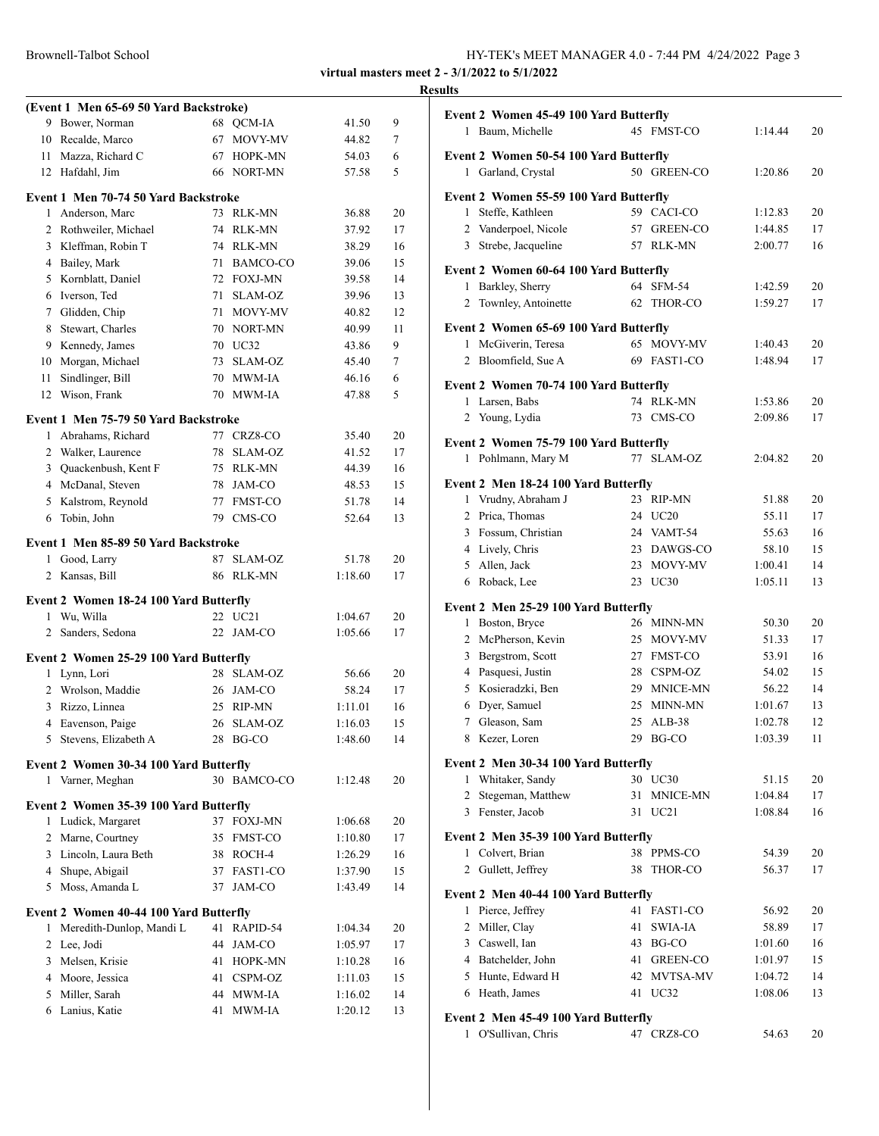Brownell-Talbot School

| HY-TEK's MEET MANAGER 4.0 - 7:44 PM 4/24/2022 Page 3 |  |
|------------------------------------------------------|--|
|------------------------------------------------------|--|

**virtual masters meet 2 - 3/1/2022 to 5/1/2022**

# **(Event 1 Men 65-69 50 Yard Backstroke)** Bower, Norman 68 QCM-IA 41.50 9 Recalde, Marco 67 MOVY-MV 44.82 7 Mazza, Richard C 67 HOPK-MN 54.03 6 Hafdahl, Jim 66 NORT-MN 57.58 5 **Event 1 Men 70-74 50 Yard Backstroke** Anderson, Marc 73 RLK-MN 36.88 20 Rothweiler, Michael 74 RLK-MN 37.92 17 Kleffman, Robin T 74 RLK-MN 38.29 16 Bailey, Mark 71 BAMCO-CO 39.06 15 Kornblatt, Daniel 72 FOXJ-MN 39.58 14 Iverson, Ted 71 SLAM-OZ 39.96 13 7 Glidden, Chip 71 MOVY-MV 40.82 12 8 Stewart, Charles 70 NORT-MN 40.99 11 Kennedy, James 70 UC32 43.86 9 Morgan, Michael 73 SLAM-OZ 45.40 7 11 Sindlinger, Bill 70 MWM-IA 46.16 6 Wison, Frank 70 MWM-IA 47.88 5 **Event 1 Men 75-79 50 Yard Backstroke** Abrahams, Richard 77 CRZ8-CO 35.40 20 2 Walker, Laurence 78 SLAM-OZ 41.52 17 Quackenbush, Kent F 75 RLK-MN 44.39 16 McDanal, Steven 78 JAM-CO 48.53 15 Kalstrom, Reynold 77 FMST-CO 51.78 14 Tobin, John 79 CMS-CO 52.64 13 **Event 1 Men 85-89 50 Yard Backstroke** 1 Good, Larry 87 SLAM-OZ 51.78 20 2 Kansas, Bill 86 RLK-MN 1:18.60 17 **Event 2 Women 18-24 100 Yard Butterfly** 1 Wu, Willa 22 UC21 1:04.67 20 2 Sanders, Sedona 22 JAM-CO 1:05.66 17 **Event 2 Women 25-29 100 Yard Butterfly** Lynn, Lori 28 SLAM-OZ 56.66 20 Wrolson, Maddie 26 JAM-CO 58.24 17 Rizzo, Linnea 25 RIP-MN 1:11.01 16 Eavenson, Paige 26 SLAM-OZ 1:16.03 15 Stevens, Elizabeth A 28 BG-CO 1:48.60 14 **Event 2 Women 30-34 100 Yard Butterfly** Varner, Meghan 30 BAMCO-CO 1:12.48 20 **Event 2 Women 35-39 100 Yard Butterfly** Ludick, Margaret 37 FOXJ-MN 1:06.68 20 2 Marne, Courtney 35 FMST-CO 1:10.80 17 Lincoln, Laura Beth 38 ROCH-4 1:26.29 16 4 Shupe, Abigail 37 FAST1-CO 1:37.90 15 5 Moss, Amanda L 37 JAM-CO 1:43.49 14 **Event 2 Women 40-44 100 Yard Butterfly** Meredith-Dunlop, Mandi L 41 RAPID-54 1:04.34 20 2 Lee, Jodi 44 JAM-CO 1:05.97 17 Melsen, Krisie 41 HOPK-MN 1:10.28 16 4 Moore, Jessica 41 CSPM-OZ 1:11.03 15 5 Miller, Sarah 44 MWM-IA 1:16.02 14 Lanius, Katie 41 MWM-IA 1:20.12 13

| <b>Results</b>                         |                          |                |          |
|----------------------------------------|--------------------------|----------------|----------|
| Event 2 Women 45-49 100 Yard Butterfly |                          |                |          |
| 1 Baum, Michelle                       | 45 FMST-CO               | 1:14.44        | 20       |
| Event 2 Women 50-54 100 Yard Butterfly |                          |                |          |
| 1 Garland, Crystal                     | 50 GREEN-CO              | 1:20.86        | 20       |
|                                        |                          |                |          |
| Event 2 Women 55-59 100 Yard Butterfly |                          |                |          |
| 1 Steffe, Kathleen                     | 59 CACI-CO               | 1:12.83        | 20       |
| 2 Vanderpoel, Nicole                   | 57 GREEN-CO              | 1:44.85        | 17       |
| 3 Strebe, Jacqueline                   | 57 RLK-MN                | 2:00.77        | 16       |
| Event 2 Women 60-64 100 Yard Butterfly |                          |                |          |
| 1 Barkley, Sherry                      | 64 SFM-54                | 1:42.59        | 20       |
| Townley, Antoinette<br>$\mathbf{2}$    | 62 THOR-CO               | 1:59.27        | 17       |
| Event 2 Women 65-69 100 Yard Butterfly |                          |                |          |
| 1 McGiverin, Teresa                    | 65 MOVY-MV               | 1:40.43        | 20       |
| 2 Bloomfield, Sue A                    | 69 FAST1-CO              | 1:48.94        | 17       |
|                                        |                          |                |          |
| Event 2 Women 70-74 100 Yard Butterfly |                          |                |          |
| 1 Larsen, Babs                         | 74 RLK-MN                | 1:53.86        | 20       |
| 2 Young, Lydia                         | 73 CMS-CO                | 2:09.86        | 17       |
| Event 2 Women 75-79 100 Yard Butterfly |                          |                |          |
| 1 Pohlmann, Mary M                     | 77 SLAM-OZ               | 2:04.82        | 20       |
| Event 2 Men 18-24 100 Yard Butterfly   |                          |                |          |
| 1 Vrudny, Abraham J                    | 23 RIP-MN                | 51.88          | 20       |
| 2 Prica, Thomas                        | 24 UC20                  | 55.11          | 17       |
| 3 Fossum, Christian                    | 24 VAMT-54               | 55.63          | 16       |
| 4 Lively, Chris                        | 23 DAWGS-CO              | 58.10          | 15       |
| 5 Allen, Jack                          | 23 MOVY-MV               | 1:00.41        | 14       |
| 6 Roback, Lee                          | 23 UC30                  | 1:05.11        | 13       |
|                                        |                          |                |          |
| Event 2 Men 25-29 100 Yard Butterfly   |                          |                |          |
| 1 Boston, Bryce<br>2 McPherson, Kevin  | 26 MINN-MN<br>25 MOVY-MV | 50.30<br>51.33 | 20<br>17 |
| 3 Bergstrom, Scott                     | 27 FMST-CO               | 53.91          | 16       |
| 4 Pasquesi, Justin                     | 28 CSPM-OZ               | 54.02          | 15       |
| 5 Kosieradzki, Ben                     | 29 MNICE-MN              | 56.22          | 14       |
| 6 Dyer, Samuel                         | 25 MINN-MN               | 1:01.67        | 13       |
| 7<br>Gleason, Sam                      | 25<br>$ALB-38$           | 1:02.78        | 12       |
| 8 Kezer, Loren                         | 29 BG-CO                 | 1:03.39        | 11       |
|                                        |                          |                |          |
| Event 2 Men 30-34 100 Yard Butterfly   |                          |                |          |
| 1 Whitaker, Sandy                      | 30 UC30                  | 51.15          | 20       |
| 2 Stegeman, Matthew                    | 31 MNICE-MN              | 1:04.84        | 17       |
| 3 Fenster, Jacob                       | 31 UC21                  | 1:08.84        | 16       |
| Event 2 Men 35-39 100 Yard Butterfly   |                          |                |          |
| 1 Colvert, Brian                       | 38 PPMS-CO               | 54.39          | 20       |
| Gullett, Jeffrey<br>$\overline{2}$     | 38 THOR-CO               | 56.37          | 17       |
| Event 2 Men 40-44 100 Yard Butterfly   |                          |                |          |
| 1 Pierce, Jeffrey                      | 41 FAST1-CO              | 56.92          | 20       |
| 2 Miller, Clay                         | 41<br>SWIA-IA            | 58.89          | 17       |
| 3 Caswell, Ian                         | 43 BG-CO                 | 1:01.60        | 16       |
| 4 Batchelder, John                     | 41 GREEN-CO              | 1:01.97        | 15       |
| 5 Hunte, Edward H                      | 42 MVTSA-MV              | 1:04.72        | 14       |
| 6 Heath, James                         | 41 UC32                  | 1:08.06        | 13       |
|                                        |                          |                |          |
| Event 2 Men 45-49 100 Yard Butterfly   |                          |                |          |
| 1 O'Sullivan, Chris                    | 47 CRZ8-CO               | 54.63          | 20       |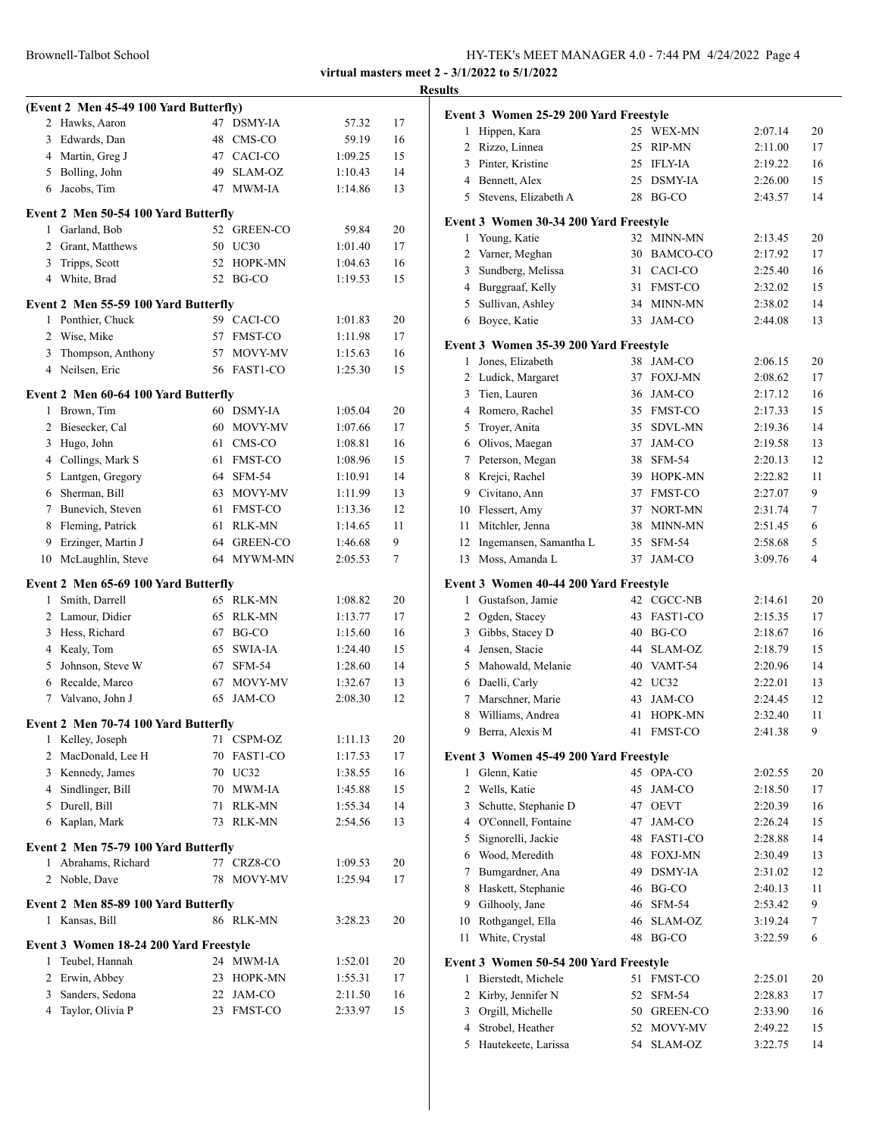| HY-TEK's MEET MANAGER 4.0 - 7:44 PM 4/24/2022 Page 4 |
|------------------------------------------------------|
|                                                      |

|                                        |               |         |    | <b>Results</b>                         |                     |         |        |
|----------------------------------------|---------------|---------|----|----------------------------------------|---------------------|---------|--------|
| (Event 2 Men 45-49 100 Yard Butterfly) |               |         |    | Event 3 Women 25-29 200 Yard Freestyle |                     |         |        |
| 2 Hawks, Aaron                         | 47 DSMY-IA    | 57.32   | 17 | 1 Hippen, Kara                         | 25 WEX-MN           | 2:07.14 | 20     |
| 3 Edwards, Dan                         | 48 CMS-CO     | 59.19   | 16 | 2 Rizzo, Linnea                        | 25 RIP-MN           | 2:11.00 | 17     |
| 4 Martin, Greg J                       | 47 CACI-CO    | 1:09.25 | 15 | Pinter, Kristine<br>3                  | 25 IFLY-IA          | 2:19.22 | 16     |
| 5 Bolling, John                        | SLAM-OZ<br>49 | 1:10.43 | 14 | Bennett, Alex<br>4                     | 25 DSMY-IA          | 2:26.00 | 15     |
| 6 Jacobs, Tim                          | 47 MWM-IA     | 1:14.86 | 13 | 5<br>Stevens, Elizabeth A              | 28<br>BG-CO         | 2:43.57 | 14     |
| Event 2 Men 50-54 100 Yard Butterfly   |               |         |    | Event 3 Women 30-34 200 Yard Freestyle |                     |         |        |
| 1 Garland, Bob                         | 52 GREEN-CO   | 59.84   | 20 | 1 Young, Katie                         | 32 MINN-MN          | 2:13.45 | 20     |
| 2 Grant, Matthews                      | 50 UC30       | 1:01.40 | 17 | 2 Varner, Meghan                       | 30 BAMCO-CO         | 2:17.92 | 17     |
| 3 Tripps, Scott                        | 52 HOPK-MN    | 1:04.63 | 16 | Sundberg, Melissa<br>3                 | 31 CACI-CO          | 2:25.40 | 16     |
| 4 White, Brad                          | 52 BG-CO      | 1:19.53 | 15 | Burggraaf, Kelly<br>4                  | 31 FMST-CO          | 2:32.02 | 15     |
| Event 2 Men 55-59 100 Yard Butterfly   |               |         |    | 5 Sullivan, Ashley                     | 34 MINN-MN          | 2:38.02 | 14     |
| 1 Ponthier, Chuck                      | 59 CACI-CO    | 1:01.83 | 20 | Boyce, Katie<br>6                      | 33 JAM-CO           | 2:44.08 | 13     |
| 2 Wise, Mike                           | 57 FMST-CO    | 1:11.98 | 17 |                                        |                     |         |        |
| 3 Thompson, Anthony                    | 57 MOVY-MV    | 1:15.63 | 16 | Event 3 Women 35-39 200 Yard Freestyle |                     |         |        |
| 4 Neilsen, Eric                        | 56 FAST1-CO   | 1:25.30 | 15 | 1 Jones, Elizabeth                     | 38 JAM-CO           | 2:06.15 | 20     |
|                                        |               |         |    | 2 Ludick, Margaret                     | 37 FOXJ-MN          | 2:08.62 | 17     |
| Event 2 Men 60-64 100 Yard Butterfly   |               |         |    | 3<br>Tien, Lauren                      | 36 JAM-CO           | 2:17.12 | 16     |
| 1 Brown, Tim                           | 60 DSMY-IA    | 1:05.04 | 20 | Romero, Rachel<br>4                    | 35 FMST-CO          | 2:17.33 | 15     |
| 2 Biesecker, Cal                       | 60 MOVY-MV    | 1:07.66 | 17 | 5<br>Troyer, Anita                     | 35 SDVL-MN          | 2:19.36 | 14     |
| 3 Hugo, John                           | 61 CMS-CO     | 1:08.81 | 16 | Olivos, Maegan<br>6                    | 37 JAM-CO           | 2:19.58 | 13     |
| 4 Collings, Mark S                     | 61 FMST-CO    | 1:08.96 | 15 | Peterson, Megan<br>7                   | <b>SFM-54</b><br>38 | 2:20.13 | 12     |
| 5 Lantgen, Gregory                     | 64 SFM-54     | 1:10.91 | 14 | 8<br>Krejci, Rachel                    | 39 HOPK-MN          | 2:22.82 | 11     |
| 6 Sherman, Bill                        | 63 MOVY-MV    | 1:11.99 | 13 | Civitano, Ann<br>9                     | 37 FMST-CO          | 2:27.07 | 9      |
| Bunevich, Steven<br>7                  | 61 FMST-CO    | 1:13.36 | 12 | Flessert, Amy<br>10                    | 37 NORT-MN          | 2:31.74 | 7      |
| 8 Fleming, Patrick                     | RLK-MN<br>61  | 1:14.65 | 11 | Mitchler, Jenna<br>11                  | 38 MINN-MN          | 2:51.45 | 6      |
| Erzinger, Martin J<br>9                | 64 GREEN-CO   | 1:46.68 | 9  | Ingemansen, Samantha L<br>12           | 35 SFM-54           | 2:58.68 | 5      |
| 10 McLaughlin, Steve                   | 64 MYWM-MN    | 2:05.53 | 7  | Moss, Amanda L<br>13                   | 37 JAM-CO           | 3:09.76 | 4      |
| Event 2 Men 65-69 100 Yard Butterfly   |               |         |    | Event 3 Women 40-44 200 Yard Freestyle |                     |         |        |
| Smith, Darrell<br>$\mathbf{1}$         | 65 RLK-MN     | 1:08.82 | 20 | 1 Gustafson, Jamie                     | 42 CGCC-NB          | 2:14.61 | 20     |
| 2 Lamour, Didier                       | 65 RLK-MN     | 1:13.77 | 17 | 2<br>Ogden, Stacey                     | 43 FAST1-CO         | 2:15.35 | 17     |
| 3 Hess, Richard                        | 67 BG-CO      | 1:15.60 | 16 | Gibbs, Stacey D<br>3                   | BG-CO<br>40         | 2:18.67 | 16     |
| 4 Kealy, Tom                           | 65 SWIA-IA    | 1:24.40 | 15 | Jensen, Stacie<br>4                    | 44 SLAM-OZ          | 2:18.79 | 15     |
| 5 Johnson, Steve W                     | 67 SFM-54     | 1:28.60 | 14 | Mahowald, Melanie<br>5                 | 40 VAMT-54          | 2:20.96 | 14     |
| 6 Recalde, Marco                       | 67 MOVY-MV    | 1:32.67 | 13 | Daelli, Carly<br>6                     | 42 UC32             | 2:22.01 | 13     |
| 7 Valvano, John J                      | 65 JAM-CO     | 2:08.30 | 12 | Marschner, Marie<br>7                  | 43 JAM-CO           | 2:24.45 | 12     |
| Event 2 Men 70-74 100 Yard Butterfly   |               |         |    | 8<br>Williams, Andrea                  | 41 HOPK-MN          | 2:32.40 | 11     |
| 1 Kelley, Joseph                       | 71 CSPM-OZ    | 1:11.13 | 20 | 9 Berra, Alexis M                      | 41 FMST-CO          | 2:41.38 | 9      |
| 2 MacDonald, Lee H                     | 70 FAST1-CO   | 1:17.53 | 17 | Event 3 Women 45-49 200 Yard Freestyle |                     |         |        |
| 3 Kennedy, James                       | 70 UC32       | 1:38.55 | 16 | 1 Glenn, Katie                         | 45 OPA-CO           | 2:02.55 | 20     |
| 4 Sindlinger, Bill                     | 70 MWM-IA     | 1:45.88 | 15 | 2 Wells, Katie                         | 45 JAM-CO           | 2:18.50 | 17     |
| 5 Durell, Bill                         | 71 RLK-MN     | 1:55.34 | 14 | Schutte, Stephanie D<br>3              | 47 OEVT             | 2:20.39 | 16     |
| 6 Kaplan, Mark                         | 73 RLK-MN     | 2:54.56 | 13 | O'Connell, Fontaine<br>4               | 47 JAM-CO           | 2:26.24 | 15     |
|                                        |               |         |    | Signorelli, Jackie<br>5                | 48 FAST1-CO         | 2:28.88 | 14     |
| Event 2 Men 75-79 100 Yard Butterfly   |               |         |    | Wood, Meredith<br>6                    | 48 FOXJ-MN          | 2:30.49 | 13     |
| 1 Abrahams, Richard                    | 77 CRZ8-CO    | 1:09.53 | 20 | Bumgardner, Ana<br>7                   | 49 DSMY-IA          | 2:31.02 | 12     |
| 2 Noble, Dave                          | 78 MOVY-MV    | 1:25.94 | 17 | Haskett, Stephanie<br>8                | 46 BG-CO            | 2:40.13 | 11     |
| Event 2 Men 85-89 100 Yard Butterfly   |               |         |    | Gilhooly, Jane<br>9                    | 46 SFM-54           | 2:53.42 | 9      |
| 1 Kansas, Bill                         | 86 RLK-MN     | 3:28.23 | 20 | Rothgangel, Ella<br>10                 | 46 SLAM-OZ          | 3:19.24 | $\tau$ |
|                                        |               |         |    | White, Crystal<br>11                   | 48 BG-CO            | 3:22.59 | 6      |
| Event 3 Women 18-24 200 Yard Freestyle |               |         |    |                                        |                     |         |        |
| 1 Teubel, Hannah                       | 24 MWM-IA     | 1:52.01 | 20 | Event 3 Women 50-54 200 Yard Freestyle |                     |         |        |
| 2 Erwin, Abbey                         | 23 HOPK-MN    | 1:55.31 | 17 | 1 Bierstedt, Michele                   | 51 FMST-CO          | 2:25.01 | 20     |
| 3 Sanders, Sedona                      | 22 JAM-CO     | 2:11.50 | 16 | Kirby, Jennifer N<br>2                 | 52 SFM-54           | 2:28.83 | 17     |
| 4 Taylor, Olivia P                     | 23 FMST-CO    | 2:33.97 | 15 | Orgill, Michelle<br>3                  | 50 GREEN-CO         | 2:33.90 | 16     |
|                                        |               |         |    | Strobel, Heather<br>4                  | 52 MOVY-MV          | 2:49.22 | 15     |
|                                        |               |         |    | 5 Hautekeete, Larissa                  | 54 SLAM-OZ          | 3:22.75 | 14     |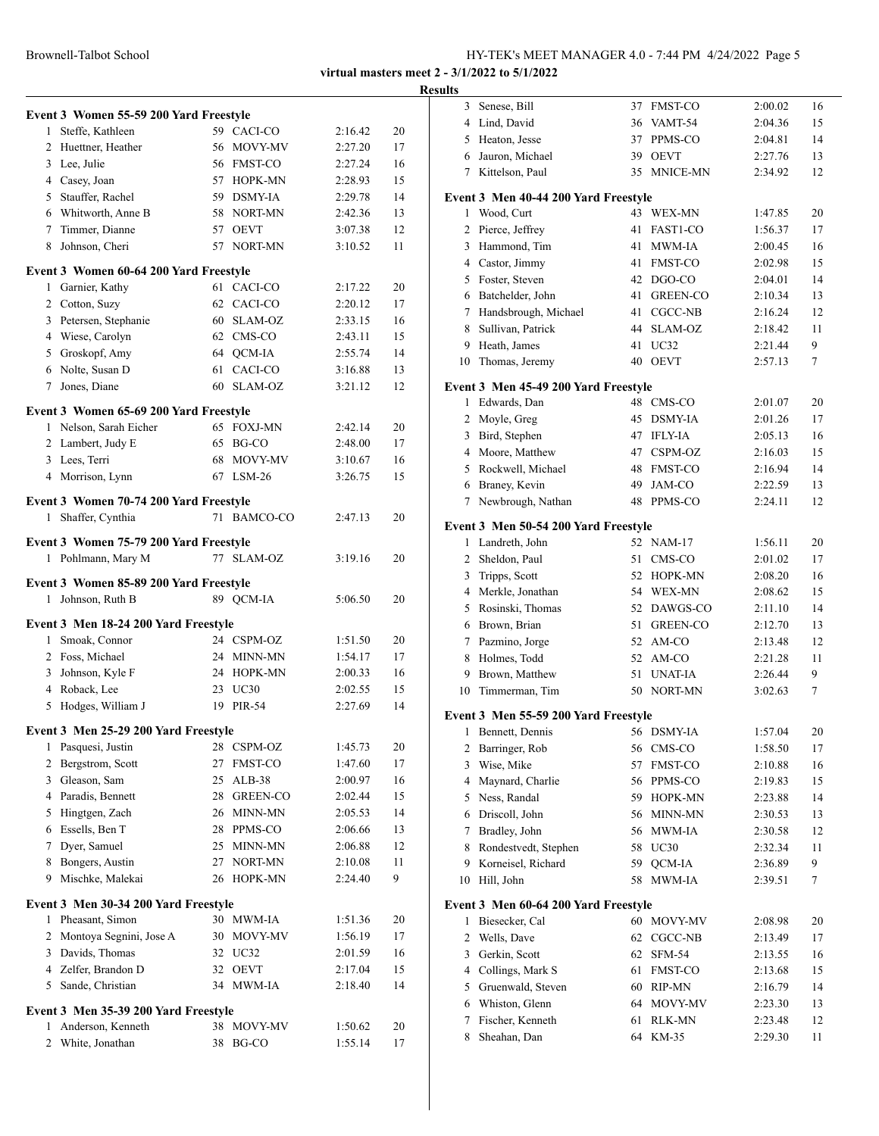|              | Event 3 Women 55-59 200 Yard Freestyle |    |               |         |    |
|--------------|----------------------------------------|----|---------------|---------|----|
|              | 1 Steffe, Kathleen                     |    | 59 CACI-CO    | 2:16.42 | 20 |
|              | 2 Huettner, Heather                    |    | 56 MOVY-MV    | 2:27.20 | 17 |
|              | 3 Lee, Julie                           |    | 56 FMST-CO    | 2:27.24 | 16 |
|              | 4 Casey, Joan                          |    | 57 HOPK-MN    | 2:28.93 | 15 |
|              | 5 Stauffer, Rachel                     |    | 59 DSMY-IA    | 2:29.78 | 14 |
|              | 6 Whitworth, Anne B                    |    | 58 NORT-MN    | 2:42.36 | 13 |
|              | 7 Timmer, Dianne                       |    | 57 OEVT       | 3:07.38 | 12 |
|              | 8 Johnson, Cheri                       |    | 57 NORT-MN    | 3:10.52 | 11 |
|              | Event 3 Women 60-64 200 Yard Freestyle |    |               |         |    |
|              | 1 Garnier, Kathy                       |    | 61 CACI-CO    | 2:17.22 | 20 |
|              | 2 Cotton, Suzy                         |    | 62 CACI-CO    | 2:20.12 | 17 |
|              | 3 Petersen, Stephanie                  |    | 60 SLAM-OZ    | 2:33.15 | 16 |
|              | 4 Wiese, Carolyn                       |    | 62 CMS-CO     | 2:43.11 | 15 |
|              | 5 Groskopf, Amy                        |    | 64 QCM-IA     | 2:55.74 | 14 |
|              | 6 Nolte, Susan D                       | 61 | CACI-CO       | 3:16.88 | 13 |
|              | 7 Jones, Diane                         |    | 60 SLAM-OZ    | 3:21.12 | 12 |
|              | Event 3 Women 65-69 200 Yard Freestyle |    | 65 FOXJ-MN    |         |    |
|              | 1 Nelson, Sarah Eicher                 |    |               | 2:42.14 | 20 |
|              | 2 Lambert, Judy E                      |    | 65 BG-CO      | 2:48.00 | 17 |
|              | 3 Lees, Terri                          |    | 68 MOVY-MV    | 3:10.67 | 16 |
|              | 4 Morrison, Lynn                       |    | 67 LSM-26     | 3:26.75 | 15 |
|              | Event 3 Women 70-74 200 Yard Freestyle |    |               |         |    |
| 1            | Shaffer, Cynthia                       |    | 71 BAMCO-CO   | 2:47.13 | 20 |
|              | Event 3 Women 75-79 200 Yard Freestyle |    |               |         |    |
|              | 1 Pohlmann, Mary M                     | 77 | SLAM-OZ       | 3:19.16 | 20 |
|              |                                        |    |               |         |    |
|              | Event 3 Women 85-89 200 Yard Freestyle |    |               |         |    |
|              | 1 Johnson, Ruth B                      |    | 89 QCM-IA     | 5:06.50 | 20 |
|              | Event 3 Men 18-24 200 Yard Freestyle   |    |               |         |    |
|              | 1 Smoak, Connor                        |    | 24 CSPM-OZ    | 1:51.50 | 20 |
|              | 2 Foss, Michael                        |    | 24 MINN-MN    | 1:54.17 | 17 |
|              | 3 Johnson, Kyle F                      |    | 24 HOPK-MN    | 2:00.33 | 16 |
|              | 4 Roback, Lee                          |    | 23 UC30       | 2:02.55 | 15 |
|              | 5 Hodges, William J                    | 19 | <b>PIR-54</b> | 2:27.69 | 14 |
|              | Event 3 Men 25-29 200 Yard Freestyle   |    |               |         |    |
| 1            | Pasquesi, Justin                       |    | 28 CSPM-OZ    | 1:45.73 | 20 |
|              | 2 Bergstrom, Scott                     | 27 | FMST-CO       | 1:47.60 | 17 |
|              | 3 Gleason, Sam                         | 25 | $ALB-38$      | 2:00.97 | 16 |
|              | 4 Paradis, Bennett                     |    | 28 GREEN-CO   | 2:02.44 | 15 |
|              | 5 Hingtgen, Zach                       | 26 | MINN-MN       | 2:05.53 | 14 |
|              | 6 Essells, Ben T                       | 28 | PPMS-CO       | 2:06.66 | 13 |
|              | 7 Dyer, Samuel                         | 25 | MINN-MN       | 2:06.88 | 12 |
|              | 8 Bongers, Austin                      | 27 | NORT-MN       | 2:10.08 | 11 |
|              | 9 Mischke, Malekai                     |    | 26 HOPK-MN    | 2:24.40 | 9  |
|              | Event 3 Men 30-34 200 Yard Freestyle   |    |               |         |    |
|              | 1 Pheasant, Simon                      |    | 30 MWM-IA     | 1:51.36 | 20 |
|              | 2 Montoya Segnini, Jose A              |    | 30 MOVY-MV    | 1:56.19 | 17 |
|              | 3 Davids, Thomas                       |    | 32 UC32       | 2:01.59 | 16 |
|              | 4 Zelfer, Brandon D                    |    | 32 OEVT       | 2:17.04 | 15 |
|              | 5 Sande, Christian                     |    | 34 MWM-IA     | 2:18.40 | 14 |
|              | Event 3 Men 35-39 200 Yard Freestyle   |    |               |         |    |
|              | 1 Anderson, Kenneth                    |    | 38 MOVY-MV    | 1:50.62 | 20 |
| $\mathbf{2}$ | White, Jonathan                        | 38 | BG-CO         | 1:55.14 | 17 |
|              |                                        |    |               |         |    |

| <b>Results</b> |                                                        |    |                          |                    |          |
|----------------|--------------------------------------------------------|----|--------------------------|--------------------|----------|
|                | 3 Senese, Bill                                         |    | 37 FMST-CO               | 2:00.02            | 16       |
|                | 4 Lind, David                                          |    | 36 VAMT-54               | 2:04.36            | 15       |
|                | 5 Heaton, Jesse                                        |    | 37 PPMS-CO               | 2:04.81            | 14       |
|                | 6 Jauron, Michael                                      |    | 39 OEVT                  | 2:27.76            | 13       |
|                | 7 Kittelson, Paul                                      |    | 35 MNICE-MN              | 2:34.92            | 12       |
|                | Event 3 Men 40-44 200 Yard Freestyle                   |    |                          |                    |          |
|                | 1 Wood, Curt                                           |    | 43 WEX-MN                | 1:47.85            | 20       |
|                | 2 Pierce, Jeffrey                                      |    | 41 FAST1-CO              | 1:56.37            | 17       |
|                | 3 Hammond, Tim                                         |    | 41 MWM-IA                | 2:00.45            | 16       |
|                | 4 Castor, Jimmy                                        |    | 41 FMST-CO               | 2:02.98            | 15       |
|                | 5 Foster, Steven                                       |    | 42 DGO-CO                | 2:04.01            | 14       |
|                | 6 Batchelder, John                                     |    | 41 GREEN-CO              | 2:10.34            | 13       |
|                | 7 Handsbrough, Michael                                 |    | 41 CGCC-NB               | 2:16.24            | 12       |
|                | 8 Sullivan, Patrick                                    |    | 44 SLAM-OZ               | 2:18.42            | 11       |
|                | 9 Heath, James                                         | 41 | UC32                     | 2:21.44            | 9        |
| 10             | Thomas, Jeremy                                         |    | 40 OEVT                  | 2:57.13            | 7        |
|                |                                                        |    |                          |                    |          |
|                | Event 3 Men 45-49 200 Yard Freestyle<br>1 Edwards, Dan |    | 48 CMS-CO                | 2:01.07            | 20       |
|                | 2 Moyle, Greg                                          |    | 45 DSMY-IA               | 2:01.26            | 17       |
|                | 3 Bird, Stephen                                        |    | 47 IFLY-IA               | 2:05.13            | 16       |
|                | 4 Moore, Matthew                                       |    | 47 CSPM-OZ               | 2:16.03            | 15       |
|                | 5 Rockwell, Michael                                    |    | 48 FMST-CO               | 2:16.94            | 14       |
|                | 6 Braney, Kevin                                        |    | 49 JAM-CO                | 2:22.59            | 13       |
|                | 7 Newbrough, Nathan                                    |    | 48 PPMS-CO               | 2:24.11            | 12       |
|                |                                                        |    |                          |                    |          |
|                | Event 3 Men 50-54 200 Yard Freestyle                   |    |                          |                    |          |
|                | 1 Landreth, John                                       |    | 52 NAM-17                | 1:56.11            | 20       |
|                | 2 Sheldon, Paul                                        | 51 | CMS-CO                   | 2:01.02            | 17       |
|                | 3 Tripps, Scott                                        |    | 52 HOPK-MN               | 2:08.20            | 16       |
|                | 4 Merkle, Jonathan                                     |    | 54 WEX-MN<br>52 DAWGS-CO | 2:08.62            | 15<br>14 |
|                | 5 Rosinski, Thomas<br>6 Brown, Brian                   |    | 51 GREEN-CO              | 2:11.10<br>2:12.70 | 13       |
|                | 7 Pazmino, Jorge                                       |    | 52 AM-CO                 | 2:13.48            | 12       |
|                | 8 Holmes, Todd                                         |    | 52 AM-CO                 | 2:21.28            | 11       |
|                | 9 Brown, Matthew                                       |    | 51 UNAT-IA               | 2:26.44            | 9        |
|                | 10 Timmerman, Tim                                      |    | 50 NORT-MN               | 3:02.63            | 7        |
|                |                                                        |    |                          |                    |          |
|                | Event 3 Men 55-59 200 Yard Freestyle                   |    |                          |                    |          |
| 1              | Bennett, Dennis                                        | 56 | DSMY-IA                  | 1:57.04            | 20       |
| 2              | Barringer, Rob                                         | 56 | CMS-CO                   | 1:58.50            | 17       |
| 3              | Wise, Mike                                             | 57 | FMST-CO                  | 2:10.88            | 16       |
|                | 4 Maynard, Charlie                                     |    | 56 PPMS-CO               | 2:19.83            | 15       |
|                | 5 Ness, Randal                                         |    | 59 HOPK-MN               | 2:23.88            | 14       |
|                | 6 Driscoll, John                                       |    | 56 MINN-MN               | 2:30.53            | 13       |
| 7              | Bradley, John<br>8 Rondestvedt, Stephen                |    | 56 MWM-IA<br>58 UC30     | 2:30.58            | 12       |
| 9              | Korneisel, Richard                                     | 59 | QCM-IA                   | 2:32.34<br>2:36.89 | 11<br>9  |
| 10             | Hill, John                                             | 58 | MWM-IA                   | 2:39.51            | 7        |
|                |                                                        |    |                          |                    |          |
|                | Event 3 Men 60-64 200 Yard Freestyle                   |    |                          |                    |          |
| 1              | Biesecker, Cal                                         |    | 60 MOVY-MV               | 2:08.98            | 20       |
| 2              | Wells, Dave                                            | 62 | CGCC-NB                  | 2:13.49            | 17       |
| 3              | Gerkin, Scott                                          |    | 62 SFM-54                | 2:13.55            | 16       |
|                | 4 Collings, Mark S                                     | 61 | <b>FMST-CO</b>           | 2:13.68            | 15       |
|                | 5 Gruenwald, Steven                                    |    | 60 RIP-MN                | 2:16.79            | 14       |
|                | 6 Whiston, Glenn                                       |    | 64 MOVY-MV               | 2:23.30            | 13       |
| 7              | Fischer, Kenneth<br>Sheahan, Dan                       | 61 | RLK-MN<br>64 KM-35       | 2:23.48            | 12       |
| 8              |                                                        |    |                          | 2:29.30            | 11       |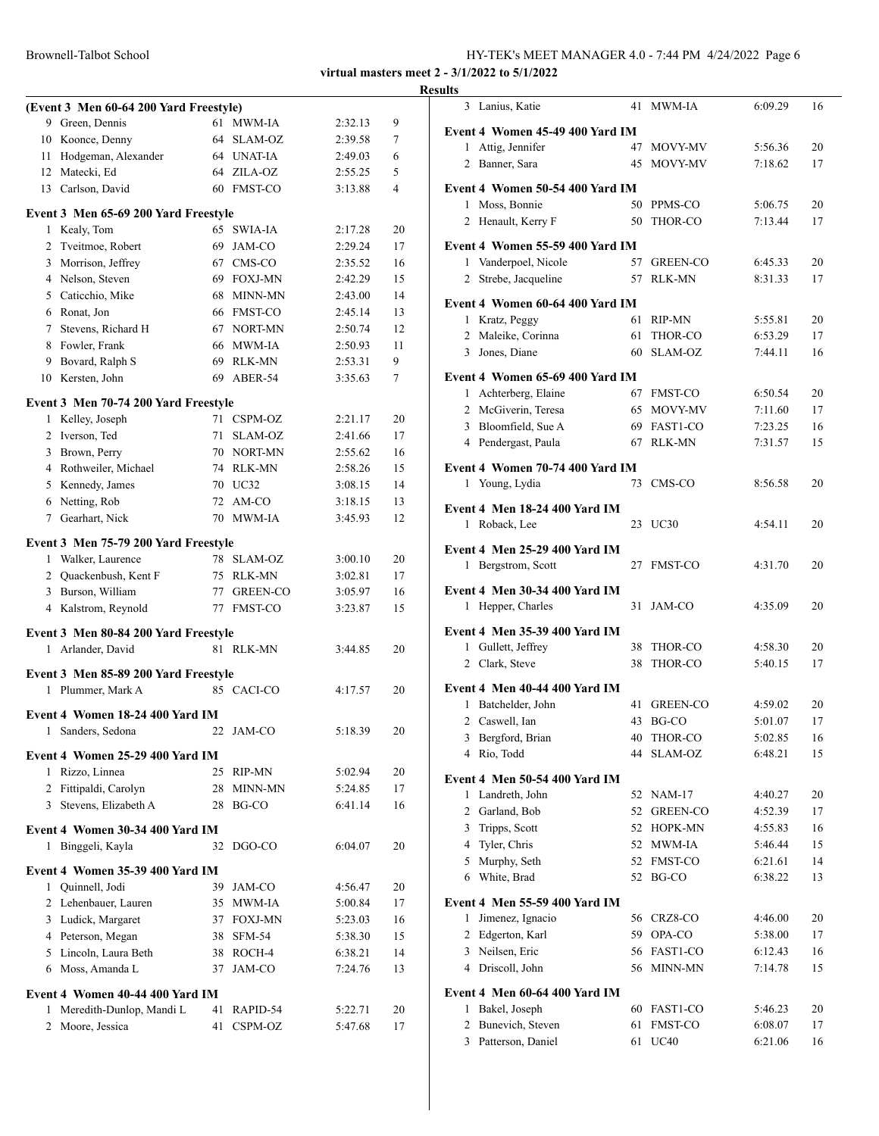|                | (Event 3 Men 60-64 200 Yard Freestyle) |    |                       |                    |          |
|----------------|----------------------------------------|----|-----------------------|--------------------|----------|
|                | 9 Green, Dennis                        | 61 | <b>MWM-IA</b>         | 2:32.13            | 9        |
|                | 10 Koonce, Denny                       |    | 64 SLAM-OZ            | 2:39.58            | 7        |
|                | 11 Hodgeman, Alexander                 |    | 64 UNAT-IA            | 2:49.03            | 6        |
|                | 12 Matecki, Ed                         |    | 64 ZILA-OZ            | 2:55.25            | 5        |
|                | 13 Carlson, David                      |    | 60 FMST-CO            | 3:13.88            | 4        |
|                | Event 3 Men 65-69 200 Yard Freestyle   |    |                       |                    |          |
| 1              | Kealy, Tom                             |    | 65 SWIA-IA            | 2:17.28            | 20       |
| $\overline{c}$ | Tveitmoe, Robert                       |    | 69 JAM-CO             | 2:29.24            | 17       |
|                | 3 Morrison, Jeffrey                    |    | 67 CMS-CO             | 2:35.52            | 16       |
|                | 4 Nelson, Steven                       |    | 69 FOXJ-MN            | 2:42.29            | 15       |
|                | 5 Caticchio, Mike                      |    | 68 MINN-MN            | 2:43.00            | 14       |
|                | 6 Ronat, Jon                           |    | 66 FMST-CO            | 2:45.14            | 13       |
|                | 7 Stevens, Richard H                   |    | 67 NORT-MN            | 2:50.74            | 12       |
|                | 8 Fowler, Frank                        |    | 66 MWM-IA             | 2:50.93            | 11       |
|                | 9 Bovard, Ralph S                      |    | 69 RLK-MN             | 2:53.31            | 9        |
| 10             | Kersten, John                          | 69 | ABER-54               | 3:35.63            | 7        |
|                |                                        |    |                       |                    |          |
|                | Event 3 Men 70-74 200 Yard Freestyle   |    |                       |                    |          |
| 1              | Kelley, Joseph                         |    | 71 CSPM-OZ            | 2:21.17            | 20       |
|                | 2 Iverson, Ted                         | 71 | SLAM-OZ               | 2:41.66            | 17       |
|                | 3 Brown, Perry                         |    | 70 NORT-MN            | 2:55.62            | 16       |
|                | 4 Rothweiler, Michael                  |    | 74 RLK-MN             | 2:58.26            | 15       |
|                | 5 Kennedy, James                       |    | 70 UC32               | 3:08.15            | 14       |
|                | 6 Netting, Rob<br>Gearhart, Nick       |    | 72 AM-CO<br>70 MWM-JA | 3:18.15            | 13       |
| $7^{\circ}$    |                                        |    |                       | 3:45.93            | 12       |
|                | Event 3 Men 75-79 200 Yard Freestyle   |    |                       |                    |          |
|                | 1 Walker, Laurence                     |    | 78 SLAM-OZ            | 3:00.10            | 20       |
|                | 2 Quackenbush, Kent F                  |    | 75 RLK-MN             | 3:02.81            | 17       |
|                | 3 Burson, William                      |    | 77 GREEN-CO           | 3:05.97            | 16       |
|                | 4 Kalstrom, Reynold                    |    | 77 FMST-CO            | 3:23.87            | 15       |
|                | Event 3 Men 80-84 200 Yard Freestyle   |    |                       |                    |          |
|                | 1 Arlander, David                      |    | 81 RLK-MN             | 3:44.85            | 20       |
|                |                                        |    |                       |                    |          |
|                | Event 3 Men 85-89 200 Yard Freestyle   |    |                       |                    |          |
|                | 1 Plummer, Mark A                      |    | 85 CACLCO             | 4:17.57            | 20       |
|                | Event 4 Women 18-24 400 Yard IM        |    |                       |                    |          |
| $\mathbf{1}$   | Sanders, Sedona                        | 22 | JAM-CO                | 5:18.39            | 20       |
|                | Event 4 Women 25-29 400 Yard IM        |    |                       |                    |          |
| 1              | Rizzo, Linnea                          | 25 |                       |                    |          |
|                | 2 Fittipaldi, Carolyn                  | 28 | RIP-MN<br>MINN-MN     | 5:02.94<br>5:24.85 | 20<br>17 |
| 3              | Stevens, Elizabeth A                   | 28 | BG-CO                 | 6:41.14            | 16       |
|                |                                        |    |                       |                    |          |
|                | Event 4 Women 30-34 400 Yard IM        |    |                       |                    |          |
| 1              | Binggeli, Kayla                        | 32 | DGO-CO                | 6:04.07            | 20       |
|                | Event 4 Women 35-39 400 Yard IM        |    |                       |                    |          |
| $\mathbf{1}$   | Quinnell, Jodi                         | 39 | JAM-CO                | 4:56.47            | 20       |
|                | 2 Lehenbauer, Lauren                   | 35 | MWM-IA                | 5:00.84            | 17       |
|                | 3 Ludick, Margaret                     |    | 37 FOXJ-MN            | 5:23.03            | 16       |
|                | 4 Peterson, Megan                      |    | 38 SFM-54             | 5:38.30            | 15       |
|                | 5 Lincoln, Laura Beth                  |    | 38 ROCH-4             | 6:38.21            | 14       |
| 6              | Moss, Amanda L                         | 37 | JAM-CO                | 7:24.76            | 13       |
|                |                                        |    |                       |                    |          |
|                | Event 4 Women 40-44 400 Yard IM        |    |                       |                    |          |
| 1              | Meredith-Dunlop, Mandi L               | 41 | RAPID-54              | 5:22.71            | 20       |
| 2              | Moore, Jessica                         | 41 | CSPM-OZ               | 5:47.68            | 17       |

| <b>Results</b> |                                                               |    |                           |                    |          |
|----------------|---------------------------------------------------------------|----|---------------------------|--------------------|----------|
|                | 3 Lanius, Katie                                               |    | 41 MWM-IA                 | 6:09.29            | 16       |
|                | Event 4 Women 45-49 400 Yard IM                               |    |                           |                    |          |
|                | 1 Attig, Jennifer                                             |    | 47 MOVY-MV                | 5:56.36            | 20       |
|                | 2 Banner, Sara                                                |    | 45 MOVY-MV                | 7:18.62            | 17       |
|                | Event 4 Women 50-54 400 Yard IM                               |    |                           |                    |          |
|                | 1 Moss, Bonnie                                                |    | 50 PPMS-CO                | 5:06.75            | 20       |
|                | 2 Henault, Kerry F                                            |    | 50 THOR-CO                | 7:13.44            | 17       |
|                | Event 4 Women 55-59 400 Yard IM                               |    |                           |                    |          |
|                | 1 Vanderpoel, Nicole                                          |    | 57 GREEN-CO               | 6:45.33            | 20       |
|                | 2 Strebe, Jacqueline                                          |    | 57 RLK-MN                 | 8:31.33            | 17       |
|                | Event 4 Women 60-64 400 Yard IM                               |    |                           |                    |          |
|                | 1 Kratz, Peggy                                                |    | 61 RIP-MN                 | 5:55.81            | 20       |
|                | 2 Maleike, Corinna                                            |    | 61 THOR-CO                | 6:53.29            | 17       |
|                | 3 Jones, Diane                                                |    | 60 SLAM-OZ                | 7:44.11            | 16       |
|                | Event 4 Women 65-69 400 Yard IM                               |    |                           |                    |          |
|                | 1 Achterberg, Elaine                                          |    | 67 FMST-CO                | 6:50.54            | 20       |
|                | 2 McGiverin, Teresa                                           |    | 65 MOVY-MV                | 7:11.60            | 17       |
|                | 3 Bloomfield, Sue A                                           |    | 69 FAST1-CO               | 7:23.25            | 16       |
|                | 4 Pendergast, Paula                                           |    | 67 RLK-MN                 | 7:31.57            | 15       |
|                | Event 4 Women 70-74 400 Yard IM                               |    |                           |                    |          |
|                | 1 Young, Lydia                                                |    | 73 CMS-CO                 | 8:56.58            | 20       |
|                |                                                               |    |                           |                    |          |
|                | Event 4 Men 18-24 400 Yard IM                                 |    |                           |                    |          |
|                | 1 Roback, Lee                                                 |    | 23 UC30                   | 4:54.11            | 20       |
|                | <b>Event 4 Men 25-29 400 Yard IM</b>                          |    |                           |                    |          |
|                | 1 Bergstrom, Scott                                            |    | 27 FMST-CO                | 4:31.70            | 20       |
|                | <b>Event 4 Men 30-34 400 Yard IM</b>                          |    |                           |                    |          |
|                | 1 Hepper, Charles                                             |    | 31 JAM-CO                 | 4:35.09            | 20       |
|                | <b>Event 4 Men 35-39 400 Yard IM</b>                          |    |                           |                    |          |
|                | 1 Gullett, Jeffrey                                            |    | 38 THOR-CO                | 4:58.30            | 20       |
|                | 2 Clark, Steve                                                | 38 | THOR-CO                   | 5:40.15            | 17       |
|                |                                                               |    |                           |                    |          |
|                | Event 4 Men 40-44 400 Yard IM<br>1 Batchelder, John           |    | 41 GREEN-CO               | 4:59.02            | 20       |
|                | 2 Caswell, Ian                                                |    | 43 BG-CO                  | 5:01.07            | 17       |
|                | Bergford, Brian<br>3                                          | 40 | THOR-CO                   | 5:02.85            | 16       |
|                | Rio, Todd<br>4                                                | 44 | SLAM-OZ                   | 6:48.21            | 15       |
|                |                                                               |    |                           |                    |          |
|                | Event 4 Men 50-54 400 Yard IM                                 |    |                           |                    |          |
|                | 1 Landreth, John<br>2 Garland, Bob                            |    | 52 NAM-17<br>52 GREEN-CO  | 4:40.27<br>4:52.39 | 20<br>17 |
|                | 3 Tripps, Scott                                               |    | 52 HOPK-MN                | 4:55.83            | 16       |
|                | 4 Tyler, Chris                                                |    | 52 MWM-IA                 | 5:46.44            | 15       |
|                | 5 Murphy, Seth                                                |    | 52 FMST-CO                | 6:21.61            | 14       |
|                | 6 White, Brad                                                 |    | 52 BG-CO                  | 6:38.22            | 13       |
|                |                                                               |    |                           |                    |          |
|                | <b>Event 4 Men 55-59 400 Yard IM</b><br>Jimenez, Ignacio<br>1 |    | 56 CRZ8-CO                | 4:46.00            | 20       |
|                | 2 Edgerton, Karl                                              |    | 59 OPA-CO                 | 5:38.00            | 17       |
|                | 3 Neilsen, Eric                                               |    | 56 FAST1-CO               | 6:12.43            | 16       |
|                | 4 Driscoll, John                                              |    | 56 MINN-MN                | 7:14.78            | 15       |
|                |                                                               |    |                           |                    |          |
|                | Event 4 Men 60-64 400 Yard IM                                 |    |                           |                    |          |
|                | Bakel, Joseph<br>1<br>Bunevich, Steven<br>$\overline{2}$      |    | 60 FAST1-CO<br>61 FMST-CO | 5:46.23<br>6:08.07 | 20<br>17 |
|                | Patterson, Daniel<br>3                                        | 61 | <b>UC40</b>               | 6:21.06            | 16       |
|                |                                                               |    |                           |                    |          |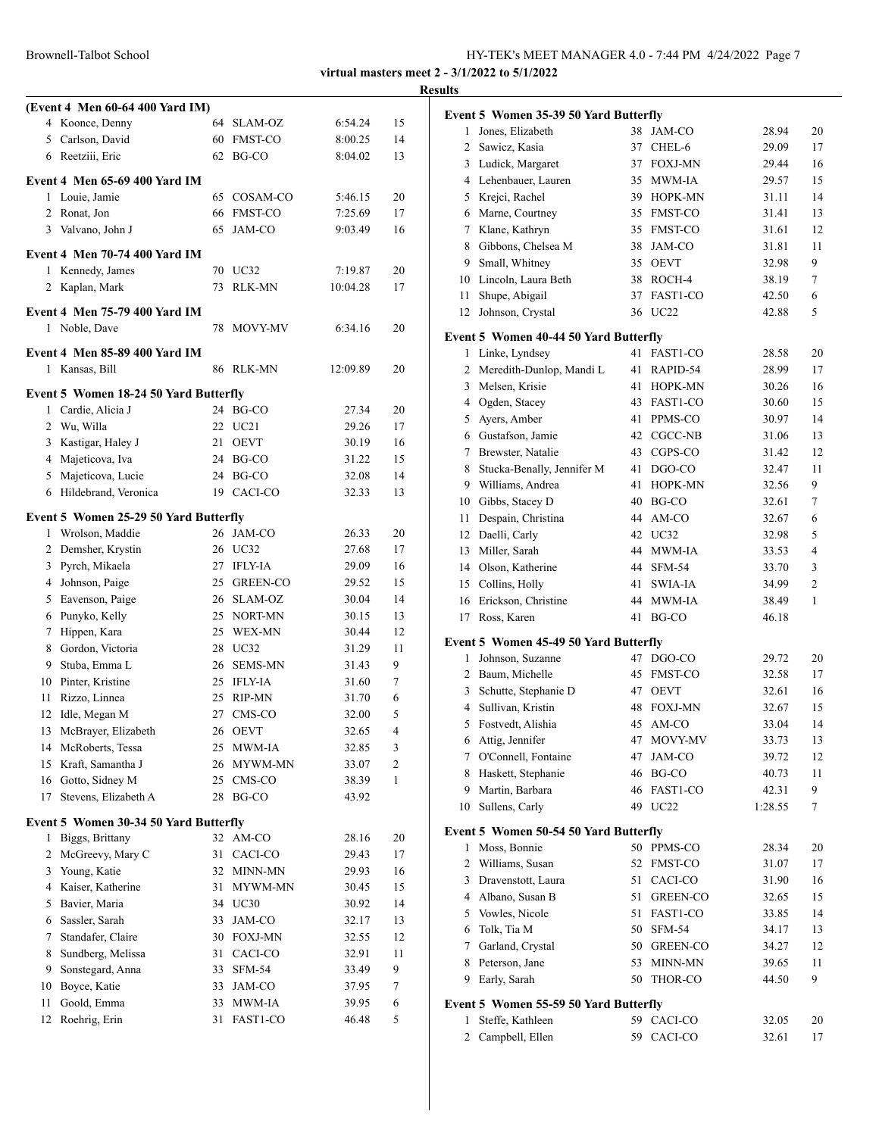| Brownell-Talbot School | HY-TEK's MEET MANAGER 4.0 - 7:44 PM 4/24/2022 Page 7 |
|------------------------|------------------------------------------------------|
|------------------------|------------------------------------------------------|

|    |                                                        |          |                 |          |    | <b>Results</b>  |
|----|--------------------------------------------------------|----------|-----------------|----------|----|-----------------|
|    | (Event 4 Men 60-64 400 Yard IM)                        |          |                 |          |    | Evo             |
|    | 4 Koonce, Denny                                        |          | 64 SLAM-OZ      | 6:54.24  | 15 |                 |
| 5  | Carlson, David                                         | 60       | FMST-CO         | 8:00.25  | 14 |                 |
|    | 6 Reetziii, Eric                                       | 62       | BG-CO           | 8:04.02  | 13 |                 |
|    | <b>Event 4 Men 65-69 400 Yard IM</b>                   |          |                 |          |    |                 |
| 1  | Louie, Jamie                                           | 65.      | COSAM-CO        | 5:46.15  | 20 |                 |
| 2  | Ronat, Jon                                             | 66       | <b>FMST-CO</b>  | 7:25.69  | 17 |                 |
| 3  | Valvano, John J                                        | 65       | JAM-CO          | 9:03.49  | 16 |                 |
|    | <b>Event 4 Men 70-74 400 Yard IM</b>                   |          |                 |          |    |                 |
|    | 1 Kennedy, James                                       |          | 70 UC32         | 7:19.87  | 20 |                 |
|    | 2 Kaplan, Mark                                         | 73       | RLK-MN          | 10:04.28 | 17 |                 |
|    | Event 4 Men 75-79 400 Yard IM                          |          |                 |          |    |                 |
|    | 1 Noble, Dave                                          |          | 78 MOVY-MV      | 6:34.16  | 20 |                 |
|    |                                                        |          |                 |          |    | Ev <sub>o</sub> |
|    | <b>Event 4 Men 85-89 400 Yard IM</b><br>1 Kansas, Bill |          | 86 RLK-MN       | 12:09.89 | 20 |                 |
|    |                                                        |          |                 |          |    |                 |
|    | Event 5 Women 18-24 50 Yard Butterfly                  |          |                 |          |    |                 |
|    | 1 Cardie, Alicia J                                     |          | 24 BG-CO        | 27.34    | 20 |                 |
|    | 2 Wu, Willa                                            |          | 22 UC21         | 29.26    | 17 |                 |
|    | 3 Kastigar, Haley J                                    |          | 21 OEVT         | 30.19    | 16 |                 |
|    | 4 Majeticova, Iva                                      |          | 24 BG-CO        | 31.22    | 15 |                 |
| 5  | Majeticova, Lucie                                      |          | 24 BG-CO        | 32.08    | 14 |                 |
|    | 6 Hildebrand, Veronica                                 |          | 19 CACI-CO      | 32.33    | 13 |                 |
|    | Event 5 Women 25-29 50 Yard Butterfly                  |          |                 |          |    |                 |
|    | 1 Wrolson, Maddie                                      |          | 26 JAM-CO       | 26.33    | 20 |                 |
|    | 2 Demsher, Krystin                                     |          | 26 UC32         | 27.68    | 17 |                 |
|    | 3 Pyrch, Mikaela                                       |          | 27 IFLY-IA      | 29.09    | 16 |                 |
|    | 4 Johnson, Paige                                       |          | 25 GREEN-CO     | 29.52    | 15 |                 |
|    | 5 Eavenson, Paige                                      |          | 26 SLAM-OZ      | 30.04    | 14 |                 |
|    | 6 Punyko, Kelly                                        |          | 25 NORT-MN      | 30.15    | 13 |                 |
|    | 7 Hippen, Kara                                         |          | 25 WEX-MN       | 30.44    | 12 | Evo             |
| 8  | Gordon, Victoria                                       |          | 28 UC32         | 31.29    | 11 |                 |
| 9  | Stuba, Emma L                                          | 26       | <b>SEMS-MN</b>  | 31.43    | 9  |                 |
|    | 10 Pinter, Kristine                                    | 25       | <b>IFLY-IA</b>  | 31.60    | 7  |                 |
| 11 | Rizzo, Linnea                                          | 25       | <b>RIP-MN</b>   | 31.70    | 6  |                 |
|    | 12 Idle, Megan M                                       | 27       | CMS-CO          | 32.00    | 5  |                 |
| 13 | McBrayer, Elizabeth                                    |          | 26 OEVT         | 32.65    | 4  |                 |
| 14 | McRoberts, Tessa                                       | 25       | <b>MWM-IA</b>   | 32.85    | 3  |                 |
| 15 | Kraft, Samantha J                                      | 26       | MYWM-MN         | 33.07    | 2  |                 |
| 17 | 16 Gotto, Sidney M<br>Stevens, Elizabeth A             | 25<br>28 | CMS-CO<br>BG-CO | 38.39    | 1  |                 |
|    |                                                        |          |                 | 43.92    |    |                 |
|    | Event 5 Women 30-34 50 Yard Butterfly                  |          |                 |          |    | Evo             |
| 1  | Biggs, Brittany                                        |          | 32 AM-CO        | 28.16    | 20 |                 |
| 2  | McGreevy, Mary C                                       | 31       | CACI-CO         | 29.43    | 17 |                 |
| 3  | Young, Katie                                           | 32       | MINN-MN         | 29.93    | 16 |                 |
| 4  | Kaiser, Katherine                                      | 31       | MYWM-MN         | 30.45    | 15 |                 |
| 5  | Bavier, Maria                                          |          | 34 UC30         | 30.92    | 14 |                 |
| 6  | Sassler, Sarah                                         | 33       | JAM-CO          | 32.17    | 13 |                 |
| 7  | Standafer, Claire                                      |          | 30 FOXJ-MN      | 32.55    | 12 |                 |
| 8  | Sundberg, Melissa                                      | 31       | CACI-CO         | 32.91    | 11 |                 |
| 9  | Sonstegard, Anna                                       | 33       | <b>SFM-54</b>   | 33.49    | 9  |                 |
| 10 | Boyce, Katie                                           | 33       | JAM-CO          | 37.95    | 7  |                 |
| 11 | Goold, Emma                                            | 33       | MWM-IA          | 39.95    | 6  | Evo             |
| 12 | Roehrig, Erin                                          | 31       | FAST1-CO        | 46.48    | 5  |                 |
|    |                                                        |          |                 |          |    |                 |

|                | Event 5 Women 35-39 50 Yard Butterfly |    |                 |         |                |
|----------------|---------------------------------------|----|-----------------|---------|----------------|
| 1              | Jones, Elizabeth                      | 38 | JAM-CO          | 28.94   | 20             |
| 2              | Sawicz, Kasia                         | 37 | CHEL-6          | 29.09   | 17             |
|                | 3 Ludick, Margaret                    | 37 | <b>FOXJ-MN</b>  | 29.44   | 16             |
|                | 4 Lehenbauer, Lauren                  |    | 35 MWM-IA       | 29.57   | 15             |
|                | 5 Krejci, Rachel                      |    | 39 HOPK-MN      | 31.11   | 14             |
|                | 6 Marne, Courtney                     | 35 | FMST-CO         | 31.41   | 13             |
| 7              | Klane, Kathryn                        | 35 | <b>FMST-CO</b>  | 31.61   | 12             |
| 8              | Gibbons, Chelsea M                    | 38 | JAM-CO          | 31.81   | 11             |
| 9              | Small, Whitney                        | 35 | <b>OEVT</b>     | 32.98   | 9              |
| 10             | Lincoln, Laura Beth                   | 38 | ROCH-4          | 38.19   | 7              |
| 11             | Shupe, Abigail                        | 37 | FAST1-CO        | 42.50   | 6              |
| 12             | Johnson, Crystal                      |    | 36 UC22         | 42.88   | 5              |
|                | Event 5 Women 40-44 50 Yard Butterfly |    |                 |         |                |
|                | 1 Linke, Lyndsey                      | 41 | FAST1-CO        | 28.58   | 20             |
| 2              | Meredith-Dunlop, Mandi L              | 41 | RAPID-54        | 28.99   | 17             |
| 3              | Melsen, Krisie                        | 41 | <b>HOPK-MN</b>  | 30.26   | 16             |
| 4              | Ogden, Stacey                         | 43 | FAST1-CO        | 30.60   | 15             |
|                | 5 Ayers, Amber                        | 41 | PPMS-CO         | 30.97   | 14             |
|                | 6 Gustafson, Jamie                    | 42 | CGCC-NB         | 31.06   | 13             |
|                | 7 Brewster, Natalie                   | 43 | CGPS-CO         | 31.42   | 12             |
| 8              | Stucka-Benally, Jennifer M            | 41 | DGO-CO          | 32.47   | 11             |
| 9              | Williams, Andrea                      | 41 | HOPK-MN         | 32.56   | 9              |
| 10             | Gibbs, Stacey D                       | 40 | BG-CO           | 32.61   | 7              |
| 11             | Despain, Christina                    | 44 | AM-CO           | 32.67   | 6              |
| 12             | Daelli, Carly                         |    | 42 UC32         | 32.98   | 5              |
| 13             | Miller, Sarah                         | 44 | MWM-IA          | 33.53   | $\overline{4}$ |
|                | 14 Olson, Katherine                   |    | 44 SFM-54       | 33.70   | 3              |
|                | 15 Collins, Holly                     | 41 | SWIA-IA         | 34.99   | 2              |
|                | 16 Erickson, Christine                | 44 | MWM-IA          | 38.49   | $\mathbf{1}$   |
| 17             | Ross, Karen                           | 41 | BG-CO           | 46.18   |                |
|                | Event 5 Women 45-49 50 Yard Butterfly |    |                 |         |                |
| 1              | Johnson, Suzanne                      | 47 | DGO-CO          | 29.72   | 20             |
|                | 2 Baum, Michelle                      | 45 | <b>FMST-CO</b>  | 32.58   | 17             |
| 3              | Schutte, Stephanie D                  | 47 | <b>OEVT</b>     | 32.61   | 16             |
| $\overline{4}$ | Sullivan, Kristin                     | 48 | <b>FOXJ-MN</b>  | 32.67   | 15             |
| 5              | Fostvedt, Alishia                     | 45 | AM-CO           | 33.04   | 14             |
| 6              | Attig, Jennifer                       | 47 | MOVY-MV         | 33.73   | 13             |
| 7              | O'Connell, Fontaine                   | 47 | JAM-CO          | 39.72   | 12             |
| 8              | Haskett, Stephanie                    | 46 | BG-CO           | 40.73   | 11             |
| 9              | Martin, Barbara                       | 46 | FAST1-CO        | 42.31   | 9              |
| 10             | Sullens, Carly                        | 49 | UC22            | 1:28.55 | 7              |
|                | Event 5 Women 50-54 50 Yard Butterfly |    |                 |         |                |
| 1              | Moss, Bonnie                          | 50 | PPMS-CO         | 28.34   | 20             |
| 2              | Williams, Susan                       | 52 | FMST-CO         | 31.07   | 17             |
| 3              | Dravenstott, Laura                    | 51 | CACI-CO         | 31.90   | 16             |
| 4              | Albano, Susan B                       | 51 | <b>GREEN-CO</b> | 32.65   | 15             |
|                | 5 Vowles, Nicole                      | 51 | FAST1-CO        | 33.85   | 14             |
| 6              | Tolk, Tia M                           | 50 | <b>SFM-54</b>   | 34.17   | 13             |
|                | 7 Garland, Crystal                    | 50 | GREEN-CO        | 34.27   | 12             |
| 8              | Peterson, Jane                        | 53 | MINN-MN         | 39.65   | 11             |
| 9.             | Early, Sarah                          | 50 | THOR-CO         | 44.50   | 9              |
|                | Event 5 Women 55-59 50 Yard Butterfly |    |                 |         |                |
| 1              | Steffe, Kathleen                      |    | 59 CACI-CO      | 32.05   | 20             |
| 2              | Campbell, Ellen                       | 59 | CACI-CO         | 32.61   | 17             |
|                |                                       |    |                 |         |                |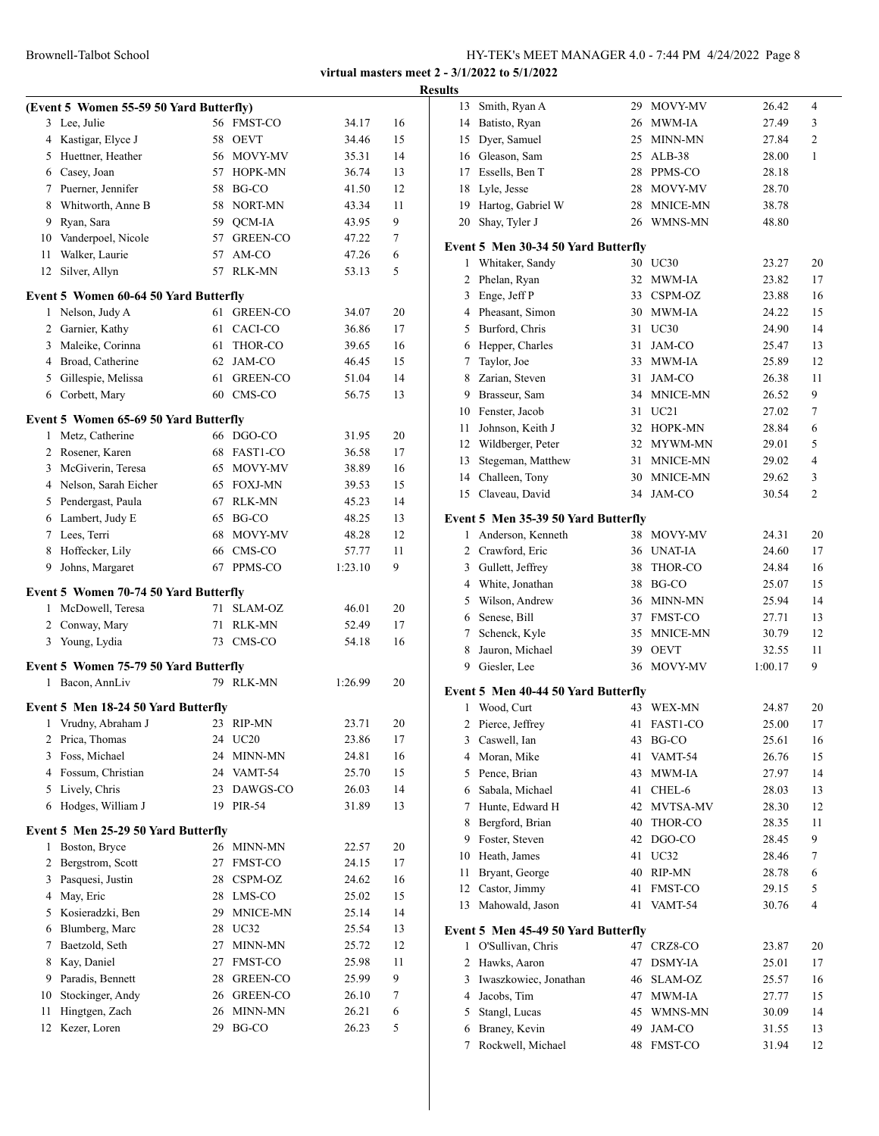|    |                                               |          |                         |                |          | <b>Results</b>                                             |    |                      |                |                |
|----|-----------------------------------------------|----------|-------------------------|----------------|----------|------------------------------------------------------------|----|----------------------|----------------|----------------|
|    | (Event 5 Women 55-59 50 Yard Butterfly)       |          |                         |                |          | 13 Smith, Ryan A                                           |    | 29 MOVY-MV           | 26.42          | 4              |
|    | 3 Lee, Julie                                  |          | 56 FMST-CO              | 34.17          | 16       | Batisto, Ryan<br>14                                        |    | 26 MWM-IA            | 27.49          | 3              |
|    | 4 Kastigar, Elyce J                           |          | 58 OEVT                 | 34.46          | 15       | Dyer, Samuel<br>15                                         | 25 | MINN-MN              | 27.84          | 2              |
|    | 5 Huettner, Heather                           |          | 56 MOVY-MV              | 35.31          | 14       | Gleason, Sam<br>16                                         | 25 | ALB-38               | 28.00          | $\mathbf{1}$   |
|    | 6 Casey, Joan                                 |          | 57 HOPK-MN              | 36.74          | 13       | Essells. Ben T<br>17                                       | 28 | PPMS-CO              | 28.18          |                |
|    | 7 Puerner, Jennifer                           |          | 58 BG-CO                | 41.50          | 12       | 18<br>Lyle, Jesse                                          | 28 | MOVY-MV              | 28.70          |                |
| 8  | Whitworth, Anne B                             |          | 58 NORT-MN              | 43.34          | 11       | Hartog, Gabriel W<br>19                                    | 28 | MNICE-MN             | 38.78          |                |
| 9  | Ryan, Sara                                    | 59       | <b>OCM-IA</b>           | 43.95          | 9        | 20<br>Shay, Tyler J                                        | 26 | WMNS-MN              | 48.80          |                |
| 10 | Vanderpoel, Nicole                            |          | 57 GREEN-CO             | 47.22          | 7        | Event 5 Men 30-34 50 Yard Butterfly                        |    |                      |                |                |
| 11 | Walker, Laurie                                |          | 57 AM-CO                | 47.26          | 6        | 1 Whitaker, Sandy                                          |    | 30 UC30              | 23.27          | 20             |
|    | 12 Silver, Allyn                              |          | 57 RLK-MN               | 53.13          | 5        | 2 Phelan, Ryan                                             |    | 32 MWM-IA            | 23.82          | 17             |
|    | Event 5 Women 60-64 50 Yard Butterfly         |          |                         |                |          | Enge, Jeff P<br>3                                          |    | 33 CSPM-OZ           | 23.88          | 16             |
|    | 1 Nelson, Judy A                              |          | 61 GREEN-CO             | 34.07          | 20       | Pheasant, Simon<br>4                                       |    | 30 MWM-IA            | 24.22          | 15             |
|    | 2 Garnier, Kathy                              |          | 61 CACI-CO              | 36.86          | 17       | Burford, Chris<br>5                                        |    | 31 UC30              | 24.90          | 14             |
| 3  | Maleike, Corinna                              |          | 61 THOR-CO              | 39.65          | 16       | Hepper, Charles<br>6                                       | 31 | JAM-CO               | 25.47          | 13             |
| 4  | Broad, Catherine                              | 62       | JAM-CO                  | 46.45          | 15       | 7<br>Taylor, Joe                                           | 33 | MWM-IA               | 25.89          | 12             |
| 5  | Gillespie, Melissa                            | 61       | <b>GREEN-CO</b>         | 51.04          | 14       | Zarian, Steven<br>8                                        |    | 31 JAM-CO            | 26.38          | 11             |
|    | 6 Corbett, Mary                               |          | 60 CMS-CO               | 56.75          | 13       | 9<br>Brasseur, Sam                                         | 34 | <b>MNICE-MN</b>      | 26.52          | 9              |
|    |                                               |          |                         |                |          | 10<br>Fenster, Jacob                                       | 31 | UC21                 | 27.02          | 7              |
|    | Event 5 Women 65-69 50 Yard Butterfly         |          |                         |                |          | Johnson, Keith J<br>11                                     |    | 32 HOPK-MN           | 28.84          | 6              |
|    | 1 Metz, Catherine                             |          | 66 DGO-CO               | 31.95          | 20       | Wildberger, Peter<br>12                                    | 32 | MYWM-MN              | 29.01          | 5              |
|    | 2 Rosener, Karen                              |          | 68 FAST1-CO             | 36.58          | 17       | Stegeman, Matthew<br>13                                    | 31 | MNICE-MN             | 29.02          | 4              |
| 3  | McGiverin, Teresa                             |          | 65 MOVY-MV              | 38.89          | 16<br>15 | Challeen, Tony<br>14                                       | 30 | MNICE-MN             | 29.62          | 3              |
|    | 4 Nelson, Sarah Eicher<br>5 Pendergast, Paula |          | 65 FOXJ-MN<br>67 RLK-MN | 39.53          | 14       | 15 Claveau, David                                          |    | 34 JAM-CO            | 30.54          | $\mathfrak{2}$ |
|    |                                               |          | 65 BG-CO                | 45.23          | 13       |                                                            |    |                      |                |                |
|    | 6 Lambert, Judy E<br>7 Lees, Terri            | 68       | MOVY-MV                 | 48.25<br>48.28 | 12       | Event 5 Men 35-39 50 Yard Butterfly<br>1 Anderson, Kenneth |    | 38 MOVY-MV           | 24.31          | 20             |
|    | 8 Hoffecker, Lily                             |          | CMS-CO                  | 57.77          | 11       | Crawford, Eric<br>2                                        | 36 | UNAT-IA              | 24.60          | 17             |
|    | 9 Johns, Margaret                             | 66<br>67 | PPMS-CO                 | 1:23.10        | 9        | Gullett, Jeffrey<br>3                                      | 38 | THOR-CO              | 24.84          | 16             |
|    |                                               |          |                         |                |          | White, Jonathan<br>4                                       | 38 | BG-CO                | 25.07          | 15             |
|    | Event 5 Women 70-74 50 Yard Butterfly         |          |                         |                |          | 5<br>Wilson, Andrew                                        | 36 | MINN-MN              | 25.94          | 14             |
|    | 1 McDowell, Teresa                            |          | 71 SLAM-OZ              | 46.01          | 20       | Senese, Bill<br>6                                          | 37 | FMST-CO              | 27.71          | 13             |
|    | 2 Conway, Mary                                |          | 71 RLK-MN               | 52.49          | 17       | Schenck, Kyle<br>7                                         | 35 | MNICE-MN             | 30.79          | 12             |
|    | 3 Young, Lydia                                |          | 73 CMS-CO               | 54.18          | 16       | 8<br>Jauron, Michael                                       | 39 | <b>OEVT</b>          | 32.55          | 11             |
|    | Event 5 Women 75-79 50 Yard Butterfly         |          |                         |                |          | 9<br>Giesler, Lee                                          |    | 36 MOVY-MV           | 1:00.17        | 9              |
|    | 1 Bacon, AnnLiv                               |          | 79 RLK-MN               | 1:26.99        | 20       |                                                            |    |                      |                |                |
|    |                                               |          |                         |                |          | Event 5 Men 40-44 50 Yard Butterfly                        |    |                      |                |                |
|    | Event 5 Men 18-24 50 Yard Butterfly           |          |                         |                |          | 1 Wood, Curt                                               |    | 43 WEX-MN            | 24.87          | 20             |
|    | 1 Vrudny, Abraham J                           |          | 23 RIP-MN               | 23.71          | 20       | 2<br>Pierce, Jeffrey                                       |    | 41 FAST1-CO          | 25.00          | 17             |
|    | 2 Prica, Thomas                               |          | 24 UC20                 | 23.86          | 17       | Caswell, Ian<br>3                                          |    | 43 BG-CO             | 25.61          | 16             |
|    | 3 Foss, Michael                               | 24       | MINN-MN                 | 24.81          | 16       | Moran, Mike<br>4                                           |    | 41 VAMT-54           | 26.76          | 15             |
|    | 4 Fossum, Christian                           |          | 24 VAMT-54              | 25.70          | 15       | 5<br>Pence, Brian                                          | 43 | MWM-IA               | 27.97          | 14             |
|    | 5 Lively, Chris<br>6 Hodges, William J        | 23       | DAWGS-CO<br>19 PIR-54   | 26.03<br>31.89 | 14<br>13 | Sabala, Michael<br>6                                       | 41 | CHEL-6<br>MVTSA-MV   | 28.03          | 13             |
|    |                                               |          |                         |                |          | Hunte, Edward H<br>7                                       | 42 |                      | 28.30          | 12             |
|    | Event 5 Men 25-29 50 Yard Butterfly           |          |                         |                |          | 8<br>Bergford, Brian<br>Foster, Steven                     | 40 | THOR-CO<br>42 DGO-CO | 28.35          | 11             |
|    | 1 Boston, Bryce                               |          | 26 MINN-MN              | 22.57          | 20       | 9<br>Heath, James                                          |    | UC32                 | 28.45          | 9              |
|    | 2 Bergstrom, Scott                            |          | 27 FMST-CO              | 24.15          | 17       | 10<br>Bryant, George<br>11                                 | 41 | 40 RIP-MN            | 28.46<br>28.78 | 7<br>6         |
|    | 3 Pasquesi, Justin                            |          | 28 CSPM-OZ              | 24.62          | 16       | Castor, Jimmy<br>12                                        |    | 41 FMST-CO           | 29.15          | 5              |
|    | 4 May, Eric                                   |          | 28 LMS-CO               | 25.02          | 15       | 13 Mahowald, Jason                                         |    | 41 VAMT-54           | 30.76          | 4              |
|    | 5 Kosieradzki, Ben                            |          | 29 MNICE-MN             | 25.14          | 14       |                                                            |    |                      |                |                |
| 6  | Blumberg, Marc                                |          | 28 UC32                 | 25.54          | 13       | Event 5 Men 45-49 50 Yard Butterfly                        |    |                      |                |                |
| 7  | Baetzold, Seth                                |          | 27 MINN-MN              | 25.72          | 12       | 1 O'Sullivan, Chris                                        |    | 47 CRZ8-CO           | 23.87          | 20             |
|    | 8 Kay, Daniel                                 | 27       | <b>FMST-CO</b>          | 25.98          | 11       | 2 Hawks, Aaron                                             |    | 47 DSMY-IA           | 25.01          | 17             |
|    | 9 Paradis, Bennett                            | 28       | GREEN-CO                | 25.99          | 9        | Iwaszkowiec, Jonathan<br>3                                 | 46 | SLAM-OZ              | 25.57          | 16             |
| 10 | Stockinger, Andy                              |          | 26 GREEN-CO             | 26.10          | 7        | Jacobs, Tim<br>$\overline{4}$                              | 47 | MWM-IA               | 27.77          | 15             |
| 11 | Hingtgen, Zach                                |          | 26 MINN-MN              | 26.21          | 6        | 5<br>Stangl, Lucas                                         | 45 | WMNS-MN              | 30.09          | 14             |
|    | 12 Kezer, Loren                               |          | 29 BG-CO                | 26.23          | 5        | Braney, Kevin<br>6                                         | 49 | JAM-CO               | 31.55          | 13             |
|    |                                               |          |                         |                |          | 7 Rockwell, Michael                                        |    | 48 FMST-CO           | 31.94          | 12             |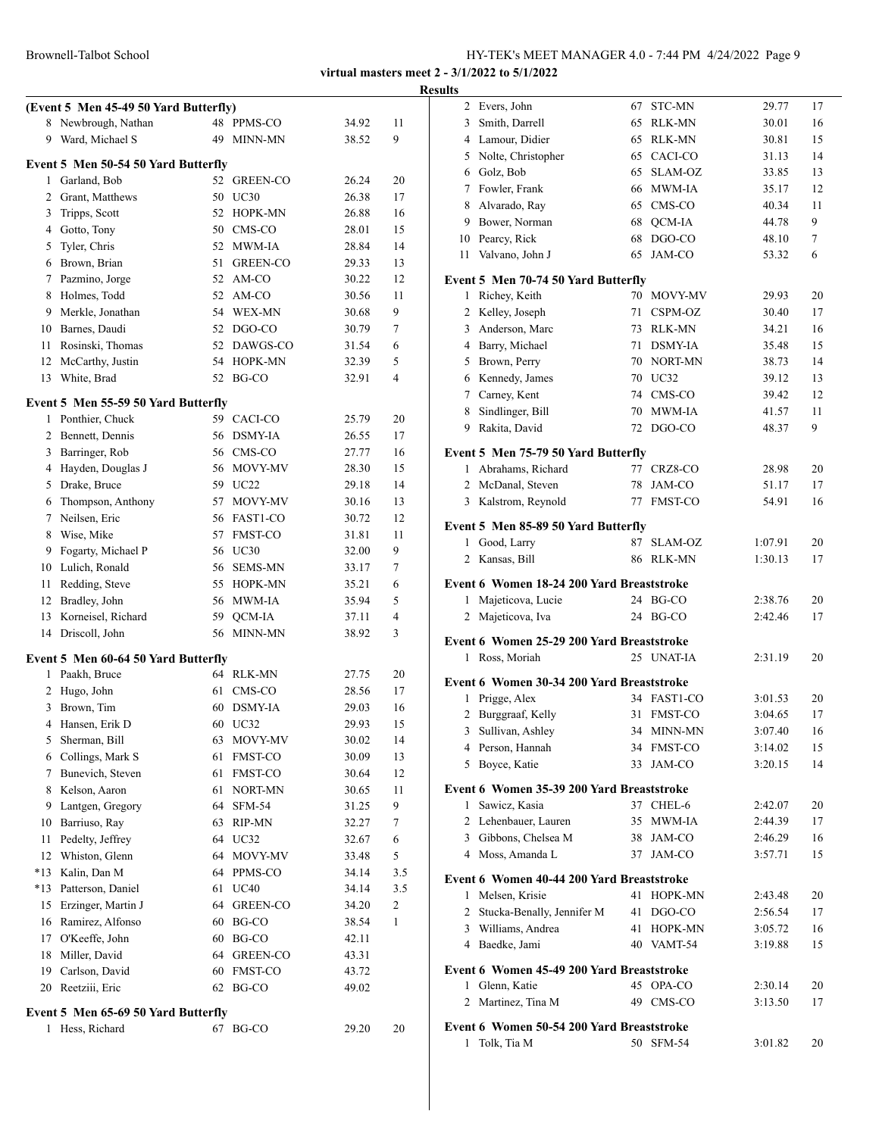|       | (Event 5 Men 45-49 50 Yard Butterfly) |    |                |       |     |
|-------|---------------------------------------|----|----------------|-------|-----|
| 8     | Newbrough, Nathan                     |    | 48 PPMS-CO     | 34.92 | 11  |
| 9     | Ward, Michael S                       | 49 | MINN-MN        | 38.52 | 9   |
|       | Event 5 Men 50-54 50 Yard Butterfly   |    |                |       |     |
| 1     | Garland, Bob                          |    | 52 GREEN-CO    | 26.24 | 20  |
|       | 2 Grant, Matthews                     | 50 | UC30           | 26.38 | 17  |
| 3     | Tripps, Scott                         | 52 | HOPK-MN        | 26.88 | 16  |
|       | 4 Gotto, Tony                         |    | 50 CMS-CO      | 28.01 | 15  |
|       | 5 Tyler, Chris                        |    | 52 MWM-IA      | 28.84 | 14  |
|       | 6 Brown, Brian                        | 51 | GREEN-CO       | 29.33 | 13  |
|       | 7 Pazmino, Jorge                      |    | 52 AM-CO       | 30.22 | 12  |
|       | 8 Holmes, Todd                        |    | 52 AM-CO       | 30.56 | 11  |
|       | 9 Merkle, Jonathan                    |    | 54 WEX-MN      | 30.68 | 9   |
|       | 10 Barnes, Daudi                      |    | 52 DGO-CO      | 30.79 | 7   |
|       | 11 Rosinski, Thomas                   |    | 52 DAWGS-CO    | 31.54 | 6   |
|       | 12 McCarthy, Justin                   |    | 54 HOPK-MN     | 32.39 | 5   |
| 13    | White, Brad                           |    | 52 BG-CO       | 32.91 | 4   |
|       | Event 5 Men 55-59 50 Yard Butterfly   |    |                |       |     |
| 1     | Ponthier, Chuck                       |    | 59 CACI-CO     | 25.79 | 20  |
| 2     | Bennett, Dennis                       | 56 | <b>DSMY-IA</b> | 26.55 | 17  |
|       | 3 Barringer, Rob                      |    | 56 CMS-CO      | 27.77 | 16  |
|       | 4 Hayden, Douglas J                   |    | 56 MOVY-MV     | 28.30 | 15  |
|       | 5 Drake, Bruce                        |    | 59 UC22        | 29.18 | 14  |
|       | 6 Thompson, Anthony                   |    | 57 MOVY-MV     | 30.16 | 13  |
|       | 7 Neilsen, Eric                       |    | 56 FAST1-CO    | 30.72 | 12  |
| 8     | Wise, Mike                            |    | 57 FMST-CO     | 31.81 | 11  |
| 9     | Fogarty, Michael P                    |    | 56 UC30        | 32.00 | 9   |
| 10    | Lulich, Ronald                        |    | 56 SEMS-MN     | 33.17 | 7   |
| 11    | Redding, Steve                        |    | 55 HOPK-MN     | 35.21 | 6   |
| 12    | Bradley, John                         |    | 56 MWM-IA      | 35.94 | 5   |
| 13    | Korneisel, Richard                    | 59 | QCM-IA         | 37.11 | 4   |
| 14    | Driscoll, John                        | 56 | MINN-MN        | 38.92 | 3   |
|       | Event 5 Men 60-64 50 Yard Butterfly   |    |                |       |     |
| 1     | Paakh, Bruce                          |    | 64 RLK-MN      | 27.75 | 20  |
| 2     | Hugo, John                            | 61 | CMS-CO         | 28.56 | 17  |
| 3     | Brown, Tim                            |    | 60 DSMY-IA     | 29.03 | 16  |
|       | 4 Hansen, Erik D                      |    | 60 UC32        | 29.93 | 15  |
| 5     | Sherman, Bill                         |    | 63 MOVY-MV     | 30.02 | 14  |
|       | 6 Collings, Mark S                    | 61 | FMST-CO        | 30.09 | 13  |
| 7     | Bunevich, Steven                      | 61 | FMST-CO        | 30.64 | 12  |
| 8     | Kelson, Aaron                         | 61 | NORT-MN        | 30.65 | 11  |
| 9     | Lantgen, Gregory                      | 64 | <b>SFM-54</b>  | 31.25 | 9   |
| 10    | Barriuso, Ray                         | 63 | RIP-MN         | 32.27 | 7   |
| 11    | Pedelty, Jeffrey                      | 64 | UC32           | 32.67 | 6   |
| 12    | Whiston, Glenn                        | 64 | MOVY-MV        | 33.48 | 5   |
| $*13$ | Kalin, Dan M                          |    | 64 PPMS-CO     | 34.14 | 3.5 |
| *13   | Patterson, Daniel                     | 61 | <b>UC40</b>    | 34.14 | 3.5 |
| 15    | Erzinger, Martin J                    |    | 64 GREEN-CO    | 34.20 | 2   |
| 16    | Ramirez, Alfonso                      | 60 | BG-CO          | 38.54 | 1   |
| 17    | O'Keeffe, John                        | 60 | BG-CO          | 42.11 |     |
| 18    | Miller, David                         | 64 | GREEN-CO       | 43.31 |     |
|       | 19 Carlson, David                     | 60 | FMST-CO        | 43.72 |     |
| 20    | Reetziii, Eric                        | 62 | BG-CO          | 49.02 |     |
|       | Event 5 Men 65-69 50 Yard Butterfly   |    |                |       |     |
| 1     | Hess, Richard                         |    | 67 BG-CO       | 29.20 | 20  |
|       |                                       |    |                |       |     |
|       |                                       |    |                |       |     |

| <b>Results</b> |                                           |             |         |    |
|----------------|-------------------------------------------|-------------|---------|----|
|                | 2 Evers, John                             | 67 STC-MN   | 29.77   | 17 |
|                | 3 Smith, Darrell                          | 65 RLK-MN   | 30.01   | 16 |
|                | 4 Lamour, Didier                          | 65 RLK-MN   | 30.81   | 15 |
|                | 5 Nolte, Christopher                      | 65 CACI-CO  | 31.13   | 14 |
|                | 6 Golz, Bob                               | 65 SLAM-OZ  | 33.85   | 13 |
|                | 7 Fowler, Frank                           | 66 MWM-IA   | 35.17   | 12 |
|                | 8 Alvarado, Ray                           | 65 CMS-CO   | 40.34   | 11 |
|                | 9 Bower, Norman                           | 68 QCM-IA   | 44.78   | 9  |
|                | 10 Pearcy, Rick                           | 68 DGO-CO   | 48.10   | 7  |
| 11             | Valvano, John J                           | 65 JAM-CO   | 53.32   | 6  |
|                | Event 5 Men 70-74 50 Yard Butterfly       |             |         |    |
|                | 1 Richey, Keith                           | 70 MOVY-MV  | 29.93   | 20 |
|                | 2 Kelley, Joseph                          | 71 CSPM-OZ  | 30.40   | 17 |
|                | 3 Anderson, Marc                          | 73 RLK-MN   | 34.21   | 16 |
|                | 4 Barry, Michael                          | 71 DSMY-IA  | 35.48   | 15 |
|                | 5 Brown, Perry                            | 70 NORT-MN  | 38.73   | 14 |
|                | 6 Kennedy, James                          | 70 UC32     | 39.12   | 13 |
|                | 7 Carney, Kent                            | 74 CMS-CO   | 39.42   | 12 |
|                | 8 Sindlinger, Bill                        | 70 MWM-IA   | 41.57   | 11 |
|                | 9 Rakita, David                           | 72 DGO-CO   | 48.37   | 9  |
|                | Event 5 Men 75-79 50 Yard Butterfly       |             |         |    |
|                | 1 Abrahams, Richard                       | 77 CRZ8-CO  | 28.98   | 20 |
|                | 2 McDanal, Steven                         | 78 JAM-CO   | 51.17   | 17 |
|                | 3 Kalstrom, Reynold                       | 77 FMST-CO  | 54.91   | 16 |
|                | Event 5 Men 85-89 50 Yard Butterfly       |             |         |    |
|                | Good, Larry<br>$\mathbf{1}$               | 87 SLAM-OZ  | 1:07.91 | 20 |
|                | 2 Kansas, Bill                            | 86 RLK-MN   | 1:30.13 | 17 |
|                | Event 6 Women 18-24 200 Yard Breaststroke |             |         |    |
|                | Majeticova, Lucie<br>1                    | 24 BG-CO    | 2:38.76 | 20 |
|                | Majeticova, Iva<br>$\overline{2}$         | 24 BG-CO    | 2:42.46 | 17 |
|                |                                           |             |         |    |
|                | Event 6 Women 25-29 200 Yard Breaststroke |             |         |    |
|                | 1 Ross, Moriah                            | 25 UNAT-IA  | 2:31.19 | 20 |
|                | Event 6 Women 30-34 200 Yard Breaststroke |             |         |    |
|                | Prigge, Alex<br>$\mathbf{1}$              | 34 FAST1-CO | 3:01.53 | 20 |
|                | $\mathbf{2}$<br>Burggraaf, Kelly          | 31 FMST-CO  | 3:04.65 | 17 |
|                | $\overline{3}$<br>Sullivan, Ashley        | 34 MINN-MN  | 3:07.40 | 16 |
|                | 4 Person, Hannah                          | 34 FMST-CO  | 3:14.02 | 15 |
|                | 5 Boyce, Katie                            | 33 JAM-CO   | 3:20.15 | 14 |
|                | Event 6 Women 35-39 200 Yard Breaststroke |             |         |    |
|                | 1 Sawicz, Kasia                           | 37 CHEL-6   | 2:42.07 | 20 |
|                | 2 Lehenbauer, Lauren                      | 35 MWM-IA   | 2:44.39 | 17 |
|                | 3 Gibbons, Chelsea M                      | 38 JAM-CO   | 2:46.29 | 16 |
|                | 4 Moss, Amanda L                          | 37 JAM-CO   | 3:57.71 | 15 |
|                | Event 6 Women 40-44 200 Yard Breaststroke |             |         |    |
|                | 1 Melsen, Krisie                          | 41 HOPK-MN  | 2:43.48 | 20 |
|                | 2 Stucka-Benally, Jennifer M              | 41 DGO-CO   | 2:56.54 | 17 |
|                | 3 Williams, Andrea                        | 41 HOPK-MN  | 3:05.72 | 16 |
|                | 4 Baedke, Jami                            | 40 VAMT-54  | 3:19.88 | 15 |
|                | Event 6 Women 45-49 200 Yard Breaststroke |             |         |    |
|                | 1 Glenn, Katie                            | 45 OPA-CO   | 2:30.14 | 20 |
|                | 2 Martinez, Tina M                        | 49 CMS-CO   | 3:13.50 | 17 |
|                |                                           |             |         |    |
|                | Event 6 Women 50-54 200 Yard Breaststroke |             |         |    |
|                | 1 Tolk, Tia M                             | 50 SFM-54   | 3:01.82 | 20 |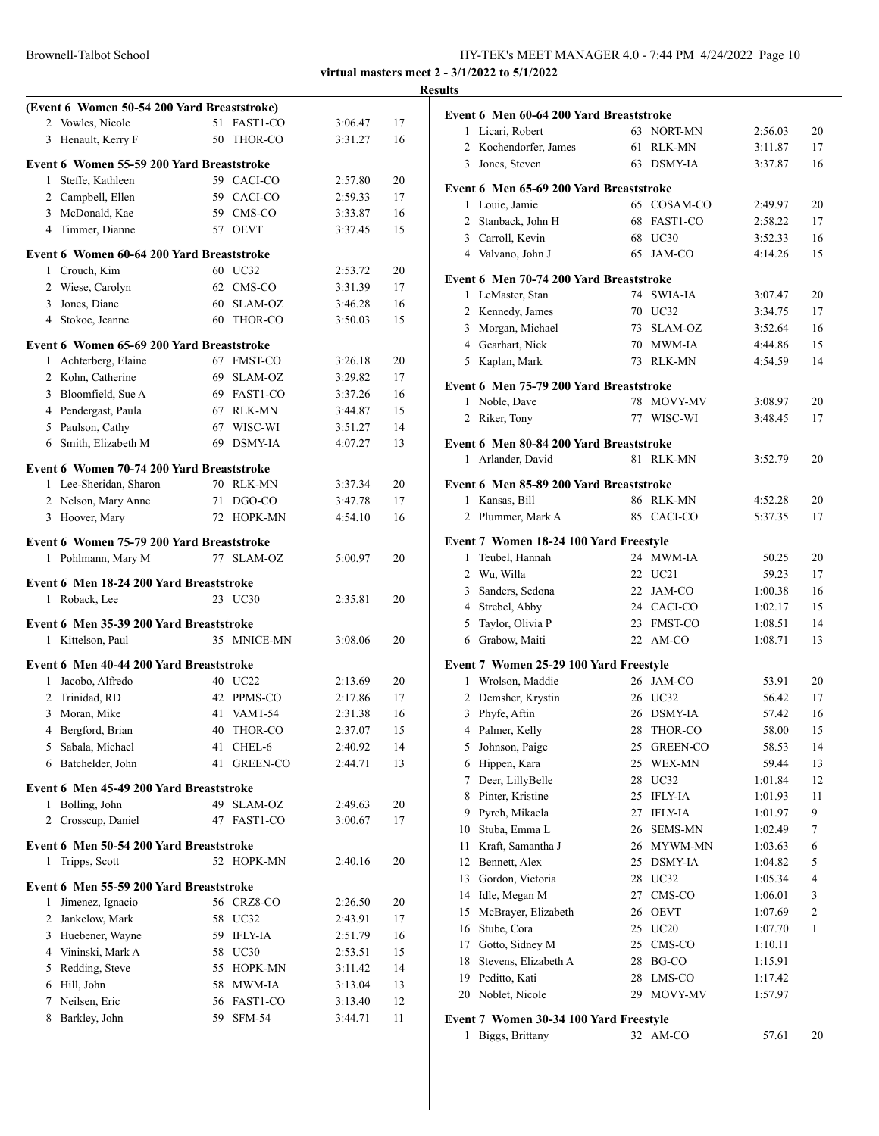|                | (Event 6 Women 50-54 200 Yard Breaststroke)                  |     |                 |                    |          |
|----------------|--------------------------------------------------------------|-----|-----------------|--------------------|----------|
| 2              | Vowles, Nicole                                               | 51  | FAST1-CO        | 3:06.47            | 17       |
| 3              | Henault, Kerry F                                             | 50  | THOR-CO         | 3:31.27            | 16       |
|                | Event 6 Women 55-59 200 Yard Breaststroke                    |     |                 |                    |          |
|                | 1 Steffe, Kathleen                                           |     | 59 CACI-CO      | 2:57.80            | 20       |
|                | 2 Campbell, Ellen                                            |     | 59 CACI-CO      | 2:59.33            | 17       |
|                | 3 McDonald, Kae                                              |     | 59 CMS-CO       | 3:33.87            | 16       |
|                | 4 Timmer, Dianne                                             |     | 57 OEVT         | 3:37.45            | 15       |
|                | Event 6 Women 60-64 200 Yard Breaststroke                    |     |                 |                    |          |
|                | 1 Crouch, Kim                                                |     | 60 UC32         | 2:53.72            | 20       |
|                | 2 Wiese, Carolyn                                             |     | 62 CMS-CO       | 3:31.39            | 17       |
|                | 3 Jones, Diane                                               |     | 60 SLAM-OZ      | 3:46.28            | 16       |
|                | 4 Stokoe, Jeanne                                             | 60  | THOR-CO         | 3:50.03            | 15       |
|                |                                                              |     |                 |                    |          |
|                | Event 6 Women 65-69 200 Yard Breaststroke                    |     | 67 FMST-CO      |                    |          |
| $\mathbf{1}$   | Achterberg, Elaine<br>2 Kohn, Catherine                      | 69. | SLAM-OZ         | 3:26.18<br>3:29.82 | 20<br>17 |
|                | 3 Bloomfield, Sue A                                          | 69  | FAST1-CO        | 3:37.26            | 16       |
|                | 4 Pendergast, Paula                                          | 67  | <b>RLK-MN</b>   | 3:44.87            | 15       |
|                | 5 Paulson, Cathy                                             | 67  | WISC-WI         | 3:51.27            | 14       |
| 6              | Smith, Elizabeth M                                           | 69  | <b>DSMY-IA</b>  | 4:07.27            | 13       |
|                |                                                              |     |                 |                    |          |
|                | Event 6 Women 70-74 200 Yard Breaststroke                    |     |                 |                    |          |
|                | 1 Lee-Sheridan, Sharon                                       |     | 70 RLK-MN       | 3:37.34            | 20       |
|                | 2 Nelson, Mary Anne                                          | 71  | DGO-CO          | 3:47.78            | 17       |
|                | 3 Hoover, Mary                                               |     | 72 HOPK-MN      | 4:54.10            | 16       |
|                | Event 6 Women 75-79 200 Yard Breaststroke                    |     |                 |                    |          |
|                | 1 Pohlmann, Mary M                                           | 77  | SLAM-OZ         | 5:00.97            | 20       |
|                | Event 6 Men 18-24 200 Yard Breaststroke                      |     |                 |                    |          |
| 1              | Roback, Lee                                                  |     | 23 UC30         | 2:35.81            | 20       |
|                |                                                              |     |                 |                    |          |
|                | Event 6 Men 35-39 200 Yard Breaststroke<br>1 Kittelson, Paul |     | 35 MNICE-MN     | 3:08.06            | 20       |
|                |                                                              |     |                 |                    |          |
|                | Event 6 Men 40-44 200 Yard Breaststroke                      |     |                 |                    |          |
|                | 1 Jacobo, Alfredo                                            |     | 40 UC22         | 2:13.69            | 20       |
| $\overline{2}$ | Trinidad, RD                                                 | 42  | PPMS-CO         | 2:17.86            | 17       |
| 3              | Moran, Mike                                                  | 41  | VAMT-54         | 2:31.38            | 16       |
| 4              | Bergford, Brian                                              | 40  | THOR-CO         | 2:37.07            | 15       |
| 5              | Sabala, Michael                                              | 41  | CHEL-6          | 2:40.92            | 14       |
|                | 6 Batchelder, John                                           | 41  | <b>GREEN-CO</b> | 2:44.71            | 13       |
|                | Event 6 Men 45-49 200 Yard Breaststroke                      |     |                 |                    |          |
| 1              | Bolling, John                                                | 49  | SLAM-OZ         | 2:49.63            | 20       |
| 2              | Crosscup, Daniel                                             | 47  | FAST1-CO        | 3:00.67            | 17       |
|                | Event 6 Men 50-54 200 Yard Breaststroke                      |     |                 |                    |          |
| 1              | Tripps, Scott                                                |     | 52 HOPK-MN      | 2:40.16            | 20       |
|                | Event 6 Men 55-59 200 Yard Breaststroke                      |     |                 |                    |          |
| 1              | Jimenez, Ignacio                                             |     | 56 CRZ8-CO      | 2:26.50            | 20       |
| $\overline{2}$ | Jankelow, Mark                                               | 58  | UC32            | 2:43.91            | 17       |
|                | 3 Huebener, Wayne                                            | 59  | <b>IFLY-IA</b>  | 2:51.79            | 16       |
|                | 4 Vininski, Mark A                                           | 58  | UC30            | 2:53.51            | 15       |
|                | 5 Redding, Steve                                             | 55  | HOPK-MN         | 3:11.42            | 14       |
|                | 6 Hill, John                                                 | 58  | MWM-IA          | 3:13.04            | 13       |
|                | 7 Neilsen, Eric                                              | 56  | FAST1-CO        | 3:13.40            | 12       |
|                | 8 Barkley, John                                              |     | 59 SFM-54       | 3:44.71            | 11       |

| <b>Results</b>                                                           |          |                           |                    |          |
|--------------------------------------------------------------------------|----------|---------------------------|--------------------|----------|
| Event 6 Men 60-64 200 Yard Breaststroke                                  |          |                           |                    |          |
| 1 Licari, Robert                                                         |          | 63 NORT-MN                | 2:56.03            | 20       |
| 2 Kochendorfer, James                                                    |          | 61 RLK-MN                 | 3:11.87            | 17       |
| 3 Jones, Steven                                                          |          | 63 DSMY-IA                | 3:37.87            | 16       |
| Event 6 Men 65-69 200 Yard Breaststroke                                  |          |                           |                    |          |
| 1 Louie, Jamie                                                           |          | 65 COSAM-CO               | 2:49.97            | 20       |
| 2 Stanback, John H                                                       |          | 68 FAST1-CO               | 2:58.22            | 17       |
| 3 Carroll, Kevin                                                         |          | 68 UC30                   | 3:52.33            | 16       |
| 4 Valvano, John J                                                        |          | 65 JAM-CO                 | 4:14.26            | 15       |
| Event 6 Men 70-74 200 Yard Breaststroke                                  |          |                           |                    |          |
| 1 LeMaster, Stan                                                         |          | 74 SWIA-IA                | 3:07.47            | 20       |
| 2 Kennedy, James                                                         |          | 70 UC32                   | 3:34.75            | 17       |
| 3 Morgan, Michael                                                        |          | 73 SLAM-OZ                | 3:52.64            | 16       |
| 4 Gearhart, Nick                                                         |          | 70 MWM-IA                 | 4:44.86            | 15       |
| 5 Kaplan, Mark                                                           |          | 73 RLK-MN                 | 4:54.59            | 14       |
| Event 6 Men 75-79 200 Yard Breaststroke                                  |          |                           |                    |          |
| 1 Noble, Dave                                                            |          | 78 MOVY-MV                | 3:08.97            | 20       |
| Riker, Tony<br>2                                                         |          | 77 WISC-WI                | 3:48.45            | 17       |
| Event 6 Men 80-84 200 Yard Breaststroke                                  |          |                           |                    |          |
| 1 Arlander, David                                                        |          | 81 RLK-MN                 | 3:52.79            | 20       |
| Event 6 Men 85-89 200 Yard Breaststroke                                  |          |                           |                    |          |
| 1 Kansas, Bill                                                           |          | 86 RLK-MN                 | 4:52.28            | 20       |
| 2 Plummer, Mark A                                                        |          | 85 CACI-CO                | 5:37.35            | 17       |
|                                                                          |          |                           |                    |          |
| Event 7 Women 18-24 100 Yard Freestyle<br>$\mathbf{1}$<br>Teubel, Hannah |          | 24 MWM-IA                 | 50.25              | 20       |
|                                                                          |          | 22 UC21                   | 59.23              | 17       |
| 2 Wu, Willa<br>3 Sanders, Sedona                                         |          | 22 JAM-CO                 | 1:00.38            | 16       |
| 4 Strebel, Abby                                                          |          | 24 CACI-CO                | 1:02.17            | 15       |
| Taylor, Olivia P<br>5.                                                   |          | 23 FMST-CO                | 1:08.51            | 14       |
| 6 Grabow, Maiti                                                          |          | 22 AM-CO                  | 1:08.71            | 13       |
|                                                                          |          |                           |                    |          |
| Event 7 Women 25-29 100 Yard Freestyle                                   |          |                           |                    |          |
| 1 Wrolson, Maddie                                                        |          | 26 JAM-CO                 | 53.91              | 20       |
| 2 Demsher, Krystin                                                       |          | 26 UC32                   | 56.42              | 17       |
| 3<br>Phyfe, Aftin                                                        |          | 26 DSMY-IA                | 57.42              | 16       |
| Palmer, Kelly<br>4                                                       | 28       | THOR-CO                   | 58.00              | 15       |
| 5<br>Johnson, Paige                                                      | 25<br>25 | <b>GREEN-CO</b><br>WEX-MN | 58.53              | 14       |
| 6 Hippen, Kara<br>Deer, LillyBelle<br>7                                  |          | 28 UC32                   | 59.44              | 13<br>12 |
| 8 Pinter, Kristine                                                       |          | 25 IFLY-IA                | 1:01.84            | 11       |
| 9 Pyrch, Mikaela                                                         | 27       | <b>IFLY-IA</b>            | 1:01.93            | 9        |
| Stuba, Emma L<br>10                                                      | 26       | SEMS-MN                   | 1:01.97<br>1:02.49 | 7        |
| Kraft, Samantha J<br>11                                                  |          | 26 MYWM-MN                | 1:03.63            | 6        |
| Bennett, Alex<br>12                                                      |          | 25 DSMY-IA                | 1:04.82            | 5        |
| Gordon, Victoria<br>13                                                   |          | 28 UC32                   | 1:05.34            | 4        |
| 14<br>Idle, Megan M                                                      | 27       | CMS-CO                    | 1:06.01            | 3        |
| McBrayer, Elizabeth<br>15                                                | 26       | <b>OEVT</b>               | 1:07.69            | 2        |
| Stube, Cora<br>16                                                        | 25       | UC20                      | 1:07.70            | 1        |
| Gotto, Sidney M<br>17                                                    | 25       | CMS-CO                    | 1:10.11            |          |
| Stevens, Elizabeth A<br>18                                               | 28       | BG-CO                     | 1:15.91            |          |
| 19<br>Peditto, Kati                                                      | 28       | LMS-CO                    | 1:17.42            |          |
| 20 Noblet, Nicole                                                        | 29       | MOVY-MV                   | 1:57.97            |          |
|                                                                          |          |                           |                    |          |
| Event 7 Women 30-34 100 Yard Freestyle<br>1 Biggs, Brittany              |          | 32 AM-CO                  | 57.61              | 20       |
|                                                                          |          |                           |                    |          |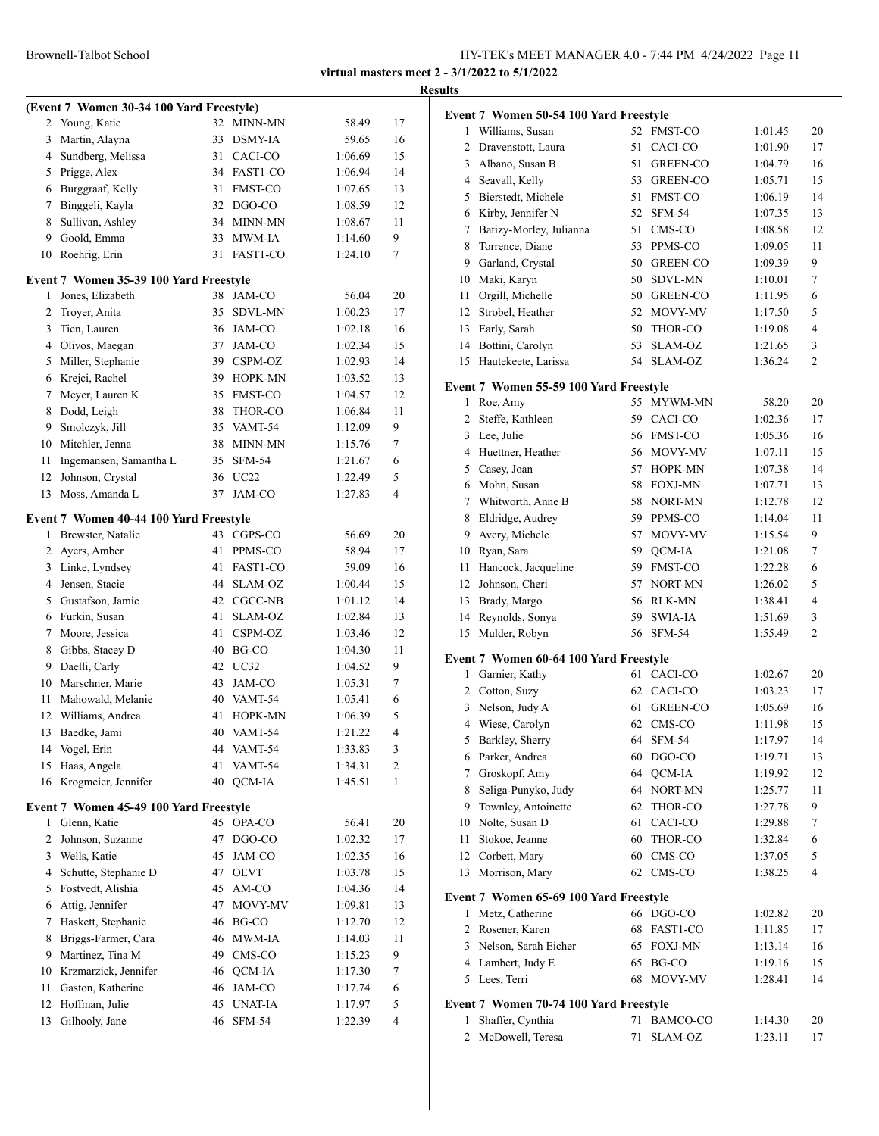|                |                                          |    |                |         |    | <b>Results</b> |
|----------------|------------------------------------------|----|----------------|---------|----|----------------|
|                | (Event 7 Women 30-34 100 Yard Freestyle) |    |                |         |    | Eve            |
|                | 2 Young, Katie                           | 32 | MINN-MN        | 58.49   | 17 |                |
| 3              | Martin, Alayna                           | 33 | DSMY-IA        | 59.65   | 16 |                |
| 4              | Sundberg, Melissa                        | 31 | CACI-CO        | 1:06.69 | 15 |                |
| 5              | Prigge, Alex                             |    | 34 FAST1-CO    | 1:06.94 | 14 |                |
|                | 6 Burggraaf, Kelly                       | 31 | FMST-CO        | 1:07.65 | 13 |                |
| 7              | Binggeli, Kayla                          |    | 32 DGO-CO      | 1:08.59 | 12 |                |
| 8              | Sullivan, Ashley                         |    | 34 MINN-MN     | 1:08.67 | 11 |                |
| 9              | Goold, Emma                              |    | 33 MWM-IA      | 1:14.60 | 9  |                |
|                | 10 Roehrig, Erin                         | 31 | FAST1-CO       | 1:24.10 | 7  |                |
|                | Event 7 Women 35-39 100 Yard Freestyle   |    |                |         |    | 1              |
| 1              | Jones, Elizabeth                         |    | 38 JAM-CO      | 56.04   | 20 |                |
| 2              | Troyer, Anita                            | 35 | <b>SDVL-MN</b> | 1:00.23 | 17 | 1              |
| 3              | Tien, Lauren                             |    | 36 JAM-CO      | 1:02.18 | 16 | 1              |
|                | 4 Olivos, Maegan                         |    | 37 JAM-CO      | 1:02.34 | 15 | 1              |
| 5              | Miller, Stephanie                        |    | 39 CSPM-OZ     | 1:02.93 | 14 | 1              |
| 6              | Krejci, Rachel                           |    | 39 HOPK-MN     | 1:03.52 | 13 | Ev             |
| 7              | Meyer, Lauren K                          | 35 | <b>FMST-CO</b> | 1:04.57 | 12 |                |
| 8              | Dodd, Leigh                              | 38 | THOR-CO        | 1:06.84 | 11 |                |
| 9              | Smolczyk, Jill                           |    | 35 VAMT-54     | 1:12.09 | 9  |                |
|                | 10 Mitchler, Jenna                       |    | 38 MINN-MN     | 1:15.76 | 7  |                |
| 11             | Ingemansen, Samantha L                   | 35 | SFM-54         | 1:21.67 | 6  |                |
| 12             | Johnson, Crystal                         |    | 36 UC22        | 1:22.49 | 5  |                |
| 13             | Moss, Amanda L                           | 37 | JAM-CO         | 1:27.83 | 4  |                |
|                | Event 7 Women 40-44 100 Yard Freestyle   |    |                |         |    |                |
|                | 1 Brewster, Natalie                      |    | 43 CGPS-CO     | 56.69   | 20 |                |
| $\overline{2}$ | Ayers, Amber                             | 41 | PPMS-CO        | 58.94   | 17 | 1              |
|                | 3 Linke, Lyndsey                         | 41 | FAST1-CO       | 59.09   | 16 |                |
| 4              | Jensen, Stacie                           | 44 | SLAM-OZ        | 1:00.44 | 15 | 1              |
|                | 5 Gustafson, Jamie                       |    | 42 CGCC-NB     | 1:01.12 | 14 | 1              |
|                | 6 Furkin, Susan                          | 41 | SLAM-OZ        | 1:02.84 | 13 | 1              |
| 7              | Moore, Jessica                           | 41 | CSPM-OZ        | 1:03.46 | 12 | 1              |
| 8              | Gibbs, Stacey D                          |    | 40 BG-CO       | 1:04.30 | 11 |                |
| 9              | Daelli, Carly                            |    | 42 UC32        | 1:04.52 | 9  | Ev             |
|                | 10 Marschner, Marie                      | 43 | JAM-CO         | 1:05.31 | 7  |                |
| 11             | Mahowald, Melanie                        | 40 | VAMT-54        | 1:05.41 | 6  |                |
| 12             | Williams, Andrea                         | 41 | <b>HOPK-MN</b> | 1:06.39 | 5  |                |
| 13             | Baedke, Jami                             | 40 | VAMT-54        | 1:21.22 | 4  |                |
| 14             | Vogel, Erin                              | 44 | VAMT-54        | 1:33.83 | 3  |                |
| 15             | Haas, Angela                             | 41 | VAMT-54        | 1:34.31 | 2  |                |
|                | 16 Krogmeier, Jennifer                   | 40 | QCM-IA         | 1:45.51 | 1  |                |
|                | Event 7 Women 45-49 100 Yard Freestyle   |    |                |         |    |                |
| 1              | Glenn, Katie                             |    | 45 OPA-CO      | 56.41   | 20 | 1              |
| 2              | Johnson, Suzanne                         | 47 | DGO-CO         | 1:02.32 | 17 |                |
| 3              | Wells, Katie                             | 45 | JAM-CO         | 1:02.35 | 16 |                |
| 4              | Schutte, Stephanie D                     | 47 | OEVT           | 1:03.78 | 15 |                |
| 5              | Fostvedt, Alishia                        | 45 | AM-CO          | 1:04.36 | 14 |                |
| 6              | Attig, Jennifer                          | 47 | MOVY-MV        | 1:09.81 | 13 | <b>Eve</b>     |
| 7              | Haskett, Stephanie                       |    | 46 BG-CO       | 1:12.70 | 12 |                |
| 8              | Briggs-Farmer, Cara                      | 46 | MWM-IA         | 1:14.03 | 11 |                |
| 9              | Martinez, Tina M                         | 49 | CMS-CO         | 1:15.23 | 9  |                |
|                | 10 Krzmarzick, Jennifer                  | 46 | QCM-IA         | 1:17.30 | 7  |                |
| 11             | Gaston, Katherine                        |    | 46 JAM-CO      | 1:17.74 | 6  |                |
| 12             | Hoffman, Julie                           |    | 45 UNAT-IA     | 1:17.97 | 5  | Evс            |
| 13             | Gilhooly, Jane                           | 46 | <b>SFM-54</b>  | 1:22.39 | 4  |                |
|                |                                          |    |                |         |    |                |

|                | Event 7 Women 50-54 100 Yard Freestyle |    |                 |         |    |
|----------------|----------------------------------------|----|-----------------|---------|----|
| 1              | Williams, Susan                        | 52 | <b>FMST-CO</b>  | 1:01.45 | 20 |
| 2              | Dravenstott, Laura                     | 51 | CACI-CO         | 1:01.90 | 17 |
| 3              | Albano, Susan B                        | 51 | <b>GREEN-CO</b> | 1:04.79 | 16 |
| $\overline{4}$ | Seavall, Kelly                         | 53 | <b>GREEN-CO</b> | 1:05.71 | 15 |
| 5              | Bierstedt, Michele                     | 51 | <b>FMST-CO</b>  | 1:06.19 | 14 |
|                | 6 Kirby, Jennifer N                    | 52 | <b>SFM-54</b>   | 1:07.35 | 13 |
| 7              | Batizy-Morley, Julianna                | 51 | CMS-CO          | 1:08.58 | 12 |
| 8              | Torrence, Diane                        | 53 | PPMS-CO         | 1:09.05 | 11 |
| 9              | Garland, Crystal                       | 50 | GREEN-CO        | 1:09.39 | 9  |
| 10             | Maki, Karyn                            | 50 | <b>SDVL-MN</b>  | 1:10.01 | 7  |
| 11             | Orgill, Michelle                       | 50 | <b>GREEN-CO</b> | 1:11.95 | 6  |
| 12             | Strobel, Heather                       | 52 | MOVY-MV         | 1:17.50 | 5  |
| 13             | Early, Sarah                           | 50 | THOR-CO         | 1:19.08 | 4  |
| 14             | Bottini, Carolyn                       | 53 | SLAM-OZ         | 1:21.65 | 3  |
| 15             | Hautekeete, Larissa                    | 54 | SLAM-OZ         | 1:36.24 | 2  |
|                | Event 7 Women 55-59 100 Yard Freestyle |    |                 |         |    |
| 1              | Roe, Amy                               | 55 | MYWM-MN         | 58.20   | 20 |
| 2              | Steffe, Kathleen                       |    | 59 CACI-CO      | 1:02.36 | 17 |
|                | 3 Lee, Julie                           | 56 | FMST-CO         | 1:05.36 | 16 |
| 4              | Huettner, Heather                      | 56 | MOVY-MV         | 1:07.11 | 15 |
| 5              | Casey, Joan                            | 57 | HOPK-MN         | 1:07.38 | 14 |
|                | 6 Mohn, Susan                          | 58 | <b>FOXJ-MN</b>  | 1:07.71 | 13 |
| 7              | Whitworth, Anne B                      | 58 | NORT-MN         | 1:12.78 | 12 |
| 8              | Eldridge, Audrey                       | 59 | PPMS-CO         | 1:14.04 | 11 |
| 9              | Avery, Michele                         | 57 | MOVY-MV         | 1:15.54 | 9  |
| 10             | Ryan, Sara                             | 59 | QCM-IA          | 1:21.08 | 7  |
| 11             | Hancock, Jacqueline                    | 59 | <b>FMST-CO</b>  | 1:22.28 | 6  |
| 12             | Johnson, Cheri                         | 57 | NORT-MN         | 1:26.02 | 5  |
| 13             | Brady, Margo                           | 56 | RLK-MN          | 1:38.41 | 4  |
| 14             | Reynolds, Sonya                        | 59 | SWIA-IA         | 1:51.69 | 3  |
| 15             | Mulder, Robyn                          | 56 | <b>SFM-54</b>   | 1:55.49 | 2  |
|                | Event 7 Women 60-64 100 Yard Freestyle |    |                 |         |    |
| $\mathbf{1}$   | Garnier, Kathy                         |    | 61 CACI-CO      | 1:02.67 | 20 |
| $\overline{2}$ | Cotton, Suzy                           |    | 62 CACI-CO      | 1:03.23 | 17 |
| 3              | Nelson, Judy A                         | 61 | <b>GREEN-CO</b> | 1:05.69 | 16 |
| 4              | Wiese, Carolyn                         | 62 | CMS-CO          | 1:11.98 | 15 |
| 5              | Barkley, Sherry                        | 64 | <b>SFM-54</b>   | 1:17.97 | 14 |
| 6              | Parker, Andrea                         | 60 | DGO-CO          | 1:19.71 | 13 |
| 7              | Groskopf, Amy                          | 64 | QCM-IA          | 1:19.92 | 12 |
| 8              | Seliga-Punyko, Judy                    | 64 | NORT-MN         | 1:25.77 | 11 |
| 9              | Townley, Antoinette                    | 62 | THOR-CO         | 1:27.78 | 9  |
| 10             | Nolte, Susan D                         | 61 | CACI-CO         | 1:29.88 | 7  |
| 11             | Stokoe, Jeanne                         | 60 | THOR-CO         | 1:32.84 | 6  |
| 12             | Corbett, Mary                          | 60 | CMS-CO          | 1:37.05 | 5  |
| 13             | Morrison, Mary                         | 62 | CMS-CO          | 1:38.25 | 4  |
|                | Event 7 Women 65-69 100 Yard Freestyle |    |                 |         |    |
| 1              | Metz, Catherine                        | 66 | DGO-CO          | 1:02.82 | 20 |
| 2              | Rosener, Karen                         | 68 | FAST1-CO        | 1:11.85 | 17 |
| 3              | Nelson, Sarah Eicher                   | 65 | <b>FOXJ-MN</b>  | 1:13.14 | 16 |
|                | 4 Lambert, Judy E                      | 65 | BG-CO           | 1:19.16 | 15 |
|                | 5 Lees, Terri                          | 68 | MOVY-MV         | 1:28.41 | 14 |
|                |                                        |    |                 |         |    |
|                | Event 7 Women 70-74 100 Yard Freestyle |    |                 |         |    |
| 1              | Shaffer, Cynthia                       | 71 | BAMCO-CO        | 1:14.30 | 20 |
| 2              | McDowell, Teresa                       | 71 | SLAM-OZ         | 1:23.11 | 17 |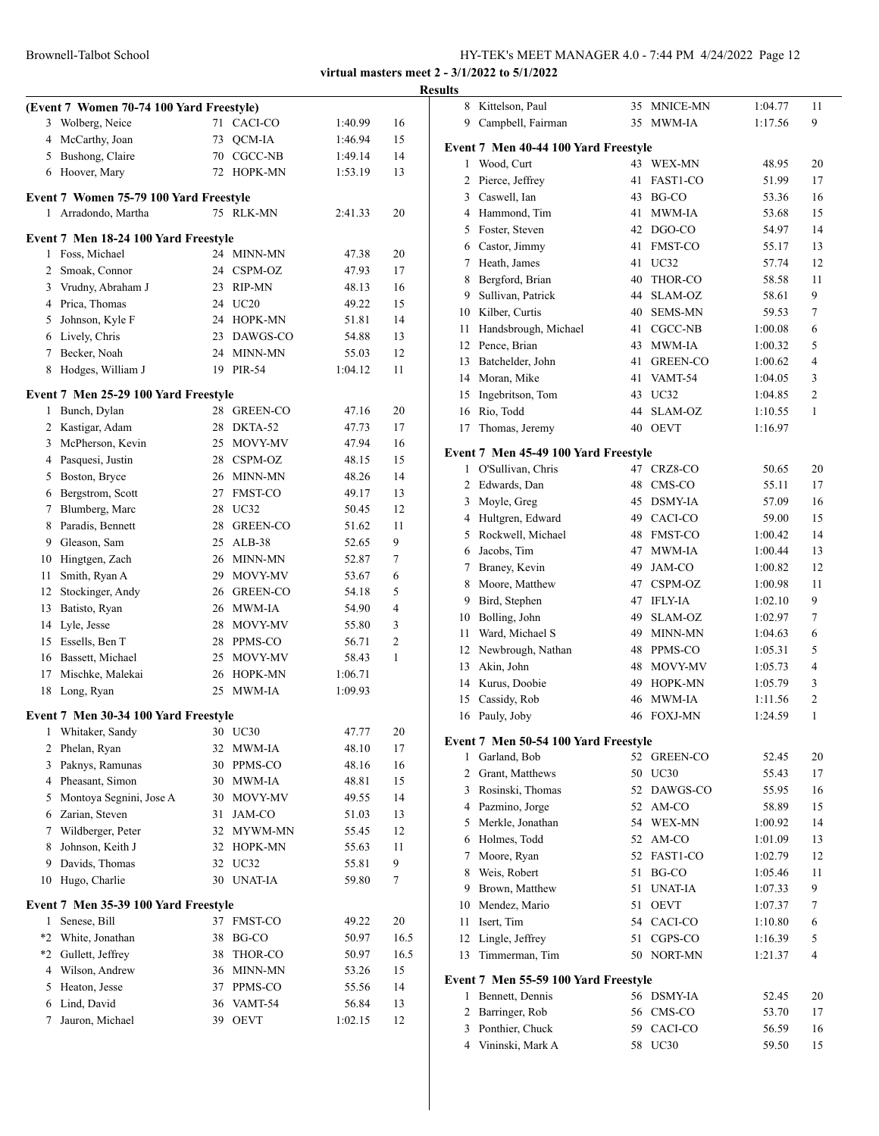|              | (Event 7 Women 70-74 100 Yard Freestyle)<br>3 Wolberg, Neice<br>4 McCarthy, Joan<br>5 Bushong, Claire |    | 71 CACI-CO<br>73 OCM-IA | 1:40.99<br>1:46.94 | 16<br>15 |
|--------------|-------------------------------------------------------------------------------------------------------|----|-------------------------|--------------------|----------|
|              |                                                                                                       |    |                         |                    |          |
|              |                                                                                                       |    |                         |                    |          |
|              |                                                                                                       |    |                         |                    |          |
|              |                                                                                                       |    | 70 CGCC-NB              | 1:49.14            | 14       |
|              | 6 Hoover, Mary                                                                                        |    | 72 HOPK-MN              | 1:53.19            | 13       |
|              |                                                                                                       |    |                         |                    |          |
| $\mathbf{1}$ | Event 7 Women 75-79 100 Yard Freestyle<br>Arradondo, Martha                                           |    | 75 RLK-MN               | 2:41.33            | 20       |
|              |                                                                                                       |    |                         |                    |          |
|              | Event 7 Men 18-24 100 Yard Freestyle                                                                  |    |                         |                    |          |
|              | 1 Foss, Michael                                                                                       |    | 24 MINN-MN              | 47.38              | 20       |
|              | 2 Smoak, Connor                                                                                       |    | 24 CSPM-OZ              | 47.93              | 17       |
|              | 3 Vrudny, Abraham J                                                                                   |    | 23 RIP-MN               | 48.13              | 16       |
|              | 4 Prica, Thomas                                                                                       |    | 24 UC20                 | 49.22              | 15       |
|              | 5 Johnson, Kyle F                                                                                     |    | 24 HOPK-MN              | 51.81              | 14       |
|              | 6 Lively, Chris                                                                                       |    | 23 DAWGS-CO             | 54.88              | 13       |
|              | 7 Becker, Noah                                                                                        |    | 24 MINN-MN              | 55.03              | 12       |
| 8            | Hodges, William J                                                                                     |    | 19 PIR-54               | 1:04.12            | 11       |
|              |                                                                                                       |    |                         |                    |          |
|              | Event 7 Men 25-29 100 Yard Freestyle                                                                  |    |                         |                    |          |
|              | 1 Bunch, Dylan                                                                                        |    | 28 GREEN-CO             | 47.16              | 20       |
|              | 2 Kastigar, Adam                                                                                      |    | 28 DKTA-52              | 47.73              | 17       |
|              | 3 McPherson, Kevin                                                                                    | 25 | MOVY-MV                 | 47.94              | 16       |
|              | 4 Pasquesi, Justin                                                                                    |    | 28 CSPM-OZ              | 48.15              | 15       |
|              | 5 Boston, Bryce                                                                                       |    | 26 MINN-MN              | 48.26              | 14       |
|              | 6 Bergstrom, Scott                                                                                    | 27 | FMST-CO                 | 49.17              | 13       |
|              | 7 Blumberg, Marc                                                                                      |    | 28 UC32                 | 50.45              | 12       |
| 8            | Paradis, Bennett                                                                                      | 28 | GREEN-CO                | 51.62              | 11       |
|              | 9 Gleason, Sam                                                                                        | 25 | $ALB-38$                | 52.65              | 9        |
|              | 10 Hingtgen, Zach                                                                                     |    | 26 MINN-MN              | 52.87              | 7        |
| 11           | Smith, Ryan A                                                                                         |    | 29 MOVY-MV              | 53.67              | 6        |
|              | 12 Stockinger, Andy                                                                                   |    | 26 GREEN-CO             | 54.18              | 5        |
| 13           | Batisto, Ryan                                                                                         |    | 26 MWM-IA               | 54.90              | 4        |
| 14           | Lyle, Jesse                                                                                           | 28 | MOVY-MV                 | 55.80              | 3        |
|              | 15 Essells, Ben T                                                                                     | 28 | PPMS-CO                 | 56.71              | 2        |
|              | 16 Bassett, Michael                                                                                   | 25 | MOVY-MV                 | 58.43              | 1        |
|              | 17 Mischke, Malekai                                                                                   |    | 26 HOPK-MN              | 1:06.71            |          |
|              | 18 Long, Ryan                                                                                         |    | 25 MWM-IA               | 1:09.93            |          |
|              | Event 7 Men 30-34 100 Yard Freestyle                                                                  |    |                         |                    |          |
| 1            | Whitaker, Sandy                                                                                       |    | 30 UC30                 | 47.77              | 20       |
| 2            | Phelan, Ryan                                                                                          |    | 32 MWM-IA               | 48.10              | 17       |
| 3            | Paknys, Ramunas                                                                                       | 30 | PPMS-CO                 | 48.16              | 16       |
|              | 4 Pheasant, Simon                                                                                     | 30 | MWM-IA                  | 48.81              | 15       |
| 5            | Montoya Segnini, Jose A                                                                               | 30 | MOVY-MV                 | 49.55              | 14       |
|              | 6 Zarian, Steven                                                                                      | 31 | JAM-CO                  | 51.03              | 13       |
| 7            | Wildberger, Peter                                                                                     | 32 | MYWM-MN                 | 55.45              | 12       |
| 8            | Johnson, Keith J                                                                                      | 32 | HOPK-MN                 | 55.63              | 11       |
| 9            | Davids, Thomas                                                                                        | 32 | UC32                    | 55.81              | 9        |
| 10           | Hugo, Charlie                                                                                         |    | 30 UNAT-IA              | 59.80              | 7        |
|              |                                                                                                       |    |                         |                    |          |
|              | Event 7 Men 35-39 100 Yard Freestyle                                                                  |    |                         |                    |          |
| 1            | Senese, Bill                                                                                          |    | 37 FMST-CO              | 49.22              | 20       |
|              | *2 White, Jonathan                                                                                    | 38 | BG-CO                   | 50.97              | 16.5     |
|              | *2 Gullett, Jeffrey                                                                                   | 38 | THOR-CO                 | 50.97              | 16.5     |
|              | 4 Wilson, Andrew                                                                                      | 36 | MINN-MN                 | 53.26              | 15       |
|              | 5 Heaton, Jesse                                                                                       | 37 | PPMS-CO                 | 55.56              | 14       |
|              | Lind, David                                                                                           | 36 | VAMT-54                 | 56.84              | 13       |
| 6            |                                                                                                       |    |                         |                    |          |

| esults         |                                                             |    |                 |                    |                |
|----------------|-------------------------------------------------------------|----|-----------------|--------------------|----------------|
|                | 8 Kittelson, Paul                                           |    | 35 MNICE-MN     | 1:04.77            | 11             |
| 9              | Campbell, Fairman                                           |    | 35 MWM-IA       | 1:17.56            | 9              |
|                | Event 7 Men 40-44 100 Yard Freestyle                        |    |                 |                    |                |
| 1              | Wood, Curt                                                  |    | 43 WEX-MN       | 48.95              | 20             |
| 2              | Pierce, Jeffrey                                             | 41 | FAST1-CO        | 51.99              | 17             |
| 3              | Caswell, Ian                                                | 43 | BG-CO           | 53.36              | 16             |
|                | 4 Hammond, Tim                                              | 41 | <b>MWM-IA</b>   | 53.68              | 15             |
|                | 5 Foster, Steven                                            |    | 42 DGO-CO       | 54.97              | 14             |
|                | 6 Castor, Jimmy                                             | 41 | <b>FMST-CO</b>  | 55.17              | 13             |
|                | 7 Heath, James                                              | 41 | UC32            | 57.74              | 12             |
|                | 8 Bergford, Brian                                           | 40 | THOR-CO         | 58.58              | 11             |
|                | 9 Sullivan, Patrick                                         | 44 | SLAM-OZ         | 58.61              | 9              |
|                | 10 Kilber, Curtis                                           | 40 | <b>SEMS-MN</b>  | 59.53              | 7              |
| 11             | Handsbrough, Michael                                        | 41 | CGCC-NB         | 1:00.08            | 6              |
|                | 12 Pence, Brian                                             | 43 | MWM-IA          | 1:00.32            | 5              |
|                | 13 Batchelder, John                                         | 41 | <b>GREEN-CO</b> | 1:00.62            | 4              |
|                | 14 Moran, Mike                                              | 41 | VAMT-54         | 1:04.05            | 3              |
| 15             | Ingebritson, Tom                                            | 43 | UC32            | 1:04.85            | $\overline{c}$ |
| 16             | Rio, Todd                                                   | 44 | SLAM-OZ         | 1:10.55            | 1              |
| 17             | Thomas, Jeremy                                              | 40 | <b>OEVT</b>     | 1:16.97            |                |
|                |                                                             |    |                 |                    |                |
|                | Event 7 Men 45-49 100 Yard Freestyle<br>1 O'Sullivan, Chris |    | 47 CRZ8-CO      | 50.65              | 20             |
|                | 2 Edwards, Dan                                              | 48 | CMS-CO          | 55.11              | 17             |
| 3              |                                                             | 45 | <b>DSMY-IA</b>  | 57.09              | 16             |
|                | Moyle, Greg<br>4 Hultgren, Edward                           | 49 | CACI-CO         |                    |                |
|                | 5 Rockwell, Michael                                         | 48 | <b>FMST-CO</b>  | 59.00<br>1:00.42   | 15<br>14       |
| 6              | Jacobs, Tim                                                 | 47 | MWM-IA          |                    | 13             |
|                | 7 Braney, Kevin                                             | 49 | JAM-CO          | 1:00.44            | 12             |
|                | 8 Moore, Matthew                                            | 47 | CSPM-OZ         | 1:00.82            | 11             |
| 9.             |                                                             | 47 | <b>IFLY-IA</b>  | 1:00.98<br>1:02.10 | 9              |
| 10             | Bird, Stephen<br>Bolling, John                              | 49 | SLAM-OZ         | 1:02.97            | 7              |
| 11             | Ward, Michael S                                             | 49 | <b>MINN-MN</b>  | 1:04.63            | 6              |
|                | 12 Newbrough, Nathan                                        | 48 | PPMS-CO         | 1:05.31            | 5              |
| 13             |                                                             | 48 | MOVY-MV         | 1:05.73            | 4              |
|                | Akin, John<br>14 Kurus, Doobie                              | 49 | HOPK-MN         | 1:05.79            | 3              |
| 15             | Cassidy, Rob                                                | 46 | <b>MWM-IA</b>   | 1:11.56            | 2              |
| 16             | Pauly, Joby                                                 | 46 | <b>FOXJ-MN</b>  | 1:24.59            | 1              |
|                |                                                             |    |                 |                    |                |
|                | Event 7 Men 50-54 100 Yard Freestyle                        |    |                 |                    |                |
| 1              | Garland, Bob                                                |    | 52 GREEN-CO     | 52.45              | 20             |
| $\overline{2}$ | Grant, Matthews                                             |    | 50 UC30         | 55.43              | 17             |
| 3              | Rosinski, Thomas                                            | 52 | DAWGS-CO        | 55.95              | 16             |
|                | 4 Pazmino, Jorge                                            |    | 52 AM-CO        | 58.89              | 15             |
|                | 5 Merkle, Jonathan                                          |    | 54 WEX-MN       | 1:00.92            | 14             |
|                | 6 Holmes, Todd                                              | 52 | AM-CO           | 1:01.09            | 13             |
|                | 7 Moore, Ryan                                               | 52 | FAST1-CO        | 1:02.79            | 12             |
| 8              | Weis, Robert                                                | 51 | BG-CO           | 1:05.46            | 11             |
|                | 9 Brown, Matthew                                            | 51 | <b>UNAT-IA</b>  | 1:07.33            | 9              |
|                | 10 Mendez, Mario                                            | 51 | <b>OEVT</b>     | 1:07.37            | 7              |
| 11             | Isert, Tim                                                  |    | 54 CACI-CO      | 1:10.80            | 6              |
| 12             | Lingle, Jeffrey                                             | 51 | CGPS-CO         | 1:16.39            | 5              |
| 13             | Timmerman, Tim                                              |    | 50 NORT-MN      | 1:21.37            | 4              |
|                | Event 7 Men 55-59 100 Yard Freestyle                        |    |                 |                    |                |
| 1              | Bennett, Dennis                                             |    | 56 DSMY-IA      | 52.45              | 20             |
| $\overline{2}$ | Barringer, Rob                                              |    | 56 CMS-CO       | 53.70              | 17             |
|                | 3 Ponthier, Chuck                                           |    | 59 CACI-CO      | 56.59              | 16             |
|                | 4 Vininski, Mark A                                          |    | 58 UC30         | 59.50              | 15             |
|                |                                                             |    |                 |                    |                |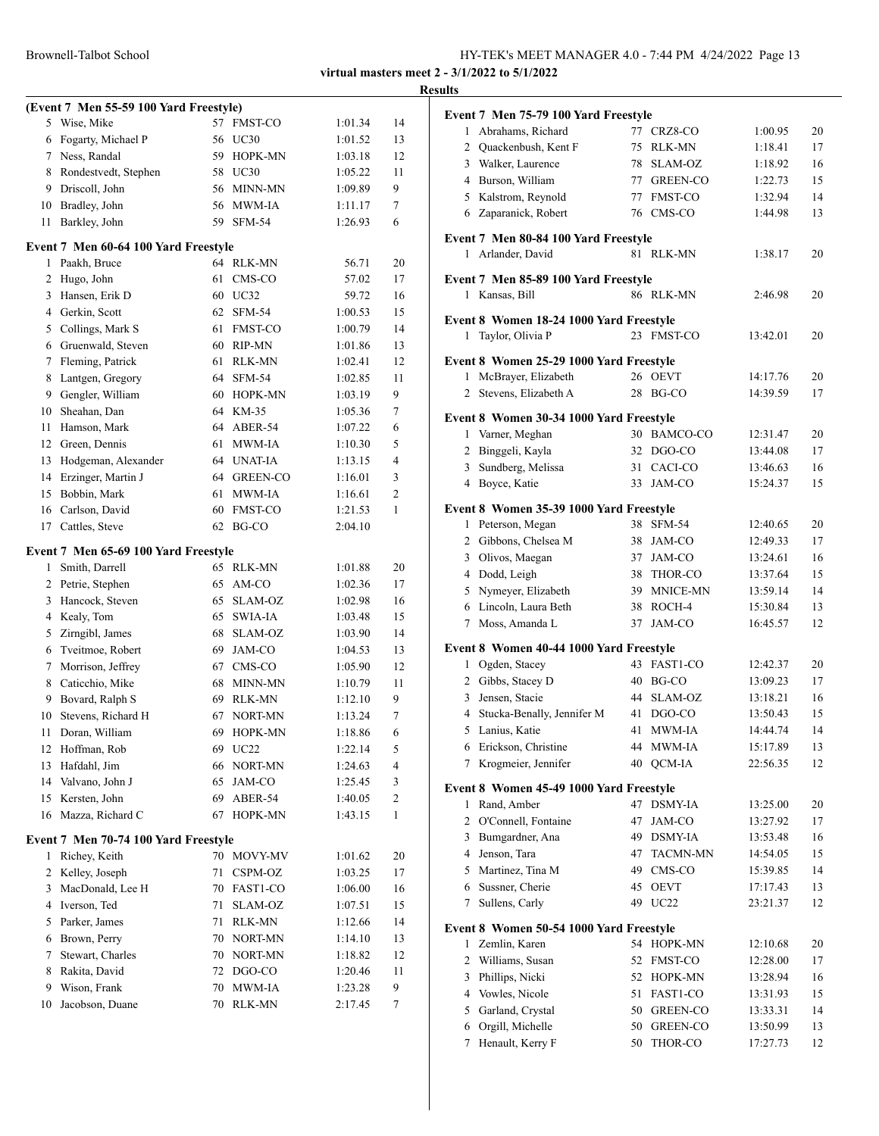#### Brownell-Talbot School

| HY-TEK's MEET MANAGER 4.0 - 7:44 PM 4/24/2022 Page 13 |  |
|-------------------------------------------------------|--|
|-------------------------------------------------------|--|

**virtual masters meet 2 - 3/1/2022 to 5/1/2022 Results**

# **(Event 7 Men 55-59 100 Yard Freestyle)** 5 Wise, Mike 57 FMST-CO 1:01.34 14 Fogarty, Michael P 56 UC30 1:01.52 13 Ness, Randal 59 HOPK-MN 1:03.18 12 Rondestvedt, Stephen 58 UC30 1:05.22 11 Driscoll, John 56 MINN-MN 1:09.89 9 Bradley, John 56 MWM-IA 1:11.17 7 Barkley, John 59 SFM-54 1:26.93 6 **Event 7 Men 60-64 100 Yard Freestyle** 1 Paakh, Bruce 64 RLK-MN 56.71 20 Hugo, John 61 CMS-CO 57.02 17 3 Hansen, Erik D 60 UC32 59.72 16 Gerkin, Scott 62 SFM-54 1:00.53 15 5 Collings, Mark S 61 FMST-CO 1:00.79 14 Gruenwald, Steven 60 RIP-MN 1:01.86 13 Fleming, Patrick 61 RLK-MN 1:02.41 12 Lantgen, Gregory 64 SFM-54 1:02.85 11 Gengler, William 60 HOPK-MN 1:03.19 9 Sheahan, Dan 64 KM-35 1:05.36 7 Hamson, Mark 64 ABER-54 1:07.22 6 12 Green, Dennis 61 MWM-IA 1:10.30 5 Hodgeman, Alexander 64 UNAT-IA 1:13.15 4 14 Erzinger, Martin J 64 GREEN-CO 1:16.01 3 Bobbin, Mark 61 MWM-IA 1:16.61 2 16 Carlson, David 60 FMST-CO 1:21.53 1 17 Cattles, Steve 62 BG-CO 2:04.10 **Event 7 Men 65-69 100 Yard Freestyle** Smith, Darrell 65 RLK-MN 1:01.88 20

# Petrie, Stephen 65 AM-CO 1:02.36 17 Hancock, Steven 65 SLAM-OZ 1:02.98 16 Kealy, Tom 65 SWIA-IA 1:03.48 15 Zirngibl, James 68 SLAM-OZ 1:03.90 14 Tveitmoe, Robert 69 JAM-CO 1:04.53 13 7 Morrison, Jeffrey 67 CMS-CO 1:05.90 12 8 Caticchio, Mike 68 MINN-MN 1:10.79 11 9 Bovard, Ralph S 69 RLK-MN 1:12.10 9 Stevens, Richard H 67 NORT-MN 1:13.24 7 Doran, William 69 HOPK-MN 1:18.86 6 12 Hoffman, Rob 69 UC22 1:22.14 5 Hafdahl, Jim 66 NORT-MN 1:24.63 4 14 Valvano, John J 65 JAM-CO 1:25.45 3 Kersten, John 69 ABER-54 1:40.05 2 Mazza, Richard C 67 HOPK-MN 1:43.15 1 **Event 7 Men 70-74 100 Yard Freestyle**

| 1. | Richey, Keith      |    | 70 MOVY-MV    | 1:01.62 | 20 |
|----|--------------------|----|---------------|---------|----|
|    | 2 Kelley, Joseph   | 71 | CSPM-OZ       | 1:03.25 | 17 |
|    | 3 MacDonald, Lee H | 70 | FAST1-CO      | 1:06.00 | 16 |
|    | 4 Iverson, Ted     |    | 71 SLAM-OZ    | 1:07.51 | 15 |
|    | 5 Parker, James    | 71 | <b>RLK-MN</b> | 1:12.66 | 14 |
|    | 6 Brown, Perry     |    | 70 NORT-MN    | 1:14.10 | 13 |
| 7  | Stewart, Charles   |    | 70 NORT-MN    | 1:18.82 | 12 |
| 8  | Rakita, David      |    | 72 DGO-CO     | 1:20.46 | 11 |
| 9  | Wison, Frank       | 70 | MWM-IA        | 1:23.28 | 9  |
|    | 10 Jacobson, Duane | 70 | <b>RLK-MN</b> | 2:17.45 | 7  |
|    |                    |    |               |         |    |

|                | Event 7 Men 75-79 100 Yard Freestyle    |    |                 |          |    |
|----------------|-----------------------------------------|----|-----------------|----------|----|
| $\mathbf{1}$   | Abrahams, Richard                       |    | 77 CRZ8-CO      | 1:00.95  | 20 |
|                | 2 Quackenbush, Kent F                   | 75 | <b>RLK-MN</b>   | 1:18.41  | 17 |
|                | 3 Walker, Laurence                      | 78 | SLAM-OZ         | 1:18.92  | 16 |
|                | 4 Burson, William                       | 77 | <b>GREEN-CO</b> | 1:22.73  | 15 |
|                | 5 Kalstrom, Reynold                     | 77 | <b>FMST-CO</b>  | 1:32.94  | 14 |
|                | 6 Zaparanick, Robert                    |    | 76 CMS-CO       | 1:44.98  | 13 |
|                | Event 7 Men 80-84 100 Yard Freestyle    |    |                 |          |    |
| 1              | Arlander, David                         |    | 81 RLK-MN       | 1:38.17  | 20 |
|                | Event 7 Men 85-89 100 Yard Freestyle    |    |                 |          |    |
|                | 1 Kansas, Bill                          |    | 86 RLK-MN       | 2:46.98  | 20 |
|                | Event 8 Women 18-24 1000 Yard Freestyle |    |                 |          |    |
| 1              | Taylor, Olivia P                        |    | 23 FMST-CO      | 13:42.01 | 20 |
|                | Event 8 Women 25-29 1000 Yard Freestyle |    |                 |          |    |
| 1              | McBrayer, Elizabeth                     |    | 26 OEVT         | 14:17.76 | 20 |
| 2              | Stevens, Elizabeth A                    | 28 | BG-CO           | 14:39.59 | 17 |
|                | Event 8 Women 30-34 1000 Yard Freestyle |    |                 |          |    |
| 1              | Varner, Meghan                          |    | 30 BAMCO-CO     | 12:31.47 | 20 |
| 2              | Binggeli, Kayla                         | 32 | DGO-CO          | 13:44.08 | 17 |
| 3              | Sundberg, Melissa                       | 31 | CACI-CO         | 13:46.63 | 16 |
|                | 4 Boyce, Katie                          | 33 | JAM-CO          | 15:24.37 | 15 |
|                | Event 8 Women 35-39 1000 Yard Freestyle |    |                 |          |    |
| 1              | Peterson, Megan                         | 38 | <b>SFM-54</b>   | 12:40.65 | 20 |
| 2              | Gibbons, Chelsea M                      | 38 | JAM-CO          | 12:49.33 | 17 |
| 3              | Olivos, Maegan                          | 37 | JAM-CO          | 13:24.61 | 16 |
|                | 4 Dodd, Leigh                           | 38 | THOR-CO         | 13:37.64 | 15 |
| 5              | Nymeyer, Elizabeth                      | 39 | MNICE-MN        | 13:59.14 | 14 |
|                | 6 Lincoln, Laura Beth                   | 38 | ROCH-4          | 15:30.84 | 13 |
| $7^{\circ}$    | Moss, Amanda L                          | 37 | JAM-CO          | 16:45.57 | 12 |
|                | Event 8 Women 40-44 1000 Yard Freestyle |    |                 |          |    |
| $\mathbf{1}$   | Ogden, Stacey                           | 43 | FAST1-CO        | 12:42.37 | 20 |
|                | 2 Gibbs, Stacey D                       | 40 | BG-CO           | 13:09.23 | 17 |
| 3              | Jensen, Stacie                          | 44 | SLAM-OZ         | 13:18.21 | 16 |
|                | 4 Stucka-Benally, Jennifer M            | 41 | DGO-CO          | 13:50.43 | 15 |
| 5              | Lanius, Katie                           | 41 | MWM-IA          | 14:44.74 | 14 |
| 6              | Erickson, Christine                     | 44 | MWM-IA          | 15:17.89 | 13 |
| 7              | Krogmeier, Jennifer                     | 40 | QCM-IA          | 22:56.35 | 12 |
|                | Event 8 Women 45-49 1000 Yard Freestyle |    |                 |          |    |
| $\mathbf{1}$   | Rand, Amber                             | 47 | <b>DSMY-IA</b>  | 13:25.00 | 20 |
| 2              | O'Connell, Fontaine                     | 47 | JAM-CO          | 13:27.92 | 17 |
| 3              | Bumgardner, Ana                         | 49 | DSMY-IA         | 13:53.48 | 16 |
| $\overline{4}$ | Jenson, Tara                            | 47 | <b>TACMN-MN</b> | 14:54.05 | 15 |
| 5              | Martinez, Tina M                        | 49 | $CMS$ - $CO$    | 15:39.85 | 14 |
| 6              | Sussner, Cherie                         | 45 | <b>OEVT</b>     | 17:17.43 | 13 |
| 7              | Sullens, Carly                          | 49 | UC22            | 23:21.37 | 12 |
|                | Event 8 Women 50-54 1000 Yard Freestyle |    |                 |          |    |
| 1              | Zemlin, Karen                           | 54 | HOPK-MN         | 12:10.68 | 20 |
| 2              | Williams, Susan                         | 52 | FMST-CO         | 12:28.00 | 17 |
| 3              | Phillips, Nicki                         | 52 | HOPK-MN         | 13:28.94 | 16 |
| 4              | Vowles, Nicole                          | 51 | FAST1-CO        | 13:31.93 | 15 |
| 5              | Garland, Crystal                        | 50 | GREEN-CO        | 13:33.31 | 14 |
| 6              | Orgill, Michelle                        | 50 | GREEN-CO        | 13:50.99 | 13 |
| 7              | Henault, Kerry F                        | 50 | THOR-CO         | 17:27.73 | 12 |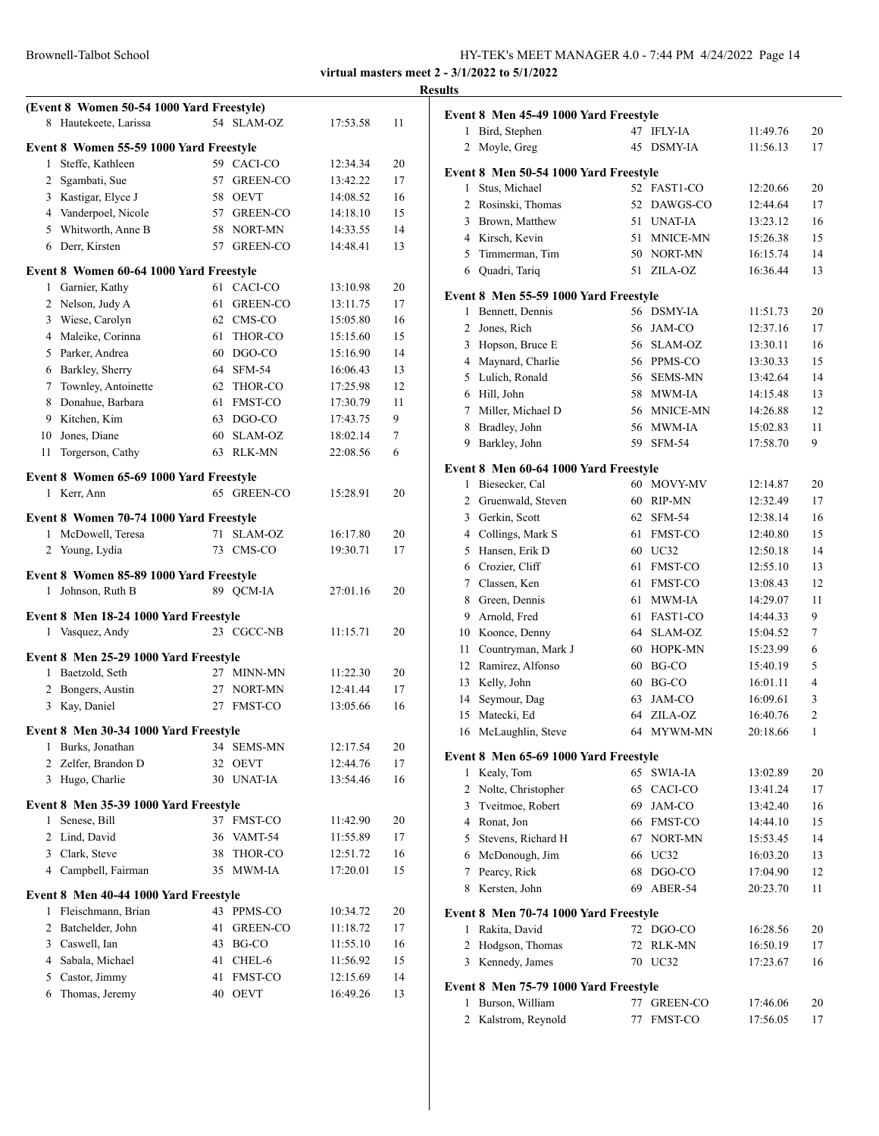| Brownell-Talbot School | HY-TEK's MEET MANAGER 4.0 - 7:44 PM 4/24/2022 Page 14 |  |
|------------------------|-------------------------------------------------------|--|
|------------------------|-------------------------------------------------------|--|

|                |                                                        |    |                |          |    | <b>Results</b> |
|----------------|--------------------------------------------------------|----|----------------|----------|----|----------------|
|                | (Event 8 Women 50-54 1000 Yard Freestyle)              |    |                |          |    | Ev             |
|                | 8 Hautekeete, Larissa                                  |    | 54 SLAM-OZ     | 17:53.58 | 11 |                |
|                | Event 8 Women 55-59 1000 Yard Freestyle                |    |                |          |    |                |
|                | 1 Steffe, Kathleen                                     |    | 59 CACI-CO     | 12:34.34 | 20 |                |
|                | 2 Sgambati, Sue                                        |    | 57 GREEN-CO    | 13:42.22 | 17 | Ev             |
|                | 3 Kastigar, Elyce J                                    |    | 58 OEVT        | 14:08.52 | 16 |                |
|                | 4 Vanderpoel, Nicole                                   |    | 57 GREEN-CO    | 14:18.10 | 15 |                |
|                | 5 Whitworth, Anne B                                    |    | 58 NORT-MN     | 14:33.55 | 14 |                |
|                | 6 Derr, Kirsten                                        |    | 57 GREEN-CO    | 14:48.41 | 13 |                |
|                | Event 8 Women 60-64 1000 Yard Freestyle                |    |                |          |    |                |
|                | 1 Garnier, Kathy                                       |    | 61 CACI-CO     | 13:10.98 | 20 |                |
|                | 2 Nelson, Judy A                                       |    | 61 GREEN-CO    | 13:11.75 | 17 | Evo            |
|                | 3 Wiese, Carolyn                                       |    | 62 CMS-CO      | 15:05.80 | 16 |                |
|                | 4 Maleike, Corinna                                     |    | 61 THOR-CO     | 15:15.60 | 15 |                |
|                | 5 Parker, Andrea                                       |    | $60$ DGO-CO    | 15:16.90 | 14 |                |
|                | 6 Barkley, Sherry                                      |    | 64 SFM-54      | 16:06.43 | 13 |                |
| 7              | Townley, Antoinette                                    | 62 | THOR-CO        | 17:25.98 | 12 |                |
|                | 8 Donahue, Barbara                                     |    | 61 FMST-CO     | 17:30.79 | 11 |                |
|                | 9 Kitchen, Kim                                         |    | 63 DGO-CO      | 17:43.75 | 9  |                |
|                | 10 Jones, Diane                                        |    | 60 SLAM-OZ     | 18:02.14 | 7  |                |
| 11             | Torgerson, Cathy                                       |    | 63 RLK-MN      | 22:08.56 | 6  |                |
|                |                                                        |    |                |          |    | Evo            |
|                | Event 8 Women 65-69 1000 Yard Freestyle<br>1 Kerr, Ann |    | 65 GREEN-CO    | 15:28.91 | 20 |                |
|                |                                                        |    |                |          |    |                |
|                | Event 8 Women 70-74 1000 Yard Freestyle                |    |                |          |    |                |
|                | 1 McDowell, Teresa                                     |    | 71 SLAM-OZ     | 16:17.80 | 20 |                |
|                | 2 Young, Lydia                                         |    | 73 CMS-CO      | 19:30.71 | 17 |                |
|                | Event 8 Women 85-89 1000 Yard Freestyle                |    |                |          |    |                |
|                | 1 Johnson, Ruth B                                      |    | 89 OCM-IA      | 27:01.16 | 20 |                |
|                |                                                        |    |                |          |    |                |
|                | Event 8 Men 18-24 1000 Yard Freestyle                  |    |                |          |    |                |
|                | 1 Vasquez, Andy                                        |    | 23 CGCC-NB     | 11:15.71 | 20 |                |
|                | Event 8 Men 25-29 1000 Yard Freestyle                  |    |                |          |    |                |
|                | 1 Baetzold, Seth                                       |    | 27 MINN-MN     | 11:22.30 | 20 |                |
| $\overline{2}$ | Bongers, Austin                                        |    | 27 NORT-MN     | 12:41.44 | 17 |                |
|                | 3 Kay, Daniel                                          |    | 27 FMST-CO     | 13:05.66 | 16 |                |
|                | Event 8 Men 30-34 1000 Yard Freestyle                  |    |                |          |    |                |
| 1              | Burks, Jonathan                                        |    | 34 SEMS-MN     | 12:17.54 | 20 |                |
| 2              | Zelfer, Brandon D                                      | 32 | <b>OEVT</b>    | 12:44.76 | 17 | Eve            |
| 3              | Hugo, Charlie                                          |    | 30 UNAT-IA     | 13:54.46 | 16 |                |
|                |                                                        |    |                |          |    |                |
|                | Event 8 Men 35-39 1000 Yard Freestyle                  |    |                |          |    |                |
| $\mathbf{1}$   | Senese, Bill                                           | 37 | FMST-CO        | 11:42.90 | 20 |                |
| 2              | Lind, David                                            | 36 | VAMT-54        | 11:55.89 | 17 |                |
| 3              | Clark, Steve                                           | 38 | THOR-CO        | 12:51.72 | 16 |                |
| 4              | Campbell, Fairman                                      | 35 | MWM-IA         | 17:20.01 | 15 |                |
|                | Event 8 Men 40-44 1000 Yard Freestyle                  |    |                |          |    |                |
| 1              | Fleischmann, Brian                                     |    | 43 PPMS-CO     | 10:34.72 | 20 | Eve            |
| 2              | Batchelder, John                                       | 41 | GREEN-CO       | 11:18.72 | 17 |                |
| 3              | Caswell, Ian                                           | 43 | BG-CO          | 11:55.10 | 16 |                |
| 4              | Sabala, Michael                                        | 41 | CHEL-6         | 11:56.92 | 15 |                |
| 5              | Castor, Jimmy                                          | 41 | <b>FMST-CO</b> | 12:15.69 | 14 | Evo            |
| 6              | Thomas, Jeremy                                         |    | 40 OEVT        | 16:49.26 | 13 |                |
|                |                                                        |    |                |          |    |                |

|                | Event 8 Men 45-49 1000 Yard Freestyle                    |    |                 |          |    |
|----------------|----------------------------------------------------------|----|-----------------|----------|----|
| 1              | Bird, Stephen                                            | 47 | <b>IFLY-IA</b>  | 11:49.76 | 20 |
| 2              | Moyle, Greg                                              | 45 | <b>DSMY-IA</b>  | 11:56.13 | 17 |
|                | Event 8 Men 50-54 1000 Yard Freestyle                    |    |                 |          |    |
| 1              | Stus, Michael                                            |    | 52 FAST1-CO     | 12:20.66 | 20 |
|                | 2 Rosinski, Thomas                                       | 52 | DAWGS-CO        | 12:44.64 | 17 |
| 3              | Brown, Matthew                                           | 51 | UNAT-IA         | 13:23.12 | 16 |
|                | 4 Kirsch, Kevin                                          | 51 | <b>MNICE-MN</b> | 15:26.38 | 15 |
| 5              | Timmerman, Tim                                           | 50 | NORT-MN         | 16:15.74 | 14 |
|                | 6 Quadri, Tariq                                          | 51 | ZILA-OZ         | 16:36.44 | 13 |
|                |                                                          |    |                 |          |    |
| 1              | Event 8 Men 55-59 1000 Yard Freestyle<br>Bennett, Dennis |    | 56 DSMY-IA      | 11:51.73 | 20 |
| $\overline{2}$ | Jones, Rich                                              | 56 | JAM-CO          | 12:37.16 | 17 |
| 3              | Hopson, Bruce E                                          | 56 | SLAM-OZ         | 13:30.11 | 16 |
|                | 4 Maynard, Charlie                                       | 56 | PPMS-CO         | 13:30.33 | 15 |
|                | 5 Lulich, Ronald                                         |    | 56 SEMS-MN      | 13:42.64 | 14 |
|                | 6 Hill, John                                             | 58 | MWM-IA          | 14:15.48 | 13 |
| $\tau$         | Miller, Michael D                                        | 56 | MNICE-MN        | 14:26.88 | 12 |
| 8              | Bradley, John                                            | 56 | MWM-IA          | 15:02.83 | 11 |
| 9              | Barkley, John                                            | 59 | <b>SFM-54</b>   | 17:58.70 | 9  |
|                |                                                          |    |                 |          |    |
|                | Event 8 Men 60-64 1000 Yard Freestyle                    |    |                 |          |    |
| 1              | Biesecker, Cal                                           |    | 60 MOVY-MV      | 12:14.87 | 20 |
|                | 2 Gruenwald, Steven                                      | 60 | RIP-MN          | 12:32.49 | 17 |
| 3              | Gerkin, Scott                                            | 62 | $SFM-54$        | 12:38.14 | 16 |
|                | 4 Collings, Mark S                                       | 61 | <b>FMST-CO</b>  | 12:40.80 | 15 |
| 5              | Hansen, Erik D                                           |    | 60 UC32         | 12:50.18 | 14 |
|                | 6 Crozier, Cliff                                         | 61 | FMST-CO         | 12:55.10 | 13 |
| 7              | Classen, Ken                                             | 61 | <b>FMST-CO</b>  | 13:08.43 | 12 |
| 8              | Green, Dennis                                            | 61 | MWM-IA          | 14:29.07 | 11 |
| 9              | Arnold, Fred                                             | 61 | FAST1-CO        | 14:44.33 | 9  |
| 10             | Koonce, Denny                                            | 64 | SLAM-OZ         | 15:04.52 | 7  |
| 11             | Countryman, Mark J                                       | 60 | HOPK-MN         | 15:23.99 | 6  |
| 12             | Ramirez, Alfonso                                         | 60 | BG-CO           | 15:40.19 | 5  |
| 13             | Kelly, John                                              | 60 | BG-CO           | 16:01.11 | 4  |
| 14             | Seymour, Dag                                             | 63 | JAM-CO          | 16:09.61 | 3  |
| 15             | Matecki, Ed                                              | 64 | ZILA-OZ         | 16:40.76 | 2  |
| 16             | McLaughlin, Steve                                        | 64 | MYWM-MN         | 20:18.66 | 1  |
|                | Event 8 Men 65-69 1000 Yard Freestyle                    |    |                 |          |    |
| 1              | Kealy, Tom                                               | 65 | SWIA-IA         | 13:02.89 | 20 |
| 2              | Nolte, Christopher                                       | 65 | CACI-CO         | 13:41.24 | 17 |
| 3              | Tveitmoe, Robert                                         | 69 | JAM-CO          | 13:42.40 | 16 |
|                | 4 Ronat, Jon                                             | 66 | <b>FMST-CO</b>  | 14:44.10 | 15 |
| 5              | Stevens, Richard H                                       | 67 | NORT-MN         | 15:53.45 | 14 |
| 6              | McDonough, Jim                                           | 66 | UC32            | 16:03.20 | 13 |
| 7              | Pearcy, Rick                                             | 68 | DGO-CO          | 17:04.90 | 12 |
| 8              | Kersten, John                                            | 69 | ABER-54         | 20:23.70 | 11 |
|                | Event 8 Men 70-74 1000 Yard Freestyle                    |    |                 |          |    |
| 1              | Rakita, David                                            | 72 | DGO-CO          | 16:28.56 | 20 |
| 2              | Hodgson, Thomas                                          | 72 | RLK-MN          | 16:50.19 | 17 |
| 3              | Kennedy, James                                           | 70 | UC32            | 17:23.67 | 16 |
|                |                                                          |    |                 |          |    |
| 1              | Event 8 Men 75-79 1000 Yard Freestyle<br>Burson, William | 77 | <b>GREEN-CO</b> | 17:46.06 | 20 |
| 2              | Kalstrom, Reynold                                        | 77 | <b>FMST-CO</b>  | 17:56.05 | 17 |
|                |                                                          |    |                 |          |    |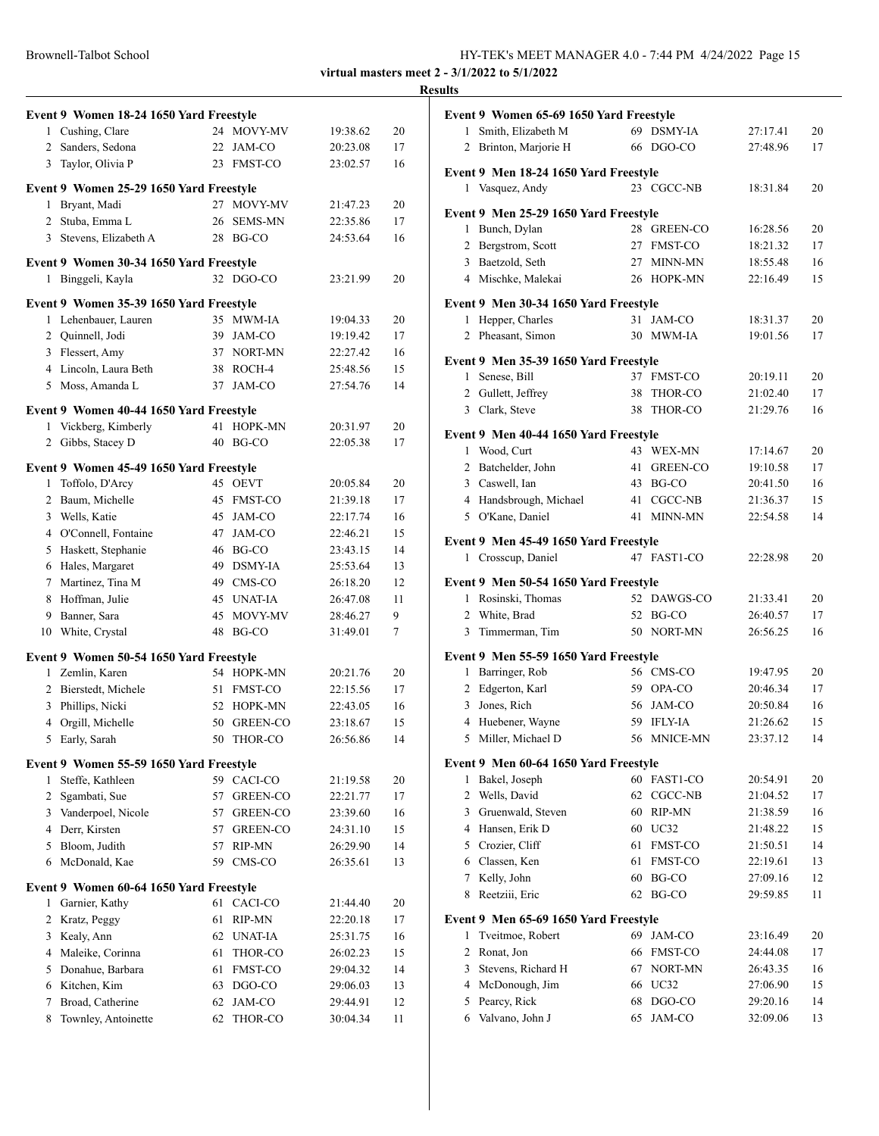| Brownell-Talbot School | HY-TEK's MEET MANAGER 4.0 - 7:44 PM 4/24/2022 Page 15 |
|------------------------|-------------------------------------------------------|
|------------------------|-------------------------------------------------------|

# **Results**

|                | Event 9 Women 18-24 1650 Yard Freestyle                      |    |                 |          |    |
|----------------|--------------------------------------------------------------|----|-----------------|----------|----|
|                | 1 Cushing, Clare                                             |    | 24 MOVY-MV      | 19:38.62 | 20 |
|                | 2 Sanders, Sedona                                            | 22 | JAM-CO          | 20:23.08 | 17 |
| 3              | Taylor, Olivia P                                             | 23 | <b>FMST-CO</b>  | 23:02.57 | 16 |
|                | Event 9 Women 25-29 1650 Yard Freestyle                      |    |                 |          |    |
|                | 1 Bryant, Madi                                               |    | 27 MOVY-MV      | 21:47.23 | 20 |
|                | 2 Stuba, Emma L                                              | 26 | <b>SEMS-MN</b>  | 22:35.86 | 17 |
|                | 3 Stevens, Elizabeth A                                       |    | 28 BG-CO        | 24:53.64 | 16 |
|                |                                                              |    |                 |          |    |
|                | Event 9 Women 30-34 1650 Yard Freestyle<br>1 Binggeli, Kayla |    | 32 DGO-CO       | 23:21.99 | 20 |
|                |                                                              |    |                 |          |    |
|                | Event 9 Women 35-39 1650 Yard Freestyle                      |    |                 |          |    |
| 1              | Lehenbauer, Lauren                                           |    | 35 MWM-IA       | 19:04.33 | 20 |
|                | 2 Quinnell, Jodi                                             |    | 39 JAM-CO       | 19:19.42 | 17 |
|                | 3 Flessert, Amy                                              |    | 37 NORT-MN      | 22:27.42 | 16 |
|                | 4 Lincoln, Laura Beth                                        |    | 38 ROCH-4       | 25:48.56 | 15 |
|                | 5 Moss, Amanda L                                             | 37 | JAM-CO          | 27:54.76 | 14 |
|                | Event 9 Women 40-44 1650 Yard Freestyle                      |    |                 |          |    |
|                | 1 Vickberg, Kimberly                                         | 41 | HOPK-MN         | 20:31.97 | 20 |
| $\overline{2}$ | Gibbs, Stacey D                                              |    | 40 BG-CO        | 22:05.38 | 17 |
|                | Event 9 Women 45-49 1650 Yard Freestyle                      |    |                 |          |    |
| 1              | Toffolo, D'Arcy                                              | 45 | <b>OEVT</b>     | 20:05.84 | 20 |
| $\overline{2}$ | Baum, Michelle                                               | 45 | <b>FMST-CO</b>  | 21:39.18 | 17 |
| 3              | Wells, Katie                                                 | 45 | JAM-CO          | 22:17.74 | 16 |
|                | 4 O'Connell, Fontaine                                        |    | 47 JAM-CO       | 22:46.21 | 15 |
|                | 5 Haskett, Stephanie                                         |    | 46 BG-CO        | 23:43.15 | 14 |
|                | 6 Hales, Margaret                                            |    | 49 DSMY-IA      | 25:53.64 | 13 |
| $7^{\circ}$    | Martinez, Tina M                                             |    | 49 CMS-CO       | 26:18.20 | 12 |
| 8              | Hoffman, Julie                                               |    | 45 UNAT-IA      | 26:47.08 | 11 |
| 9              | Banner, Sara                                                 | 45 | MOVY-MV         | 28:46.27 | 9  |
| 10             | White, Crystal                                               | 48 | BG-CO           | 31:49.01 | 7  |
|                | Event 9 Women 50-54 1650 Yard Freestyle                      |    |                 |          |    |
|                | 1 Zemlin, Karen                                              | 54 | HOPK-MN         | 20:21.76 | 20 |
|                | 2 Bierstedt, Michele                                         | 51 | <b>FMST-CO</b>  | 22:15.56 | 17 |
| 3              | Phillips, Nicki                                              | 52 | HOPK-MN         | 22:43.05 | 16 |
|                | 4 Orgill, Michelle                                           | 50 | <b>GREEN-CO</b> | 23:18.67 | 15 |
|                | 5 Early, Sarah                                               |    | 50 THOR-CO      | 26:56.86 | 14 |
|                | Event 9 Women 55-59 1650 Yard Freestyle                      |    |                 |          |    |
| 1              | Steffe, Kathleen                                             | 59 | CACI-CO         | 21:19.58 | 20 |
| 2              | Sgambati, Sue                                                | 57 | GREEN-CO        | 22:21.77 | 17 |
|                | 3 Vanderpoel, Nicole                                         |    | 57 GREEN-CO     | 23:39.60 | 16 |
|                | 4 Derr, Kirsten                                              |    | 57 GREEN-CO     | 24:31.10 | 15 |
|                | 5 Bloom, Judith                                              |    | 57 RIP-MN       | 26:29.90 | 14 |
|                | 6 McDonald, Kae                                              | 59 | CMS-CO          | 26:35.61 | 13 |
|                | Event 9 Women 60-64 1650 Yard Freestyle                      |    |                 |          |    |
| 1              | Garnier, Kathy                                               | 61 | CACI-CO         | 21:44.40 | 20 |
| $\overline{2}$ | Kratz, Peggy                                                 | 61 | RIP-MN          | 22:20.18 | 17 |
|                | 3 Kealy, Ann                                                 | 62 | UNAT-IA         | 25:31.75 | 16 |
|                | 4 Maleike, Corinna                                           | 61 | THOR-CO         | 26:02.23 | 15 |
| 5              | Donahue, Barbara                                             | 61 | FMST-CO         | 29:04.32 | 14 |
|                | 6 Kitchen, Kim                                               | 63 | DGO-CO          | 29:06.03 | 13 |
| 7              | Broad, Catherine                                             | 62 | JAM-CO          | 29:44.91 | 12 |
| 8              | Townley, Antoinette                                          | 62 | THOR-CO         | 30:04.34 | 11 |
|                |                                                              |    |                 |          |    |

|                | Event 9 Women 65-69 1650 Yard Freestyle |    |                 |          |    |
|----------------|-----------------------------------------|----|-----------------|----------|----|
| 1              | Smith, Elizabeth M                      | 69 | DSMY-IA         | 27:17.41 | 20 |
|                | 2 Brinton, Marjorie H                   | 66 | DGO-CO          | 27:48.96 | 17 |
|                |                                         |    |                 |          |    |
|                | Event 9 Men 18-24 1650 Yard Freestyle   |    |                 |          |    |
|                | 1 Vasquez, Andy                         |    | 23 CGCC-NB      | 18:31.84 | 20 |
|                | Event 9 Men 25-29 1650 Yard Freestyle   |    |                 |          |    |
| 1              | Bunch, Dylan                            |    | 28 GREEN-CO     | 16:28.56 | 20 |
|                | 2 Bergstrom, Scott                      | 27 | <b>FMST-CO</b>  | 18:21.32 | 17 |
|                | 3 Baetzold, Seth                        | 27 | <b>MINN-MN</b>  | 18:55.48 | 16 |
|                | 4 Mischke, Malekai                      |    | 26 HOPK-MN      | 22:16.49 | 15 |
|                | Event 9 Men 30-34 1650 Yard Freestyle   |    |                 |          |    |
| 1              | Hepper, Charles                         | 31 | JAM-CO          | 18:31.37 | 20 |
|                | 2 Pheasant, Simon                       |    | 30 MWM-IA       | 19:01.56 | 17 |
|                |                                         |    |                 |          |    |
|                | Event 9 Men 35-39 1650 Yard Freestyle   |    |                 |          |    |
|                | 1 Senese, Bill                          | 37 | <b>FMST-CO</b>  | 20:19.11 | 20 |
|                | 2 Gullett, Jeffrey                      | 38 | THOR-CO         | 21:02.40 | 17 |
|                | 3 Clark, Steve                          | 38 | THOR-CO         | 21:29.76 | 16 |
|                | Event 9 Men 40-44 1650 Yard Freestyle   |    |                 |          |    |
|                | 1 Wood, Curt                            | 43 | WEX-MN          | 17:14.67 | 20 |
|                | 2 Batchelder, John                      | 41 | <b>GREEN-CO</b> | 19:10.58 | 17 |
|                | 3 Caswell, Ian                          | 43 | BG-CO           | 20:41.50 | 16 |
|                | 4 Handsbrough, Michael                  |    | 41 CGCC-NB      | 21:36.37 | 15 |
|                | 5 O'Kane, Daniel                        | 41 | MINN-MN         | 22:54.58 | 14 |
|                | Event 9 Men 45-49 1650 Yard Freestyle   |    |                 |          |    |
| $\mathbf{1}$   | Crosscup, Daniel                        |    | 47 FAST1-CO     | 22:28.98 | 20 |
|                |                                         |    |                 |          |    |
|                | Event 9 Men 50-54 1650 Yard Freestyle   |    |                 |          |    |
|                | 1 Rosinski, Thomas                      | 52 | DAWGS-CO        | 21:33.41 | 20 |
| $\overline{2}$ | White, Brad                             | 52 | BG-CO           | 26:40.57 | 17 |
| 3              | Timmerman, Tim                          | 50 | NORT-MN         | 26:56.25 | 16 |
|                | Event 9 Men 55-59 1650 Yard Freestyle   |    |                 |          |    |
|                | 1 Barringer, Rob                        |    | 56 CMS-CO       | 19:47.95 | 20 |
|                | 2 Edgerton, Karl                        |    | 59 OPA-CO       | 20:46.34 | 17 |
|                | 3 Jones, Rich                           | 56 | JAM-CO          | 20:50.84 | 16 |
|                | 4 Huebener, Wayne                       | 59 | <b>IFLY-IA</b>  | 21:26.62 | 15 |
|                | 5 Miller, Michael D                     | 56 | <b>MNICE-MN</b> | 23:37.12 | 14 |
|                | Event 9 Men 60-64 1650 Yard Freestyle   |    |                 |          |    |
| 1              | Bakel, Joseph                           | 60 | FAST1-CO        | 20:54.91 | 20 |
| 2              | Wells, David                            | 62 | CGCC-NB         | 21:04.52 | 17 |
| 3              | Gruenwald, Steven                       | 60 | <b>RIP-MN</b>   | 21:38.59 | 16 |
|                | 4 Hansen, Erik D                        | 60 | UC32            | 21:48.22 | 15 |
|                | 5 Crozier, Cliff                        | 61 | FMST-CO         | 21:50.51 | 14 |
|                | 6 Classen, Ken                          | 61 | FMST-CO         | 22:19.61 | 13 |
| 7              | Kelly, John                             | 60 | BG-CO           | 27:09.16 | 12 |
| 8              | Reetziii, Eric                          | 62 | BG-CO           | 29:59.85 | 11 |
|                | Event 9 Men 65-69 1650 Yard Freestyle   |    |                 |          |    |
| 1              | Tveitmoe, Robert                        | 69 | JAM-CO          | 23:16.49 | 20 |
| 2              | Ronat, Jon                              | 66 | FMST-CO         | 24:44.08 | 17 |
| 3              | Stevens, Richard H                      | 67 | NORT-MN         | 26:43.35 | 16 |
| 4              | McDonough, Jim                          | 66 | <b>UC32</b>     | 27:06.90 | 15 |
| 5              | Pearcy, Rick                            | 68 | DGO-CO          | 29:20.16 | 14 |
| 6              | Valvano, John J                         | 65 | JAM-CO          | 32:09.06 | 13 |
|                |                                         |    |                 |          |    |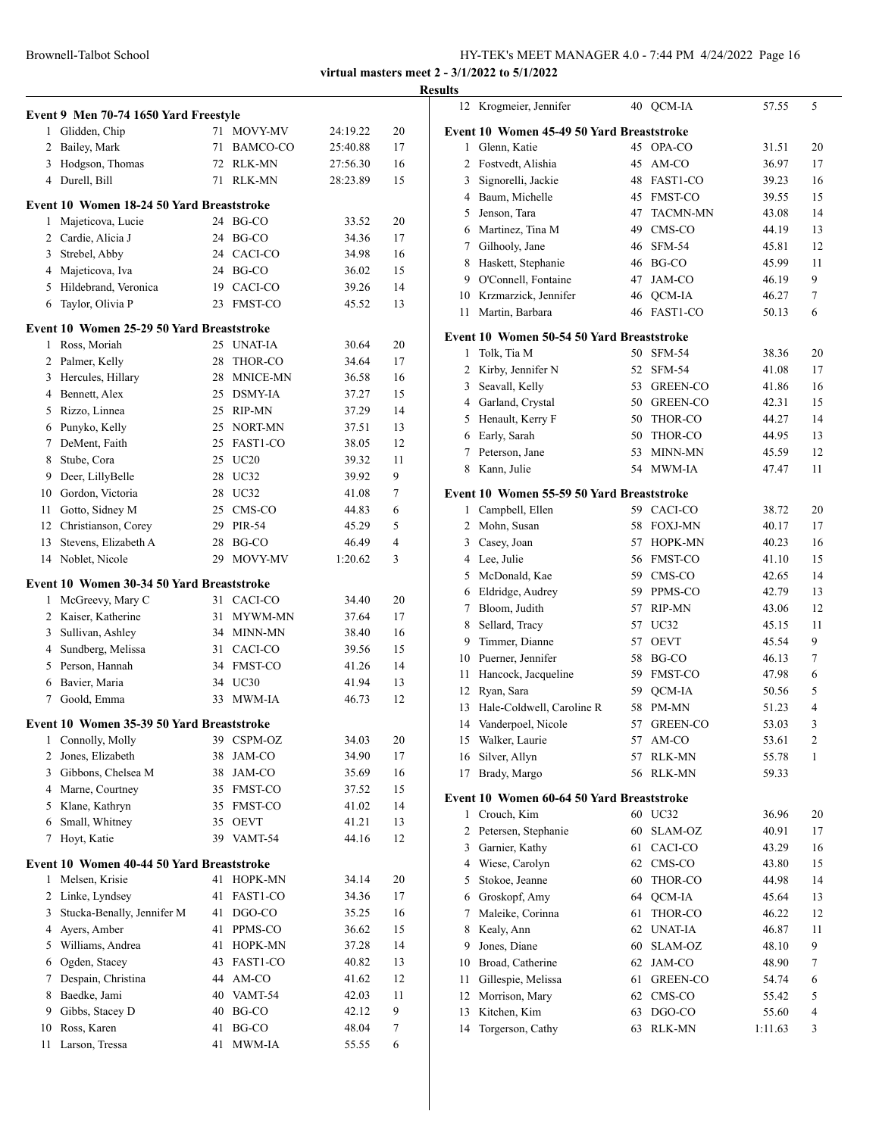|    | Event 9 Men 70-74 1650 Yard Freestyle     |    |                 |          |    |
|----|-------------------------------------------|----|-----------------|----------|----|
|    | 1 Glidden, Chip                           |    | 71 MOVY-MV      | 24:19.22 | 20 |
|    | 2 Bailey, Mark                            | 71 | BAMCO-CO        | 25:40.88 | 17 |
|    | 3 Hodgson, Thomas                         | 72 | RLK-MN          | 27:56.30 | 16 |
|    | 4 Durell, Bill                            | 71 | RLK-MN          | 28:23.89 | 15 |
|    | Event 10 Women 18-24 50 Yard Breaststroke |    |                 |          |    |
| 1  | Majeticova, Lucie                         |    | 24 BG-CO        | 33.52    | 20 |
|    | 2 Cardie, Alicia J                        | 24 | BG-CO           | 34.36    | 17 |
|    | 3 Strebel, Abby                           |    | 24 CACI-CO      | 34.98    | 16 |
|    | 4 Majeticova, Iva                         |    | 24 BG-CO        | 36.02    | 15 |
|    | 5 Hildebrand, Veronica                    |    | 19 CACI-CO      | 39.26    | 14 |
| 6  | Taylor, Olivia P                          | 23 | <b>FMST-CO</b>  | 45.52    | 13 |
|    | Event 10 Women 25-29 50 Yard Breaststroke |    |                 |          |    |
| 1  | Ross, Moriah                              |    | 25 UNAT-IA      | 30.64    | 20 |
| 2  | Palmer, Kelly                             | 28 | THOR-CO         | 34.64    | 17 |
|    | 3 Hercules, Hillary                       | 28 | <b>MNICE-MN</b> | 36.58    | 16 |
|    | 4 Bennett, Alex                           | 25 | <b>DSMY-IA</b>  | 37.27    | 15 |
| 5  | Rizzo, Linnea                             | 25 | RIP-MN          | 37.29    | 14 |
|    | 6 Punyko, Kelly                           |    | 25 NORT-MN      | 37.51    | 13 |
| 7  | DeMent, Faith                             | 25 | FAST1-CO        | 38.05    | 12 |
| 8  | Stube, Cora                               |    | 25 UC20         | 39.32    | 11 |
| 9  | Deer, LillyBelle                          | 28 | UC32            | 39.92    | 9  |
|    | 10 Gordon, Victoria                       | 28 | UC32            | 41.08    | 7  |
| 11 | Gotto, Sidney M                           |    | 25 CMS-CO       | 44.83    | 6  |
|    | 12 Christianson, Corey                    | 29 | PIR-54          | 45.29    | 5  |
| 13 | Stevens, Elizabeth A                      | 28 | BG-CO           | 46.49    | 4  |
|    | 14 Noblet, Nicole                         | 29 | MOVY-MV         | 1:20.62  | 3  |
|    | Event 10 Women 30-34 50 Yard Breaststroke |    |                 |          |    |
| 1  | McGreevy, Mary C                          |    | 31 CACI-CO      | 34.40    | 20 |
|    | 2 Kaiser, Katherine                       | 31 | MYWM-MN         | 37.64    | 17 |
| 3  | Sullivan, Ashley                          | 34 | MINN-MN         | 38.40    | 16 |
|    | 4 Sundberg, Melissa                       |    | 31 CACI-CO      | 39.56    | 15 |
|    | 5 Person, Hannah                          |    | 34 FMST-CO      | 41.26    | 14 |
|    | 6 Bavier, Maria                           |    | 34 UC30         | 41.94    | 13 |
| 7  | Goold, Emma                               | 33 | MWM-IA          | 46.73    | 12 |
|    | Event 10 Women 35-39 50 Yard Breaststroke |    |                 |          |    |
|    | 1 Connolly, Molly                         |    | 39 CSPM-OZ      | 34.03    | 20 |
| 2  | Jones, Elizabeth                          | 38 | JAM-CO          | 34.90    | 17 |
| 3  | Gibbons, Chelsea M                        | 38 | JAM-CO          | 35.69    | 16 |
| 4  | Marne, Courtney                           | 35 | FMST-CO         | 37.52    | 15 |
| 5. | Klane, Kathryn                            | 35 | FMST-CO         | 41.02    | 14 |
| 6  | Small, Whitney                            | 35 | <b>OEVT</b>     | 41.21    | 13 |
| 7  | Hoyt, Katie                               | 39 | VAMT-54         | 44.16    | 12 |
|    | Event 10 Women 40-44 50 Yard Breaststroke |    |                 |          |    |
| 1  | Melsen, Krisie                            | 41 | HOPK-MN         | 34.14    | 20 |
| 2  | Linke, Lyndsey                            | 41 | FAST1-CO        | 34.36    | 17 |
| 3  | Stucka-Benally, Jennifer M                | 41 | DGO-CO          | 35.25    | 16 |
| 4  | Ayers, Amber                              | 41 | PPMS-CO         | 36.62    | 15 |
| 5. | Williams, Andrea                          | 41 | HOPK-MN         | 37.28    | 14 |
| 6  | Ogden, Stacey                             | 43 | FAST1-CO        | 40.82    | 13 |
| 7  | Despain, Christina                        | 44 | AM-CO           | 41.62    | 12 |
| 8  | Baedke, Jami                              | 40 | VAMT-54         | 42.03    | 11 |
| 9  | Gibbs, Stacey D                           | 40 | BG-CO           | 42.12    | 9  |
| 10 | Ross, Karen                               | 41 | BG-CO           | 48.04    | 7  |
| 11 | Larson, Tressa                            | 41 | MWM-IA          | 55.55    | 6  |
|    |                                           |    |                 |          |    |

| <b>Results</b> |                                           |    |                 |         |    |
|----------------|-------------------------------------------|----|-----------------|---------|----|
|                | 12 Krogmeier, Jennifer                    |    | 40 QCM-IA       | 57.55   | 5  |
|                | Event 10 Women 45-49 50 Yard Breaststroke |    |                 |         |    |
| $\mathbf{1}$   | Glenn, Katie                              |    | 45 OPA-CO       | 31.51   | 20 |
|                | 2 Fostvedt, Alishia                       | 45 | $AM$ -CO        | 36.97   | 17 |
|                | 3 Signorelli, Jackie                      |    | 48 FAST1-CO     | 39.23   | 16 |
|                | 4 Baum, Michelle                          |    | 45 FMST-CO      | 39.55   | 15 |
|                | 5 Jenson, Tara                            | 47 | <b>TACMN-MN</b> | 43.08   | 14 |
|                | 6 Martinez, Tina M                        |    | 49 CMS-CO       | 44.19   | 13 |
|                | 7 Gilhooly, Jane                          |    | 46 SFM-54       | 45.81   | 12 |
|                | 8 Haskett, Stephanie                      |    | 46 BG-CO        | 45.99   | 11 |
|                | 9 O'Connell, Fontaine                     | 47 | JAM-CO          | 46.19   | 9  |
|                | 10 Krzmarzick, Jennifer                   |    | 46 QCM-IA       | 46.27   | 7  |
| 11 -           | Martin, Barbara                           |    | 46 FAST1-CO     | 50.13   | 6  |
|                | Event 10 Women 50-54 50 Yard Breaststroke |    |                 |         |    |
| 1              | Tolk, Tia M                               | 50 | $SFM-54$        | 38.36   | 20 |
|                | 2 Kirby, Jennifer N                       | 52 | <b>SFM-54</b>   | 41.08   | 17 |
|                | 3 Seavall, Kelly                          | 53 | GREEN-CO        | 41.86   | 16 |
|                | 4 Garland, Crystal                        |    | 50 GREEN-CO     | 42.31   | 15 |
|                | 5 Henault, Kerry F                        |    | 50 THOR-CO      | 44.27   | 14 |
|                | 6 Early, Sarah                            |    | 50 THOR-CO      | 44.95   | 13 |
|                | 7 Peterson, Jane                          |    | 53 MINN-MN      | 45.59   | 12 |
|                | 8 Kann, Julie                             |    | 54 MWM-JA       | 47.47   | 11 |
|                | Event 10 Women 55-59 50 Yard Breaststroke |    |                 |         |    |
|                | 1 Campbell, Ellen                         |    | 59 CACI-CO      | 38.72   | 20 |
|                | 2 Mohn, Susan                             |    | 58 FOXJ-MN      | 40.17   | 17 |
|                | 3 Casey, Joan                             | 57 | HOPK-MN         | 40.23   | 16 |
|                | 4 Lee, Julie                              |    | 56 FMST-CO      | 41.10   | 15 |
|                | 5 McDonald, Kae                           |    | 59 CMS-CO       | 42.65   | 14 |
|                | 6 Eldridge, Audrey                        |    | 59 PPMS-CO      | 42.79   | 13 |
|                | 7 Bloom, Judith                           |    | 57 RIP-MN       | 43.06   | 12 |
|                | 8 Sellard, Tracy                          |    | 57 UC32         | 45.15   | 11 |
|                | 9 Timmer, Dianne                          | 57 | <b>OEVT</b>     | 45.54   | 9  |
|                | 10 Puerner, Jennifer                      |    | 58 BG-CO        | 46.13   | 7  |
|                | 11 Hancock, Jacqueline                    | 59 | FMST-CO         | 47.98   | 6  |
|                | 12 Ryan, Sara                             | 59 | QCM-IA          | 50.56   | 5  |
|                | 13 Hale-Coldwell, Caroline R              |    | 58 PM-MN        | 51.23   | 4  |
|                | 14 Vanderpoel, Nicole                     | 57 | GREEN-CO        | 53.03   | 3  |
|                | 15 Walker, Laurie                         | 57 | AM-CO           | 53.61   | 2  |
| 16             | Silver, Allyn                             | 57 | RLK-MN          | 55.78   | 1  |
| 17             | Brady, Margo                              | 56 | RLK-MN          | 59.33   |    |
|                | Event 10 Women 60-64 50 Yard Breaststroke |    |                 |         |    |
|                | 1 Crouch, Kim                             |    | 60 UC32         | 36.96   | 20 |
|                | 2 Petersen, Stephanie                     |    | 60 SLAM-OZ      | 40.91   | 17 |
|                | 3 Garnier, Kathy                          | 61 | CACI-CO         | 43.29   | 16 |
|                | 4 Wiese, Carolyn                          | 62 | CMS-CO          | 43.80   | 15 |
|                | 5 Stokoe, Jeanne                          | 60 | THOR-CO         | 44.98   | 14 |
|                | 6 Groskopf, Amy                           | 64 | QCM-IA          | 45.64   | 13 |
|                | 7 Maleike, Corinna                        | 61 | THOR-CO         | 46.22   | 12 |
|                | 8 Kealy, Ann                              | 62 | <b>UNAT-IA</b>  | 46.87   | 11 |
|                | 9 Jones, Diane                            | 60 | SLAM-OZ         | 48.10   | 9  |
|                | 10 Broad, Catherine                       | 62 | JAM-CO          | 48.90   | 7  |
|                | 11 Gillespie, Melissa                     | 61 | <b>GREEN-CO</b> | 54.74   | 6  |
|                | 12 Morrison, Mary                         | 62 | CMS-CO          | 55.42   | 5  |
|                | 13 Kitchen, Kim                           | 63 | DGO-CO          | 55.60   | 4  |
| 14             | Torgerson, Cathy                          | 63 | <b>RLK-MN</b>   | 1:11.63 | 3  |
|                |                                           |    |                 |         |    |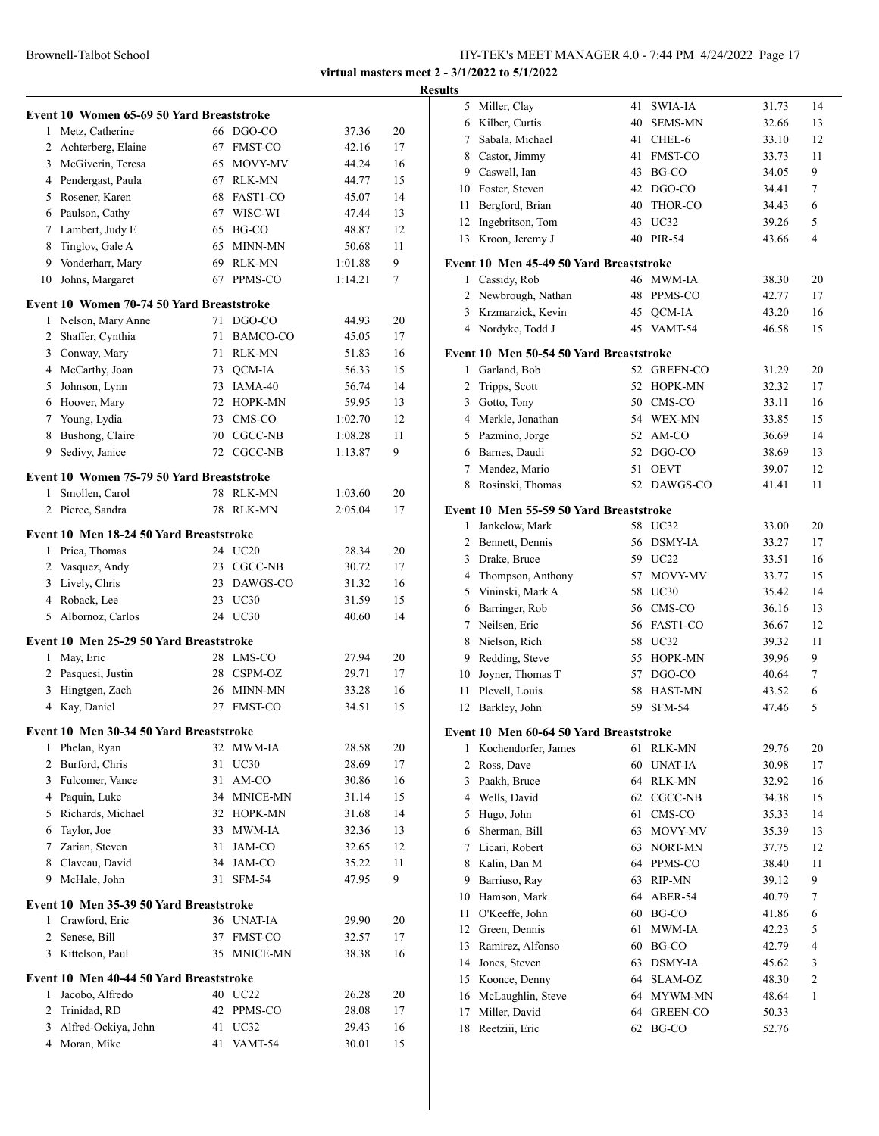|    |                                           |    |                    | virtual masters meet |          | R۱ |
|----|-------------------------------------------|----|--------------------|----------------------|----------|----|
|    | Event 10 Women 65-69 50 Yard Breaststroke |    |                    |                      |          |    |
|    | 1 Metz, Catherine                         |    | 66 DGO-CO          | 37.36                | 20       |    |
|    | 2 Achterberg, Elaine                      |    | 67 FMST-CO         | 42.16                | 17       |    |
|    | 3 McGiverin, Teresa                       |    | 65 MOVY-MV         | 44.24                | 16       |    |
|    | 4 Pendergast, Paula                       |    | 67 RLK-MN          | 44.77                | 15       |    |
|    | 5 Rosener, Karen                          |    | 68 FAST1-CO        | 45.07                | 14       |    |
|    | 6 Paulson, Cathy                          |    | 67 WISC-WI         | 47.44                | 13       |    |
|    | 7 Lambert, Judy E                         |    | 65 BG-CO           | 48.87                | 12       |    |
|    | 8 Tinglov, Gale A                         |    | 65 MINN-MN         | 50.68                | 11       |    |
|    | 9 Vonderharr, Mary                        |    | 69 RLK-MN          | 1:01.88              | 9        |    |
| 10 | Johns, Margaret                           |    | 67 PPMS-CO         | 1:14.21              | 7        |    |
|    | Event 10 Women 70-74 50 Yard Breaststroke |    |                    |                      |          |    |
|    | 1 Nelson, Mary Anne                       |    | 71 DGO-CO          | 44.93                | 20       |    |
|    | 2 Shaffer, Cynthia                        |    | 71 BAMCO-CO        | 45.05                | 17       |    |
|    | 3 Conway, Mary                            |    | 71 RLK-MN          | 51.83                | 16       |    |
|    | 4 McCarthy, Joan                          |    | 73 QCM-IA          | 56.33                | 15       |    |
|    | 5 Johnson, Lynn                           |    | 73 IAMA-40         | 56.74                | 14       |    |
|    | 6 Hoover, Mary                            |    | 72 HOPK-MN         | 59.95                | 13       |    |
|    | 7 Young, Lydia                            |    | 73 CMS-CO          | 1:02.70              | 12       |    |
|    | 8 Bushong, Claire                         |    | 70 CGCC-NB         | 1:08.28              | 11       |    |
|    | 9 Sedivy, Janice                          |    | 72 CGCC-NB         | 1:13.87              | 9        |    |
|    | Event 10 Women 75-79 50 Yard Breaststroke |    |                    |                      |          |    |
|    | 1 Smollen, Carol                          |    | 78 RLK-MN          | 1:03.60              | 20       |    |
|    | 2 Pierce, Sandra                          |    | 78 RLK-MN          | 2:05.04              | 17       |    |
|    | Event 10 Men 18-24 50 Yard Breaststroke   |    |                    |                      |          |    |
|    | 1 Prica, Thomas                           |    | 24 UC20            | 28.34                | 20       |    |
|    | 2 Vasquez, Andy                           |    | 23 CGCC-NB         | 30.72                | 17       |    |
|    | 3 Lively, Chris                           |    | 23 DAWGS-CO        | 31.32                | 16       |    |
|    | 4 Roback, Lee                             |    | 23 UC30            | 31.59                | 15       |    |
| 5  | Albornoz, Carlos                          |    | 24 UC30            | 40.60                | 14       |    |
|    | Event 10 Men 25-29 50 Yard Breaststroke   |    |                    |                      |          |    |
|    | 1 May, Eric                               |    | 28 LMS-CO          | 27.94                | 20       |    |
|    | 2 Pasquesi, Justin                        |    | 28 CSPM-OZ         | 29.71                | 17       |    |
| 3  | Hingtgen, Zach                            |    | 26 MINN-MN         | 33.28                | 16       |    |
|    | 4 Kay, Daniel                             |    | 27 FMST-CO         | 34.51                | 15       |    |
|    | Event 10 Men 30-34 50 Yard Breaststroke   |    |                    |                      |          |    |
|    | 1 Phelan, Ryan                            |    | 32 MWM-IA          | 28.58                | 20       |    |
|    | 2 Burford, Chris                          |    | 31 UC30            | 28.69                | 17       |    |
|    | 3 Fulcomer, Vance                         |    | 31 AM-CO           | 30.86                | 16       |    |
|    | 4 Paquin, Luke                            |    | 34 MNICE-MN        | 31.14                | 15       |    |
|    | 5 Richards, Michael                       |    | 32 HOPK-MN         | 31.68                | 14       |    |
|    | 6 Taylor, Joe                             |    | 33 MWM-IA          | 32.36                | 13       |    |
|    | 7 Zarian, Steven                          |    | 31 JAM-CO          | 32.65                | 12       |    |
|    | 8 Claveau, David                          |    | 34 JAM-CO          | 35.22                | 11       |    |
|    | 9 McHale, John                            |    | 31 SFM-54          | 47.95                | 9        |    |
|    | Event 10 Men 35-39 50 Yard Breaststroke   |    |                    |                      |          |    |
|    | 1 Crawford, Eric                          |    | 36 UNAT-IA         | 29.90                | 20       |    |
|    | 2 Senese, Bill                            |    | 37 FMST-CO         | 32.57                | 17       |    |
|    | 3 Kittelson, Paul                         |    | 35 MNICE-MN        | 38.38                | 16       |    |
|    | Event 10 Men 40-44 50 Yard Breaststroke   |    |                    |                      |          |    |
|    |                                           |    |                    |                      |          |    |
| 1  | Jacobo, Alfredo                           |    | 40 UC22            | 26.28                | 20       |    |
|    | 2 Trinidad, RD                            |    | 42 PPMS-CO         | 28.08                | 17       |    |
|    | 3 Alfred-Ockiya, John<br>4 Moran, Mike    | 41 | 41 UC32<br>VAMT-54 | 29.43<br>30.01       | 16<br>15 |    |

| esults         |                                         |    |                |       |    |
|----------------|-----------------------------------------|----|----------------|-------|----|
|                | 5 Miller, Clay                          | 41 | SWIA-IA        | 31.73 | 14 |
|                | 6 Kilber, Curtis                        |    | 40 SEMS-MN     | 32.66 | 13 |
|                | 7 Sabala, Michael                       | 41 | CHEL-6         | 33.10 | 12 |
|                | 8 Castor, Jimmy                         | 41 | <b>FMST-CO</b> | 33.73 | 11 |
|                | 9 Caswell, Ian                          | 43 | BG-CO          | 34.05 | 9  |
|                | 10 Foster, Steven                       | 42 | DGO-CO         | 34.41 | 7  |
|                | 11 Bergford, Brian                      | 40 | THOR-CO        | 34.43 | 6  |
|                | 12 Ingebritson, Tom                     | 43 | UC32           | 39.26 | 5  |
| 13             | Kroon, Jeremy J                         |    | 40 PIR-54      | 43.66 | 4  |
|                | Event 10 Men 45-49 50 Yard Breaststroke |    |                |       |    |
|                | 1 Cassidy, Rob                          |    | 46 MWM-IA      | 38.30 | 20 |
|                | 2 Newbrough, Nathan                     | 48 | PPMS-CO        | 42.77 | 17 |
|                | 3 Krzmarzick, Kevin                     |    | 45 QCM-IA      | 43.20 | 16 |
|                | 4 Nordyke, Todd J                       |    | 45 VAMT-54     | 46.58 | 15 |
|                | Event 10 Men 50-54 50 Yard Breaststroke |    |                |       |    |
|                | 1 Garland, Bob                          |    | 52 GREEN-CO    | 31.29 | 20 |
| $\overline{2}$ | Tripps, Scott                           | 52 | HOPK-MN        | 32.32 | 17 |
|                | 3 Gotto, Tony                           |    | 50 CMS-CO      | 33.11 | 16 |
|                | 4 Merkle, Jonathan                      |    | 54 WEX-MN      | 33.85 | 15 |
|                | 5 Pazmino, Jorge                        | 52 | AM-CO          | 36.69 | 14 |
|                | 6 Barnes, Daudi                         | 52 | DGO-CO         | 38.69 | 13 |
|                | 7 Mendez, Mario                         | 51 | <b>OEVT</b>    | 39.07 | 12 |
|                | 8 Rosinski, Thomas                      |    | 52 DAWGS-CO    | 41.41 | 11 |
|                |                                         |    |                |       |    |
|                | Event 10 Men 55-59 50 Yard Breaststroke |    |                |       |    |
|                | 1 Jankelow, Mark                        |    | 58 UC32        | 33.00 | 20 |
|                | 2 Bennett, Dennis                       |    | 56 DSMY-IA     | 33.27 | 17 |
|                | 3 Drake, Bruce                          |    | 59 UC22        | 33.51 | 16 |
|                | 4 Thompson, Anthony                     | 57 | MOVY-MV        | 33.77 | 15 |
|                | 5 Vininski, Mark A                      | 58 | UC30           | 35.42 | 14 |
|                | 6 Barringer, Rob                        |    | 56 CMS-CO      | 36.16 | 13 |
|                | 7 Neilsen, Eric                         |    | 56 FAST1-CO    | 36.67 | 12 |
|                | 8 Nielson, Rich                         | 58 | UC32           | 39.32 | 11 |
|                | 9 Redding, Steve                        | 55 | <b>HOPK-MN</b> | 39.96 | 9  |
| 10             | Joyner, Thomas T                        | 57 | DGO-CO         | 40.64 | 7  |
| 11             | Plevell, Louis                          | 58 | <b>HAST-MN</b> | 43.52 | 6  |
| 12             | Barkley, John                           |    | 59 SFM-54      | 47.46 | 5  |
|                | Event 10 Men 60-64 50 Yard Breaststroke |    |                |       |    |
| 1              | Kochendorfer, James                     | 61 | <b>RLK-MN</b>  | 29.76 | 20 |
| 2              | Ross, Dave                              | 60 | <b>UNAT-IA</b> | 30.98 | 17 |
| 3              | Paakh, Bruce                            | 64 | RLK-MN         | 32.92 | 16 |
|                | 4 Wells, David                          | 62 | CGCC-NB        | 34.38 | 15 |
|                | 5 Hugo, John                            | 61 | CMS-CO         | 35.33 | 14 |
|                | 6 Sherman, Bill                         | 63 | MOVY-MV        | 35.39 | 13 |
|                | 7 Licari, Robert                        | 63 | NORT-MN        | 37.75 | 12 |
| 8              | Kalin, Dan M                            | 64 | PPMS-CO        | 38.40 | 11 |
| 9              | Barriuso, Ray                           | 63 | RIP-MN         | 39.12 | 9  |
| 10             | Hamson, Mark                            | 64 | ABER-54        | 40.79 | 7  |
| 11             | O'Keeffe, John                          | 60 | BG-CO          | 41.86 | 6  |
|                | 12 Green, Dennis                        | 61 | MWM-IA         | 42.23 | 5  |
| 13             | Ramirez, Alfonso                        | 60 | BG-CO          | 42.79 | 4  |
| 14             | Jones, Steven                           | 63 | DSMY-IA        | 45.62 | 3  |
| 15             | Koonce, Denny                           | 64 | SLAM-OZ        | 48.30 | 2  |
| 16             | McLaughlin, Steve                       | 64 | MYWM-MN        | 48.64 | 1  |
| 17             | Miller, David                           | 64 | GREEN-CO       | 50.33 |    |
| 18             | Reetziii, Eric                          | 62 | BG-CO          | 52.76 |    |
|                |                                         |    |                |       |    |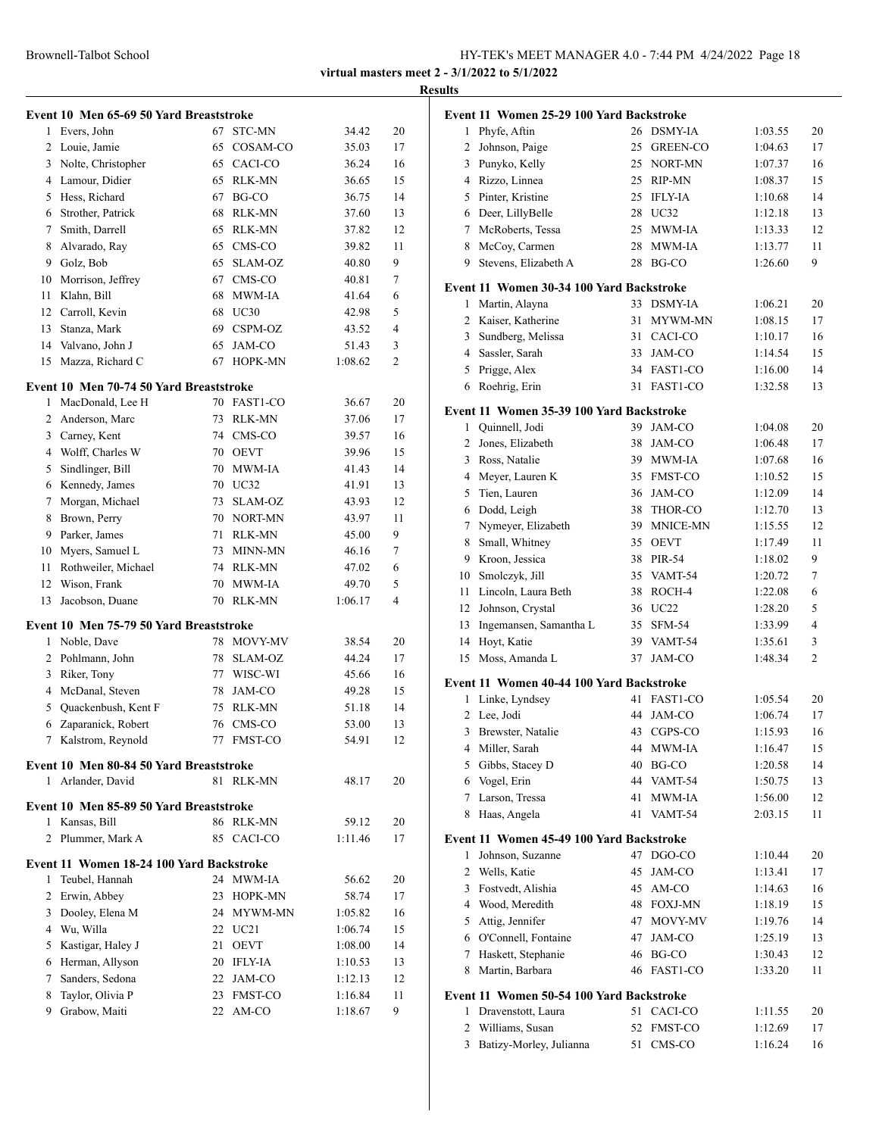# **Results**

|                 | Event 10 Men 65-69 50 Yard Breaststroke                    |    |                |         |    |
|-----------------|------------------------------------------------------------|----|----------------|---------|----|
| 1               | Evers, John                                                | 67 | STC-MN         | 34.42   | 20 |
| 2               | Louie, Jamie                                               | 65 | COSAM-CO       | 35.03   | 17 |
| 3               | Nolte, Christopher                                         | 65 | CACI-CO        | 36.24   | 16 |
|                 | 4 Lamour, Didier                                           | 65 | <b>RLK-MN</b>  | 36.65   | 15 |
| 5               | Hess, Richard                                              | 67 | BG-CO          | 36.75   | 14 |
|                 | 6 Strother, Patrick                                        | 68 | RLK-MN         | 37.60   | 13 |
| 7               | Smith, Darrell                                             | 65 | RLK-MN         | 37.82   | 12 |
| 8               | Alvarado, Ray                                              | 65 | CMS-CO         | 39.82   | 11 |
| 9               | Golz, Bob                                                  | 65 | SLAM-OZ        | 40.80   | 9  |
| 10              | Morrison, Jeffrey                                          | 67 | CMS-CO         | 40.81   | 7  |
| 11              | Klahn, Bill                                                | 68 | MWM-IA         | 41.64   | 6  |
| 12              | Carroll, Kevin                                             | 68 | UC30           | 42.98   | 5  |
| 13              | Stanza, Mark                                               | 69 | CSPM-OZ        | 43.52   | 4  |
| 14              | Valvano, John J                                            | 65 | JAM-CO         | 51.43   | 3  |
| 15              | Mazza, Richard C                                           | 67 | HOPK-MN        | 1:08.62 | 2  |
|                 | Event 10 Men 70-74 50 Yard Breaststroke                    |    |                |         |    |
| 1               | MacDonald, Lee H                                           |    | 70 FAST1-CO    | 36.67   | 20 |
|                 | 2 Anderson, Marc                                           | 73 | RLK-MN         | 37.06   | 17 |
| 3               | Carney, Kent                                               | 74 | CMS-CO         | 39.57   | 16 |
|                 | 4 Wolff, Charles W                                         | 70 | <b>OEVT</b>    | 39.96   | 15 |
| 5               | Sindlinger, Bill                                           | 70 | MWM-IA         | 41.43   | 14 |
| 6               | Kennedy, James                                             | 70 | UC32           | 41.91   | 13 |
| 7               | Morgan, Michael                                            | 73 | SLAM-OZ        | 43.93   | 12 |
| 8               | Brown, Perry                                               | 70 | NORT-MN        | 43.97   | 11 |
| 9               | Parker, James                                              | 71 | RLK-MN         | 45.00   | 9  |
| 10              | Myers, Samuel L                                            | 73 | <b>MINN-MN</b> | 46.16   | 7  |
| 11              | Rothweiler, Michael                                        | 74 | <b>RLK-MN</b>  | 47.02   | 6  |
| 12              | Wison, Frank                                               | 70 | MWM-IA         | 49.70   | 5  |
| 13              | Jacobson, Duane                                            |    | 70 RLK-MN      | 1:06.17 | 4  |
|                 | Event 10 Men 75-79 50 Yard Breaststroke                    |    |                |         |    |
| 1               | Noble, Dave                                                | 78 | MOVY-MV        | 38.54   | 20 |
| 2               | Pohlmann, John                                             | 78 | SLAM-OZ        | 44.24   | 17 |
| 3               | Riker, Tony                                                | 77 | WISC-WI        | 45.66   | 16 |
| 4               | McDanal, Steven                                            | 78 | JAM-CO         | 49.28   | 15 |
| 5               | Quackenbush, Kent F                                        | 75 | RLK-MN         | 51.18   | 14 |
| 6               | Zaparanick, Robert                                         |    | 76 CMS-CO      | 53.00   | 13 |
| $7\overline{ }$ | Kalstrom, Reynold                                          |    | 77 FMST-CO     | 54.91   | 12 |
|                 |                                                            |    |                |         |    |
| 1               | Event 10 Men 80-84 50 Yard Breaststroke<br>Arlander, David |    | 81 RLK-MN      | 48.17   | 20 |
|                 |                                                            |    |                |         |    |
|                 | Event 10 Men 85-89 50 Yard Breaststroke                    |    |                |         |    |
| 1               | Kansas, Bill                                               | 86 | <b>RLK-MN</b>  | 59.12   | 20 |
| $\overline{2}$  | Plummer, Mark A                                            | 85 | CACI-CO        | 1:11.46 | 17 |
|                 | Event 11 Women 18-24 100 Yard Backstroke                   |    |                |         |    |
| 1               | Teubel, Hannah                                             | 24 | MWM-IA         | 56.62   | 20 |
|                 | 2 Erwin, Abbey                                             | 23 | HOPK-MN        | 58.74   | 17 |
| 3               | Dooley, Elena M                                            | 24 | MYWM-MN        | 1:05.82 | 16 |
|                 | 4 Wu, Willa                                                |    | 22 UC21        | 1:06.74 | 15 |
|                 | 5 Kastigar, Haley J                                        | 21 | <b>OEVT</b>    | 1:08.00 | 14 |
|                 | 6 Herman, Allyson                                          |    | 20 IFLY-IA     | 1:10.53 | 13 |
| 7               | Sanders, Sedona                                            | 22 | JAM-CO         | 1:12.13 | 12 |
| 8               | Taylor, Olivia P                                           | 23 | FMST-CO        | 1:16.84 | 11 |
| 9               | Grabow, Maiti                                              |    | 22 AM-CO       | 1:18.67 | 9  |
|                 |                                                            |    |                |         |    |

|                | Event 11 Women 25-29 100 Yard Backstroke |          |                   |                    |          |
|----------------|------------------------------------------|----------|-------------------|--------------------|----------|
| 1              | Phyfe, Aftin                             |          | 26 DSMY-IA        | 1:03.55            | 20       |
| 2              | Johnson, Paige                           | 25       | <b>GREEN-CO</b>   | 1:04.63            | 17       |
| 3              | Punyko, Kelly                            | 25       | NORT-MN           | 1:07.37            | 16       |
|                | 4 Rizzo, Linnea                          | 25       | RIP-MN            | 1:08.37            | 15       |
|                | 5 Pinter, Kristine                       |          | 25 IFLY-IA        | 1:10.68            | 14       |
|                | 6 Deer, LillyBelle                       |          | 28 UC32           | 1:12.18            | 13       |
|                | 7 McRoberts, Tessa                       | 25       | MWM-IA            | 1:13.33            | 12       |
| 8              | McCoy, Carmen                            | 28       | MWM-IA            | 1:13.77            | 11       |
| 9              | Stevens, Elizabeth A                     | 28       | BG-CO             | 1:26.60            | 9        |
|                | Event 11 Women 30-34 100 Yard Backstroke |          |                   |                    |          |
| 1              | Martin, Alayna                           |          | 33 DSMY-IA        | 1:06.21            | 20       |
|                | 2 Kaiser, Katherine                      | 31       | MYWM-MN           | 1:08.15            | 17       |
|                | 3 Sundberg, Melissa                      | 31       | CACI-CO           | 1:10.17            | 16       |
|                | 4 Sassler, Sarah                         | 33       | JAM-CO            | 1:14.54            | 15       |
| 5              | Prigge, Alex                             |          | 34 FAST1-CO       | 1:16.00            | 14       |
| 6              | Roehrig, Erin                            | 31       | FAST1-CO          | 1:32.58            | 13       |
|                | Event 11 Women 35-39 100 Yard Backstroke |          |                   |                    |          |
| 1              | Quinnell, Jodi                           |          | 39 JAM-CO         | 1:04.08            | 20       |
| $\overline{2}$ | Jones, Elizabeth                         | 38       | JAM-CO            | 1:06.48            | 17       |
| 3              | Ross, Natalie                            |          | 39 MWM-IA         | 1:07.68            | 16       |
| 4              | Meyer, Lauren K                          | 35       | <b>FMST-CO</b>    | 1:10.52            | 15       |
| 5              | Tien, Lauren                             | 36       | JAM-CO            | 1:12.09            | 14       |
|                | 6 Dodd, Leigh                            | 38       | THOR-CO           | 1:12.70            | 13       |
| 7              | Nymeyer, Elizabeth                       | 39       | <b>MNICE-MN</b>   | 1:15.55            | 12       |
| 8              | Small, Whitney                           | 35       | <b>OEVT</b>       | 1:17.49            | 11       |
| 9              | Kroon, Jessica                           | 38       | PIR-54            | 1:18.02            | 9        |
| 10             | Smolczyk, Jill                           | 35       | VAMT-54           | 1:20.72            | 7        |
| 11             | Lincoln, Laura Beth                      | 38       | ROCH-4            | 1:22.08            | 6        |
| 12             | Johnson, Crystal                         | 36       | UC22              | 1:28.20            | 5        |
| 13             | Ingemansen, Samantha L                   | 35       | SFM-54            | 1:33.99            | 4        |
| 14             | Hoyt, Katie                              |          | 39 VAMT-54        | 1:35.61            | 3        |
| 15             | Moss, Amanda L                           | 37       | JAM-CO            | 1:48.34            | 2        |
|                |                                          |          |                   |                    |          |
|                | Event 11 Women 40-44 100 Yard Backstroke |          |                   |                    |          |
| 1              | Linke, Lyndsey                           |          | 41 FAST1-CO       | 1:05.54            | 20       |
| 2              | Lee, Jodi                                | 44       | JAM-CO            | 1:06.74            | 17       |
| 3              | Brewster, Natalie                        | 43       | CGPS-CO           | 1:15.93            | 16       |
| 4              | Miller, Sarah                            | 44       | MWM-IA            | 1:16.47<br>1:20.58 | 15       |
| 5              | Gibbs, Stacey D                          | 40<br>44 | BG-CO             |                    | 14       |
| 6<br>7         | Vogel, Erin<br>Larson, Tressa            | 41       | VAMT-54<br>MWM-IA | 1:50.75<br>1:56.00 | 13       |
| 8              | Haas, Angela                             | 41       | VAMT-54           | 2:03.15            | 12<br>11 |
|                |                                          |          |                   |                    |          |
|                | Event 11 Women 45-49 100 Yard Backstroke |          |                   |                    |          |
| 1              | Johnson, Suzanne                         | 47       | DGO-CO            | 1:10.44            | 20       |
| 2              | Wells, Katie                             | 45       | JAM-CO            | 1:13.41            | 17       |
| 3              | Fostvedt, Alishia                        | 45       | AM-CO             | 1:14.63            | 16       |
| 4              | Wood, Meredith                           | 48       | <b>FOXJ-MN</b>    | 1:18.19            | 15       |
| 5              | Attig, Jennifer                          | 47       | MOVY-MV           | 1:19.76            | 14       |
| 6              | O'Connell, Fontaine                      | 47       | JAM-CO            | 1:25.19            | 13       |
| 7              | Haskett, Stephanie                       | 46       | BG-CO             | 1:30.43            | 12       |
| 8              | Martin, Barbara                          | 46       | FAST1-CO          | 1:33.20            | 11       |
|                | Event 11 Women 50-54 100 Yard Backstroke |          |                   |                    |          |
| 1              | Dravenstott, Laura                       | 51       | CACI-CO           | 1:11.55            | 20       |
| 2              | Williams, Susan                          | 52       | <b>FMST-CO</b>    | 1:12.69            | 17       |
| 3              | Batizy-Morley, Julianna                  | 51       | CMS-CO            | 1:16.24            | 16       |
|                |                                          |          |                   |                    |          |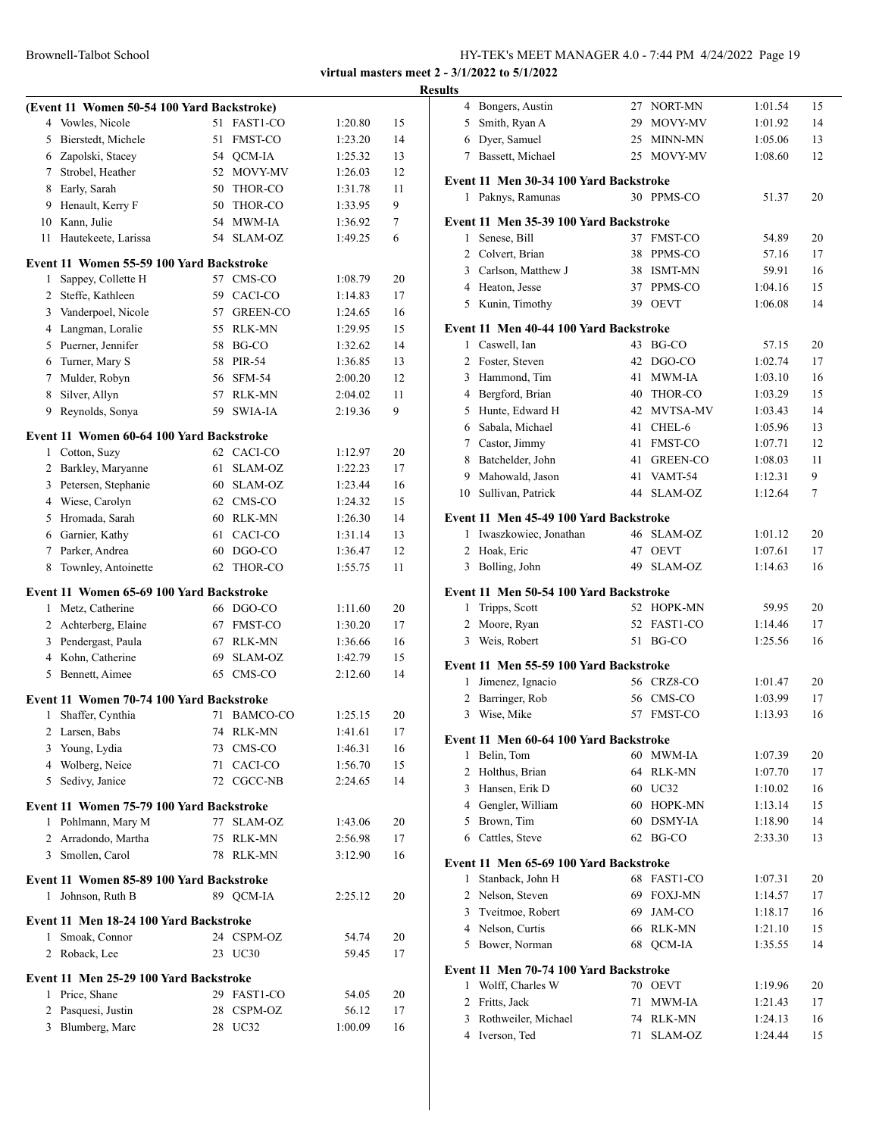|                | (Event 11 Women 50-54 100 Yard Backstroke) |          |                   |                    |    |
|----------------|--------------------------------------------|----------|-------------------|--------------------|----|
| 4              | Vowles, Nicole                             | 51       | <b>FAST1-CO</b>   | 1:20.80            | 15 |
| 5              | Bierstedt, Michele                         | 51       | <b>FMST-CO</b>    | 1:23.20            | 14 |
|                | 6 Zapolski, Stacey                         | 54       | QCM-IA            | 1:25.32            | 13 |
|                | 7 Strobel, Heather                         | 52       | MOVY-MV           | 1:26.03            | 12 |
| 8              | Early, Sarah                               | 50       | THOR-CO           | 1:31.78            | 11 |
| 9              | Henault, Kerry F                           | 50       | THOR-CO           | 1:33.95            | 9  |
| 10             | Kann, Julie                                | 54       | MWM-IA            | 1:36.92            | 7  |
| 11             | Hautekeete, Larissa                        | 54       | SLAM-OZ           | 1:49.25            | 6  |
|                |                                            |          |                   |                    |    |
| 1              | Event 11 Women 55-59 100 Yard Backstroke   | 57       | CMS-CO            |                    | 20 |
| 2              | Sappey, Collette H<br>Steffe, Kathleen     | 59       | CACI-CO           | 1:08.79<br>1:14.83 | 17 |
|                |                                            | 57       |                   |                    |    |
| 3              | Vanderpoel, Nicole                         |          | <b>GREEN-CO</b>   | 1:24.65            | 16 |
| 4              | Langman, Loralie                           | 55<br>58 | <b>RLK-MN</b>     | 1:29.95            | 15 |
| 5              | Puerner, Jennifer                          |          | BG-CO             | 1:32.62            | 14 |
| 6              | Turner, Mary S                             | 58       | PIR-54            | 1:36.85            | 13 |
| 7              | Mulder, Robyn                              | 56       | <b>SFM-54</b>     | 2:00.20            | 12 |
| 8              | Silver, Allyn                              | 57       | RLK-MN            | 2:04.02            | 11 |
| 9              | Reynolds, Sonya                            | 59       | SWIA-JA           | 2:19.36            | 9  |
|                | Event 11 Women 60-64 100 Yard Backstroke   |          |                   |                    |    |
| 1              | Cotton, Suzy                               | 62       | CACI-CO           | 1:12.97            | 20 |
| 2              | Barkley, Maryanne                          | 61       | <b>SLAM-OZ</b>    | 1:22.23            | 17 |
| 3              | Petersen, Stephanie                        | 60       | <b>SLAM-OZ</b>    | 1:23.44            | 16 |
| 4              | Wiese, Carolyn                             | 62       | CMS-CO            | 1:24.32            | 15 |
| 5              | Hromada, Sarah                             | 60       | <b>RLK-MN</b>     | 1:26.30            | 14 |
|                | 6 Garnier, Kathy                           | 61       | CACI-CO           | 1:31.14            | 13 |
| 7              | Parker, Andrea                             | 60       | DGO-CO            | 1:36.47            | 12 |
| 8              | Townley, Antoinette                        | 62       | THOR-CO           | 1:55.75            | 11 |
|                | Event 11 Women 65-69 100 Yard Backstroke   |          |                   |                    |    |
| 1              | Metz, Catherine                            | 66       | DGO-CO            | 1:11.60            | 20 |
| 2              | Achterberg, Elaine                         | 67       | <b>FMST-CO</b>    | 1:30.20            | 17 |
| 3              | Pendergast, Paula                          | 67       | RLK-MN            | 1:36.66            | 16 |
| 4              | Kohn, Catherine                            | 69       | <b>SLAM-OZ</b>    | 1:42.79            | 15 |
| 5              | Bennett, Aimee                             | 65       | CMS-CO            | 2:12.60            | 14 |
|                |                                            |          |                   |                    |    |
| 1              | Event 11 Women 70-74 100 Yard Backstroke   | 71       | <b>BAMCO-CO</b>   | 1:25.15            | 20 |
|                | Shaffer, Cynthia                           |          |                   |                    |    |
| 2              | Larsen, Babs                               | 74       | RLK-MN            | 1:41.61<br>1:46.31 | 17 |
| 3              | Young, Lydia                               | 73<br>71 | CMS-CO<br>CACI-CO |                    | 16 |
| 4              | Wolberg, Neice                             |          |                   | 1:56.70            | 15 |
| 5              | Sedivy, Janice                             |          | 72 CGCC-NB        | 2:24.65            | 14 |
|                | Event 11 Women 75-79 100 Yard Backstroke   |          |                   |                    |    |
| 1              | Pohlmann, Mary M                           | 77       | SLAM-OZ           | 1:43.06            | 20 |
| $\overline{2}$ | Arradondo, Martha                          | 75       | RLK-MN            | 2:56.98            | 17 |
|                | 3 Smollen, Carol                           | 78       | RLK-MN            | 3:12.90            | 16 |
|                | Event 11 Women 85-89 100 Yard Backstroke   |          |                   |                    |    |
| 1              | Johnson, Ruth B                            |          | 89 OCM-IA         | 2:25.12            | 20 |
|                | Event 11 Men 18-24 100 Yard Backstroke     |          |                   |                    |    |
| 1              | Smoak, Connor                              |          | 24 CSPM-OZ        | 54.74              | 20 |
| 2              | Roback, Lee                                | 23       | UC30              | 59.45              | 17 |
|                |                                            |          |                   |                    |    |
|                | Event 11 Men 25-29 100 Yard Backstroke     |          |                   |                    |    |
| 1              | Price, Shane                               | 29       | FAST1-CO          | 54.05              | 20 |
| 2              | Pasquesi, Justin                           | 28       | CSPM-OZ           | 56.12              | 17 |
|                | 3 Blumberg, Marc                           |          | 28 UC32           | 1:00.09            | 16 |

| <b>Results</b> |                                        |    |             |         |    |
|----------------|----------------------------------------|----|-------------|---------|----|
|                | 4 Bongers, Austin                      |    | 27 NORT-MN  | 1:01.54 | 15 |
|                | 5 Smith, Ryan A                        |    | 29 MOVY-MV  | 1:01.92 | 14 |
|                | 6 Dyer, Samuel                         |    | 25 MINN-MN  | 1:05.06 | 13 |
|                | 7 Bassett, Michael                     |    | 25 MOVY-MV  | 1:08.60 | 12 |
|                | Event 11 Men 30-34 100 Yard Backstroke |    |             |         |    |
|                | 1 Paknys, Ramunas                      |    | 30 PPMS-CO  | 51.37   | 20 |
|                | Event 11 Men 35-39 100 Yard Backstroke |    |             |         |    |
|                | 1 Senese, Bill                         |    | 37 FMST-CO  | 54.89   | 20 |
|                | 2 Colvert, Brian                       |    | 38 PPMS-CO  | 57.16   | 17 |
|                | 3 Carlson, Matthew J                   |    | 38 ISMT-MN  | 59.91   | 16 |
|                | 4 Heaton, Jesse                        |    | 37 PPMS-CO  | 1:04.16 | 15 |
|                | 5 Kunin, Timothy                       |    | 39 OEVT     | 1:06.08 | 14 |
|                | Event 11 Men 40-44 100 Yard Backstroke |    |             |         |    |
|                | 1 Caswell, Ian                         |    | 43 BG-CO    | 57.15   | 20 |
|                | 2 Foster, Steven                       |    | 42 DGO-CO   | 1:02.74 | 17 |
|                | 3 Hammond, Tim                         |    | 41 MWM-IA   | 1:03.10 | 16 |
|                | 4 Bergford, Brian                      |    | 40 THOR-CO  | 1:03.29 | 15 |
|                | 5 Hunte, Edward H                      |    | 42 MVTSA-MV | 1:03.43 | 14 |
|                | 6 Sabala, Michael                      |    | 41 CHEL-6   | 1:05.96 | 13 |
|                | 7 Castor, Jimmy                        |    | 41 FMST-CO  | 1:07.71 | 12 |
|                | 8 Batchelder, John                     |    | 41 GREEN-CO | 1:08.03 | 11 |
|                | 9 Mahowald, Jason                      |    | 41 VAMT-54  | 1:12.31 | 9  |
|                | 10 Sullivan, Patrick                   |    | 44 SLAM-OZ  | 1:12.64 | 7  |
|                | Event 11 Men 45-49 100 Yard Backstroke |    |             |         |    |
|                | 1 Iwaszkowiec, Jonathan                |    | 46 SLAM-OZ  | 1:01.12 | 20 |
|                | 2 Hoak, Eric                           |    | 47 OEVT     | 1:07.61 | 17 |
|                | 3 Bolling, John                        |    | 49 SLAM-OZ  | 1:14.63 | 16 |
|                | Event 11 Men 50-54 100 Yard Backstroke |    |             |         |    |
|                | 1 Tripps, Scott                        |    | 52 HOPK-MN  | 59.95   | 20 |
|                | 2 Moore, Ryan                          |    | 52 FAST1-CO | 1:14.46 | 17 |
|                | 3 Weis, Robert                         |    | $51$ BG-CO  | 1:25.56 | 16 |
|                |                                        |    |             |         |    |
|                | Event 11 Men 55-59 100 Yard Backstroke |    |             |         |    |
|                | 1 Jimenez, Ignacio                     |    | 56 CRZ8-CO  | 1:01.47 | 20 |
|                | 2 Barringer, Rob                       |    | 56 CMS-CO   | 1:03.99 | 17 |
|                | 3 Wise, Mike                           |    | 57 FMST-CO  | 1:13.93 | 16 |
|                | Event 11 Men 60-64 100 Yard Backstroke |    |             |         |    |
|                | 1 Belin, Tom                           |    | 60 MWM-IA   | 1:07.39 | 20 |
|                | 2 Holthus, Brian                       |    | 64 RLK-MN   | 1:07.70 | 17 |
|                | 3 Hansen, Erik D                       |    | 60 UC32     | 1:10.02 | 16 |
|                | 4 Gengler, William                     |    | 60 HOPK-MN  | 1:13.14 | 15 |
|                | 5 Brown, Tim                           |    | 60 DSMY-IA  | 1:18.90 | 14 |
|                | 6 Cattles, Steve                       |    | 62 BG-CO    | 2:33.30 | 13 |
|                | Event 11 Men 65-69 100 Yard Backstroke |    |             |         |    |
|                | 1 Stanback, John H                     |    | 68 FAST1-CO | 1:07.31 | 20 |
|                | 2 Nelson, Steven                       |    | 69 FOXJ-MN  | 1:14.57 | 17 |
|                | 3 Tveitmoe, Robert                     |    | 69 JAM-CO   | 1:18.17 | 16 |
|                | 4 Nelson, Curtis                       |    | 66 RLK-MN   | 1:21.10 | 15 |
|                | 5 Bower, Norman                        |    | 68 QCM-IA   | 1:35.55 | 14 |
|                | Event 11 Men 70-74 100 Yard Backstroke |    |             |         |    |
|                | 1 Wolff, Charles W                     |    | 70 OEVT     | 1:19.96 | 20 |
|                | 2 Fritts, Jack                         | 71 | MWM-IA      | 1:21.43 | 17 |
|                | 3 Rothweiler, Michael                  |    | 74 RLK-MN   | 1:24.13 | 16 |
|                | 4 Iverson, Ted                         |    | 71 SLAM-OZ  | 1:24.44 | 15 |
|                |                                        |    |             |         |    |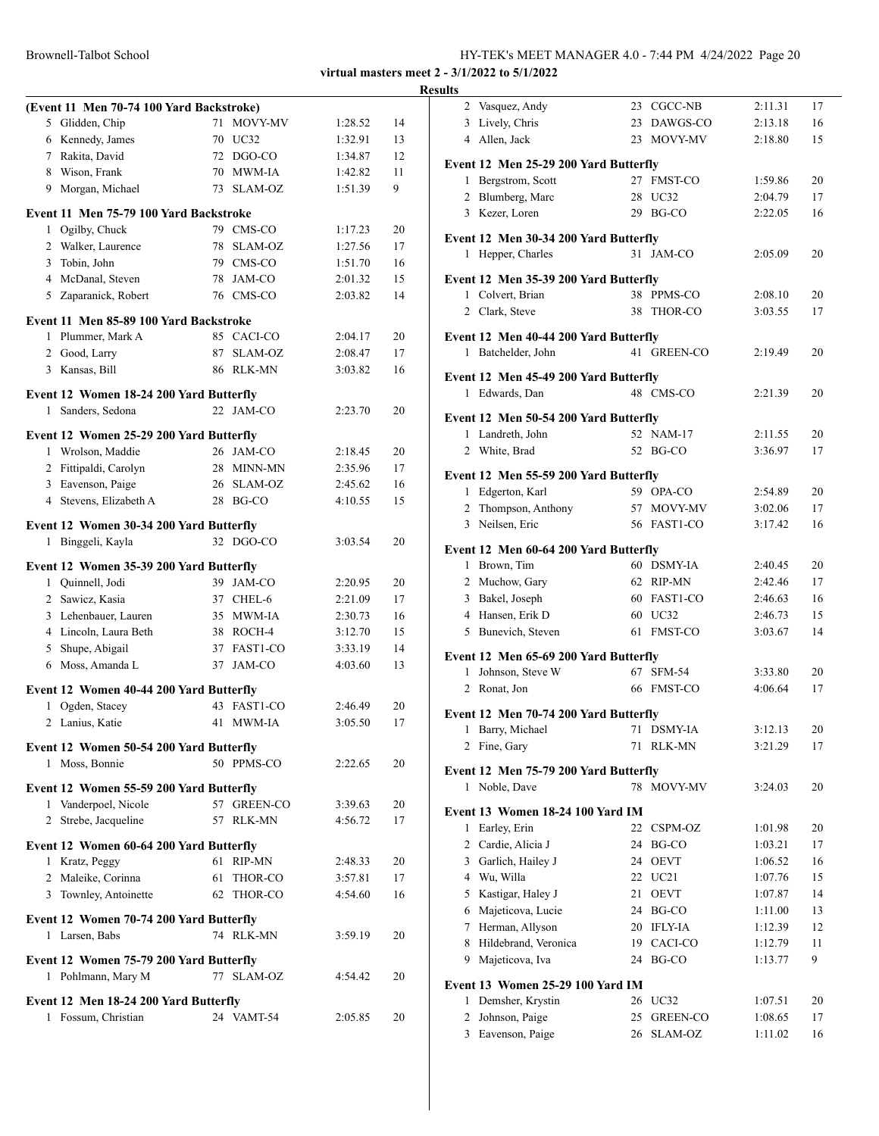|  |  |  | HY-TEK's MEET MANAGER 4.0 - 7:44 PM 4/24/2022 Page 20 |  |
|--|--|--|-------------------------------------------------------|--|
|  |  |  |                                                       |  |

# Brownell-Talbot School **Results (Event 11 Men 70-74 100 Yard Backstroke)** Glidden, Chip 71 MOVY-MV 1:28.52 14 Kennedy, James 70 UC32 1:32.91 13 Rakita, David 72 DGO-CO 1:34.87 12 Wison, Frank 70 MWM-IA 1:42.82 11 Morgan, Michael 73 SLAM-OZ 1:51.39 9 **Event 11 Men 75-79 100 Yard Backstroke** Ogilby, Chuck 79 CMS-CO 1:17.23 20 2 Walker, Laurence 78 SLAM-OZ 1:27.56 17 Tobin, John 79 CMS-CO 1:51.70 16 McDanal, Steven 78 JAM-CO 2:01.32 15 Zaparanick, Robert 76 CMS-CO 2:03.82 14 **Event 11 Men 85-89 100 Yard Backstroke** Plummer, Mark A 85 CACI-CO 2:04.17 20 Good, Larry 87 SLAM-OZ 2:08.47 17 Kansas, Bill 86 RLK-MN 3:03.82 16 **Event 12 Women 18-24 200 Yard Butterfly** Sanders, Sedona 22 JAM-CO 2:23.70 20 **Event 12 Women 25-29 200 Yard Butterfly** Wrolson, Maddie 26 JAM-CO 2:18.45 20 Fittipaldi, Carolyn 28 MINN-MN 2:35.96 17 Eavenson, Paige 26 SLAM-OZ 2:45.62 16 Stevens, Elizabeth A 28 BG-CO 4:10.55 15 **Event 12 Women 30-34 200 Yard Butterfly** Binggeli, Kayla 32 DGO-CO 3:03.54 20 **Event 12 Women 35-39 200 Yard Butterfly** Quinnell, Jodi 39 JAM-CO 2:20.95 20 Sawicz, Kasia 37 CHEL-6 2:21.09 17 Lehenbauer, Lauren 35 MWM-IA 2:30.73 16 Lincoln, Laura Beth 38 ROCH-4 3:12.70 15 Shupe, Abigail 37 FAST1-CO 3:33.19 14 Moss, Amanda L 37 JAM-CO 4:03.60 13 **Event 12 Women 40-44 200 Yard Butterfly** Ogden, Stacey 43 FAST1-CO 2:46.49 20 Lanius, Katie 41 MWM-IA 3:05.50 17 **Event 12 Women 50-54 200 Yard Butterfly** Moss, Bonnie 50 PPMS-CO 2:22.65 20 **Event 12 Women 55-59 200 Yard Butterfly** Vanderpoel, Nicole 57 GREEN-CO 3:39.63 20 Strebe, Jacqueline 57 RLK-MN 4:56.72 17 **Event 12 Women 60-64 200 Yard Butterfly** Kratz, Peggy 61 RIP-MN 2:48.33 20 Maleike, Corinna 61 THOR-CO 3:57.81 17 Townley, Antoinette 62 THOR-CO 4:54.60 16

**Event 12 Women 70-74 200 Yard Butterfly**

**Event 12 Women 75-79 200 Yard Butterfly**

**Event 12 Men 18-24 200 Yard Butterfly**

Larsen, Babs 74 RLK-MN 3:59.19 20

Pohlmann, Mary M 77 SLAM-OZ 4:54.42 20

Fossum, Christian 24 VAMT-54 2:05.85 20

| 2              | Vasquez, Andy                                               |    | 23 CGCC-NB     | 2:11.31            | 17 |
|----------------|-------------------------------------------------------------|----|----------------|--------------------|----|
|                | 3 Lively, Chris                                             |    | 23 DAWGS-CO    | 2:13.18            | 16 |
|                | 4 Allen, Jack                                               |    | 23 MOVY-MV     | 2:18.80            | 15 |
|                |                                                             |    |                |                    |    |
|                | Event 12 Men 25-29 200 Yard Butterfly<br>1 Bergstrom, Scott | 27 | <b>FMST-CO</b> | 1:59.86            | 20 |
| 2              | Blumberg, Marc                                              | 28 | UC32           | 2:04.79            | 17 |
|                | 3 Kezer, Loren                                              |    | 29 BG-CO       | 2:22.05            | 16 |
|                |                                                             |    |                |                    |    |
|                | Event 12 Men 30-34 200 Yard Butterfly                       |    |                |                    |    |
|                | 1 Hepper, Charles                                           |    | 31 JAM-CO      | 2:05.09            | 20 |
|                | Event 12 Men 35-39 200 Yard Butterfly                       |    |                |                    |    |
|                | 1 Colvert, Brian                                            |    | 38 PPMS-CO     | 2:08.10            | 20 |
|                | 2 Clark, Steve                                              | 38 | THOR-CO        | 3:03.55            | 17 |
|                |                                                             |    |                |                    |    |
|                | Event 12 Men 40-44 200 Yard Butterfly                       |    | 41 GREEN-CO    |                    |    |
|                | 1 Batchelder, John                                          |    |                | 2:19.49            | 20 |
|                | Event 12 Men 45-49 200 Yard Butterfly                       |    |                |                    |    |
| 1              | Edwards, Dan                                                |    | 48 CMS-CO      | 2:21.39            | 20 |
|                | Event 12 Men 50-54 200 Yard Butterfly                       |    |                |                    |    |
|                | 1 Landreth, John                                            |    | 52 NAM-17      | 2:11.55            | 20 |
|                | 2 White, Brad                                               |    | 52 BG-CO       | 3:36.97            | 17 |
|                |                                                             |    |                |                    |    |
|                | Event 12 Men 55-59 200 Yard Butterfly                       |    |                |                    |    |
|                | 1 Edgerton, Karl                                            |    | 59 OPA-CO      | 2:54.89            | 20 |
| $\overline{2}$ | Thompson, Anthony                                           |    | 57 MOVY-MV     | 3:02.06            | 17 |
|                | 3 Neilsen, Eric                                             |    | 56 FAST1-CO    | 3:17.42            | 16 |
|                | Event 12 Men 60-64 200 Yard Butterfly                       |    |                |                    |    |
|                | 1 Brown, Tim                                                |    | 60 DSMY-IA     | 2:40.45            | 20 |
|                | 2 Muchow, Gary                                              |    | 62 RIP-MN      | 2:42.46            | 17 |
|                | 3 Bakel, Joseph                                             |    | 60 FAST1-CO    | 2:46.63            | 16 |
|                | 4 Hansen, Erik D                                            |    | 60 UC32        | 2:46.73            | 15 |
|                | 5 Bunevich, Steven                                          |    | 61 FMST-CO     | 3:03.67            | 14 |
|                | Event 12 Men 65-69 200 Yard Butterfly                       |    |                |                    |    |
| $\mathbf{1}$   | Johnson, Steve W                                            |    | 67 SFM-54      | 3:33.80            | 20 |
|                | 2 Ronat, Jon                                                |    | 66 FMST-CO     | 4:06.64            | 17 |
|                |                                                             |    |                |                    |    |
|                | Event 12 Men 70-74 200 Yard Butterfly<br>Barry, Michael     |    | 71 DSMY-IA     |                    | 20 |
| 1              |                                                             |    |                | 3:12.13<br>3:21.29 |    |
| 2              | Fine, Gary                                                  | 71 | RLK-MN         |                    | 17 |
|                | Event 12 Men 75-79 200 Yard Butterfly                       |    |                |                    |    |
|                | 1 Noble, Dave                                               | 78 | MOVY-MV        | 3:24.03            | 20 |
|                | Event 13 Women 18-24 100 Yard IM                            |    |                |                    |    |
| 1              | Earley, Erin                                                |    | 22 CSPM-OZ     | 1:01.98            | 20 |
| 2              | Cardie, Alicia J                                            |    | 24 BG-CO       | 1:03.21            | 17 |
| 3              | Garlich, Hailey J                                           |    | 24 OEVT        | 1:06.52            | 16 |
| 4              | Wu, Willa                                                   |    | 22 UC21        | 1:07.76            | 15 |
| 5              | Kastigar, Haley J                                           | 21 | OEVT           | 1:07.87            | 14 |
| 6              | Majeticova, Lucie                                           |    | 24 BG-CO       | 1:11.00            | 13 |
| 7              | Herman, Allyson                                             |    | 20 IFLY-IA     | 1:12.39            | 12 |
| 8              | Hildebrand, Veronica                                        | 19 | CACI-CO        | 1:12.79            | 11 |
| 9              | Majeticova, Iva                                             | 24 | BG-CO          | 1:13.77            | 9  |
|                | <b>Event 13 Women 25-29 100 Yard IM</b>                     |    |                |                    |    |
| 1              | Demsher, Krystin                                            |    | 26 UC32        | 1:07.51            | 20 |
| $\overline{c}$ | Johnson, Paige                                              | 25 | GREEN-CO       | 1:08.65            | 17 |
| 3              | Eavenson, Paige                                             | 26 | SLAM-OZ        | 1:11.02            | 16 |
|                |                                                             |    |                |                    |    |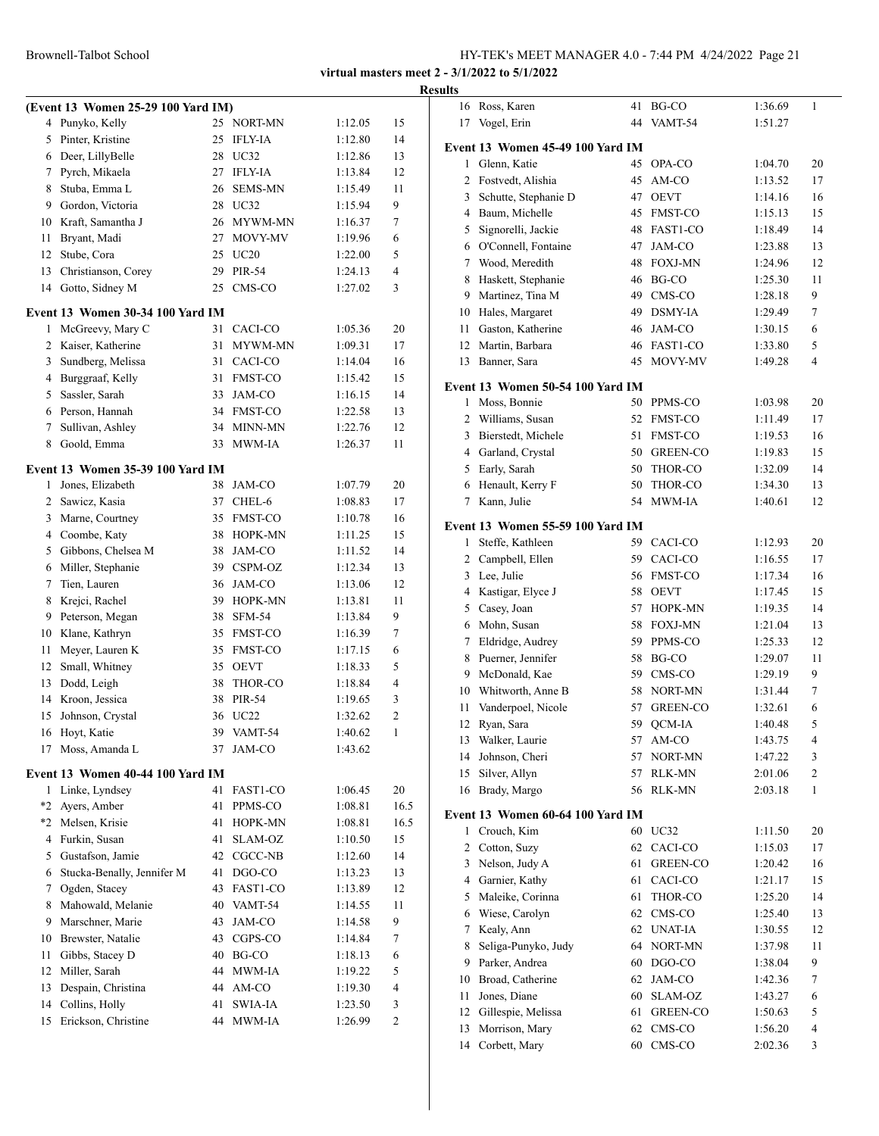|                |                                         |    |                       |         |                | Resul |
|----------------|-----------------------------------------|----|-----------------------|---------|----------------|-------|
|                | (Event 13 Women 25-29 100 Yard IM)      |    |                       |         |                |       |
|                | 4 Punyko, Kelly                         |    | 25 NORT-MN            | 1:12.05 | 15             |       |
| 5              | Pinter, Kristine                        | 25 | <b>IFLY-IA</b>        | 1:12.80 | 14             |       |
| 6              | Deer, LillyBelle                        |    | 28 UC32               | 1:12.86 | 13             | I     |
| 7              | Pyrch, Mikaela                          | 27 | <b>IFLY-IA</b>        | 1:13.84 | 12             |       |
| 8              | Stuba, Emma L                           | 26 | <b>SEMS-MN</b>        | 1:15.49 | 11             |       |
| 9              | Gordon, Victoria                        |    | 28 UC32               | 1:15.94 | 9              |       |
| 10             | Kraft, Samantha J                       |    | 26 MYWM-MN            | 1:16.37 | 7              |       |
| 11             | Bryant, Madi                            | 27 | MOVY-MV               | 1:19.96 | 6              |       |
| 12             | Stube, Cora                             |    | 25 UC20               | 1:22.00 | 5              |       |
| 13             | Christianson, Corey                     | 29 | PIR-54                | 1:24.13 | 4              |       |
| 14             | Gotto, Sidney M                         | 25 | CMS-CO                | 1:27.02 | 3              |       |
|                |                                         |    |                       |         |                |       |
| 1              | Event 13 Women 30-34 100 Yard IM        | 31 | CACI-CO               | 1:05.36 | 20             |       |
| $\overline{2}$ | McGreevy, Mary C<br>Kaiser, Katherine   | 31 | MYWM-MN               |         |                |       |
|                |                                         |    |                       | 1:09.31 | 17             |       |
| 3              | Sundberg, Melissa                       | 31 | CACI-CO               | 1:14.04 | 16             |       |
| 4              | Burggraaf, Kelly                        | 31 | <b>FMST-CO</b>        | 1:15.42 | 15             | ł     |
| 5              | Sassler, Sarah                          | 33 | JAM-CO                | 1:16.15 | 14             |       |
|                | 6 Person, Hannah                        |    | 34 FMST-CO            | 1:22.58 | 13             |       |
| 7              | Sullivan, Ashley                        |    | 34 MINN-MN            | 1:22.76 | 12             |       |
| 8              | Goold, Emma                             |    | 33 MWM-IA             | 1:26.37 | 11             |       |
|                | <b>Event 13 Women 35-39 100 Yard IM</b> |    |                       |         |                |       |
| 1              | Jones, Elizabeth                        |    | 38 JAM-CO             | 1:07.79 | 20             |       |
| $\mathbf{2}$   | Sawicz, Kasia                           | 37 | CHEL-6                | 1:08.83 | 17             |       |
| 3              | Marne, Courtney                         | 35 | <b>FMST-CO</b>        | 1:10.78 | 16             |       |
| 4              | Coombe, Katy                            | 38 | HOPK-MN               | 1:11.25 | 15             | I     |
| 5              | Gibbons, Chelsea M                      | 38 | JAM-CO                | 1:11.52 | 14             |       |
| 6              | Miller, Stephanie                       | 39 | CSPM-OZ               | 1:12.34 | 13             |       |
| 7              | Tien, Lauren                            |    | 36 JAM-CO             | 1:13.06 | 12             |       |
| 8              | Krejci, Rachel                          |    | 39 HOPK-MN            | 1:13.81 | 11             |       |
| 9              | Peterson, Megan                         |    | 38 SFM-54             | 1:13.84 | 9              |       |
| 10             | Klane, Kathryn                          |    | 35 FMST-CO            | 1:16.39 | 7              |       |
| 11             | Meyer, Lauren K                         |    | 35 FMST-CO            | 1:17.15 | 6              |       |
| 12             | Small, Whitney                          |    | 35 OEVT               | 1:18.33 | 5              |       |
| 13             | Dodd, Leigh                             | 38 | THOR-CO               | 1:18.84 | 4              |       |
|                | 14 Kroon, Jessica                       | 38 | PIR-54                | 1:19.65 | 3              |       |
|                | 15 Johnson, Crystal                     |    | 36 UC22               | 1:32.62 | 2              |       |
| 16             | Hoyt, Katie                             | 39 | VAMT-54               | 1:40.62 | 1              |       |
| 17             | Moss, Amanda L                          | 37 | JAM-CO                | 1:43.62 |                |       |
|                | Event 13 Women 40-44 100 Yard IM        |    |                       |         |                |       |
| 1              | Linke, Lyndsey                          | 41 | FAST1-CO              | 1:06.45 | 20             |       |
| *2             | Ayers, Amber                            | 41 | PPMS-CO               | 1:08.81 | 16.5           |       |
|                | *2 Melsen, Krisie                       | 41 | HOPK-MN               | 1:08.81 | 16.5           | ł     |
|                | 4 Furkin, Susan                         | 41 | SLAM-OZ               | 1:10.50 | 15             |       |
|                | 5 Gustafson, Jamie                      |    | 42 CGCC-NB            | 1:12.60 | 14             |       |
| 6              | Stucka-Benally, Jennifer M              | 41 | DGO-CO                | 1:13.23 | 13             |       |
| 7              | Ogden, Stacey                           |    | 43 FAST1-CO           | 1:13.89 | 12             |       |
| 8              | Mahowald, Melanie                       |    | 40 VAMT-54            |         | 11             |       |
| 9              | Marschner, Marie                        | 43 | JAM-CO                | 1:14.55 | 9              |       |
|                |                                         |    |                       | 1:14.58 |                |       |
| 10             | Brewster, Natalie                       |    | 43 CGPS-CO            | 1:14.84 | 7              |       |
| 11<br>12       | Gibbs, Stacey D<br>Miller, Sarah        |    | 40 BG-CO<br>44 MWM-IA | 1:18.13 | 6<br>5         |       |
|                |                                         |    |                       | 1:19.22 |                |       |
| 13             | Despain, Christina                      |    | 44 AM-CO              | 1:19.30 | 4              |       |
| 14             | Collins, Holly                          | 41 | <b>SWIA-IA</b>        | 1:23.50 | 3              |       |
| 15             | Erickson, Christine                     | 44 | MWM-IA                | 1:26.99 | $\overline{c}$ |       |

| lts            |                                    |          |                                   |                    |                       |
|----------------|------------------------------------|----------|-----------------------------------|--------------------|-----------------------|
| 16             | Ross, Karen                        | 41       | BG-CO                             | 1:36.69            | 1                     |
| 17             | Vogel, Erin                        | 44       | VAMT-54                           | 1:51.27            |                       |
|                | Event 13 Women 45-49 100 Yard IM   |          |                                   |                    |                       |
| $\mathbf{1}$   | Glenn, Katie                       | 45       | OPA-CO                            | 1:04.70            | 20                    |
| $\overline{c}$ | Fostvedt, Alishia                  | 45       | AM-CO                             | 1:13.52            | 17                    |
| 3              | Schutte, Stephanie D               | 47       | <b>OEVT</b>                       | 1:14.16            | 16                    |
| 4              | Baum, Michelle                     | 45       | <b>FMST-CO</b>                    | 1:15.13            | 15                    |
| 5              | Signorelli, Jackie                 | 48       | FAST1-CO                          | 1:18.49            | 14                    |
| 6              | O'Connell, Fontaine                | 47       | <b>JAM-CO</b>                     | 1:23.88            | 13                    |
| 7              | Wood, Meredith                     | 48       | <b>FOXJ-MN</b>                    | 1:24.96            | 12                    |
| 8              | Haskett, Stephanie                 | 46       | BG-CO                             | 1:25.30            | 11                    |
| 9              | Martinez, Tina M                   |          | 49 CMS-CO                         | 1:28.18            | 9                     |
| 10             | Hales, Margaret                    |          | 49 DSMY-IA                        | 1:29.49            | 7                     |
| 11             | Gaston, Katherine                  |          | 46 JAM-CO                         | 1:30.15            | 6                     |
| 12             | Martin, Barbara                    |          | 46 FAST1-CO                       | 1:33.80            | 5                     |
| 13             | Banner, Sara                       | 45       | MOVY-MV                           | 1:49.28            | 4                     |
|                |                                    |          |                                   |                    |                       |
|                | Event 13 Women 50-54 100 Yard IM   |          |                                   |                    |                       |
| 1              | Moss, Bonnie                       |          | 50 PPMS-CO                        | 1:03.98            | 20                    |
| $\overline{2}$ | Williams, Susan                    | 52       | <b>FMST-CO</b>                    | 1:11.49            | 17                    |
| 3              | Bierstedt, Michele                 | 51<br>50 | <b>FMST-CO</b><br><b>GREEN-CO</b> | 1:19.53<br>1:19.83 | 16                    |
| 5              | 4 Garland, Crystal<br>Early, Sarah | 50       | THOR-CO                           | 1:32.09            | 15<br>14              |
| 6              | Henault, Kerry F                   | 50       | THOR-CO                           | 1:34.30            | 13                    |
| 7              | Kann, Julie                        | 54       | MWM-IA                            | 1:40.61            | 12                    |
|                |                                    |          |                                   |                    |                       |
|                | Event 13 Women 55-59 100 Yard IM   |          |                                   |                    |                       |
| 1              | Steffe, Kathleen                   |          | 59 CACI-CO                        | 1:12.93            | 20                    |
| 2              | Campbell, Ellen                    |          | 59 CACI-CO                        | 1:16.55            | 17                    |
| 3              | Lee, Julie                         |          | 56 FMST-CO                        | 1:17.34            | 16                    |
| 4              | Kastigar, Elyce J                  | 58       | <b>OEVT</b>                       | 1:17.45            | 15                    |
| 5              | Casey, Joan                        | 57       | HOPK-MN                           | 1:19.35            | 14                    |
| 6              | Mohn, Susan                        | 58       | <b>FOXJ-MN</b>                    | 1:21.04            | 13                    |
| 7              | Eldridge, Audrey                   | 59       | PPMS-CO                           | 1:25.33            | 12                    |
| 8              | Puerner, Jennifer                  | 58       | BG-CO                             | 1:29.07            | 11                    |
| 9              | McDonald, Kae                      | 59       | CMS-CO                            | 1:29.19            | 9                     |
| 10             | Whitworth, Anne B                  | 58       | NORT-MN                           | 1:31.44            | 7                     |
| 11             | Vanderpoel, Nicole                 | 57       | <b>GREEN-CO</b>                   | 1:32.61            | 6                     |
| 12             | Ryan, Sara                         | 59       | QCM-IA                            | 1:40.48            | 5                     |
| 13             | Walker, Laurie                     | 57       | AM-CO                             | 1:43.75            | 4                     |
| 14             | Johnson, Cheri                     | 57       | NORT-MN                           | 1:47.22            | 3                     |
| 15<br>16       | Silver, Allyn<br>Brady, Margo      | 57<br>56 | RLK-MN<br>RLK-MN                  | 2:01.06<br>2:03.18 | $\boldsymbol{2}$<br>1 |
|                |                                    |          |                                   |                    |                       |
|                | Event 13 Women 60-64 100 Yard IM   |          |                                   |                    |                       |
| 1              | Crouch, Kim                        |          | 60 UC32                           | 1:11.50            | 20                    |
| $\overline{c}$ | Cotton, Suzy                       | 62       | CACI-CO                           | 1:15.03            | 17                    |
| 3              | Nelson, Judy A                     | 61       | GREEN-CO                          | 1:20.42            | 16                    |
| $\overline{4}$ | Garnier, Kathy                     | 61       | CACI-CO                           | 1:21.17            | 15                    |
| 5              | Maleike, Corinna                   | 61       | THOR-CO                           | 1:25.20            | 14                    |
| 6              | Wiese, Carolyn                     | 62       | CMS-CO                            | 1:25.40            | 13                    |
| 7              | Kealy, Ann                         | 62       | <b>UNAT-IA</b>                    | 1:30.55            | 12                    |
| 8              | Seliga-Punyko, Judy                | 64       | NORT-MN                           | 1:37.98            | 11                    |
| 9              | Parker, Andrea                     | 60       | DGO-CO                            | 1:38.04            | 9                     |
| 10             | Broad, Catherine                   | 62       | JAM-CO                            | 1:42.36            | 7                     |
| 11             | Jones, Diane                       | 60       | SLAM-OZ                           | 1:43.27            | 6                     |
| 12             | Gillespie, Melissa                 | 61       | GREEN-CO                          | 1:50.63            | 5                     |
| 13             | Morrison, Mary                     | 62       | CMS-CO                            | 1:56.20            | 4                     |
| 14             | Corbett, Mary                      | 60       | CMS-CO                            | 2:02.36            | 3                     |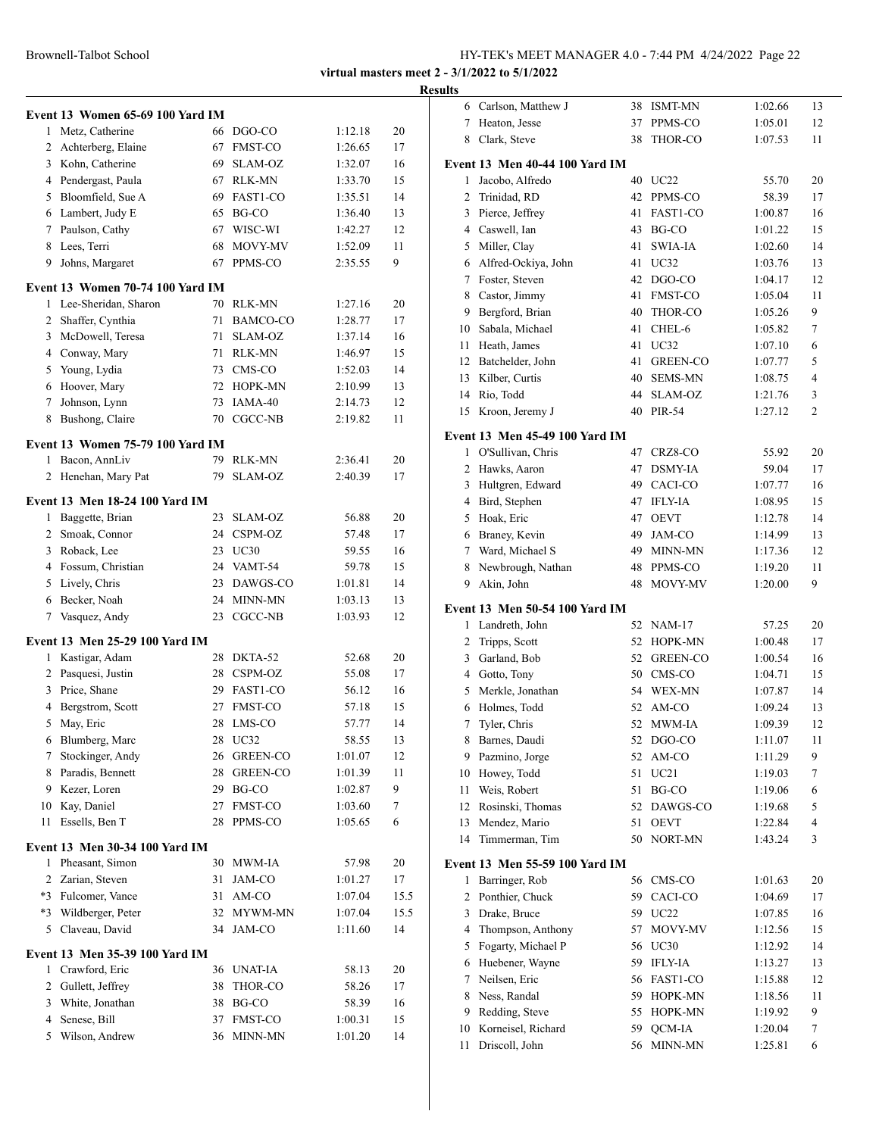|                | Event 13 Women 65-69 100 Yard IM        |    |                                  |                    |            |
|----------------|-----------------------------------------|----|----------------------------------|--------------------|------------|
| 1              | Metz, Catherine                         |    | 66 DGO-CO                        | 1:12.18            | 20         |
| $\overline{2}$ | Achterberg, Elaine                      |    | 67 FMST-CO                       | 1:26.65            | 17         |
| 3              | Kohn, Catherine                         |    | 69 SLAM-OZ                       | 1:32.07            | 16         |
|                | 4 Pendergast, Paula                     |    | 67 RLK-MN                        | 1:33.70            | 15         |
| 5              | Bloomfield, Sue A                       |    | 69 FAST1-CO                      | 1:35.51            | 14         |
|                | 6 Lambert, Judy E                       |    | 65 BG-CO                         | 1:36.40            | 13         |
|                | 7 Paulson, Cathy                        | 67 | WISC-WI                          | 1:42.27            | 12         |
| 8              | Lees, Terri                             | 68 | MOVY-MV                          | 1:52.09            | 11         |
| 9              | Johns, Margaret                         | 67 | PPMS-CO                          | 2:35.55            | 9          |
|                | Event 13 Women 70-74 100 Yard IM        |    |                                  |                    |            |
|                | 1 Lee-Sheridan, Sharon                  |    | 70 RLK-MN                        | 1:27.16            | 20         |
|                | 2 Shaffer, Cynthia                      | 71 | BAMCO-CO                         | 1:28.77            | 17         |
|                | 3 McDowell, Teresa                      | 71 | SLAM-OZ                          | 1:37.14            | 16         |
|                | 4 Conway, Mary                          |    | 71 RLK-MN                        | 1:46.97            | 15         |
| 5              | Young, Lydia                            |    | 73 CMS-CO                        | 1:52.03            | 14         |
| 6              | Hoover, Mary                            |    | 72 HOPK-MN                       | 2:10.99            | 13         |
| 7              | Johnson, Lynn                           | 73 | IAMA-40                          | 2:14.73            | 12         |
| 8              | Bushong, Claire                         |    | 70 CGCC-NB                       | 2:19.82            | 11         |
|                | <b>Event 13 Women 75-79 100 Yard IM</b> |    |                                  |                    |            |
| 1              | Bacon, AnnLiv                           | 79 | RLK-MN                           | 2:36.41            | 20         |
| 2              | Henehan, Mary Pat                       | 79 | SLAM-OZ                          | 2:40.39            | 17         |
|                | Event 13 Men 18-24 100 Yard IM          |    |                                  |                    |            |
|                | 1 Baggette, Brian                       |    | 23 SLAM-OZ                       | 56.88              | 20         |
|                | 2 Smoak, Connor                         |    | 24 CSPM-OZ                       | 57.48              | 17         |
|                | 3 Roback, Lee                           |    | 23 UC30                          | 59.55              | 16         |
|                | 4 Fossum, Christian                     |    | 24 VAMT-54                       | 59.78              | 15         |
|                | 5 Lively, Chris                         |    | 23 DAWGS-CO                      | 1:01.81            | 14         |
|                | 6 Becker, Noah                          |    | 24 MINN-MN                       | 1:03.13            | 13         |
| 7              | Vasquez, Andy                           | 23 | CGCC-NB                          | 1:03.93            | 12         |
|                | <b>Event 13 Men 25-29 100 Yard IM</b>   |    |                                  |                    |            |
| 1              | Kastigar, Adam                          | 28 | DKTA-52                          | 52.68              | 20         |
| 2              | Pasquesi, Justin                        |    | 28 CSPM-OZ                       | 55.08              | 17         |
| 3              | Price, Shane                            |    | 29 FAST1-CO                      | 56.12              | 16         |
| 4              | Bergstrom, Scott                        |    | 27 FMST-CO                       | 57.18              | 15         |
|                | 5 May, Eric                             |    | 28 LMS-CO                        | 57.77              | 14         |
| 6              | Blumberg, Marc                          | 28 | UC32                             | 58.55              | 13         |
| 7              | Stockinger, Andy                        | 26 | GREEN-CO                         | 1:01.07            | 12         |
| 8              | Paradis, Bennett                        | 28 | <b>GREEN-CO</b>                  | 1:01.39            | 11         |
| 9              | Kezer, Loren                            | 29 | BG-CO                            | 1:02.87            | 9          |
| 10             | Kay, Daniel                             | 27 | FMST-CO                          | 1:03.60            | 7          |
| 11             | Essells, Ben T                          | 28 | PPMS-CO                          | 1:05.65            | 6          |
|                | Event 13 Men 30-34 100 Yard IM          |    |                                  |                    |            |
| 1              | Pheasant, Simon                         | 30 | MWM-IA                           | 57.98              | 20         |
|                | 2 Zarian, Steven                        | 31 | JAM-CO                           | 1:01.27            | 17         |
|                | *3 Fulcomer, Vance                      | 31 | $\mathbf{AM}\text{-}\mathbf{CO}$ | 1:07.04            | 15.5       |
| $*3$<br>5      | Wildberger, Peter<br>Claveau, David     | 34 | 32 MYWM-MN<br>JAM-CO             | 1:07.04<br>1:11.60 | 15.5<br>14 |
|                | Event 13 Men 35-39 100 Yard IM          |    |                                  |                    |            |
| 1              | Crawford, Eric                          | 36 | UNAT-IA                          | 58.13              | 20         |
| 2              | Gullett, Jeffrey                        | 38 | THOR-CO                          | 58.26              | 17         |
| 3              | White, Jonathan                         | 38 | BG-CO                            | 58.39              | 16         |
| 4              | Senese, Bill                            | 37 | FMST-CO                          | 1:00.31            | 15         |
| 5              | Wilson, Andrew                          | 36 | MINN-MN                          | 1:01.20            | 14         |
|                |                                         |    |                                  |                    |            |

| <b>Results</b> |                                       |    |                 |                    |    |
|----------------|---------------------------------------|----|-----------------|--------------------|----|
|                | 6 Carlson, Matthew J                  |    | 38 ISMT-MN      | 1:02.66            | 13 |
|                | 7 Heaton, Jesse                       |    | 37 PPMS-CO      | 1:05.01            | 12 |
| 8              | Clark, Steve                          | 38 | THOR-CO         | 1:07.53            | 11 |
|                | <b>Event 13 Men 40-44 100 Yard IM</b> |    |                 |                    |    |
| 1              | Jacobo, Alfredo                       |    | 40 UC22         | 55.70              | 20 |
| 2              | Trinidad, RD                          | 42 | PPMS-CO         | 58.39              | 17 |
|                | 3 Pierce, Jeffrey                     | 41 | FAST1-CO        | 1:00.87            | 16 |
|                | 4 Caswell, Ian                        |    | 43 BG-CO        | 1:01.22            | 15 |
|                | 5 Miller, Clay                        | 41 | SWIA-IA         | 1:02.60            | 14 |
|                | 6 Alfred-Ockiya, John                 |    | 41 UC32         | 1:03.76            | 13 |
|                | 7 Foster, Steven                      |    | 42 DGO-CO       | 1:04.17            | 12 |
|                | 8 Castor, Jimmy                       |    | 41 FMST-CO      | 1:05.04            | 11 |
|                | 9 Bergford, Brian                     |    | 40 THOR-CO      | 1:05.26            | 9  |
| 10             | Sabala, Michael                       | 41 | CHEL-6          | 1:05.82            | 7  |
| 11             | Heath, James                          |    | 41 UC32         | 1:07.10            | 6  |
|                | 12 Batchelder, John                   | 41 | <b>GREEN-CO</b> | 1:07.77            | 5  |
|                | 13 Kilber, Curtis                     |    | 40 SEMS-MN      | 1:08.75            | 4  |
| 14             | Rio, Todd                             | 44 | SLAM-OZ         | 1:21.76            | 3  |
| 15             | Kroon, Jeremy J                       |    | 40 PIR-54       | 1:27.12            | 2  |
|                |                                       |    |                 |                    |    |
|                | Event 13 Men 45-49 100 Yard IM        |    |                 |                    |    |
| 1              | O'Sullivan, Chris                     | 47 | CRZ8-CO         | 55.92              | 20 |
| 2              | Hawks, Aaron                          |    | 47 DSMY-IA      | 59.04              | 17 |
|                | 3 Hultgren, Edward                    |    | 49 CACI-CO      | 1:07.77            | 16 |
|                | 4 Bird, Stephen                       |    | 47 IFLY-IA      | 1:08.95            | 15 |
|                | 5 Hoak, Eric                          | 47 | <b>OEVT</b>     | 1:12.78            | 14 |
|                | 6 Braney, Kevin                       | 49 | JAM-CO          | 1:14.99            | 13 |
|                | 7 Ward, Michael S                     |    | 49 MINN-MN      | 1:17.36            | 12 |
|                | 8 Newbrough, Nathan                   |    | 48 PPMS-CO      | 1:19.20            | 11 |
| 9              | Akin, John                            | 48 | MOVY-MV         | 1:20.00            | 9  |
|                | Event 13 Men 50-54 100 Yard IM        |    |                 |                    |    |
| 1              | Landreth, John                        |    | 52 NAM-17       | 57.25              | 20 |
| 2              | Tripps, Scott                         |    | 52 HOPK-MN      | 1:00.48            | 17 |
|                | 3 Garland, Bob                        |    | 52 GREEN-CO     | 1:00.54            | 16 |
|                | 4 Gotto, Tony                         |    | 50 CMS-CO       | 1:04.71            | 15 |
|                | 5 Merkle, Jonathan                    |    | 54 WEX-MN       | 1:07.87            | 14 |
| 6              | Holmes, Todd                          |    | 52 AM-CO        | 1:09.24            | 13 |
| 7              | Tyler, Chris                          |    | 52 MWM-IA       | 1:09.39            | 12 |
| 8              | Barnes, Daudi                         |    | 52 DGO-CO       | 1:11.07            | 11 |
| 9              | Pazmino, Jorge                        | 52 | AM-CO           | 1:11.29            | 9  |
| 10             | Howey, Todd                           | 51 | UC21            | 1:19.03            | 7  |
| 11             | Weis, Robert                          | 51 | BG-CO           | 1:19.06            | 6  |
| 12             | Rosinski, Thomas                      | 52 | DAWGS-CO        | 1:19.68            | 5  |
| 13             | Mendez, Mario                         | 51 | <b>OEVT</b>     | 1:22.84            | 4  |
| 14             | Timmerman, Tim                        | 50 | <b>NORT-MN</b>  | 1:43.24            | 3  |
|                | Event 13 Men 55-59 100 Yard IM        |    |                 |                    |    |
| 1              | Barringer, Rob                        |    | 56 CMS-CO       | 1:01.63            | 20 |
| 2              | Ponthier, Chuck                       | 59 | CACI-CO         | 1:04.69            | 17 |
| 3              | Drake, Bruce                          | 59 | UC22            | 1:07.85            | 16 |
| 4              | Thompson, Anthony                     | 57 | MOVY-MV         | 1:12.56            | 15 |
| 5              | Fogarty, Michael P                    | 56 | UC30            | 1:12.92            | 14 |
| 6              | Huebener, Wayne                       | 59 | <b>IFLY-IA</b>  | 1:13.27            | 13 |
| 7              | Neilsen, Eric                         | 56 | FAST1-CO        |                    | 12 |
| 8              | Ness, Randal                          | 59 | HOPK-MN         | 1:15.88<br>1:18.56 | 11 |
| 9              | Redding, Steve                        | 55 | HOPK-MN         |                    | 9  |
|                | Korneisel, Richard                    | 59 |                 | 1:19.92            |    |
| 10             |                                       |    | QCM-IA          | 1:20.04            | 7  |
| 11             | Driscoll, John                        | 56 | MINN-MN         | 1:25.81            | 6  |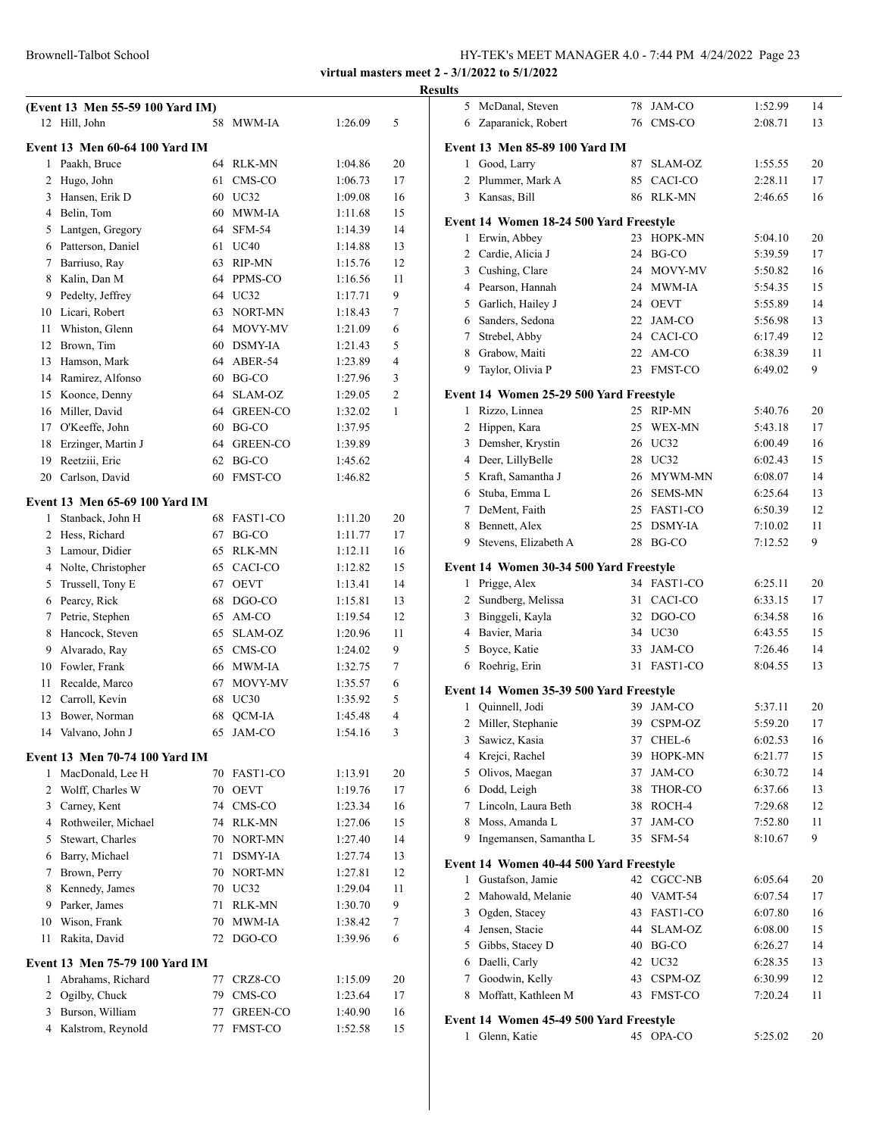**virtual masters meet 2 - 3/1/2022 to 5/1/2022**

#### **Results**

|    | (Event 13 Men 55-59 100 Yard IM)                    |    |                 |         |                |
|----|-----------------------------------------------------|----|-----------------|---------|----------------|
| 12 | Hill, John                                          | 58 | MWM-IA          | 1:26.09 | 5              |
|    | <b>Event 13 Men 60-64 100 Yard IM</b>               |    |                 |         |                |
| 1  | Paakh, Bruce                                        |    | 64 RLK-MN       | 1:04.86 | 20             |
| 2  | Hugo, John                                          | 61 | CMS-CO          | 1:06.73 | 17             |
| 3  | Hansen, Erik D                                      |    | 60 UC32         | 1:09.08 | 16             |
|    | 4 Belin, Tom                                        |    | 60 MWM-IA       | 1:11.68 | 15             |
| 5  | Lantgen, Gregory                                    | 64 | <b>SFM-54</b>   | 1:14.39 | 14             |
| 6  | Patterson, Daniel                                   | 61 | <b>UC40</b>     | 1:14.88 | 13             |
| 7  | Barriuso, Ray                                       | 63 | RIP-MN          | 1:15.76 | 12             |
| 8  | Kalin, Dan M                                        |    | 64 PPMS-CO      | 1:16.56 | 11             |
| 9  | Pedelty, Jeffrey                                    |    | 64 UC32         | 1:17.71 | 9              |
| 10 | Licari, Robert                                      | 63 | NORT-MN         | 1:18.43 | 7              |
| 11 | Whiston, Glenn                                      |    | 64 MOVY-MV      | 1:21.09 | 6              |
| 12 | Brown, Tim                                          |    | 60 DSMY-IA      | 1:21.43 | 5              |
| 13 | Hamson, Mark                                        |    | 64 ABER-54      | 1:23.89 | 4              |
|    | 14 Ramirez, Alfonso                                 |    | $60$ BG-CO      | 1:27.96 | 3              |
|    | 15 Koonce, Denny                                    |    | 64 SLAM-OZ      | 1:29.05 | 2              |
|    | 16 Miller, David                                    |    | 64 GREEN-CO     | 1:32.02 | 1              |
| 17 | O'Keeffe, John                                      |    | 60 BG-CO        | 1:37.95 |                |
| 18 | Erzinger, Martin J                                  | 64 | <b>GREEN-CO</b> | 1:39.89 |                |
| 19 | Reetziii, Eric                                      | 62 | BG-CO           | 1:45.62 |                |
| 20 | Carlson, David                                      | 60 | <b>FMST-CO</b>  | 1:46.82 |                |
|    | <b>Event 13 Men 65-69 100 Yard IM</b>               |    |                 |         |                |
| 1  | Stanback, John H                                    | 68 | FAST1-CO        | 1:11.20 | 20             |
| 2  | Hess, Richard                                       | 67 | BG-CO           | 1:11.77 | 17             |
| 3  | Lamour, Didier                                      | 65 | RLK-MN          | 1:12.11 | 16             |
|    | 4 Nolte, Christopher                                |    | 65 CACI-CO      | 1:12.82 | 15             |
| 5  | Trussell, Tony E                                    | 67 | <b>OEVT</b>     | 1:13.41 | 14             |
| 6  | Pearcy, Rick                                        | 68 | DGO-CO          | 1:15.81 | 13             |
| 7  | Petrie, Stephen                                     | 65 | AM-CO           | 1:19.54 | 12             |
| 8  | Hancock, Steven                                     | 65 | SLAM-OZ         | 1:20.96 | 11             |
| 9  | Alvarado, Ray                                       | 65 | CMS-CO          | 1:24.02 | 9              |
| 10 | Fowler, Frank                                       |    | 66 MWM-IA       | 1:32.75 | 7              |
| 11 | Recalde, Marco                                      | 67 | MOVY-MV         | 1:35.57 | 6              |
| 12 | Carroll, Kevin                                      | 68 | UC30            | 1:35.92 | 5              |
| 13 | Bower, Norman                                       | 68 | QCM-IA          | 1:45.48 | $\overline{4}$ |
| 14 | Valvano, John J                                     | 65 | JAM-CO          | 1:54.16 | 3              |
|    | Event 13 Men 70-74 100 Yard IM                      |    |                 |         |                |
| 1  | MacDonald, Lee H                                    |    | 70 FAST1-CO     | 1:13.91 | 20             |
| 2  | Wolff, Charles W                                    |    | 70 OEVT         | 1:19.76 | 17             |
| 3  | Carney, Kent                                        |    | 74 CMS-CO       | 1:23.34 | 16             |
| 4  | Rothweiler, Michael                                 |    | 74 RLK-MN       | 1:27.06 | 15             |
| 5  | Stewart, Charles                                    |    | 70 NORT-MN      | 1:27.40 | 14             |
| 6  | Barry, Michael                                      |    | 71 DSMY-IA      | 1:27.74 | 13             |
| 7  | Brown, Perry                                        |    | 70 NORT-MN      | 1:27.81 | 12             |
| 8  | Kennedy, James                                      |    | 70 UC32         | 1:29.04 | 11             |
| 9  | Parker, James                                       | 71 | <b>RLK-MN</b>   | 1:30.70 | 9              |
| 10 | Wison, Frank                                        | 70 | MWM-IA          | 1:38.42 | 7              |
| 11 | Rakita, David                                       | 72 | DGO-CO          | 1:39.96 | 6              |
|    |                                                     |    |                 |         |                |
| 1  | Event 13 Men 75-79 100 Yard IM<br>Abrahams, Richard | 77 | CRZ8-CO         | 1:15.09 | 20             |
| 2  | Ogilby, Chuck                                       | 79 | CMS-CO          | 1:23.64 | 17             |
| 3  | Burson, William                                     | 77 | GREEN-CO        | 1:40.90 | 16             |
|    | 4 Kalstrom, Reynold                                 | 77 | <b>FMST-CO</b>  | 1:52.58 | 15             |
|    |                                                     |    |                 |         |                |

| $\cdots$     |                                         |    |                |         |    |
|--------------|-----------------------------------------|----|----------------|---------|----|
| 5            | McDanal, Steven                         | 78 | JAM-CO         | 1:52.99 | 14 |
| 6            | Zaparanick, Robert                      | 76 | CMS-CO         | 2:08.71 | 13 |
|              | Event 13 Men 85-89 100 Yard IM          |    |                |         |    |
| 1            | Good, Larry                             | 87 | SLAM-OZ        | 1:55.55 | 20 |
| 2            | Plummer, Mark A                         |    | 85 CACI-CO     | 2:28.11 | 17 |
| 3            | Kansas, Bill                            |    | 86 RLK-MN      | 2:46.65 | 16 |
|              |                                         |    |                |         |    |
|              | Event 14 Women 18-24 500 Yard Freestyle |    |                |         |    |
| 1            | Erwin, Abbey                            | 23 | HOPK-MN        | 5:04.10 | 20 |
|              | 2 Cardie, Alicia J                      |    | 24 BG-CO       | 5:39.59 | 17 |
| $\mathbf{3}$ | Cushing, Clare                          |    | 24 MOVY-MV     | 5:50.82 | 16 |
|              | 4 Pearson, Hannah                       |    | 24 MWM-IA      | 5:54.35 | 15 |
|              | 5 Garlich, Hailey J                     |    | 24 OEVT        | 5:55.89 | 14 |
|              | 6 Sanders, Sedona                       |    | 22 JAM-CO      | 5:56.98 | 13 |
|              | 7 Strebel, Abby                         |    | 24 CACI-CO     | 6:17.49 | 12 |
| 8            | Grabow, Maiti                           |    | 22 AM-CO       | 6:38.39 | 11 |
| 9            | Taylor, Olivia P                        | 23 | <b>FMST-CO</b> | 6:49.02 | 9  |
|              | Event 14 Women 25-29 500 Yard Freestyle |    |                |         |    |
| 1            | Rizzo, Linnea                           |    | 25 RIP-MN      | 5:40.76 | 20 |
| 2            | Hippen, Kara                            |    | 25 WEX-MN      | 5:43.18 | 17 |
| 3            | Demsher, Krystin                        |    | 26 UC32        | 6:00.49 | 16 |
| 4            | Deer, LillyBelle                        |    | 28 UC32        | 6:02.43 | 15 |
|              | 5 Kraft, Samantha J                     |    | 26 MYWM-MN     | 6:08.07 | 14 |
|              | 6 Stuba, Emma L                         | 26 | <b>SEMS-MN</b> | 6:25.64 | 13 |
|              | 7 DeMent, Faith                         |    | 25 FAST1-CO    | 6:50.39 | 12 |
| 8            | Bennett, Alex                           |    | 25 DSMY-IA     | 7:10.02 | 11 |
| 9            | Stevens, Elizabeth A                    |    | 28 BG-CO       | 7:12.52 | 9  |
|              | Event 14 Women 30-34 500 Yard Freestyle |    |                |         |    |
| 1            | Prigge, Alex                            |    | 34 FAST1-CO    | 6:25.11 | 20 |
| 2            | Sundberg, Melissa                       | 31 | CACI-CO        | 6:33.15 | 17 |
|              | 3 Binggeli, Kayla                       |    | 32 DGO-CO      | 6:34.58 | 16 |
| 4            | Bavier, Maria                           |    | 34 UC30        | 6:43.55 | 15 |
| 5            | Boyce, Katie                            |    | 33 JAM-CO      | 7:26.46 | 14 |
| 6            | Roehrig, Erin                           | 31 | FAST1-CO       | 8:04.55 | 13 |
|              |                                         |    |                |         |    |
|              | Event 14 Women 35-39 500 Yard Freestyle |    |                |         |    |
| 1            | Quinnell, Jodi                          | 39 | JAM-CO         | 5:37.11 | 20 |
| 2            | Miller, Stephanie                       |    | 39 CSPM-OZ     | 5:59.20 | 17 |
| 3            | Sawicz, Kasia                           | 37 | CHEL-6         | 6:02.53 | 16 |
| 4            | Krejci, Rachel                          | 39 | HOPK-MN        | 6:21.77 | 15 |
| 5            | Olivos, Maegan                          | 37 | JAM-CO         | 6:30.72 | 14 |
| 6            | Dodd, Leigh                             |    | 38 THOR-CO     | 6:37.66 | 13 |
|              | 7 Lincoln, Laura Beth                   | 38 | ROCH-4         | 7:29.68 | 12 |
| 8            | Moss, Amanda L                          | 37 | JAM-CO         | 7:52.80 | 11 |
| 9            | Ingemansen, Samantha L                  | 35 | <b>SFM-54</b>  | 8:10.67 | 9  |
|              | Event 14 Women 40-44 500 Yard Freestyle |    |                |         |    |
| 1            | Gustafson, Jamie                        | 42 | CGCC-NB        | 6:05.64 | 20 |
| 2            | Mahowald, Melanie                       |    | 40 VAMT-54     | 6:07.54 | 17 |
| 3            | Ogden, Stacey                           | 43 | FAST1-CO       | 6:07.80 | 16 |
| 4            | Jensen, Stacie                          | 44 | SLAM-OZ        | 6:08.00 | 15 |
| 5            | Gibbs, Stacey D                         |    | 40 BG-CO       | 6:26.27 | 14 |
| 6            | Daelli, Carly                           |    | 42 UC32        | 6:28.35 | 13 |
| 7            | Goodwin, Kelly                          |    | 43 CSPM-OZ     | 6:30.99 | 12 |
| 8            | Moffatt, Kathleen M                     | 43 | FMST-CO        | 7:20.24 | 11 |
|              |                                         |    |                |         |    |
|              | Event 14 Women 45-49 500 Yard Freestyle |    |                |         |    |
| 1            | Glenn, Katie                            | 45 | OPA-CO         | 5:25.02 | 20 |
|              |                                         |    |                |         |    |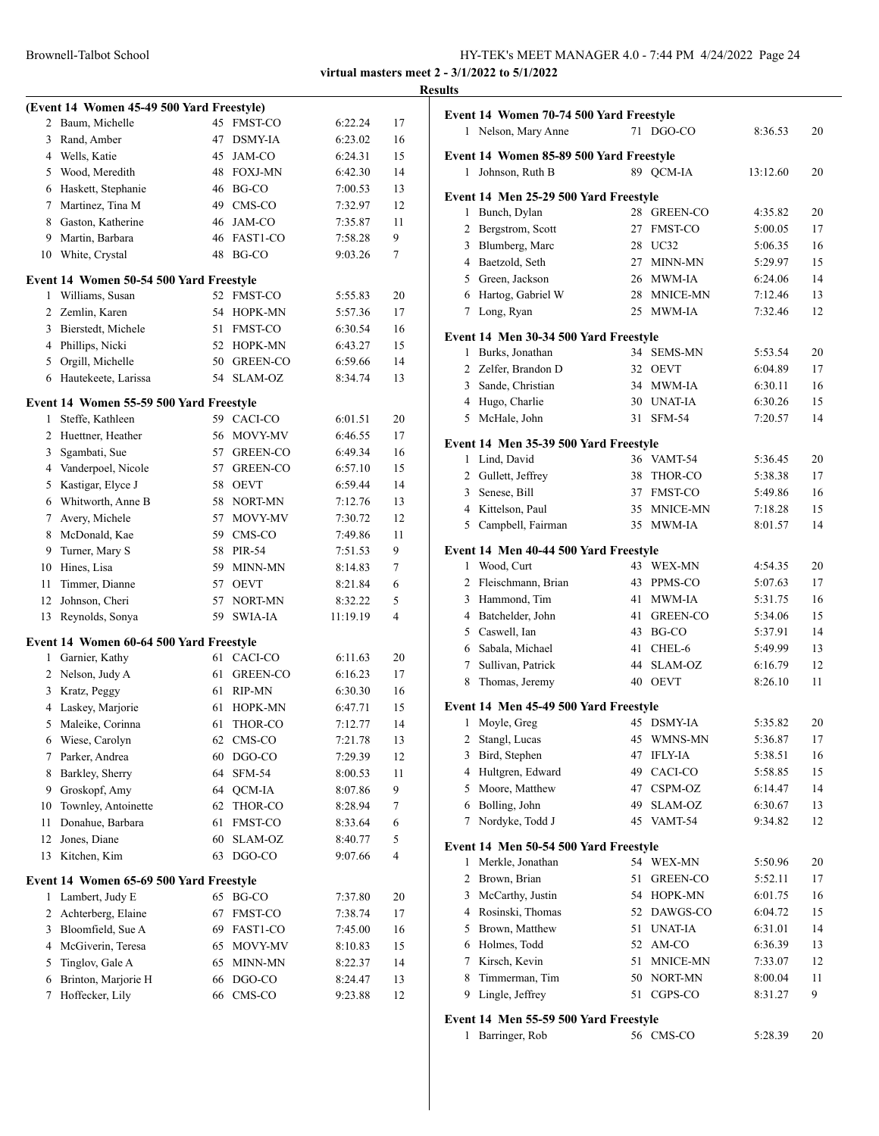Brownell-Talbot School

| HY-TEK's MEET MANAGER 4.0 - 7:44 PM 4/24/2022 Page 24 |
|-------------------------------------------------------|
|-------------------------------------------------------|

|    |                                           |    |                 |          |    | <b>Results</b> |
|----|-------------------------------------------|----|-----------------|----------|----|----------------|
|    | (Event 14 Women 45-49 500 Yard Freestyle) |    |                 |          |    | Eve            |
|    | 2 Baum, Michelle                          |    | 45 FMST-CO      | 6:22.24  | 17 |                |
| 3  | Rand, Amber                               | 47 | DSMY-IA         | 6:23.02  | 16 |                |
|    | 4 Wells, Katie                            | 45 | JAM-CO          | 6:24.31  | 15 | Ev             |
|    | 5 Wood, Meredith                          |    | 48 FOXJ-MN      | 6:42.30  | 14 |                |
|    | 6 Haskett, Stephanie                      |    | 46 BG-CO        | 7:00.53  | 13 | Eve            |
| 7  | Martinez, Tina M                          |    | 49 CMS-CO       | 7:32.97  | 12 |                |
| 8  | Gaston, Katherine                         | 46 | JAM-CO          | 7:35.87  | 11 |                |
| 9  | Martin, Barbara                           |    | 46 FAST1-CO     | 7:58.28  | 9  |                |
| 10 | White, Crystal                            |    | 48 BG-CO        | 9:03.26  | 7  |                |
|    | Event 14 Women 50-54 500 Yard Freestyle   |    |                 |          |    |                |
| 1  | Williams, Susan                           |    | 52 FMST-CO      | 5:55.83  | 20 |                |
|    | 2 Zemlin, Karen                           |    | 54 HOPK-MN      | 5:57.36  | 17 |                |
|    | 3 Bierstedt, Michele                      | 51 | <b>FMST-CO</b>  | 6:30.54  | 16 | Ev             |
|    | 4 Phillips, Nicki                         |    | 52 HOPK-MN      | 6:43.27  | 15 |                |
| 5  | Orgill, Michelle                          |    | 50 GREEN-CO     | 6:59.66  | 14 |                |
| 6  | Hautekeete, Larissa                       |    | 54 SLAM-OZ      | 8:34.74  | 13 |                |
|    | Event 14 Women 55-59 500 Yard Freestyle   |    |                 |          |    |                |
| 1  | Steffe, Kathleen                          |    | 59 CACI-CO      | 6:01.51  | 20 |                |
| 2  | Huettner, Heather                         |    | 56 MOVY-MV      | 6:46.55  | 17 |                |
| 3  | Sgambati, Sue                             | 57 | <b>GREEN-CO</b> | 6:49.34  | 16 | Ev             |
|    | 4 Vanderpoel, Nicole                      | 57 | <b>GREEN-CO</b> | 6:57.10  | 15 |                |
|    | 5 Kastigar, Elyce J                       |    | 58 OEVT         | 6:59.44  | 14 |                |
|    | 6 Whitworth, Anne B                       |    | 58 NORT-MN      | 7:12.76  | 13 |                |
| 7  | Avery, Michele                            | 57 | MOVY-MV         | 7:30.72  | 12 |                |
| 8  | McDonald, Kae                             | 59 | CMS-CO          | 7:49.86  | 11 |                |
| 9  | Turner, Mary S                            |    | 58 PIR-54       | 7:51.53  | 9  | Ev             |
| 10 | Hines, Lisa                               | 59 | MINN-MN         | 8:14.83  | 7  |                |
| 11 | Timmer, Dianne                            |    | 57 OEVT         | 8:21.84  | 6  |                |
| 12 | Johnson, Cheri                            | 57 | NORT-MN         | 8:32.22  | 5  |                |
| 13 | Reynolds, Sonya                           | 59 | SWIA-IA         | 11:19.19 | 4  |                |
|    | Event 14 Women 60-64 500 Yard Freestyle   |    |                 |          |    |                |
|    | 1 Garnier, Kathy                          |    | 61 CACI-CO      | 6:11.63  | 20 |                |
| 2  | Nelson, Judy A                            | 61 | <b>GREEN-CO</b> | 6:16.23  | 17 |                |
| 3  | Kratz, Peggy                              | 61 | RIP-MN          | 6:30.30  | 16 |                |
| 4  | Laskey, Marjorie                          | 61 | HOPK-MN         | 6:47.71  | 15 | Ev             |
|    | 5 Maleike, Corinna                        | 61 | THOR-CO         | 7:12.77  | 14 |                |
| 6  | Wiese, Carolyn                            | 62 | CMS-CO          | 7:21.78  | 13 |                |
| 7  | Parker, Andrea                            | 60 | DGO-CO          | 7:29.39  | 12 |                |
| 8  | Barkley, Sherry                           | 64 | SFM-54          | 8:00.53  | 11 |                |
| 9  | Groskopf, Amy                             | 64 | QCM-IA          | 8:07.86  | 9  |                |
| 10 | Townley, Antoinette                       | 62 | THOR-CO         | 8:28.94  | 7  |                |
| 11 | Donahue, Barbara                          | 61 | FMST-CO         | 8:33.64  | 6  |                |
| 12 | Jones, Diane                              | 60 | SLAM-OZ         | 8:40.77  | 5  |                |
| 13 | Kitchen, Kim                              | 63 | DGO-CO          | 9:07.66  | 4  | Ev             |
|    | Event 14 Women 65-69 500 Yard Freestyle   |    |                 |          |    |                |
| 1  | Lambert, Judy E                           | 65 | BG-CO           | 7:37.80  | 20 |                |
| 2  | Achterberg, Elaine                        | 67 | FMST-CO         | 7:38.74  | 17 |                |
| 3  | Bloomfield, Sue A                         | 69 | FAST1-CO        | 7:45.00  | 16 |                |
| 4  | McGiverin, Teresa                         | 65 | MOVY-MV         | 8:10.83  | 15 |                |
| 5  | Tinglov, Gale A                           | 65 | MINN-MN         | 8:22.37  | 14 |                |
| 6  | Brinton, Marjorie H                       | 66 | DGO-CO          | 8:24.47  | 13 |                |
| 7  | Hoffecker, Lily                           | 66 | CMS-CO          | 9:23.88  | 12 |                |
|    |                                           |    |                 |          |    |                |

|   | Event 14 Women 70-74 500 Yard Freestyle |    |                 |          |    |
|---|-----------------------------------------|----|-----------------|----------|----|
|   | 1 Nelson, Mary Anne                     | 71 | DGO-CO          | 8:36.53  | 20 |
|   | Event 14 Women 85-89 500 Yard Freestyle |    |                 |          |    |
| 1 | Johnson, Ruth B                         |    | 89 QCM-IA       | 13:12.60 | 20 |
|   | Event 14 Men 25-29 500 Yard Freestyle   |    |                 |          |    |
| 1 | Bunch, Dylan                            | 28 | <b>GREEN-CO</b> | 4:35.82  | 20 |
| 2 | Bergstrom, Scott                        | 27 | <b>FMST-CO</b>  | 5:00.05  | 17 |
| 3 | Blumberg, Marc                          | 28 | UC32            | 5:06.35  | 16 |
|   | 4 Baetzold, Seth                        | 27 | MINN-MN         | 5:29.97  | 15 |
|   | 5 Green, Jackson                        | 26 | MWM-IA          | 6:24.06  | 14 |
|   | 6 Hartog, Gabriel W                     | 28 | MNICE-MN        | 7:12.46  | 13 |
|   | 7 Long, Ryan                            | 25 | MWM-IA          | 7:32.46  | 12 |
|   | Event 14 Men 30-34 500 Yard Freestyle   |    |                 |          |    |
| 1 | Burks, Jonathan                         | 34 | <b>SEMS-MN</b>  | 5:53.54  | 20 |
|   | 2 Zelfer, Brandon D                     |    | 32 OEVT         | 6:04.89  | 17 |
|   | 3 Sande, Christian                      |    | 34 MWM-IA       | 6:30.11  | 16 |
|   | 4 Hugo, Charlie                         |    | 30 UNAT-IA      | 6:30.26  | 15 |
|   | 5 McHale, John                          | 31 | <b>SFM-54</b>   | 7:20.57  | 14 |
|   | Event 14 Men 35-39 500 Yard Freestyle   |    |                 |          |    |
| 1 | Lind, David                             |    | 36 VAMT-54      | 5:36.45  | 20 |
|   | 2 Gullett, Jeffrey                      | 38 | THOR-CO         | 5:38.38  | 17 |
|   | 3 Senese, Bill                          | 37 | <b>FMST-CO</b>  | 5:49.86  | 16 |
|   | 4 Kittelson, Paul                       | 35 | MNICE-MN        | 7:18.28  | 15 |
|   | 5 Campbell, Fairman                     |    | 35 MWM-IA       | 8:01.57  | 14 |
|   | Event 14 Men 40-44 500 Yard Freestyle   |    |                 |          |    |
|   | 1 Wood, Curt                            |    | 43 WEX-MN       | 4:54.35  | 20 |
|   | 2 Fleischmann, Brian                    | 43 | PPMS-CO         | 5:07.63  | 17 |
| 3 | Hammond, Tim                            | 41 | <b>MWM-IA</b>   | 5:31.75  | 16 |
|   | 4 Batchelder, John                      | 41 | <b>GREEN-CO</b> | 5:34.06  | 15 |
|   | 5 Caswell, Ian                          | 43 | BG-CO           | 5:37.91  | 14 |
|   | 6 Sabala, Michael                       | 41 | CHEL-6          | 5:49.99  | 13 |
|   | 7 Sullivan, Patrick                     | 44 | SLAM-OZ         | 6:16.79  | 12 |
| 8 | Thomas, Jeremy                          | 40 | <b>OEVT</b>     | 8:26.10  | 11 |
|   | Event 14 Men 45-49 500 Yard Freestyle   |    |                 |          |    |
| 1 | Moyle, Greg                             |    | 45 DSMY-IA      | 5:35.82  | 20 |
| 2 | Stangl, Lucas                           | 45 | WMNS-MN         | 5:36.87  | 17 |
| 3 | Bird, Stephen                           | 47 | <b>IFLY-IA</b>  | 5:38.51  | 16 |
| 4 | Hultgren, Edward                        | 49 | CACI-CO         | 5:58.85  | 15 |
| 5 | Moore, Matthew                          | 47 | CSPM-OZ         | 6:14.47  | 14 |
| 6 | Bolling, John                           | 49 | SLAM-OZ         | 6:30.67  | 13 |
| 7 | Nordyke, Todd J                         | 45 | VAMT-54         | 9:34.82  | 12 |
|   | Event 14 Men 50-54 500 Yard Freestyle   |    |                 |          |    |
| 1 | Merkle, Jonathan                        | 54 | <b>WEX-MN</b>   | 5:50.96  | 20 |
| 2 | Brown, Brian                            | 51 | GREEN-CO        | 5:52.11  | 17 |
| 3 | McCarthy, Justin                        | 54 | HOPK-MN         | 6:01.75  | 16 |
| 4 | Rosinski, Thomas                        | 52 | DAWGS-CO        | 6:04.72  | 15 |
| 5 | Brown, Matthew                          | 51 | <b>UNAT-IA</b>  | 6:31.01  | 14 |
|   | 6 Holmes, Todd                          | 52 | AM-CO           | 6:36.39  | 13 |
| 7 | Kirsch, Kevin                           | 51 | MNICE-MN        | 7:33.07  | 12 |
| 8 | Timmerman, Tim                          | 50 | NORT-MN         | 8:00.04  | 11 |
| 9 | Lingle, Jeffrey                         | 51 | CGPS-CO         | 8:31.27  | 9  |
|   | Event 14 Men 55-59 500 Yard Freestyle   |    |                 |          |    |
| 1 | Barringer, Rob                          |    | 56 CMS-CO       | 5:28.39  | 20 |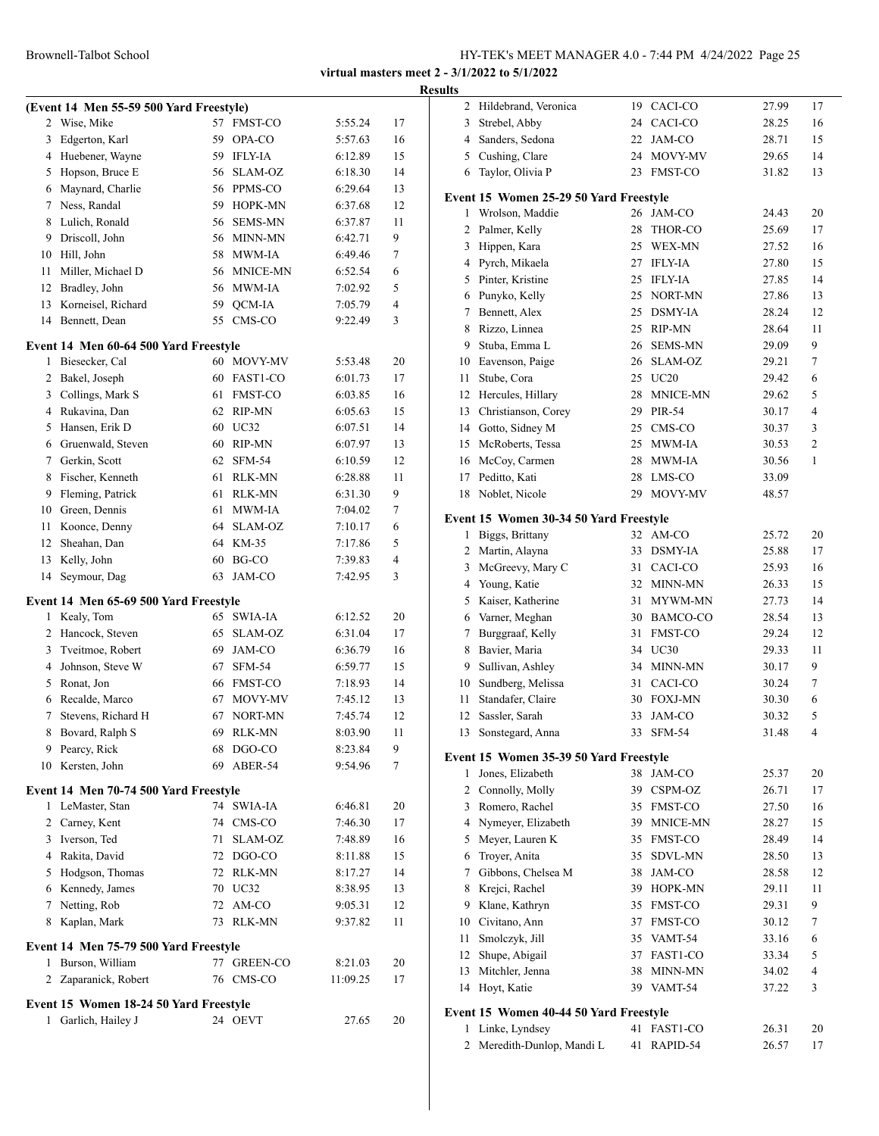|              |                                         |     |                 |          | R  |
|--------------|-----------------------------------------|-----|-----------------|----------|----|
|              | (Event 14 Men 55-59 500 Yard Freestyle) |     |                 |          |    |
| 2            | Wise, Mike                              | 57  | <b>FMST-CO</b>  | 5:55.24  | 17 |
| 3            | Edgerton, Karl                          | 59. | OPA-CO          | 5:57.63  | 16 |
|              | 4 Huebener, Wayne                       |     | 59 IFLY-IA      | 6:12.89  | 15 |
|              | 5 Hopson, Bruce E                       |     | 56 SLAM-OZ      | 6:18.30  | 14 |
|              | 6 Maynard, Charlie                      |     | 56 PPMS-CO      | 6:29.64  | 13 |
|              | 7 Ness, Randal                          |     | 59 HOPK-MN      | 6:37.68  | 12 |
|              | 8 Lulich, Ronald                        |     | 56 SEMS-MN      | 6:37.87  | 11 |
| 9            | Driscoll, John                          |     | 56 MINN-MN      | 6:42.71  | 9  |
|              | 10 Hill, John                           |     | 58 MWM-IA       | 6:49.46  | 7  |
| 11           | Miller, Michael D                       |     | 56 MNICE-MN     | 6:52.54  | 6  |
|              | 12 Bradley, John                        |     | 56 MWM-IA       | 7:02.92  | 5  |
|              | 13 Korneisel, Richard                   |     | 59 QCM-IA       | 7:05.79  | 4  |
|              | 14 Bennett, Dean                        | 55  | CMS-CO          | 9:22.49  | 3  |
|              | Event 14 Men 60-64 500 Yard Freestyle   |     |                 |          |    |
| 1            | Biesecker, Cal                          |     | 60 MOVY-MV      | 5:53.48  | 20 |
| 2            | Bakel, Joseph                           |     | 60 FAST1-CO     | 6:01.73  | 17 |
|              | 3 Collings, Mark S                      |     | 61 FMST-CO      | 6:03.85  | 16 |
|              | 4 Rukavina, Dan                         |     | 62 RIP-MN       | 6:05.63  | 15 |
|              | 5 Hansen, Erik D                        |     | 60 UC32         | 6:07.51  | 14 |
|              | 6 Gruenwald, Steven                     |     | 60 RIP-MN       | 6:07.97  | 13 |
|              | 7 Gerkin, Scott                         |     | 62 SFM-54       | 6:10.59  | 12 |
|              | 8 Fischer, Kenneth                      |     | 61 RLK-MN       | 6:28.88  | 11 |
| 9            | Fleming, Patrick                        |     | 61 RLK-MN       | 6:31.30  | 9  |
|              | 10 Green, Dennis                        |     | 61 MWM-IA       | 7:04.02  | 7  |
| 11           | Koonce, Denny                           |     | 64 SLAM-OZ      | 7:10.17  | 6  |
|              | 12 Sheahan, Dan                         |     | 64 KM-35        | 7:17.86  | 5  |
| 13           | Kelly, John                             |     | $60$ BG-CO      | 7:39.83  | 4  |
| 14           | Seymour, Dag                            | 63  | JAM-CO          | 7:42.95  | 3  |
|              | Event 14 Men 65-69 500 Yard Freestyle   |     |                 |          |    |
| $\mathbf{1}$ | Kealy, Tom                              |     | 65 SWIA-IA      | 6:12.52  | 20 |
|              | 2 Hancock, Steven                       |     | 65 SLAM-OZ      | 6:31.04  | 17 |
|              | 3 Tveitmoe, Robert                      |     | 69 JAM-CO       | 6:36.79  | 16 |
|              | 4 Johnson, Steve W                      |     | 67 SFM-54       | 6:59.77  | 15 |
|              | 5 Ronat, Jon                            |     | 66 FMST-CO      | 7:18.93  | 14 |
| 6            | Recalde, Marco                          | 67  | MOVY-MV         | 7:45.12  | 13 |
| 7            | Stevens, Richard H                      | 67  | NORT-MN         | 7:45.74  | 12 |
| 8            | Bovard, Ralph S                         |     | 69 RLK-MN       | 8:03.90  | 11 |
| 9            | Pearcy, Rick                            | 68  | DGO-CO          | 8:23.84  | 9  |
| 10           | Kersten, John                           | 69  | ABER-54         | 9:54.96  | 7  |
|              | Event 14 Men 70-74 500 Yard Freestyle   |     |                 |          |    |
|              | 1 LeMaster, Stan                        | 74  | SWIA-IA         | 6:46.81  | 20 |
|              | 2 Carney, Kent                          | 74  | CMS-CO          | 7:46.30  | 17 |
|              | 3 Iverson, Ted                          | 71  | SLAM-OZ         | 7:48.89  | 16 |
|              | 4 Rakita, David                         |     | 72 DGO-CO       | 8:11.88  | 15 |
|              | 5 Hodgson, Thomas                       |     | 72 RLK-MN       | 8:17.27  | 14 |
|              | 6 Kennedy, James                        | 70  | UC32            | 8:38.95  | 13 |
|              | 7 Netting, Rob                          | 72  | AM-CO           | 9:05.31  | 12 |
| 8            | Kaplan, Mark                            | 73  | <b>RLK-MN</b>   | 9:37.82  | 11 |
|              |                                         |     |                 |          |    |
|              | Event 14 Men 75-79 500 Yard Freestyle   |     |                 |          |    |
|              | 1 Burson, William                       | 77  | <b>GREEN-CO</b> | 8:21.03  | 20 |
|              | 2 Zaparanick, Robert                    | 76  | CMS-CO          | 11:09.25 | 17 |
|              | Event 15 Women 18-24 50 Yard Freestyle  |     |                 |          |    |
| 1            | Garlich, Hailey J                       |     | 24 OEVT         | 27.65    | 20 |
|              |                                         |     |                 |          |    |

| esults |                                                            |    |                  |       |                |
|--------|------------------------------------------------------------|----|------------------|-------|----------------|
|        | 2 Hildebrand, Veronica                                     |    | 19 CACI-CO       | 27.99 | 17             |
| 3      | Strebel, Abby                                              | 24 | CACI-CO          | 28.25 | 16             |
|        | 4 Sanders, Sedona                                          | 22 | JAM-CO           | 28.71 | 15             |
|        | 5 Cushing, Clare                                           |    | 24 MOVY-MV       | 29.65 | 14             |
| 6      | Taylor, Olivia P                                           | 23 | <b>FMST-CO</b>   | 31.82 | 13             |
|        | Event 15 Women 25-29 50 Yard Freestyle                     |    |                  |       |                |
| 1      | Wrolson, Maddie                                            | 26 | JAM-CO           | 24.43 | 20             |
| 2      | Palmer, Kelly                                              | 28 | THOR-CO          | 25.69 | 17             |
|        | 3 Hippen, Kara                                             | 25 | <b>WEX-MN</b>    | 27.52 | 16             |
|        | 4 Pyrch, Mikaela                                           | 27 | <b>IFLY-IA</b>   | 27.80 | 15             |
|        | 5 Pinter, Kristine                                         | 25 | <b>IFLY-IA</b>   | 27.85 | 14             |
|        | 6 Punyko, Kelly                                            | 25 | NORT-MN          | 27.86 | 13             |
|        | 7 Bennett, Alex                                            | 25 | <b>DSMY-IA</b>   | 28.24 | 12             |
|        | 8 Rizzo, Linnea                                            | 25 | <b>RIP-MN</b>    | 28.64 | 11             |
|        | 9 Stuba, Emma L                                            | 26 | <b>SEMS-MN</b>   | 29.09 | 9              |
|        | 10 Eavenson, Paige                                         |    | 26 SLAM-OZ       | 29.21 | 7              |
|        | 11 Stube, Cora                                             | 25 | U <sub>C20</sub> | 29.42 | 6              |
|        | 12 Hercules, Hillary                                       | 28 | <b>MNICE-MN</b>  | 29.62 | 5              |
|        | 13 Christianson, Corey                                     |    | 29 PIR-54        | 30.17 | 4              |
|        | 14 Gotto, Sidney M                                         |    | 25 CMS-CO        | 30.37 | 3              |
|        | 15 McRoberts, Tessa                                        | 25 | MWM-IA           | 30.53 | $\overline{2}$ |
|        | 16 McCoy, Carmen                                           | 28 | MWM-IA           | 30.56 | 1              |
|        | 17 Peditto, Kati                                           | 28 | LMS-CO           | 33.09 |                |
| 18     | Noblet, Nicole                                             | 29 | MOVY-MV          | 48.57 |                |
|        | Event 15 Women 30-34 50 Yard Freestyle                     |    |                  |       |                |
| 1      | Biggs, Brittany                                            |    | 32 AM-CO         | 25.72 | 20             |
|        | 2 Martin, Alayna                                           | 33 | <b>DSMY-IA</b>   | 25.88 | 17             |
|        | 3 McGreevy, Mary C                                         | 31 | CACI-CO          | 25.93 | 16             |
|        | 4 Young, Katie                                             | 32 | MINN-MN          | 26.33 | 15             |
|        | 5 Kaiser, Katherine                                        | 31 | MYWM-MN          | 27.73 | 14             |
|        | 6 Varner, Meghan                                           |    | 30 BAMCO-CO      | 28.54 | 13             |
|        | 7 Burggraaf, Kelly                                         | 31 | <b>FMST-CO</b>   | 29.24 | 12             |
| 8      | Bavier, Maria                                              |    | 34 UC30          | 29.33 | 11             |
|        | 9 Sullivan, Ashley                                         |    | 34 MINN-MN       | 30.17 | 9              |
|        | 10 Sundberg, Melissa                                       | 31 | CACI-CO          | 30.24 | 7              |
| 11     | Standafer, Claire                                          | 30 | <b>FOXJ-MN</b>   | 30.30 | 6              |
|        | 12 Sassler, Sarah                                          | 33 | JAM-CO           | 30.32 | 5              |
| 13     | Sonstegard, Anna                                           | 33 | <b>SFM-54</b>    | 31.48 | 4              |
|        | Event 15 Women 35-39 50 Yard Freestyle                     |    |                  |       |                |
| 1      | Jones, Elizabeth                                           | 38 | JAM-CO           | 25.37 | 20             |
|        | 2 Connolly, Molly                                          |    | 39 CSPM-OZ       | 26.71 | 17             |
|        | 3 Romero, Rachel                                           | 35 | <b>FMST-CO</b>   | 27.50 | 16             |
|        | 4 Nymeyer, Elizabeth                                       |    | 39 MNICE-MN      | 28.27 | 15             |
|        | 5 Meyer, Lauren K                                          | 35 | FMST-CO          | 28.49 | 14             |
|        | 6 Troyer, Anita                                            | 35 | SDVL-MN          | 28.50 | 13             |
| 7      | Gibbons, Chelsea M                                         | 38 | JAM-CO           | 28.58 | 12             |
| 8      | Krejci, Rachel                                             | 39 | HOPK-MN          | 29.11 | 11             |
| 9      | Klane, Kathryn                                             | 35 | FMST-CO          | 29.31 | 9              |
|        | 10 Civitano, Ann                                           | 37 | FMST-CO          | 30.12 | 7              |
| 11 -   | Smolczyk, Jill                                             | 35 | VAMT-54          | 33.16 | 6              |
|        | 12 Shupe, Abigail                                          | 37 | FAST1-CO         | 33.34 | 5              |
| 13     | Mitchler, Jenna                                            | 38 | MINN-MN          | 34.02 | 4              |
| 14     | Hoyt, Katie                                                | 39 | VAMT-54          | 37.22 | 3              |
|        |                                                            |    |                  |       |                |
|        | Event 15 Women 40-44 50 Yard Freestyle<br>1 Linke, Lyndsey | 41 | FAST1-CO         | 26.31 | 20             |
|        | 2 Meredith-Dunlop, Mandi L                                 |    |                  |       |                |
|        |                                                            | 41 | RAPID-54         | 26.57 | 17             |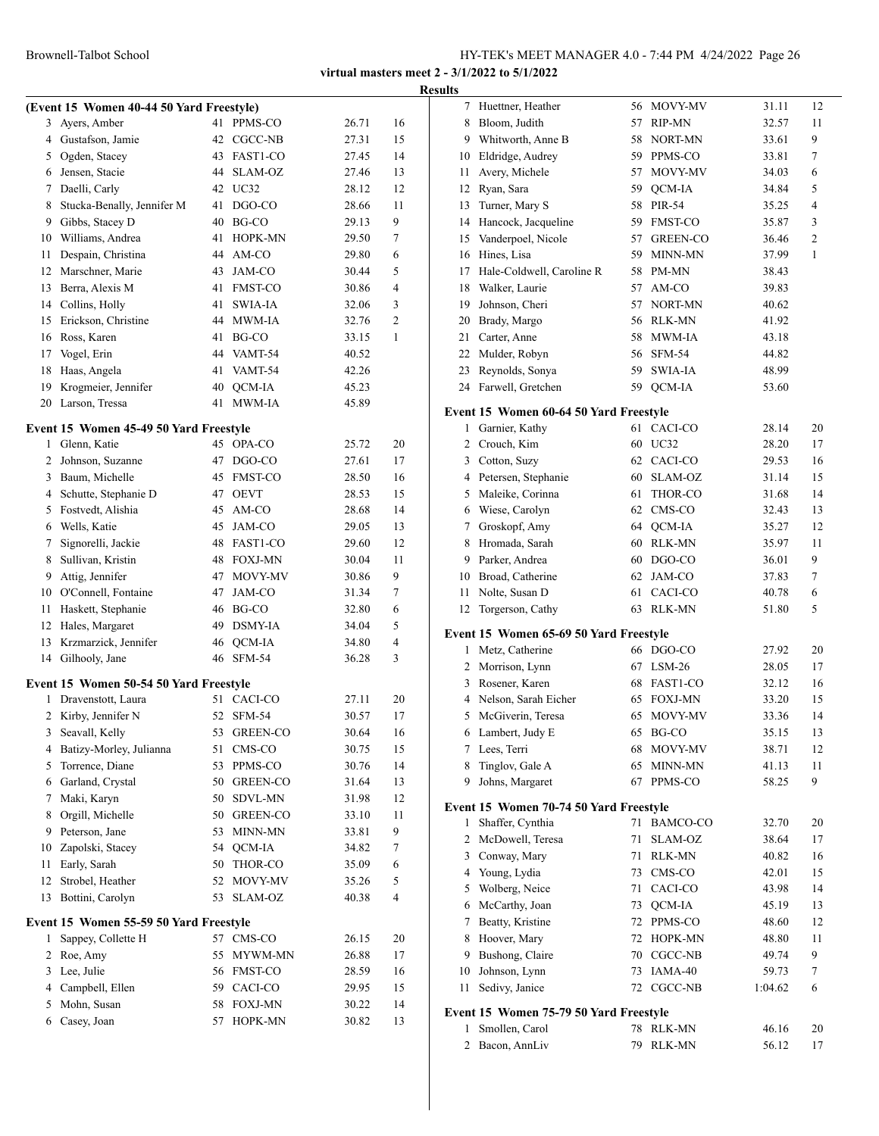|    |                                          |    |                 |       |                | <b>Results</b> |
|----|------------------------------------------|----|-----------------|-------|----------------|----------------|
|    | (Event 15 Women 40-44 50 Yard Freestyle) |    |                 |       |                |                |
|    | 3 Ayers, Amber                           | 41 | PPMS-CO         | 26.71 | 16             |                |
|    | 4 Gustafson, Jamie                       |    | 42 CGCC-NB      | 27.31 | 15             |                |
|    | 5 Ogden, Stacey                          |    | 43 FAST1-CO     | 27.45 | 14             | 1              |
|    | 6 Jensen, Stacie                         |    | 44 SLAM-OZ      | 27.46 | 13             | 1              |
|    | 7 Daelli, Carly                          |    | 42 UC32         | 28.12 | 12             | 1              |
| 8  | Stucka-Benally, Jennifer M               |    | 41 DGO-CO       | 28.66 | 11             | 1              |
|    | 9 Gibbs, Stacey D                        |    | 40 BG-CO        | 29.13 | 9              | 1              |
|    | 10 Williams, Andrea                      | 41 | <b>HOPK-MN</b>  | 29.50 | 7              | 1              |
| 11 | Despain, Christina                       |    | 44 AM-CO        | 29.80 | 6              | 1              |
| 12 | Marschner, Marie                         | 43 | JAM-CO          | 30.44 | 5              | 1              |
|    | 13 Berra, Alexis M                       |    | 41 FMST-CO      | 30.86 | 4              | 1              |
|    | 14 Collins, Holly                        | 41 | SWIA-IA         | 32.06 | 3              | 1              |
|    | 15 Erickson, Christine                   |    | 44 MWM-IA       | 32.76 | $\overline{c}$ | $\overline{c}$ |
|    | 16 Ross, Karen                           |    | 41 BG-CO        | 33.15 | 1              | $\overline{2}$ |
| 17 | Vogel, Erin                              |    | 44 VAMT-54      | 40.52 |                | 2              |
| 18 | Haas, Angela                             |    | 41 VAMT-54      | 42.26 |                | $\overline{c}$ |
| 19 | Krogmeier, Jennifer                      | 40 | QCM-IA          | 45.23 |                | $\overline{2}$ |
|    | 20 Larson, Tressa                        | 41 | MWM-IA          | 45.89 |                | Eve            |
|    | Event 15 Women 45-49 50 Yard Freestyle   |    |                 |       |                |                |
|    | 1 Glenn, Katie                           |    | 45 OPA-CO       | 25.72 | 20             |                |
|    | 2 Johnson, Suzanne                       | 47 | DGO-CO          | 27.61 | 17             |                |
|    | 3 Baum, Michelle                         |    | 45 FMST-CO      | 28.50 | 16             |                |
|    | 4 Schutte, Stephanie D                   |    | 47 OEVT         | 28.53 | 15             |                |
|    | 5 Fostvedt, Alishia                      |    | 45 AM-CO        | 28.68 | 14             |                |
|    | 6 Wells, Katie                           |    | 45 JAM-CO       | 29.05 | 13             |                |
|    | 7 Signorelli, Jackie                     |    | 48 FAST1-CO     | 29.60 | 12             |                |
|    | 8 Sullivan, Kristin                      |    | 48 FOXJ-MN      | 30.04 | 11             |                |
| 9  | Attig, Jennifer                          |    | 47 MOVY-MV      | 30.86 | 9              | 1              |
|    | 10 O'Connell, Fontaine                   |    | 47 JAM-CO       | 31.34 | 7              | 1              |
| 11 | Haskett, Stephanie                       |    | 46 BG-CO        | 32.80 | 6              | 1              |
| 12 | Hales, Margaret                          |    | 49 DSMY-IA      | 34.04 | 5              |                |
| 13 | Krzmarzick, Jennifer                     |    | 46 QCM-IA       | 34.80 | 4              | Eve            |
|    | 14 Gilhooly, Jane                        |    | 46 SFM-54       | 36.28 | 3              |                |
|    |                                          |    |                 |       |                |                |
|    | Event 15 Women 50-54 50 Yard Freestyle   |    |                 |       |                |                |
| 1  | Dravenstott, Laura                       |    | 51 CACI-CO      | 27.11 | 20             |                |
| 2  | Kirby, Jennifer N                        | 52 | $SFM-54$        | 30.57 | 17             |                |
| 3  | Seavall, Kelly                           | 53 | <b>GREEN-CO</b> | 30.64 | 16             |                |
| 4  | Batizy-Morley, Julianna                  | 51 | CMS-CO          | 30.75 | 15             |                |
| 5  | Torrence, Diane                          | 53 | PPMS-CO         | 30.76 | 14             |                |
| 6  | Garland, Crystal                         | 50 | GREEN-CO        | 31.64 | 13             |                |
| 7  | Maki, Karyn                              | 50 | SDVL-MN         | 31.98 | 12             | Eve            |
| 8  | Orgill, Michelle                         | 50 | <b>GREEN-CO</b> | 33.10 | 11             |                |
| 9  | Peterson, Jane                           | 53 | MINN-MN         | 33.81 | 9              |                |
| 10 | Zapolski, Stacey                         | 54 | QCM-IA          | 34.82 | 7              |                |
| 11 | Early, Sarah                             | 50 | THOR-CO         | 35.09 | 6              |                |
| 12 | Strobel, Heather                         | 52 | MOVY-MV         | 35.26 | 5              |                |
| 13 | Bottini, Carolyn                         | 53 | SLAM-OZ         | 40.38 | 4              |                |
|    | Event 15 Women 55-59 50 Yard Freestyle   |    |                 |       |                |                |
| 1  | Sappey, Collette H                       | 57 | CMS-CO          | 26.15 | 20             |                |
| 2  | Roe, Amy                                 | 55 | MYWM-MN         | 26.88 | 17             |                |
| 3  | Lee, Julie                               |    | 56 FMST-CO      | 28.59 | 16             | 1              |
| 4  | Campbell, Ellen                          | 59 | CACI-CO         | 29.95 | 15             | 1              |
| 5  | Mohn, Susan                              | 58 | <b>FOXJ-MN</b>  | 30.22 | 14             | Eve            |
| 6  | Casey, Joan                              | 57 | HOPK-MN         | 30.82 | 13             |                |
|    |                                          |    |                 |       |                |                |

| ΠЬ             |                                        |    |             |         |                |
|----------------|----------------------------------------|----|-------------|---------|----------------|
| 7              | Huettner, Heather                      |    | 56 MOVY-MV  | 31.11   | 12             |
| 8              | Bloom, Judith                          |    | 57 RIP-MN   | 32.57   | 11             |
| 9              | Whitworth, Anne B                      |    | 58 NORT-MN  | 33.61   | 9              |
| 10             | Eldridge, Audrey                       |    | 59 PPMS-CO  | 33.81   | 7              |
| 11             | Avery, Michele                         |    | 57 MOVY-MV  | 34.03   | 6              |
| 12             | Ryan, Sara                             | 59 | QCM-IA      | 34.84   | 5              |
| 13             | Turner, Mary S                         |    | 58 PIR-54   | 35.25   | 4              |
| 14             | Hancock, Jacqueline                    |    | 59 FMST-CO  | 35.87   | 3              |
| 15             | Vanderpoel, Nicole                     |    | 57 GREEN-CO | 36.46   | $\overline{c}$ |
| 16             | Hines, Lisa                            |    | 59 MINN-MN  | 37.99   | 1              |
| 17             | Hale-Coldwell, Caroline R              |    | 58 PM-MN    | 38.43   |                |
| 18             | Walker, Laurie                         |    | 57 AM-CO    | 39.83   |                |
| 19             | Johnson, Cheri                         |    | 57 NORT-MN  | 40.62   |                |
| 20             | Brady, Margo                           |    | 56 RLK-MN   | 41.92   |                |
| 21             | Carter, Anne                           |    | 58 MWM-IA   | 43.18   |                |
| 22             | Mulder, Robyn                          |    | 56 SFM-54   | 44.82   |                |
| 23             | Reynolds, Sonya                        |    | 59 SWIA-IA  | 48.99   |                |
|                | 24 Farwell, Gretchen                   | 59 | QCM-IA      | 53.60   |                |
|                |                                        |    |             |         |                |
|                | Event 15 Women 60-64 50 Yard Freestyle |    |             |         |                |
| 1              | Garnier, Kathy                         | 61 | CACI-CO     | 28.14   | 20             |
| $\overline{2}$ | Crouch, Kim                            |    | 60 UC32     | 28.20   | 17             |
| 3              | Cotton, Suzy                           |    | 62 CACI-CO  | 29.53   | 16             |
| 4              | Petersen, Stephanie                    |    | 60 SLAM-OZ  | 31.14   | 15             |
| 5              | Maleike, Corinna                       | 61 | THOR-CO     | 31.68   | 14             |
| 6              | Wiese, Carolyn                         |    | 62 CMS-CO   | 32.43   | 13             |
| 7              | Groskopf, Amy                          |    | 64 QCM-IA   | 35.27   | 12             |
| 8              | Hromada, Sarah                         |    | 60 RLK-MN   | 35.97   | 11             |
| 9              | Parker, Andrea                         |    | 60 DGO-CO   | 36.01   | 9              |
|                | 10 Broad, Catherine                    | 62 | JAM-CO      | 37.83   | 7              |
| 11             | Nolte, Susan D                         | 61 | CACI-CO     | 40.78   | 6              |
| 12             | Torgerson, Cathy                       | 63 | RLK-MN      | 51.80   | 5              |
|                |                                        |    |             |         |                |
|                | Event 15 Women 65-69 50 Yard Freestyle |    |             |         |                |
| 1              | Metz, Catherine                        |    | 66 DGO-CO   | 27.92   | 20             |
| $\overline{2}$ | Morrison, Lynn                         |    | 67 LSM-26   | 28.05   | 17             |
| 3              | Rosener, Karen                         |    | 68 FAST1-CO | 32.12   | 16             |
| 4              | Nelson, Sarah Eicher                   |    | 65 FOXJ-MN  | 33.20   | 15             |
| 5              | McGiverin, Teresa                      |    | 65 MOVY-MV  | 33.36   | 14             |
|                | 6 Lambert, Judy E                      |    | 65 BG-CO    | 35.15   | 13             |
| 7              | Lees, Terri                            | 68 | MOVY-MV     | 38.71   | 12             |
| 8              | Tinglov, Gale A                        | 65 | MINN-MN     | 41.13   | 11             |
| 9              | Johns, Margaret                        | 67 | PPMS-CO     | 58.25   | 9              |
|                | Event 15 Women 70-74 50 Yard Freestyle |    |             |         |                |
| 1              | Shaffer, Cynthia                       | 71 | BAMCO-CO    | 32.70   | 20             |
| 2              | McDowell, Teresa                       | 71 | SLAM-OZ     | 38.64   | 17             |
| 3              | Conway, Mary                           | 71 | RLK-MN      | 40.82   | 16             |
| 4              | Young, Lydia                           |    | 73 CMS-CO   | 42.01   | 15             |
| 5              | Wolberg, Neice                         | 71 | CACI-CO     | 43.98   | 14             |
| 6              | McCarthy, Joan                         | 73 | QCM-IA      | 45.19   | 13             |
| 7              | Beatty, Kristine                       | 72 | PPMS-CO     | 48.60   | 12             |
| 8              | Hoover, Mary                           | 72 | HOPK-MN     |         | 11             |
|                |                                        |    |             | 48.80   |                |
| 9              | Bushong, Claire                        | 70 | CGCC-NB     | 49.74   | 9              |
| 10             | Johnson, Lynn                          | 73 | IAMA-40     | 59.73   | 7              |
| 11             | Sedivy, Janice                         | 72 | CGCC-NB     | 1:04.62 | 6              |
|                | Event 15 Women 75-79 50 Yard Freestyle |    |             |         |                |
| 1              | Smollen, Carol                         | 78 | RLK-MN      | 46.16   | 20             |
| 2              | Bacon, AnnLiv                          | 79 | RLK-MN      | 56.12   | 17             |
|                |                                        |    |             |         |                |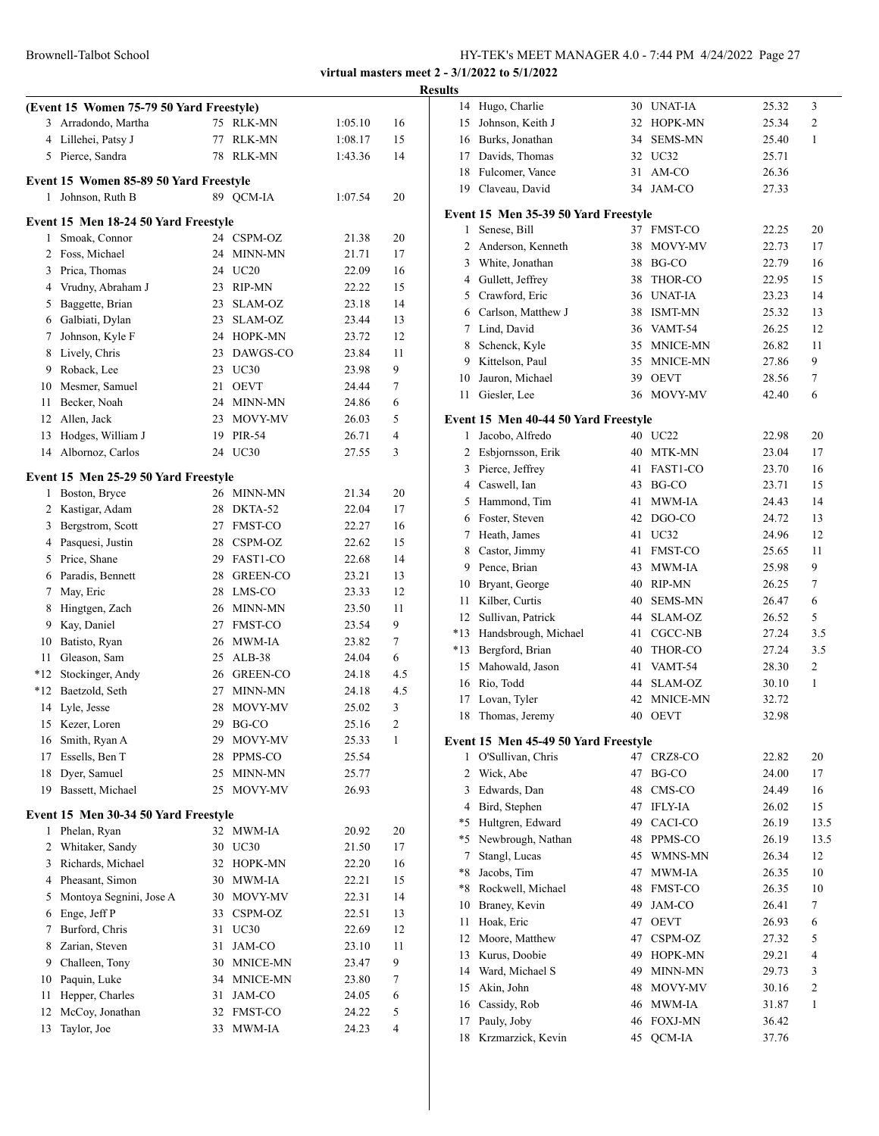|                |                                          |    |             |         |              | <b>Results</b> |
|----------------|------------------------------------------|----|-------------|---------|--------------|----------------|
|                | (Event 15 Women 75-79 50 Yard Freestyle) |    |             |         |              |                |
|                | 3 Arradondo, Martha                      | 75 | RLK-MN      | 1:05.10 | 16           |                |
|                | 4 Lillehei, Patsy J                      |    | 77 RLK-MN   | 1:08.17 | 15           |                |
|                | 5 Pierce, Sandra                         |    | 78 RLK-MN   | 1:43.36 | 14           |                |
|                | Event 15 Women 85-89 50 Yard Freestyle   |    |             |         |              |                |
| 1              | Johnson, Ruth B                          |    | 89 QCM-IA   | 1:07.54 | 20           |                |
|                |                                          |    |             |         |              | Eve            |
|                | Event 15 Men 18-24 50 Yard Freestyle     |    |             |         |              |                |
|                | 1 Smoak, Connor                          |    | 24 CSPM-OZ  | 21.38   | 20           |                |
|                | 2 Foss, Michael                          |    | 24 MINN-MN  | 21.71   | 17           |                |
|                | 3 Prica, Thomas                          |    | 24 UC20     | 22.09   | 16           |                |
|                | 4 Vrudny, Abraham J                      |    | 23 RIP-MN   | 22.22   | 15           |                |
| 5              | Baggette, Brian                          | 23 | SLAM-OZ     | 23.18   | 14           |                |
|                | 6 Galbiati, Dylan                        | 23 | SLAM-OZ     | 23.44   | 13           |                |
| 7              | Johnson, Kyle F                          |    | 24 HOPK-MN  | 23.72   | 12           |                |
|                | 8 Lively, Chris                          |    | 23 DAWGS-CO | 23.84   | 11           |                |
|                | 9 Roback, Lee<br>10 Mesmer, Samuel       |    | 23 UC30     | 23.98   | 9            |                |
|                |                                          | 21 | <b>OEVT</b> | 24.44   | 7            |                |
| 11             | Becker, Noah                             |    | 24 MINN-MN  | 24.86   | 6            |                |
|                | 12 Allen, Jack                           |    | 23 MOVY-MV  | 26.03   | 5            | Ev             |
|                | 13 Hodges, William J                     |    | 19 PIR-54   | 26.71   | 4            |                |
|                | 14 Albornoz, Carlos                      |    | 24 UC30     | 27.55   | 3            |                |
|                | Event 15 Men 25-29 50 Yard Freestyle     |    |             |         |              |                |
|                | 1 Boston, Bryce                          |    | 26 MINN-MN  | 21.34   | 20           |                |
|                | 2 Kastigar, Adam                         |    | 28 DKTA-52  | 22.04   | 17           |                |
|                | 3 Bergstrom, Scott                       |    | 27 FMST-CO  | 22.27   | 16           |                |
|                | 4 Pasquesi, Justin                       |    | 28 CSPM-OZ  | 22.62   | 15           |                |
|                | 5 Price, Shane                           |    | 29 FAST1-CO | 22.68   | 14           |                |
|                | 6 Paradis, Bennett                       |    | 28 GREEN-CO | 23.21   | 13           |                |
| 7              | May, Eric                                |    | 28 LMS-CO   | 23.33   | 12           |                |
| 8              | Hingtgen, Zach                           |    | 26 MINN-MN  | 23.50   | 11           |                |
|                | 9 Kay, Daniel                            |    | 27 FMST-CO  | 23.54   | 9            | *.             |
|                | 10 Batisto, Ryan                         |    | 26 MWM-IA   | 23.82   | 7            | $\ast$ .       |
|                | 11 Gleason, Sam                          |    | 25 ALB-38   | 24.04   | 6            |                |
|                | *12 Stockinger, Andy                     |    | 26 GREEN-CO | 24.18   | 4.5          |                |
|                | *12 Baetzold, Seth                       | 27 | MINN-MN     | 24.18   | 4.5          |                |
|                | 14 Lyle, Jesse                           |    | 28 MOVY-MV  | 25.02   | 3            |                |
|                | 15 Kezer, Loren                          |    | 29 BG-CO    | 25.16   | $\mathbf{2}$ |                |
|                | 16 Smith, Ryan A                         | 29 | MOVY-MV     | 25.33   | 1            | Eve            |
| 17             | Essells, Ben T                           | 28 | PPMS-CO     | 25.54   |              |                |
| 18             | Dyer, Samuel                             | 25 | MINN-MN     | 25.77   |              |                |
| 19             | Bassett, Michael                         | 25 | MOVY-MV     | 26.93   |              |                |
|                | Event 15 Men 30-34 50 Yard Freestyle     |    |             |         |              |                |
|                | 1 Phelan, Ryan                           |    | 32 MWM-IA   | 20.92   | 20           |                |
| $\overline{2}$ | Whitaker, Sandy                          |    | 30 UC30     | 21.50   | 17           |                |
| 3              | Richards, Michael                        |    | 32 HOPK-MN  | 22.20   | 16           |                |
| 4              | Pheasant, Simon                          | 30 | MWM-IA      | 22.21   | 15           |                |
| 5              | Montoya Segnini, Jose A                  | 30 | MOVY-MV     | 22.31   | 14           |                |
| 6              | Enge, Jeff P                             | 33 | CSPM-OZ     | 22.51   | 13           |                |
| 7              | Burford, Chris                           | 31 | UC30        | 22.69   | 12           |                |
| 8              | Zarian, Steven                           | 31 | JAM-CO      | 23.10   | 11           |                |
| 9              | Challeen, Tony                           | 30 | MNICE-MN    | 23.47   | 9            |                |
| 10             | Paquin, Luke                             | 34 | MNICE-MN    | 23.80   | 7            |                |
| 11             | Hepper, Charles                          | 31 | JAM-CO      | 24.05   | 6            |                |
| 12             | McCoy, Jonathan                          |    | 32 FMST-CO  | 24.22   | 5            |                |
| 13             | Taylor, Joe                              | 33 | MWM-IA      | 24.23   | 4            |                |
|                |                                          |    |             |         |              |                |

| 11 L.J         |                                      |    |                     |       |      |
|----------------|--------------------------------------|----|---------------------|-------|------|
| 14             | Hugo, Charlie                        |    | 30 UNAT-IA          | 25.32 | 3    |
| 15             | Johnson, Keith J                     |    | 32 HOPK-MN          | 25.34 | 2    |
| 16             | Burks, Jonathan                      | 34 | <b>SEMS-MN</b>      | 25.40 | 1    |
| 17             | Davids, Thomas                       |    | 32 UC32             | 25.71 |      |
| 18             | Fulcomer, Vance                      | 31 | AM-CO               | 26.36 |      |
|                | 19 Claveau, David                    | 34 | JAM-CO              | 27.33 |      |
|                |                                      |    |                     |       |      |
|                | Event 15 Men 35-39 50 Yard Freestyle |    |                     |       |      |
| 1              | Senese, Bill                         |    | 37 FMST-CO          | 22.25 | 20   |
| $\overline{2}$ | Anderson, Kenneth                    | 38 | MOVY-MV             | 22.73 | 17   |
| 3              | White, Jonathan                      |    | 38 BG-CO            | 22.79 | 16   |
|                | 4 Gullett, Jeffrey                   |    | 38 THOR-CO          | 22.95 | 15   |
| 5              | Crawford, Eric                       |    | 36 UNAT-IA          | 23.23 | 14   |
| 6              | Carlson, Matthew J                   |    | 38 ISMT-MN          | 25.32 | 13   |
| 7              | Lind, David                          |    | 36 VAMT-54          | 26.25 | 12   |
| 8              | Schenck, Kyle                        |    | 35 MNICE-MN         | 26.82 | 11   |
| 9              | Kittelson, Paul                      | 35 | MNICE-MN            | 27.86 | 9    |
| 10             | Jauron, Michael                      | 39 | <b>OEVT</b>         | 28.56 | 7    |
| 11             | Giesler, Lee                         | 36 | MOVY-MV             | 42.40 | 6    |
|                | Event 15 Men 40-44 50 Yard Freestyle |    |                     |       |      |
| 1              | Jacobo, Alfredo                      |    | 40 UC22             | 22.98 | 20   |
| 2              | Esbjornsson, Erik                    |    | 40 MTK-MN           | 23.04 | 17   |
| 3              | Pierce, Jeffrey                      |    | 41 FAST1-CO         | 23.70 | 16   |
| $\overline{4}$ | Caswell, Ian                         |    | 43 BG-CO            | 23.71 | 15   |
| 5              | Hammond, Tim                         | 41 | MWM-IA              | 24.43 | 14   |
| 6              | Foster, Steven                       |    | 42 DGO-CO           | 24.72 | 13   |
| 7              | Heath, James                         |    | 41 UC32             | 24.96 | 12   |
| 8              | Castor, Jimmy                        |    | 41 FMST-CO          | 25.65 | 11   |
| 9              | Pence, Brian                         | 43 | MWM-IA              | 25.98 | 9    |
| 10             | Bryant, George                       |    | 40 RIP-MN           | 26.25 | 7    |
| 11             | Kilber, Curtis                       |    | 40 SEMS-MN          | 26.47 | 6    |
| 12             | Sullivan, Patrick                    |    | 44 SLAM-OZ          | 26.52 | 5    |
| $*13$          | Handsbrough, Michael                 |    | 41 CGCC-NB          | 27.24 | 3.5  |
| $*13$          | Bergford, Brian                      |    | 40 THOR-CO          | 27.24 | 3.5  |
| 15             | Mahowald, Jason                      |    | 41 VAMT-54          | 28.30 | 2    |
| 16             | Rio, Todd                            |    | 44 SLAM-OZ          | 30.10 | 1    |
| 17             | Lovan, Tyler                         | 42 | MNICE-MN            | 32.72 |      |
| 18             | Thomas, Jeremy                       | 40 | <b>OEVT</b>         | 32.98 |      |
|                |                                      |    |                     |       |      |
|                | Event 15 Men 45-49 50 Yard Freestyle |    |                     |       |      |
| 1              | O'Sullivan, Chris                    | 47 | CRZ8-CO             | 22.82 | 20   |
| 2              | Wick, Abe                            | 47 | BG-CO               | 24.00 | 17   |
| 3              | Edwards, Dan                         | 48 | $\rm CMS\text{-}CO$ | 24.49 | 16   |
| 4              | Bird, Stephen                        | 47 | <b>IFLY-IA</b>      | 26.02 | 15   |
| $*5$           | Hultgren, Edward                     |    | 49 CACI-CO          | 26.19 | 13.5 |
| $*5$           | Newbrough, Nathan                    |    | 48 PPMS-CO          | 26.19 | 13.5 |
| 7              | Stangl, Lucas                        | 45 | WMNS-MN             | 26.34 | 12   |
| $*8$           | Jacobs, Tim                          | 47 | MWM-IA              | 26.35 | 10   |
| *8             | Rockwell, Michael                    | 48 | FMST-CO             | 26.35 | 10   |
| 10             | Braney, Kevin                        | 49 | JAM-CO              | 26.41 | 7    |
| 11             | Hoak, Eric                           | 47 | <b>OEVT</b>         | 26.93 | 6    |
| 12             | Moore, Matthew                       | 47 | CSPM-OZ             | 27.32 | 5    |
| 13             | Kurus, Doobie                        | 49 | HOPK-MN             | 29.21 | 4    |
| 14             | Ward, Michael S                      | 49 | MINN-MN             | 29.73 | 3    |
| 15             | Akin, John                           | 48 | MOVY-MV             | 30.16 | 2    |
| 16             | Cassidy, Rob                         | 46 | MWM-IA              | 31.87 | 1    |
| 17             | Pauly, Joby                          | 46 | <b>FOXJ-MN</b>      | 36.42 |      |
| 18             | Krzmarzick, Kevin                    | 45 | QCM-IA              | 37.76 |      |
|                |                                      |    |                     |       |      |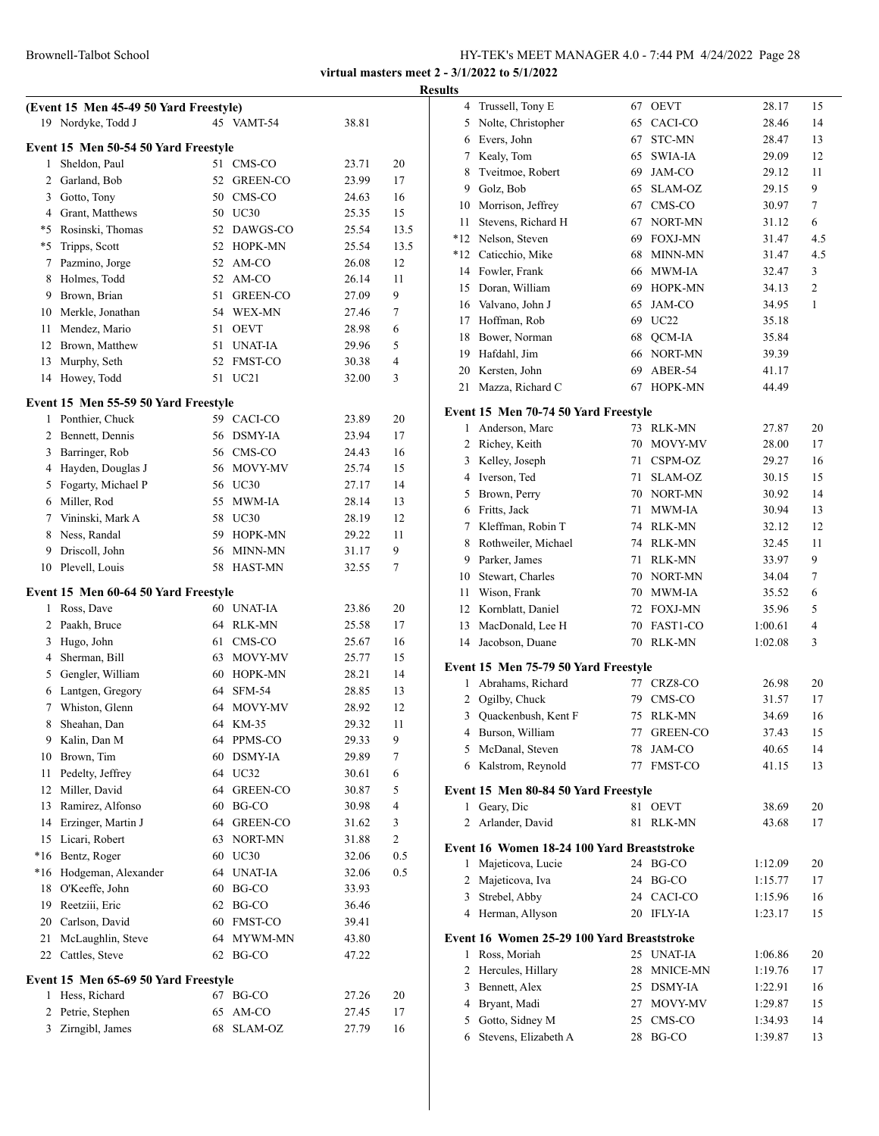|           | (Event 15 Men 45-49 50 Yard Freestyle) |    |                      |                |                   |
|-----------|----------------------------------------|----|----------------------|----------------|-------------------|
|           | 19 Nordyke, Todd J                     |    | 45 VAMT-54           | 38.81          |                   |
|           | Event 15 Men 50-54 50 Yard Freestyle   |    |                      |                |                   |
| 1         | Sheldon, Paul                          | 51 | CMS-CO               | 23.71          | 20                |
| 2         | Garland, Bob                           | 52 | GREEN-CO             | 23.99          | 17                |
| 3         | Gotto, Tony                            |    | 50 CMS-CO            | 24.63          | 16                |
|           | 4 Grant, Matthews                      |    | 50 UC30              | 25.35          | 15                |
| *5        | Rosinski, Thomas                       |    | 52 DAWGS-CO          | 25.54          | 13.5              |
| *5        | Tripps, Scott                          |    | 52 HOPK-MN           | 25.54          | 13.5              |
| 7         | Pazmino, Jorge                         |    | 52 AM-CO             | 26.08          | 12                |
| 8         | Holmes, Todd                           |    | 52 AM-CO             | 26.14          | 11                |
| 9         | Brown, Brian                           | 51 | <b>GREEN-CO</b>      | 27.09          | 9                 |
| 10        | Merkle, Jonathan                       |    | 54 WEX-MN            | 27.46          | 7                 |
| 11        | Mendez, Mario                          | 51 | <b>OEVT</b>          | 28.98          | 6                 |
| 12        | Brown, Matthew                         | 51 | <b>UNAT-IA</b>       | 29.96          | 5                 |
| 13        | Murphy, Seth                           | 52 | FMST-CO              | 30.38          | 4                 |
| 14        | Howey, Todd                            | 51 | UC <sub>21</sub>     | 32.00          | 3                 |
|           | Event 15 Men 55-59 50 Yard Freestyle   |    |                      |                |                   |
| 1         | Ponthier, Chuck                        |    | 59 CACI-CO           | 23.89          | 20                |
| 2         | Bennett, Dennis                        |    | 56 DSMY-IA           | 23.94          | 17                |
|           | 3 Barringer, Rob                       |    | 56 CMS-CO            | 24.43          | 16                |
| 4         | Hayden, Douglas J                      |    | 56 MOVY-MV           | 25.74          | 15                |
| 5         | Fogarty, Michael P                     |    | 56 UC30              | 27.17          | 14                |
| 6         | Miller, Rod                            | 55 | MWM-IA               | 28.14          | 13                |
| 7         | Vininski, Mark A                       |    | 58 UC30              | 28.19          | 12                |
| 8         | Ness, Randal                           |    | 59 HOPK-MN           | 29.22          | 11                |
| 9         | Driscoll, John                         | 56 | MINN-MN              | 31.17          | 9                 |
| 10        | Plevell, Louis                         | 58 | HAST-MN              | 32.55          | 7                 |
|           | Event 15 Men 60-64 50 Yard Freestyle   |    |                      |                |                   |
| 1         | Ross, Dave                             |    | 60 UNAT-IA           | 23.86          | 20                |
| 2         | Paakh, Bruce                           |    | 64 RLK-MN            | 25.58          | 17                |
| 3         | Hugo, John                             |    | 61 CMS-CO            | 25.67          | 16                |
| 4         | Sherman, Bill                          |    | 63 MOVY-MV           | 25.77          | 15                |
| 5         | Gengler, William                       |    | 60 HOPK-MN           | 28.21          | 14                |
| 6         | Lantgen, Gregory                       | 64 | $SFM-54$             | 28.85          | 13                |
| 7         | Whiston, Glenn                         | 64 | MOVY-MV              | 28.92          | 12                |
| 8         | Sheahan, Dan                           | 64 | KM-35                | 29.32          | 11                |
| 9         | Kalin, Dan M                           | 64 | PPMS-CO              | 29.33          | 9                 |
| 10        | Brown, Tim                             | 60 | <b>DSMY-IA</b>       | 29.89          | 7                 |
| 11        | Pedelty, Jeffrey                       |    | 64 UC32              | 30.61          | 6                 |
| 12        | Miller, David                          | 64 | <b>GREEN-CO</b>      | 30.87          | 5                 |
| 13        | Ramirez, Alfonso                       | 60 | BG-CO<br>64 GREEN-CO | 30.98          | 4                 |
| 14        | Erzinger, Martin J<br>Licari, Robert   |    |                      | 31.62          | 3<br>$\mathbf{2}$ |
| 15<br>*16 | Bentz, Roger                           | 63 | NORT-MN<br>60 UC30   | 31.88<br>32.06 | 0.5               |
| *16       | Hodgeman, Alexander                    | 64 | <b>UNAT-IA</b>       | 32.06          | 0.5               |
| 18        | O'Keeffe, John                         | 60 | BG-CO                | 33.93          |                   |
| 19        | Reetziii, Eric                         | 62 | BG-CO                | 36.46          |                   |
| 20        | Carlson, David                         | 60 | FMST-CO              | 39.41          |                   |
| 21        | McLaughlin, Steve                      | 64 | MYWM-MN              | 43.80          |                   |
| 22        | Cattles, Steve                         | 62 | BG-CO                | 47.22          |                   |
|           |                                        |    |                      |                |                   |
|           | Event 15 Men 65-69 50 Yard Freestyle   |    |                      |                |                   |
| 1         | Hess, Richard                          | 67 | BG-CO                | 27.26          | 20                |
| 2         | Petrie, Stephen                        | 65 | AM-CO                | 27.45          | 17                |
| 3         | Zirngibl, James                        | 68 | SLAM-OZ              | 27.79          | 16                |
|           |                                        |    |                      |                |                   |

| Results |                                            |    |                |         |     |
|---------|--------------------------------------------|----|----------------|---------|-----|
|         | 4 Trussell, Tony E                         |    | 67 OEVT        | 28.17   | 15  |
| 5       | Nolte, Christopher                         | 65 | CACI-CO        | 28.46   | 14  |
|         | 6 Evers, John                              | 67 | STC-MN         | 28.47   | 13  |
|         | 7 Kealy, Tom                               |    | 65 SWIA-IA     | 29.09   | 12  |
| 8       | Tveitmoe, Robert                           |    | 69 JAM-CO      | 29.12   | 11  |
|         | 9 Golz, Bob                                |    | 65 SLAM-OZ     | 29.15   | 9   |
|         | 10 Morrison, Jeffrey                       |    | 67 CMS-CO      | 30.97   | 7   |
| 11      | Stevens, Richard H                         |    | 67 NORT-MN     | 31.12   | 6   |
|         | *12 Nelson, Steven                         |    | 69 FOXJ-MN     | 31.47   | 4.5 |
|         | *12 Caticchio, Mike                        |    | 68 MINN-MN     | 31.47   | 4.5 |
|         | 14 Fowler, Frank                           |    | 66 MWM-IA      | 32.47   | 3   |
|         | 15 Doran, William                          |    | 69 HOPK-MN     | 34.13   | 2   |
|         | 16 Valvano, John J                         |    | 65 JAM-CO      | 34.95   | 1   |
|         | 17 Hoffman, Rob                            |    | 69 UC22        | 35.18   |     |
|         | 18 Bower, Norman                           | 68 | QCM-IA         | 35.84   |     |
| 19      | Hafdahl, Jim                               |    | 66 NORT-MN     | 39.39   |     |
| 20      | Kersten, John                              |    | 69 ABER-54     | 41.17   |     |
| 21      | Mazza, Richard C                           |    | 67 HOPK-MN     | 44.49   |     |
|         |                                            |    |                |         |     |
|         | Event 15 Men 70-74 50 Yard Freestyle       |    |                |         |     |
| 1       | Anderson, Marc                             |    | 73 RLK-MN      | 27.87   | 20  |
|         | 2 Richey, Keith                            |    | 70 MOVY-MV     | 28.00   | 17  |
|         | 3 Kelley, Joseph                           | 71 | CSPM-OZ        | 29.27   | 16  |
|         | 4 Iverson, Ted                             | 71 | SLAM-OZ        | 30.15   | 15  |
|         | 5 Brown, Perry                             |    | 70 NORT-MN     | 30.92   | 14  |
|         | 6 Fritts, Jack                             |    | 71 MWM-IA      | 30.94   | 13  |
|         | 7 Kleffman, Robin T                        |    | 74 RLK-MN      | 32.12   | 12  |
|         | 8 Rothweiler, Michael                      |    | 74 RLK-MN      | 32.45   | 11  |
|         | 9 Parker, James                            | 71 | RLK-MN         | 33.97   | 9   |
|         | 10 Stewart, Charles                        |    | 70 NORT-MN     | 34.04   | 7   |
| 11      | Wison, Frank                               |    | 70 MWM-IA      | 35.52   | 6   |
|         | 12 Kornblatt, Daniel                       |    | 72 FOXJ-MN     | 35.96   | 5   |
| 13      | MacDonald, Lee H                           |    | 70 FAST1-CO    | 1:00.61 | 4   |
| 14      | Jacobson, Duane                            |    | 70 RLK-MN      | 1:02.08 | 3   |
|         | Event 15 Men 75-79 50 Yard Freestyle       |    |                |         |     |
|         | 1 Abrahams, Richard                        |    | 77 CRZ8-CO     | 26.98   | 20  |
| 2       | Ogilby, Chuck                              | 79 | CMS-CO         | 31.57   | 17  |
| 3       | Quackenbush, Kent F                        | 75 | RLK-MN         | 34.69   | 16  |
| 4       | Burson, William                            | 77 | GREEN-CO       | 37.43   | 15  |
| 5       | McDanal, Steven                            | 78 | JAM-CO         | 40.65   | 14  |
|         | 6 Kalstrom, Reynold                        | 77 | <b>FMST-CO</b> | 41.15   | 13  |
|         |                                            |    |                |         |     |
|         | Event 15 Men 80-84 50 Yard Freestyle       |    |                |         |     |
|         | 1 Geary, Dic                               | 81 | <b>OEVT</b>    | 38.69   | 20  |
| 2       | Arlander, David                            | 81 | RLK-MN         | 43.68   | 17  |
|         | Event 16 Women 18-24 100 Yard Breaststroke |    |                |         |     |
|         | 1 Majeticova, Lucie                        |    | 24 BG-CO       | 1:12.09 | 20  |
|         | 2 Majeticova, Iva                          |    | 24 BG-CO       | 1:15.77 | 17  |
|         | 3 Strebel, Abby                            |    | 24 CACI-CO     | 1:15.96 | 16  |
|         | 4 Herman, Allyson                          |    | 20 IFLY-IA     | 1:23.17 | 15  |
|         |                                            |    |                |         |     |
|         | Event 16 Women 25-29 100 Yard Breaststroke |    |                |         |     |
| 1       | Ross, Moriah                               |    | 25 UNAT-IA     | 1:06.86 | 20  |
| 2       | Hercules, Hillary                          |    | 28 MNICE-MN    | 1:19.76 | 17  |
| 3       | Bennett, Alex                              |    | 25 DSMY-IA     | 1:22.91 | 16  |
|         | 4 Bryant, Madi                             |    | 27 MOVY-MV     | 1:29.87 | 15  |
|         | 5 Gotto, Sidney M                          |    | 25 CMS-CO      | 1:34.93 | 14  |
| 6       | Stevens, Elizabeth A                       |    | 28 BG-CO       | 1:39.87 | 13  |
|         |                                            |    |                |         |     |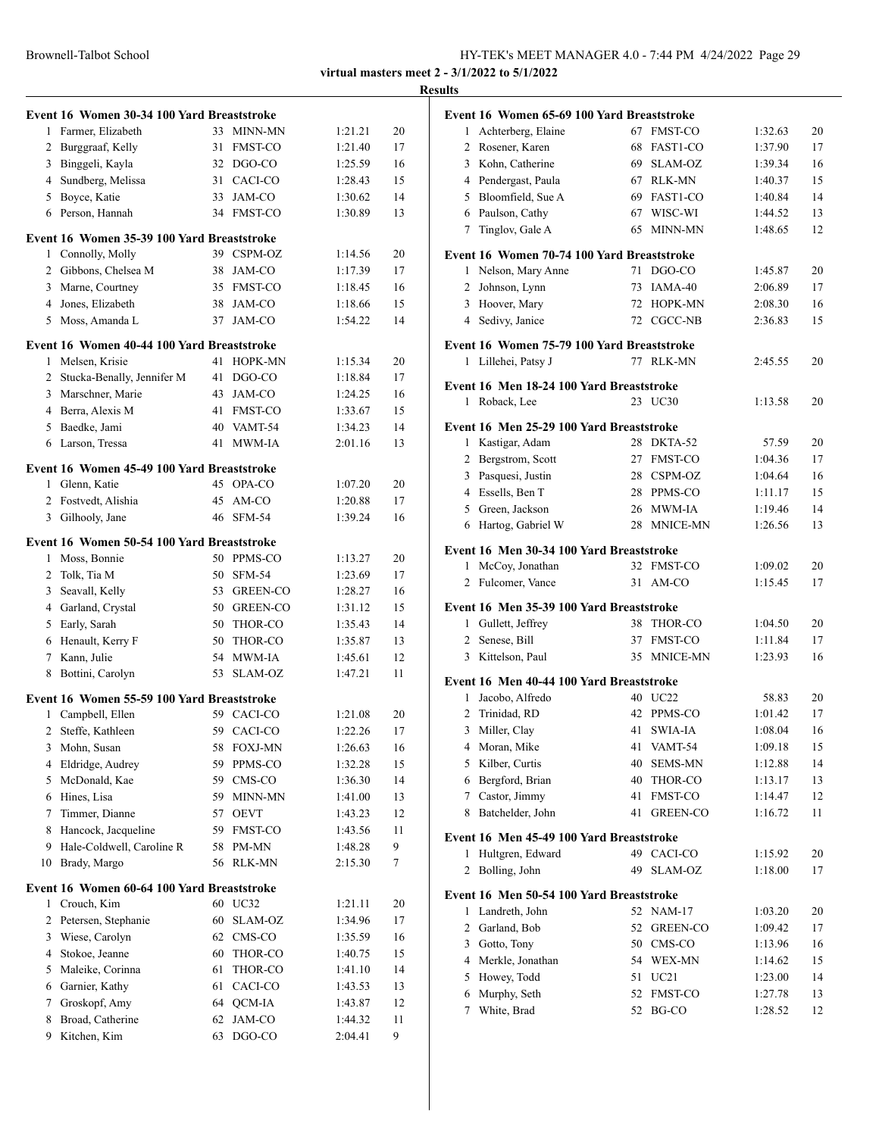|                |                                            |          |                            |                    |          | <b>Results</b> |
|----------------|--------------------------------------------|----------|----------------------------|--------------------|----------|----------------|
|                | Event 16 Women 30-34 100 Yard Breaststroke |          |                            |                    |          | Evo            |
|                | 1 Farmer, Elizabeth                        | 33       | MINN-MN                    | 1:21.21            | 20       |                |
| $\overline{2}$ | Burggraaf, Kelly                           | 31       | <b>FMST-CO</b>             | 1:21.40            | 17       |                |
| 3              | Binggeli, Kayla                            |          | 32 DGO-CO                  | 1:25.59            | 16       |                |
| $\overline{4}$ | Sundberg, Melissa                          | 31       | CACI-CO                    | 1:28.43            | 15       |                |
| 5              | Boyce, Katie                               | 33       | JAM-CO                     | 1:30.62            | 14       |                |
| 6              | Person, Hannah                             |          | 34 FMST-CO                 | 1:30.89            | 13       |                |
|                | Event 16 Women 35-39 100 Yard Breaststroke |          |                            |                    |          |                |
|                | 1 Connolly, Molly                          |          | 39 CSPM-OZ                 | 1:14.56            | 20       | Evo            |
|                | 2 Gibbons, Chelsea M                       |          | 38 JAM-CO                  | 1:17.39            | 17       |                |
| 3              | Marne, Courtney                            |          | 35 FMST-CO                 | 1:18.45            | 16       |                |
| $\overline{4}$ | Jones, Elizabeth                           | 38       | JAM-CO                     | 1:18.66            | 15       |                |
|                | 5 Moss, Amanda L                           | 37       | JAM-CO                     | 1:54.22            | 14       |                |
|                | Event 16 Women 40-44 100 Yard Breaststroke |          |                            |                    |          | <b>Eve</b>     |
| 1              | Melsen, Krisie                             | 41       | HOPK-MN                    | 1:15.34            | 20       |                |
|                | 2 Stucka-Benally, Jennifer M               | 41       | DGO-CO                     | 1:18.84            | 17       |                |
| 3              | Marschner, Marie                           | 43       | JAM-CO                     | 1:24.25            | 16       | Ev             |
|                | 4 Berra, Alexis M                          |          | 41 FMST-CO                 | 1:33.67            | 15       |                |
|                | 5 Baedke, Jami                             |          | 40 VAMT-54                 | 1:34.23            | 14       | Ev             |
|                | 6 Larson, Tressa                           | 41       | <b>MWM-IA</b>              | 2:01.16            | 13       |                |
|                | Event 16 Women 45-49 100 Yard Breaststroke |          |                            |                    |          |                |
|                | 1 Glenn, Katie                             |          | 45 OPA-CO                  | 1:07.20            | 20       |                |
| $\overline{2}$ | Fostvedt, Alishia                          | 45       | AM-CO                      | 1:20.88            | 17       |                |
| 3              | Gilhooly, Jane                             |          | 46 SFM-54                  | 1:39.24            | 16       |                |
|                | Event 16 Women 50-54 100 Yard Breaststroke |          |                            |                    |          |                |
| 1              | Moss, Bonnie                               |          | 50 PPMS-CO                 | 1:13.27            | 20       | Ev             |
| 2              | Tolk, Tia M                                |          | 50 SFM-54                  | 1:23.69            | 17       |                |
|                |                                            |          |                            |                    |          |                |
| 3              | Seavall, Kelly                             |          | 53 GREEN-CO<br>50 GREEN-CO | 1:28.27            | 16       |                |
|                | 4 Garland, Crystal                         |          |                            | 1:31.12            | 15       | Evo            |
| 5              | Early, Sarah<br>6 Henault, Kerry F         |          | 50 THOR-CO                 | 1:35.43            | 14       |                |
| 7              | Kann, Julie                                | 50<br>54 | THOR-CO<br><b>MWM-IA</b>   | 1:35.87            | 13<br>12 |                |
| 8              | Bottini, Carolyn                           | 53       | SLAM-OZ                    | 1:45.61<br>1:47.21 | 11       |                |
|                |                                            |          |                            |                    |          | <b>Eve</b>     |
|                | Event 16 Women 55-59 100 Yard Breaststroke |          |                            |                    |          |                |
|                | 1 Campbell, Ellen                          |          | 59 CACI-CO                 | 1:21.08            | 20       |                |
| 2              | Steffe, Kathleen                           | 59       | CACI-CO                    | 1:22.26            | 17       |                |
| 3              | Mohn, Susan                                | 58       | <b>FOXJ-MN</b>             | 1:26.63            | 16       |                |
| 4              | Eldridge, Audrey                           | 59       | PPMS-CO                    | 1:32.28            | 15       |                |
| 5              | McDonald, Kae                              |          | 59 CMS-CO                  | 1:36.30            | 14       |                |
|                | 6 Hines, Lisa                              | 59       | MINN-MN                    | 1:41.00            | 13       |                |
| 7              | Timmer, Dianne                             | 57       | <b>OEVT</b>                | 1:43.23            | 12       |                |
| 8              | Hancock, Jacqueline                        | 59       | FMST-CO                    | 1:43.56            | 11       | Ev             |
| 9              | Hale-Coldwell, Caroline R                  | 58       | PM-MN                      | 1:48.28            | 9        |                |
| 10             | Brady, Margo                               | 56       | $RLK-MN$                   | 2:15.30            | 7        |                |
|                | Event 16 Women 60-64 100 Yard Breaststroke |          |                            |                    |          | Ev             |
| 1              | Crouch, Kim                                |          | 60 UC32                    | 1:21.11            | 20       |                |
| 2              | Petersen, Stephanie                        | 60       | SLAM-OZ                    | 1:34.96            | 17       |                |
| 3              | Wiese, Carolyn                             | 62       | CMS-CO                     | 1:35.59            | 16       |                |
| 4              | Stokoe, Jeanne                             | 60       | THOR-CO                    | 1:40.75            | 15       |                |
| 5              | Maleike, Corinna                           | 61       | THOR-CO                    | 1:41.10            | 14       |                |
| 6              | Garnier, Kathy                             | 61       | CACI-CO                    | 1:43.53            | 13       |                |
| 7              | Groskopf, Amy                              |          | 64 QCM-IA                  | 1:43.87            | 12       |                |
| 8              | Broad, Catherine                           | 62       | JAM-CO                     | 1:44.32            | 11       |                |
| 9              | Kitchen, Kim                               | 63       | DGO-CO                     | 2:04.41            | 9        |                |
|                |                                            |          |                            |                    |          |                |

|                | Event 16 Women 65-69 100 Yard Breaststroke |          |                            |                    |    |
|----------------|--------------------------------------------|----------|----------------------------|--------------------|----|
| 1              | Achterberg, Elaine                         | 67       | <b>FMST-CO</b>             | 1:32.63            | 20 |
| 2              | Rosener, Karen                             | 68       | FAST1-CO                   | 1:37.90            | 17 |
| 3              | Kohn, Catherine                            | 69       | SLAM-OZ                    | 1:39.34            | 16 |
|                | 4 Pendergast, Paula                        | 67       | <b>RLK-MN</b>              | 1:40.37            | 15 |
| 5              | Bloomfield, Sue A                          | 69       | FAST1-CO                   | 1:40.84            | 14 |
|                | 6 Paulson, Cathy                           | 67       | WISC-WI                    | 1:44.52            | 13 |
| 7              | Tinglov, Gale A                            | 65       | MINN-MN                    | 1:48.65            | 12 |
|                | Event 16 Women 70-74 100 Yard Breaststroke |          |                            |                    |    |
| $\mathbf{1}$   | Nelson, Mary Anne                          | 71       | DGO-CO                     | 1:45.87            | 20 |
| 2              | Johnson, Lynn                              | 73       | IAMA-40                    | 2:06.89            | 17 |
|                | 3 Hoover, Mary                             | 72       | HOPK-MN                    | 2:08.30            | 16 |
|                | 4 Sedivy, Janice                           | 72       | CGCC-NB                    | 2:36.83            | 15 |
|                |                                            |          |                            |                    |    |
|                | Event 16 Women 75-79 100 Yard Breaststroke |          |                            |                    |    |
| 1              | Lillehei, Patsy J                          | 77       | RLK-MN                     | 2:45.55            | 20 |
|                | Event 16 Men 18-24 100 Yard Breaststroke   |          |                            |                    |    |
| 1              | Roback, Lee                                |          | 23 UC30                    | 1:13.58            | 20 |
|                | Event 16 Men 25-29 100 Yard Breaststroke   |          |                            |                    |    |
| 1              | Kastigar, Adam                             | 28       | DKTA-52                    | 57.59              | 20 |
|                | 2 Bergstrom, Scott                         | 27       | <b>FMST-CO</b>             | 1:04.36            | 17 |
|                | 3 Pasquesi, Justin                         | 28       | CSPM-OZ                    | 1:04.64            | 16 |
|                | 4 Essells, Ben T                           | 28       | PPMS-CO                    | 1:11.17            | 15 |
|                | 5 Green, Jackson                           | 26       | MWM-IA                     | 1:19.46            | 14 |
|                | 6 Hartog, Gabriel W                        | 28       | MNICE-MN                   | 1:26.56            | 13 |
|                |                                            |          |                            |                    |    |
|                | Event 16 Men 30-34 100 Yard Breaststroke   |          |                            |                    |    |
| 1              | McCoy, Jonathan                            | 32<br>31 | <b>FMST-CO</b><br>$AM$ -CO | 1:09.02<br>1:15.45 | 20 |
| $\overline{2}$ | Fulcomer, Vance                            |          |                            |                    | 17 |
|                | Event 16 Men 35-39 100 Yard Breaststroke   |          |                            |                    |    |
| 1              | Gullett, Jeffrey                           | 38       | THOR-CO                    | 1:04.50            | 20 |
|                | 2 Senese, Bill                             | 37       | <b>FMST-CO</b>             | 1:11.84            | 17 |
|                | 3 Kittelson, Paul                          | 35       | MNICE-MN                   | 1:23.93            | 16 |
|                | Event 16 Men 40-44 100 Yard Breaststroke   |          |                            |                    |    |
| 1              | Jacobo, Alfredo                            |          | 40 UC22                    | 58.83              | 20 |
| $\overline{c}$ | Trinidad, RD                               | 42       | PPMS-CO                    | 1:01.42            | 17 |
| 3              | Miller, Clay                               | 41       | SWIA-JA                    | 1:08.04            | 16 |
|                | 4 Moran, Mike                              |          | 41 VAMT-54                 | 1:09.18            | 15 |
|                | 5 Kilber, Curtis                           | 40       | SEMS-MN                    | 1:12.88            | 14 |
|                | 6 Bergford, Brian                          | 40       | THOR-CO                    | 1:13.17            | 13 |
|                | 7 Castor, Jimmy                            | 41       | FMST-CO                    | 1:14.47            | 12 |
| 8              | Batchelder, John                           | 41       | <b>GREEN-CO</b>            | 1:16.72            | 11 |
|                | Event 16 Men 45-49 100 Yard Breaststroke   |          |                            |                    |    |
| 1              | Hultgren, Edward                           | 49       | CACI-CO                    | 1:15.92            | 20 |
| 2              | Bolling, John                              | 49       | SLAM-OZ                    | 1:18.00            | 17 |
|                | Event 16 Men 50-54 100 Yard Breaststroke   |          |                            |                    |    |
| 1              | Landreth, John                             |          | 52 NAM-17                  | 1:03.20            | 20 |
| 2              | Garland, Bob                               | 52       | GREEN-CO                   | 1:09.42            | 17 |
|                | 3 Gotto, Tony                              | 50       | CMS-CO                     | 1:13.96            | 16 |
|                | 4 Merkle, Jonathan                         | 54       | WEX-MN                     | 1:14.62            | 15 |
|                | 5 Howey, Todd                              | 51       | UC21                       | 1:23.00            | 14 |
| 6              | Murphy, Seth                               | 52       | <b>FMST-CO</b>             | 1:27.78            | 13 |
| 7              | White, Brad                                | 52       | BG-CO                      | 1:28.52            | 12 |
|                |                                            |          |                            |                    |    |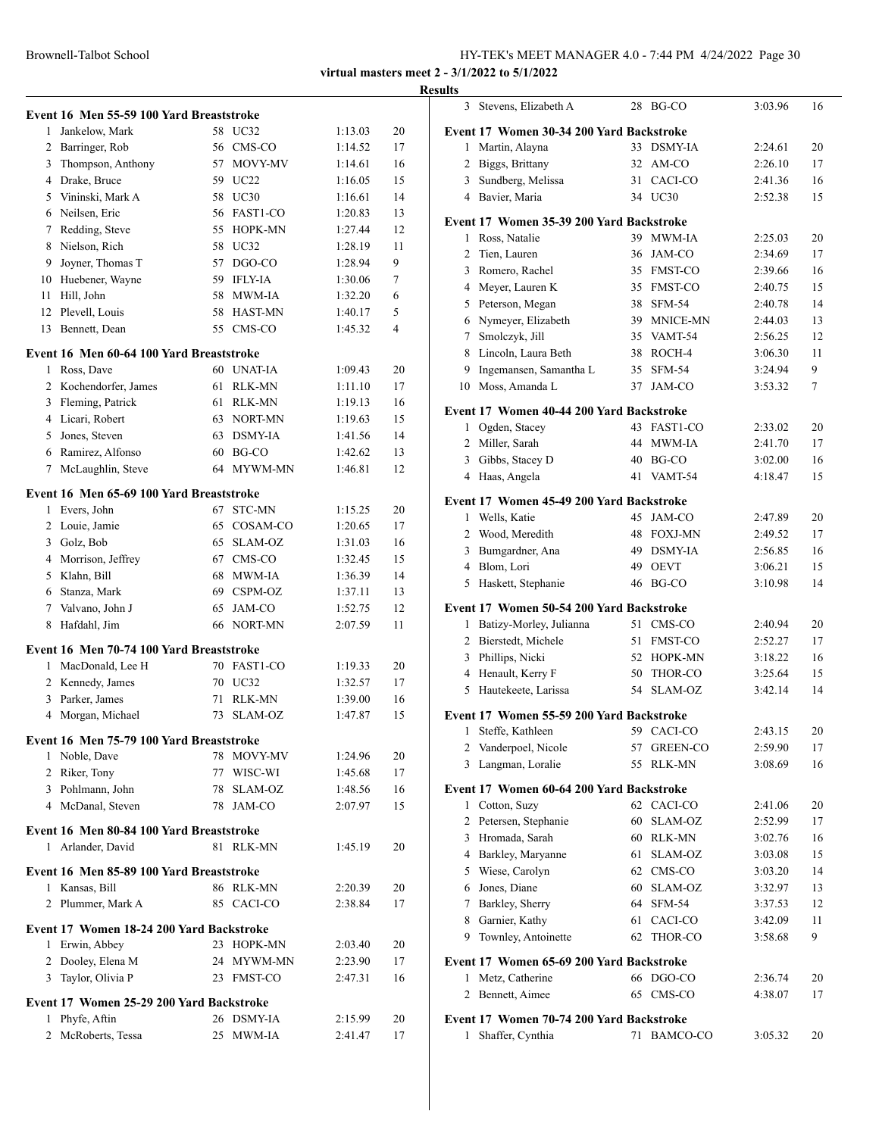|                | Event 16 Men 55-59 100 Yard Breaststroke                 |    |               |         |    |
|----------------|----------------------------------------------------------|----|---------------|---------|----|
| 1              | Jankelow, Mark                                           | 58 | UC32          | 1:13.03 | 20 |
| 2              | Barringer, Rob                                           | 56 | CMS-CO        | 1:14.52 | 17 |
| 3              | Thompson, Anthony                                        | 57 | MOVY-MV       | 1:14.61 | 16 |
|                | 4 Drake, Bruce                                           |    | 59 UC22       | 1:16.05 | 15 |
|                | 5 Vininski, Mark A                                       |    | 58 UC30       | 1:16.61 | 14 |
|                | 6 Neilsen, Eric                                          |    | 56 FAST1-CO   | 1:20.83 | 13 |
| 7              | Redding, Steve                                           | 55 | HOPK-MN       | 1:27.44 | 12 |
| 8              | Nielson, Rich                                            |    | 58 UC32       | 1:28.19 | 11 |
| 9              | Joyner, Thomas T                                         | 57 | DGO-CO        | 1:28.94 | 9  |
|                | 10 Huebener, Wayne                                       |    | 59 IFLY-IA    | 1:30.06 | 7  |
| 11             | Hill, John                                               |    | 58 MWM-IA     | 1:32.20 | 6  |
|                | 12 Plevell, Louis                                        |    | 58 HAST-MN    | 1:40.17 | 5  |
| 13             | Bennett, Dean                                            | 55 | CMS-CO        | 1:45.32 | 4  |
|                | Event 16 Men 60-64 100 Yard Breaststroke                 |    |               |         |    |
| 1              | Ross, Dave                                               |    | 60 UNAT-IA    | 1:09.43 | 20 |
| $\overline{2}$ | Kochendorfer, James                                      | 61 | <b>RLK-MN</b> | 1:11.10 | 17 |
|                | 3 Fleming, Patrick                                       |    | 61 RLK-MN     | 1:19.13 | 16 |
|                | 4 Licari, Robert                                         |    | 63 NORT-MN    | 1:19.63 | 15 |
|                | 5 Jones, Steven                                          |    | 63 DSMY-IA    | 1:41.56 | 14 |
|                | 6 Ramirez, Alfonso                                       |    | $60$ BG-CO    | 1:42.62 | 13 |
| 7              | McLaughlin, Steve                                        |    | 64 MYWM-MN    | 1:46.81 | 12 |
|                | Event 16 Men 65-69 100 Yard Breaststroke                 |    |               |         |    |
| 1              | Evers, John                                              | 67 | <b>STC-MN</b> | 1:15.25 | 20 |
| 2              | Louie, Jamie                                             | 65 | COSAM-CO      | 1:20.65 | 17 |
| 3              | Golz, Bob                                                | 65 | SLAM-OZ       | 1:31.03 | 16 |
|                | 4 Morrison, Jeffrey                                      |    | 67 CMS-CO     | 1:32.45 | 15 |
|                | 5 Klahn, Bill                                            | 68 | MWM-IA        | 1:36.39 | 14 |
|                | 6 Stanza, Mark                                           |    | 69 CSPM-OZ    | 1:37.11 | 13 |
| $7^{\circ}$    | Valvano, John J                                          | 65 | JAM-CO        | 1:52.75 | 12 |
| 8              | Hafdahl, Jim                                             |    | 66 NORT-MN    | 2:07.59 | 11 |
|                | Event 16 Men 70-74 100 Yard Breaststroke                 |    |               |         |    |
| 1              | MacDonald, Lee H                                         |    | 70 FAST1-CO   | 1:19.33 | 20 |
| $\overline{2}$ | Kennedy, James                                           |    | 70 UC32       | 1:32.57 | 17 |
| 3              | Parker, James                                            | 71 | <b>RLK-MN</b> | 1:39.00 | 16 |
| 4              | Morgan, Michael                                          | 73 | SLAM-OZ       | 1:47.87 | 15 |
|                | Event 16 Men 75-79 100 Yard Breaststroke                 |    |               |         |    |
|                | 1 Noble, Dave                                            |    | 78 MOVY-MV    | 1:24.96 | 20 |
|                | 2 Riker, Tony                                            |    | 77 WISC-WI    | 1:45.68 | 17 |
|                | 3 Pohlmann, John                                         |    | 78 SLAM-OZ    | 1:48.56 | 16 |
|                | 4 McDanal, Steven                                        |    | 78 JAM-CO     | 2:07.97 | 15 |
|                | Event 16 Men 80-84 100 Yard Breaststroke                 |    |               |         |    |
|                | 1 Arlander, David                                        |    | 81 RLK-MN     | 1:45.19 | 20 |
|                |                                                          |    |               |         |    |
| $\mathbf{1}$   | Event 16 Men 85-89 100 Yard Breaststroke<br>Kansas, Bill |    | 86 RLK-MN     | 2:20.39 | 20 |
|                | 2 Plummer, Mark A                                        |    | 85 CACI-CO    |         |    |
|                |                                                          |    |               | 2:38.84 | 17 |
|                | Event 17 Women 18-24 200 Yard Backstroke                 |    |               |         |    |
|                | 1 Erwin, Abbey                                           |    | 23 HOPK-MN    | 2:03.40 | 20 |
|                | 2 Dooley, Elena M                                        |    | 24 MYWM-MN    | 2:23.90 | 17 |
|                | 3 Taylor, Olivia P                                       |    | 23 FMST-CO    | 2:47.31 | 16 |
|                | Event 17 Women 25-29 200 Yard Backstroke                 |    |               |         |    |
| 1              | Phyfe, Aftin                                             |    | 26 DSMY-IA    | 2:15.99 | 20 |
| $\overline{2}$ | McRoberts, Tessa                                         |    | 25 MWM-IA     | 2:41.47 | 17 |
|                |                                                          |    |               |         |    |

| <b>Results</b>                                                   |    |                 |                    |    |
|------------------------------------------------------------------|----|-----------------|--------------------|----|
| 3 Stevens, Elizabeth A                                           |    | 28 BG-CO        | 3:03.96            | 16 |
| Event 17 Women 30-34 200 Yard Backstroke                         |    |                 |                    |    |
| 1 Martin, Alayna                                                 |    | 33 DSMY-IA      | 2:24.61            | 20 |
| 2 Biggs, Brittany                                                |    | 32 AM-CO        | 2:26.10            | 17 |
| 3 Sundberg, Melissa                                              |    | 31 CACI-CO      | 2:41.36            | 16 |
| 4 Bavier, Maria                                                  |    | 34 UC30         | 2:52.38            | 15 |
| Event 17 Women 35-39 200 Yard Backstroke                         |    |                 |                    |    |
| 1 Ross, Natalie                                                  |    | 39 MWM-IA       | 2:25.03            | 20 |
| 2 Tien, Lauren                                                   |    | 36 JAM-CO       | 2:34.69            | 17 |
| 3 Romero, Rachel                                                 |    | 35 FMST-CO      | 2:39.66            | 16 |
| 4 Meyer, Lauren K                                                |    | 35 FMST-CO      | 2:40.75            | 15 |
| 5 Peterson, Megan                                                |    | 38 SFM-54       | 2:40.78            | 14 |
| 6 Nymeyer, Elizabeth                                             |    | 39 MNICE-MN     | 2:44.03            | 13 |
| 7 Smolczyk, Jill                                                 |    | 35 VAMT-54      | 2:56.25            | 12 |
| 8 Lincoln, Laura Beth                                            |    | 38 ROCH-4       | 3:06.30            | 11 |
| 9 Ingemansen, Samantha L                                         |    | 35 SFM-54       | 3:24.94            | 9  |
| 10 Moss, Amanda L                                                |    | 37 JAM-CO       | 3:53.32            | 7  |
|                                                                  |    |                 |                    |    |
| Event 17 Women 40-44 200 Yard Backstroke<br>1 Ogden, Stacey      |    | 43 FAST1-CO     | 2:33.02            | 20 |
| 2 Miller, Sarah                                                  |    | 44 MWM-JA       | 2:41.70            | 17 |
| 3 Gibbs, Stacey D                                                |    | 40 BG-CO        |                    | 16 |
| 4 Haas, Angela                                                   |    | 41 VAMT-54      | 3:02.00<br>4:18.47 | 15 |
|                                                                  |    |                 |                    |    |
| Event 17 Women 45-49 200 Yard Backstroke                         |    |                 |                    |    |
| 1 Wells, Katie                                                   |    | 45 JAM-CO       | 2:47.89            | 20 |
| 2 Wood, Meredith                                                 |    | 48 FOXJ-MN      | 2:49.52            | 17 |
| 3 Bumgardner, Ana                                                |    | 49 DSMY-IA      | 2:56.85            | 16 |
| 4 Blom, Lori                                                     |    | 49 OEVT         | 3:06.21            | 15 |
| 5 Haskett, Stephanie                                             |    | 46 BG-CO        | 3:10.98            | 14 |
| Event 17 Women 50-54 200 Yard Backstroke                         |    |                 |                    |    |
| 1 Batizy-Morley, Julianna                                        |    | 51 CMS-CO       | 2:40.94            | 20 |
| 2 Bierstedt, Michele                                             |    | 51 FMST-CO      | 2:52.27            | 17 |
| 3 Phillips, Nicki                                                |    | 52 HOPK-MN      | 3:18.22            | 16 |
| 4 Henault, Kerry F                                               |    | 50 THOR-CO      | 3:25.64            | 15 |
| 5 Hautekeete, Larissa                                            |    | 54 SLAM-OZ      | 3:42.14            | 14 |
| Event 17 Women 55-59 200 Yard Backstroke                         |    |                 |                    |    |
| Steffe, Kathleen<br>1                                            |    | 59 CACI-CO      | 2:43.15            | 20 |
| Vanderpoel, Nicole<br>2                                          | 57 | <b>GREEN-CO</b> | 2:59.90            | 17 |
| Langman, Loralie<br>3                                            | 55 | RLK-MN          | 3:08.69            | 16 |
| Event 17 Women 60-64 200 Yard Backstroke                         |    |                 |                    |    |
| 1 Cotton, Suzy                                                   |    | 62 CACI-CO      | 2:41.06            | 20 |
| 2 Petersen, Stephanie                                            |    | 60 SLAM-OZ      | 2:52.99            | 17 |
| 3 Hromada, Sarah                                                 |    | 60 RLK-MN       | 3:02.76            | 16 |
| 4 Barkley, Maryanne                                              |    | 61 SLAM-OZ      | 3:03.08            | 15 |
| 5 Wiese, Carolyn                                                 |    | 62 CMS-CO       | 3:03.20            | 14 |
| 6 Jones, Diane                                                   |    | 60 SLAM-OZ      | 3:32.97            | 13 |
| 7 Barkley, Sherry                                                |    | 64 SFM-54       | 3:37.53            | 12 |
| 8 Garnier, Kathy                                                 | 61 | CACI-CO         | 3:42.09            | 11 |
| Townley, Antoinette<br>9                                         | 62 | THOR-CO         | 3:58.68            | 9  |
|                                                                  |    |                 |                    |    |
| Event 17 Women 65-69 200 Yard Backstroke<br>Metz, Catherine<br>1 |    | 66 DGO-CO       | 2:36.74            | 20 |
| 2 Bennett, Aimee                                                 |    | 65 CMS-CO       | 4:38.07            | 17 |
|                                                                  |    |                 |                    |    |
| Event 17 Women 70-74 200 Yard Backstroke                         |    |                 |                    |    |
| 1 Shaffer, Cynthia                                               |    | 71 BAMCO-CO     | 3:05.32            | 20 |
|                                                                  |    |                 |                    |    |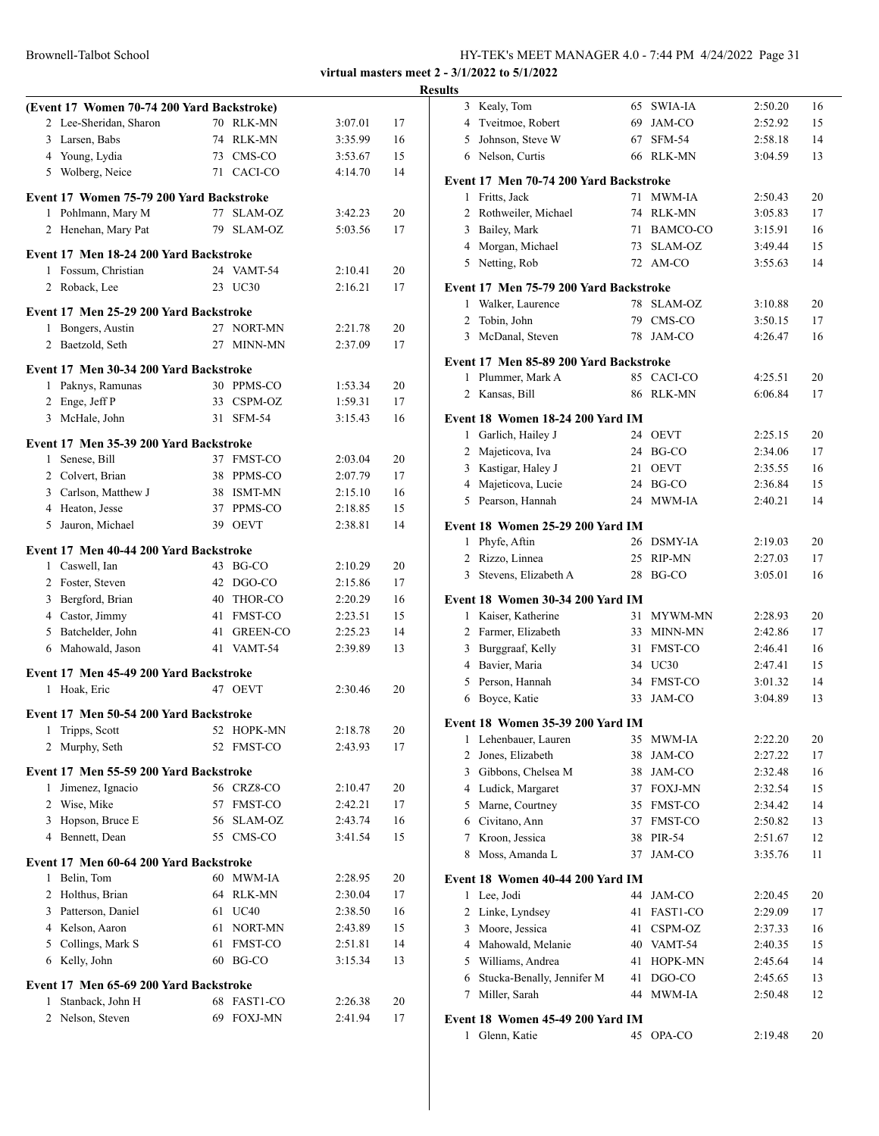|         |                                                                                                                                                                                                                                                                                                                                                                                                                                                                                                                                                                                                                                                                                                                                                                                                                                                                                                                                                                                                                                                                     |                                                                                                                                                                                                               | Resul                                                                                              |
|---------|---------------------------------------------------------------------------------------------------------------------------------------------------------------------------------------------------------------------------------------------------------------------------------------------------------------------------------------------------------------------------------------------------------------------------------------------------------------------------------------------------------------------------------------------------------------------------------------------------------------------------------------------------------------------------------------------------------------------------------------------------------------------------------------------------------------------------------------------------------------------------------------------------------------------------------------------------------------------------------------------------------------------------------------------------------------------|---------------------------------------------------------------------------------------------------------------------------------------------------------------------------------------------------------------|----------------------------------------------------------------------------------------------------|
|         |                                                                                                                                                                                                                                                                                                                                                                                                                                                                                                                                                                                                                                                                                                                                                                                                                                                                                                                                                                                                                                                                     |                                                                                                                                                                                                               |                                                                                                    |
|         | 3:07.01                                                                                                                                                                                                                                                                                                                                                                                                                                                                                                                                                                                                                                                                                                                                                                                                                                                                                                                                                                                                                                                             | 17                                                                                                                                                                                                            |                                                                                                    |
|         | 3:35.99                                                                                                                                                                                                                                                                                                                                                                                                                                                                                                                                                                                                                                                                                                                                                                                                                                                                                                                                                                                                                                                             | 16                                                                                                                                                                                                            |                                                                                                    |
|         | 3:53.67                                                                                                                                                                                                                                                                                                                                                                                                                                                                                                                                                                                                                                                                                                                                                                                                                                                                                                                                                                                                                                                             | 15                                                                                                                                                                                                            |                                                                                                    |
|         |                                                                                                                                                                                                                                                                                                                                                                                                                                                                                                                                                                                                                                                                                                                                                                                                                                                                                                                                                                                                                                                                     | 14                                                                                                                                                                                                            | ł                                                                                                  |
|         |                                                                                                                                                                                                                                                                                                                                                                                                                                                                                                                                                                                                                                                                                                                                                                                                                                                                                                                                                                                                                                                                     |                                                                                                                                                                                                               |                                                                                                    |
|         | 3:42.23                                                                                                                                                                                                                                                                                                                                                                                                                                                                                                                                                                                                                                                                                                                                                                                                                                                                                                                                                                                                                                                             | 20                                                                                                                                                                                                            |                                                                                                    |
|         | 5:03.56                                                                                                                                                                                                                                                                                                                                                                                                                                                                                                                                                                                                                                                                                                                                                                                                                                                                                                                                                                                                                                                             | 17                                                                                                                                                                                                            |                                                                                                    |
|         |                                                                                                                                                                                                                                                                                                                                                                                                                                                                                                                                                                                                                                                                                                                                                                                                                                                                                                                                                                                                                                                                     |                                                                                                                                                                                                               |                                                                                                    |
|         |                                                                                                                                                                                                                                                                                                                                                                                                                                                                                                                                                                                                                                                                                                                                                                                                                                                                                                                                                                                                                                                                     |                                                                                                                                                                                                               |                                                                                                    |
|         |                                                                                                                                                                                                                                                                                                                                                                                                                                                                                                                                                                                                                                                                                                                                                                                                                                                                                                                                                                                                                                                                     |                                                                                                                                                                                                               | ł                                                                                                  |
|         |                                                                                                                                                                                                                                                                                                                                                                                                                                                                                                                                                                                                                                                                                                                                                                                                                                                                                                                                                                                                                                                                     |                                                                                                                                                                                                               |                                                                                                    |
|         |                                                                                                                                                                                                                                                                                                                                                                                                                                                                                                                                                                                                                                                                                                                                                                                                                                                                                                                                                                                                                                                                     |                                                                                                                                                                                                               |                                                                                                    |
|         | 2:21.78                                                                                                                                                                                                                                                                                                                                                                                                                                                                                                                                                                                                                                                                                                                                                                                                                                                                                                                                                                                                                                                             | 20                                                                                                                                                                                                            |                                                                                                    |
|         | 2:37.09                                                                                                                                                                                                                                                                                                                                                                                                                                                                                                                                                                                                                                                                                                                                                                                                                                                                                                                                                                                                                                                             | 17                                                                                                                                                                                                            |                                                                                                    |
|         |                                                                                                                                                                                                                                                                                                                                                                                                                                                                                                                                                                                                                                                                                                                                                                                                                                                                                                                                                                                                                                                                     |                                                                                                                                                                                                               | ł                                                                                                  |
|         |                                                                                                                                                                                                                                                                                                                                                                                                                                                                                                                                                                                                                                                                                                                                                                                                                                                                                                                                                                                                                                                                     |                                                                                                                                                                                                               |                                                                                                    |
|         |                                                                                                                                                                                                                                                                                                                                                                                                                                                                                                                                                                                                                                                                                                                                                                                                                                                                                                                                                                                                                                                                     |                                                                                                                                                                                                               |                                                                                                    |
|         | 3:15.43                                                                                                                                                                                                                                                                                                                                                                                                                                                                                                                                                                                                                                                                                                                                                                                                                                                                                                                                                                                                                                                             | 16                                                                                                                                                                                                            | I                                                                                                  |
|         |                                                                                                                                                                                                                                                                                                                                                                                                                                                                                                                                                                                                                                                                                                                                                                                                                                                                                                                                                                                                                                                                     |                                                                                                                                                                                                               |                                                                                                    |
|         |                                                                                                                                                                                                                                                                                                                                                                                                                                                                                                                                                                                                                                                                                                                                                                                                                                                                                                                                                                                                                                                                     |                                                                                                                                                                                                               |                                                                                                    |
|         |                                                                                                                                                                                                                                                                                                                                                                                                                                                                                                                                                                                                                                                                                                                                                                                                                                                                                                                                                                                                                                                                     |                                                                                                                                                                                                               |                                                                                                    |
|         |                                                                                                                                                                                                                                                                                                                                                                                                                                                                                                                                                                                                                                                                                                                                                                                                                                                                                                                                                                                                                                                                     |                                                                                                                                                                                                               |                                                                                                    |
|         |                                                                                                                                                                                                                                                                                                                                                                                                                                                                                                                                                                                                                                                                                                                                                                                                                                                                                                                                                                                                                                                                     |                                                                                                                                                                                                               |                                                                                                    |
|         |                                                                                                                                                                                                                                                                                                                                                                                                                                                                                                                                                                                                                                                                                                                                                                                                                                                                                                                                                                                                                                                                     |                                                                                                                                                                                                               |                                                                                                    |
|         |                                                                                                                                                                                                                                                                                                                                                                                                                                                                                                                                                                                                                                                                                                                                                                                                                                                                                                                                                                                                                                                                     |                                                                                                                                                                                                               | ł                                                                                                  |
|         |                                                                                                                                                                                                                                                                                                                                                                                                                                                                                                                                                                                                                                                                                                                                                                                                                                                                                                                                                                                                                                                                     |                                                                                                                                                                                                               |                                                                                                    |
|         | 2:10.29                                                                                                                                                                                                                                                                                                                                                                                                                                                                                                                                                                                                                                                                                                                                                                                                                                                                                                                                                                                                                                                             | 20                                                                                                                                                                                                            |                                                                                                    |
|         | 2:15.86                                                                                                                                                                                                                                                                                                                                                                                                                                                                                                                                                                                                                                                                                                                                                                                                                                                                                                                                                                                                                                                             | 17                                                                                                                                                                                                            |                                                                                                    |
|         | 2:20.29                                                                                                                                                                                                                                                                                                                                                                                                                                                                                                                                                                                                                                                                                                                                                                                                                                                                                                                                                                                                                                                             | 16                                                                                                                                                                                                            | I                                                                                                  |
|         | 2:23.51                                                                                                                                                                                                                                                                                                                                                                                                                                                                                                                                                                                                                                                                                                                                                                                                                                                                                                                                                                                                                                                             | 15                                                                                                                                                                                                            |                                                                                                    |
|         | 2:25.23                                                                                                                                                                                                                                                                                                                                                                                                                                                                                                                                                                                                                                                                                                                                                                                                                                                                                                                                                                                                                                                             | 14                                                                                                                                                                                                            |                                                                                                    |
|         | 2:39.89                                                                                                                                                                                                                                                                                                                                                                                                                                                                                                                                                                                                                                                                                                                                                                                                                                                                                                                                                                                                                                                             | 13                                                                                                                                                                                                            |                                                                                                    |
|         |                                                                                                                                                                                                                                                                                                                                                                                                                                                                                                                                                                                                                                                                                                                                                                                                                                                                                                                                                                                                                                                                     |                                                                                                                                                                                                               |                                                                                                    |
|         |                                                                                                                                                                                                                                                                                                                                                                                                                                                                                                                                                                                                                                                                                                                                                                                                                                                                                                                                                                                                                                                                     |                                                                                                                                                                                                               |                                                                                                    |
|         |                                                                                                                                                                                                                                                                                                                                                                                                                                                                                                                                                                                                                                                                                                                                                                                                                                                                                                                                                                                                                                                                     |                                                                                                                                                                                                               |                                                                                                    |
|         |                                                                                                                                                                                                                                                                                                                                                                                                                                                                                                                                                                                                                                                                                                                                                                                                                                                                                                                                                                                                                                                                     |                                                                                                                                                                                                               |                                                                                                    |
|         |                                                                                                                                                                                                                                                                                                                                                                                                                                                                                                                                                                                                                                                                                                                                                                                                                                                                                                                                                                                                                                                                     | 20                                                                                                                                                                                                            |                                                                                                    |
|         |                                                                                                                                                                                                                                                                                                                                                                                                                                                                                                                                                                                                                                                                                                                                                                                                                                                                                                                                                                                                                                                                     |                                                                                                                                                                                                               |                                                                                                    |
|         |                                                                                                                                                                                                                                                                                                                                                                                                                                                                                                                                                                                                                                                                                                                                                                                                                                                                                                                                                                                                                                                                     |                                                                                                                                                                                                               |                                                                                                    |
|         | 2:10.47                                                                                                                                                                                                                                                                                                                                                                                                                                                                                                                                                                                                                                                                                                                                                                                                                                                                                                                                                                                                                                                             | 20                                                                                                                                                                                                            |                                                                                                    |
|         | 2:42.21                                                                                                                                                                                                                                                                                                                                                                                                                                                                                                                                                                                                                                                                                                                                                                                                                                                                                                                                                                                                                                                             | 17                                                                                                                                                                                                            |                                                                                                    |
|         | 2:43.74                                                                                                                                                                                                                                                                                                                                                                                                                                                                                                                                                                                                                                                                                                                                                                                                                                                                                                                                                                                                                                                             | 16                                                                                                                                                                                                            |                                                                                                    |
|         | 3:41.54                                                                                                                                                                                                                                                                                                                                                                                                                                                                                                                                                                                                                                                                                                                                                                                                                                                                                                                                                                                                                                                             | 15                                                                                                                                                                                                            |                                                                                                    |
|         |                                                                                                                                                                                                                                                                                                                                                                                                                                                                                                                                                                                                                                                                                                                                                                                                                                                                                                                                                                                                                                                                     |                                                                                                                                                                                                               |                                                                                                    |
|         |                                                                                                                                                                                                                                                                                                                                                                                                                                                                                                                                                                                                                                                                                                                                                                                                                                                                                                                                                                                                                                                                     |                                                                                                                                                                                                               |                                                                                                    |
|         |                                                                                                                                                                                                                                                                                                                                                                                                                                                                                                                                                                                                                                                                                                                                                                                                                                                                                                                                                                                                                                                                     |                                                                                                                                                                                                               | I                                                                                                  |
|         |                                                                                                                                                                                                                                                                                                                                                                                                                                                                                                                                                                                                                                                                                                                                                                                                                                                                                                                                                                                                                                                                     |                                                                                                                                                                                                               |                                                                                                    |
|         |                                                                                                                                                                                                                                                                                                                                                                                                                                                                                                                                                                                                                                                                                                                                                                                                                                                                                                                                                                                                                                                                     |                                                                                                                                                                                                               |                                                                                                    |
|         |                                                                                                                                                                                                                                                                                                                                                                                                                                                                                                                                                                                                                                                                                                                                                                                                                                                                                                                                                                                                                                                                     |                                                                                                                                                                                                               |                                                                                                    |
|         |                                                                                                                                                                                                                                                                                                                                                                                                                                                                                                                                                                                                                                                                                                                                                                                                                                                                                                                                                                                                                                                                     |                                                                                                                                                                                                               |                                                                                                    |
|         |                                                                                                                                                                                                                                                                                                                                                                                                                                                                                                                                                                                                                                                                                                                                                                                                                                                                                                                                                                                                                                                                     |                                                                                                                                                                                                               |                                                                                                    |
|         |                                                                                                                                                                                                                                                                                                                                                                                                                                                                                                                                                                                                                                                                                                                                                                                                                                                                                                                                                                                                                                                                     |                                                                                                                                                                                                               |                                                                                                    |
|         | 2:26.38                                                                                                                                                                                                                                                                                                                                                                                                                                                                                                                                                                                                                                                                                                                                                                                                                                                                                                                                                                                                                                                             | 20                                                                                                                                                                                                            |                                                                                                    |
| FOXJ-MN | 2:41.94                                                                                                                                                                                                                                                                                                                                                                                                                                                                                                                                                                                                                                                                                                                                                                                                                                                                                                                                                                                                                                                             | 17                                                                                                                                                                                                            | ł                                                                                                  |
|         | (Event 17 Women 70-74 200 Yard Backstroke)<br>70 RLK-MN<br>74 RLK-MN<br>73 CMS-CO<br>71 CACI-CO<br>Event 17 Women 75-79 200 Yard Backstroke<br>77 SLAM-OZ<br>79 SLAM-OZ<br>Event 17 Men 18-24 200 Yard Backstroke<br>24 VAMT-54<br>23 UC30<br>Event 17 Men 25-29 200 Yard Backstroke<br>27 NORT-MN<br>27 MINN-MN<br>Event 17 Men 30-34 200 Yard Backstroke<br>30 PPMS-CO<br>33 CSPM-OZ<br>31 SFM-54<br>Event 17 Men 35-39 200 Yard Backstroke<br>37 FMST-CO<br>38 PPMS-CO<br>38 ISMT-MN<br>37 PPMS-CO<br>39 OEVT<br>Event 17 Men 40-44 200 Yard Backstroke<br>43 BG-CO<br>42 DGO-CO<br>40 THOR-CO<br>41 FMST-CO<br>41 GREEN-CO<br>41 VAMT-54<br>Event 17 Men 45-49 200 Yard Backstroke<br>47 OEVT<br>Event 17 Men 50-54 200 Yard Backstroke<br>52 HOPK-MN<br>52 FMST-CO<br>Event 17 Men 55-59 200 Yard Backstroke<br>56 CRZ8-CO<br>57 FMST-CO<br>56 SLAM-OZ<br>55 CMS-CO<br>Event 17 Men 60-64 200 Yard Backstroke<br>60 MWM-IA<br>64 RLK-MN<br>61 UC40<br>NORT-MN<br>61<br>61 FMST-CO<br>$60$ BG-CO<br>Event 17 Men 65-69 200 Yard Backstroke<br>68 FAST1-CO<br>69 | 4:14.70<br>2:10.41<br>2:16.21<br>1:53.34<br>1:59.31<br>2:03.04<br>2:07.79<br>2:15.10<br>2:18.85<br>2:38.81<br>2:30.46<br>2:18.78<br>2:43.93<br>2:28.95<br>2:30.04<br>2:38.50<br>2:43.89<br>2:51.81<br>3:15.34 | 20<br>17<br>20<br>17<br>20<br>17<br>16<br>15<br>14<br>20<br>17<br>20<br>17<br>16<br>15<br>14<br>13 |

| lts |                |                                         |    |                     |                    |          |
|-----|----------------|-----------------------------------------|----|---------------------|--------------------|----------|
|     | 3              | Kealy, Tom                              |    | 65 SWIA-IA          | 2:50.20            | 16       |
|     | 4              | Tveitmoe, Robert                        |    | 69 JAM-CO           | 2:52.92            | 15       |
|     | 5              | Johnson, Steve W                        |    | 67 SFM-54           | 2:58.18            | 14       |
|     |                | 6 Nelson, Curtis                        |    | 66 RLK-MN           | 3:04.59            | 13       |
|     |                | Event 17 Men 70-74 200 Yard Backstroke  |    |                     |                    |          |
|     | 1              | Fritts, Jack                            |    | 71 MWM-IA           | 2:50.43            | 20       |
|     | $\overline{2}$ | Rothweiler, Michael                     |    | 74 RLK-MN           | 3:05.83            | 17       |
|     | 3              | Bailey, Mark                            |    | 71 BAMCO-CO         | 3:15.91            | 16       |
|     |                | 4 Morgan, Michael                       |    | 73 SLAM-OZ          | 3:49.44            | 15       |
|     |                | 5 Netting, Rob                          |    | 72 AM-CO            | 3:55.63            | 14       |
|     |                | Event 17 Men 75-79 200 Yard Backstroke  |    |                     |                    |          |
|     | 1              | Walker, Laurence                        | 78 | SLAM-OZ             | 3:10.88            | 20       |
|     | 2              | Tobin, John                             |    | 79 CMS-CO           | 3:50.15            | 17       |
|     | 3              | McDanal, Steven                         | 78 | JAM-CO              | 4:26.47            | 16       |
|     |                | Event 17 Men 85-89 200 Yard Backstroke  |    |                     |                    |          |
|     | 1              | Plummer, Mark A                         |    | 85 CACI-CO          | 4:25.51            | 20       |
|     |                | 2 Kansas, Bill                          |    | 86 RLK-MN           | 6:06.84            | 17       |
|     |                |                                         |    |                     |                    |          |
|     |                | Event 18 Women 18-24 200 Yard IM        |    |                     |                    |          |
|     | 1<br>2         | Garlich, Hailey J                       |    | 24 OEVT<br>24 BG-CO | 2:25.15<br>2:34.06 | 20<br>17 |
|     |                | Majeticova, Iva<br>3 Kastigar, Haley J  |    | 21 OEVT             | 2:35.55            | 16       |
|     |                | 4 Majeticova, Lucie                     |    | 24 BG-CO            | 2:36.84            | 15       |
|     |                | 5 Pearson, Hannah                       | 24 | MWM-IA              | 2:40.21            | 14       |
|     |                |                                         |    |                     |                    |          |
|     |                | <b>Event 18 Women 25-29 200 Yard IM</b> |    |                     |                    |          |
|     | 1              | Phyfe, Aftin                            |    | 26 DSMY-IA          | 2:19.03            | 20       |
|     | 2              | Rizzo, Linnea                           |    | 25 RIP-MN           | 2:27.03            | 17       |
|     | 3              | Stevens, Elizabeth A                    | 28 | BG-CO               | 3:05.01            | 16       |
|     |                | Event 18 Women 30-34 200 Yard IM        |    |                     |                    |          |
|     | 1              | Kaiser, Katherine                       |    | 31 MYWM-MN          | 2:28.93            | 20       |
|     |                | 2 Farmer, Elizabeth                     |    | 33 MINN-MN          | 2:42.86            | 17       |
|     |                | 3 Burggraaf, Kelly                      |    | 31 FMST-CO          | 2:46.41            | 16       |
|     |                | 4 Bavier, Maria                         |    | 34 UC30             | 2:47.41            | 15       |
|     |                | 5 Person, Hannah                        |    | 34 FMST-CO          | 3:01.32            | 14       |
|     |                | 6 Boyce, Katie                          | 33 | JAM-CO              | 3:04.89            | 13       |
|     |                | <b>Event 18 Women 35-39 200 Yard IM</b> |    |                     |                    |          |
|     | 1              | Lehenbauer, Lauren                      | 35 | MWM-IA              | 2:22.20            | 20       |
|     | 2              | Jones, Elizabeth                        | 38 | JAM-CO              | 2:27.22            | 17       |
|     | 3              | Gibbons, Chelsea M                      |    | 38 JAM-CO           | 2:32.48            | 16       |
|     | 4              | Ludick, Margaret                        |    | 37 FOXJ-MN          | 2:32.54            | 15       |
|     | 5              | Marne, Courtney                         |    | 35 FMST-CO          | 2:34.42            | 14       |
|     | 6              | Civitano, Ann                           |    | 37 FMST-CO          | 2:50.82            | 13       |
|     | 7              | Kroon, Jessica                          |    | 38 PIR-54           | 2:51.67            | 12       |
|     | 8              | Moss, Amanda L                          | 37 | JAM-CO              | 3:35.76            | 11       |
|     |                | Event 18 Women 40-44 200 Yard IM        |    |                     |                    |          |
|     |                | 1 Lee, Jodi                             | 44 | JAM-CO              | 2:20.45            | 20       |
|     | 2              | Linke, Lyndsey                          | 41 | FAST1-CO            | 2:29.09            | 17       |
|     | 3              | Moore, Jessica                          |    | 41 CSPM-OZ          | 2:37.33            | 16       |
|     | 4              | Mahowald, Melanie                       |    | 40 VAMT-54          | 2:40.35            | 15       |
|     |                | 5 Williams, Andrea                      | 41 | HOPK-MN             | 2:45.64            | 14       |
|     | 6              | Stucka-Benally, Jennifer M              | 41 | DGO-CO              | 2:45.65            | 13       |
|     | 7              | Miller, Sarah                           | 44 | MWM-IA              | 2:50.48            | 12       |
|     |                | Event 18 Women 45-49 200 Yard IM        |    |                     |                    |          |
|     | 1              | Glenn, Katie                            | 45 | OPA-CO              | 2:19.48            | 20       |
|     |                |                                         |    |                     |                    |          |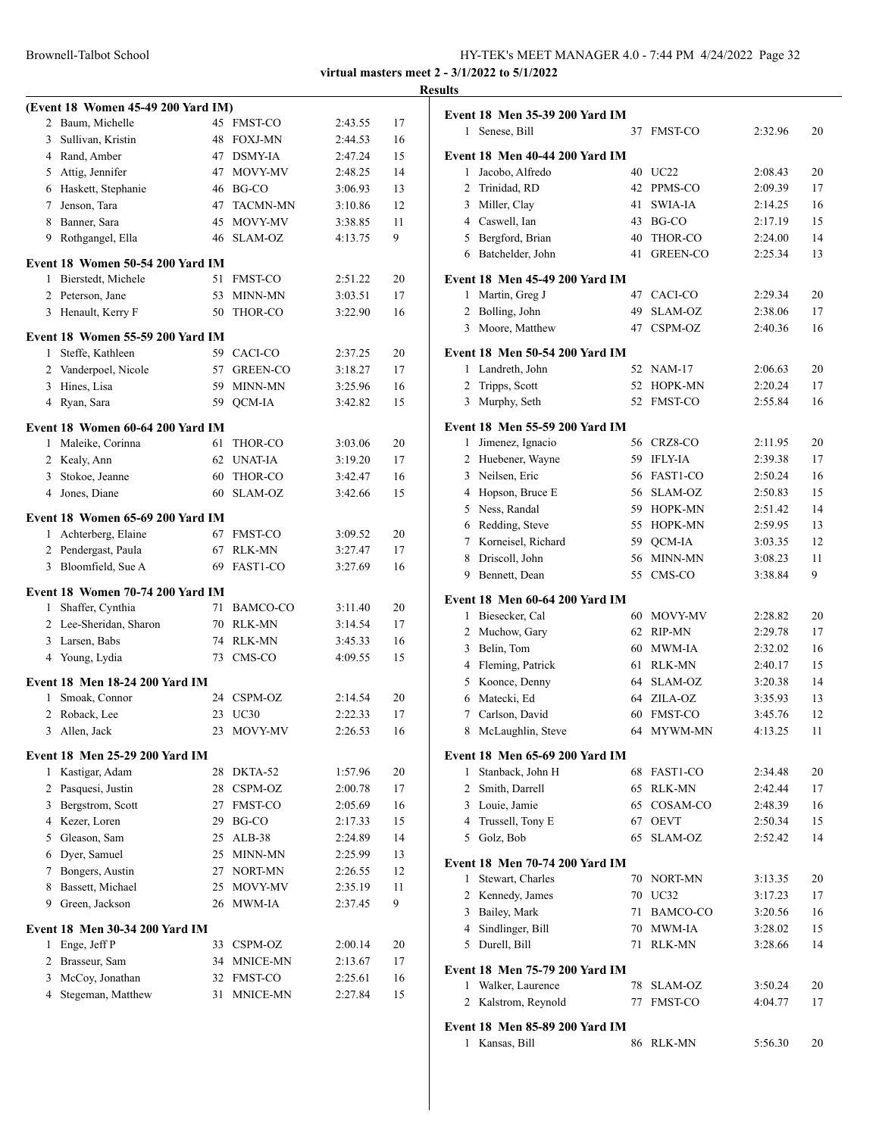| Brownell-Talbot School | HY-TEK's MEET MANAGER 4.0 - 7:44 PM 4/24/2022 Page 32 |  |
|------------------------|-------------------------------------------------------|--|
|------------------------|-------------------------------------------------------|--|

|                |                                         |    |                 |         |    | <b>Results</b> |
|----------------|-----------------------------------------|----|-----------------|---------|----|----------------|
|                | (Event 18 Women 45-49 200 Yard IM)      |    |                 |         |    | Ev             |
|                | 2 Baum, Michelle                        |    | 45 FMST-CO      | 2:43.55 | 17 |                |
| $\mathbf{3}$   | Sullivan, Kristin                       |    | 48 FOXJ-MN      | 2:44.53 | 16 |                |
|                | 4 Rand, Amber                           |    | 47 DSMY-IA      | 2:47.24 | 15 | Ev             |
| 5              | Attig, Jennifer                         |    | 47 MOVY-MV      | 2:48.25 | 14 |                |
|                | 6 Haskett, Stephanie                    |    | 46 BG-CO        | 3:06.93 | 13 |                |
| $7^{\circ}$    | Jenson, Tara                            |    | 47 TACMN-MN     | 3:10.86 | 12 |                |
|                | 8 Banner, Sara                          |    | 45 MOVY-MV      | 3:38.85 | 11 |                |
| 9              | Rothgangel, Ella                        |    | 46 SLAM-OZ      | 4:13.75 | 9  |                |
|                | Event 18 Women 50-54 200 Yard IM        |    |                 |         |    |                |
|                | 1 Bierstedt, Michele                    |    | 51 FMST-CO      | 2:51.22 | 20 | Ev             |
|                | 2 Peterson, Jane                        | 53 | <b>MINN-MN</b>  | 3:03.51 | 17 |                |
|                | 3 Henault, Kerry F                      | 50 | THOR-CO         | 3:22.90 | 16 |                |
|                | <b>Event 18 Women 55-59 200 Yard IM</b> |    |                 |         |    |                |
| $\mathbf{1}$   | Steffe, Kathleen                        |    | 59 CACI-CO      | 2:37.25 | 20 | Ev             |
|                | 2 Vanderpoel, Nicole                    | 57 | <b>GREEN-CO</b> | 3:18.27 | 17 |                |
|                | 3 Hines, Lisa                           |    | 59 MINN-MN      | 3:25.96 | 16 |                |
|                | 4 Ryan, Sara                            |    | 59 QCM-IA       | 3:42.82 | 15 |                |
|                |                                         |    |                 |         |    |                |
|                | Event 18 Women 60-64 200 Yard IM        |    |                 |         |    | Ev             |
|                | 1 Maleike, Corinna                      | 61 | THOR-CO         | 3:03.06 | 20 |                |
|                | 2 Kealy, Ann                            |    | 62 UNAT-IA      | 3:19.20 | 17 |                |
|                | 3 Stokoe, Jeanne                        |    | 60 THOR-CO      | 3:42.47 | 16 |                |
|                | 4 Jones, Diane                          | 60 | SLAM-OZ         | 3:42.66 | 15 |                |
|                | Event 18 Women 65-69 200 Yard IM        |    |                 |         |    |                |
|                | 1 Achterberg, Elaine                    |    | 67 FMST-CO      | 3:09.52 | 20 |                |
|                | 2 Pendergast, Paula                     |    | 67 RLK-MN       | 3:27.47 | 17 |                |
| 3              | Bloomfield, Sue A                       |    | 69 FAST1-CO     | 3:27.69 | 16 |                |
|                |                                         |    |                 |         |    |                |
|                | Event 18 Women 70-74 200 Yard IM        |    |                 |         |    | Ev             |
| $\mathbf{1}$   | Shaffer, Cynthia                        |    | 71 BAMCO-CO     | 3:11.40 | 20 |                |
|                | 2 Lee-Sheridan, Sharon                  |    | 70 RLK-MN       | 3:14.54 | 17 |                |
|                | 3 Larsen, Babs                          |    | 74 RLK-MN       | 3:45.33 | 16 |                |
|                | 4 Young, Lydia                          | 73 | CMS-CO          | 4:09.55 | 15 |                |
|                | Event 18 Men 18-24 200 Yard IM          |    |                 |         |    |                |
| 1              | Smoak, Connor                           |    | 24 CSPM-OZ      | 2:14.54 | 20 |                |
|                | 2 Roback, Lee                           |    | 23 UC30         | 2:22.33 | 17 |                |
| 3              | Allen, Jack                             |    | 23 MOVY-MV      | 2:26.53 | 16 |                |
|                | <b>Event 18 Men 25-29 200 Yard IM</b>   |    |                 |         |    | Ev             |
|                | 1 Kastigar, Adam                        | 28 | DKTA-52         | 1:57.96 | 20 |                |
|                | 2 Pasquesi, Justin                      |    | 28 CSPM-OZ      | 2:00.78 | 17 |                |
|                | 3 Bergstrom, Scott                      |    | 27 FMST-CO      | 2:05.69 | 16 |                |
|                | 4 Kezer, Loren                          |    | 29 BG-CO        | 2:17.33 | 15 |                |
| 5              | Gleason, Sam                            |    | 25 ALB-38       | 2:24.89 | 14 |                |
| 6              | Dyer, Samuel                            | 25 | MINN-MN         | 2:25.99 | 13 |                |
| 7              | Bongers, Austin                         |    | 27 NORT-MN      | 2:26.55 | 12 | Ev             |
| 8              | Bassett, Michael                        | 25 | MOVY-MV         | 2:35.19 | 11 |                |
| 9              | Green, Jackson                          | 26 | MWM-IA          | 2:37.45 | 9  |                |
|                |                                         |    |                 |         |    |                |
|                | Event 18 Men 30-34 200 Yard IM          |    |                 |         |    |                |
| 1              | Enge, Jeff P                            | 33 | CSPM-OZ         | 2:00.14 | 20 |                |
| $\overline{2}$ | Brasseur, Sam                           |    | 34 MNICE-MN     | 2:13.67 | 17 | Ev             |
|                | 3 McCoy, Jonathan                       |    | 32 FMST-CO      | 2:25.61 | 16 |                |
| $\overline{4}$ | Stegeman, Matthew                       |    | 31 MNICE-MN     | 2:27.84 | 15 |                |
|                |                                         |    |                 |         |    |                |

|              | Event 18 Men 35-39 200 Yard IM        |    |                 |         |    |
|--------------|---------------------------------------|----|-----------------|---------|----|
| $\mathbf{1}$ | Senese, Bill                          | 37 | <b>FMST-CO</b>  | 2:32.96 | 20 |
|              | <b>Event 18 Men 40-44 200 Yard IM</b> |    |                 |         |    |
| 1            | Jacobo, Alfredo                       | 40 | UC22            | 2:08.43 | 20 |
| 2            | Trinidad, RD                          | 42 | PPMS-CO         | 2:09.39 | 17 |
| 3            | Miller, Clay                          | 41 | <b>SWIA-IA</b>  | 2:14.25 | 16 |
|              | 4 Caswell, Ian                        | 43 | BG-CO           | 2:17.19 | 15 |
|              | 5 Bergford, Brian                     | 40 | THOR-CO         | 2:24.00 | 14 |
| 6            | Batchelder, John                      | 41 | <b>GREEN-CO</b> | 2:25.34 | 13 |
|              | <b>Event 18 Men 45-49 200 Yard IM</b> |    |                 |         |    |
| 1            | Martin, Greg J                        | 47 | CACI-CO         | 2:29.34 | 20 |
| 2            | Bolling, John                         | 49 | SLAM-OZ         | 2:38.06 | 17 |
| 3            | Moore, Matthew                        | 47 | CSPM-OZ         | 2:40.36 | 16 |
|              | Event 18 Men 50-54 200 Yard IM        |    |                 |         |    |
| 1            | Landreth, John                        | 52 | NAM-17          | 2:06.63 | 20 |
| 2            | Tripps, Scott                         | 52 | HOPK-MN         | 2:20.24 | 17 |
| 3            | Murphy, Seth                          | 52 | <b>FMST-CO</b>  | 2:55.84 | 16 |
|              | Event 18 Men 55-59 200 Yard IM        |    |                 |         |    |
| 1            | Jimenez, Ignacio                      | 56 | CRZ8-CO         | 2:11.95 | 20 |
| 2            | Huebener, Wayne                       | 59 | <b>IFLY-IA</b>  | 2:39.38 | 17 |
| 3            | Neilsen, Eric                         | 56 | FAST1-CO        | 2:50.24 | 16 |
| 4            | Hopson, Bruce E                       | 56 | SLAM-OZ         | 2:50.83 | 15 |
| 5            | Ness, Randal                          | 59 | HOPK-MN         | 2:51.42 | 14 |
|              | 6 Redding, Steve                      | 55 | HOPK-MN         | 2:59.95 | 13 |
| $\tau$       | Korneisel, Richard                    | 59 | QCM-IA          | 3:03.35 | 12 |
| 8            | Driscoll, John                        | 56 | MINN-MN         | 3:08.23 | 11 |
| 9            | Bennett, Dean                         | 55 | CMS-CO          | 3:38.84 | 9  |
|              | <b>Event 18 Men 60-64 200 Yard IM</b> |    |                 |         |    |
| 1            | Biesecker, Cal                        | 60 | <b>MOVY-MV</b>  | 2:28.82 | 20 |
| 2            | Muchow, Gary                          | 62 | RIP-MN          | 2:29.78 | 17 |
| 3            | Belin, Tom                            | 60 | MWM-IA          | 2:32.02 | 16 |
|              | 4 Fleming, Patrick                    | 61 | RLK-MN          | 2:40.17 | 15 |
| 5            | Koonce, Denny                         | 64 | SLAM-OZ         | 3:20.38 | 14 |
|              | 6 Matecki, Ed                         | 64 | ZILA-OZ         | 3:35.93 | 13 |
| 7            | Carlson, David                        | 60 | <b>FMST-CO</b>  | 3:45.76 | 12 |
| 8            | McLaughlin, Steve                     | 64 | MYWM-MN         | 4:13.25 | 11 |
|              | Event 18 Men 65-69 200 Yard IM        |    |                 |         |    |
| 1            | Stanback, John H                      | 68 | FAST1-CO        | 2:34.48 | 20 |
| 2            | Smith, Darrell                        | 65 | <b>RLK-MN</b>   | 2:42.44 | 17 |
|              | 3 Louie, Jamie                        | 65 | COSAM-CO        | 2:48.39 | 16 |
|              | 4 Trussell, Tony E                    | 67 | <b>OEVT</b>     | 2:50.34 | 15 |
| 5            | Golz, Bob                             | 65 | SLAM-OZ         | 2:52.42 | 14 |
|              | Event 18 Men 70-74 200 Yard IM        |    |                 |         |    |
| 1            | Stewart, Charles                      | 70 | NORT-MN         | 3:13.35 | 20 |
| 2            | Kennedy, James                        | 70 | UC32            | 3:17.23 | 17 |
| 3            | Bailey, Mark                          | 71 | BAMCO-CO        | 3:20.56 | 16 |
| 4            | Sindlinger, Bill                      | 70 | MWM-IA          | 3:28.02 | 15 |
| 5            | Durell, Bill                          | 71 | <b>RLK-MN</b>   | 3:28.66 | 14 |
|              | Event 18 Men 75-79 200 Yard IM        |    |                 |         |    |
| 1            | Walker, Laurence                      | 78 | SLAM-OZ         | 3:50.24 | 20 |
| 2            | Kalstrom, Reynold                     | 77 | FMST-CO         | 4:04.77 | 17 |
|              | <b>Event 18 Men 85-89 200 Yard IM</b> |    |                 |         |    |
| $\mathbf{1}$ | Kansas, Bill                          | 86 | RLK-MN          | 5:56.30 | 20 |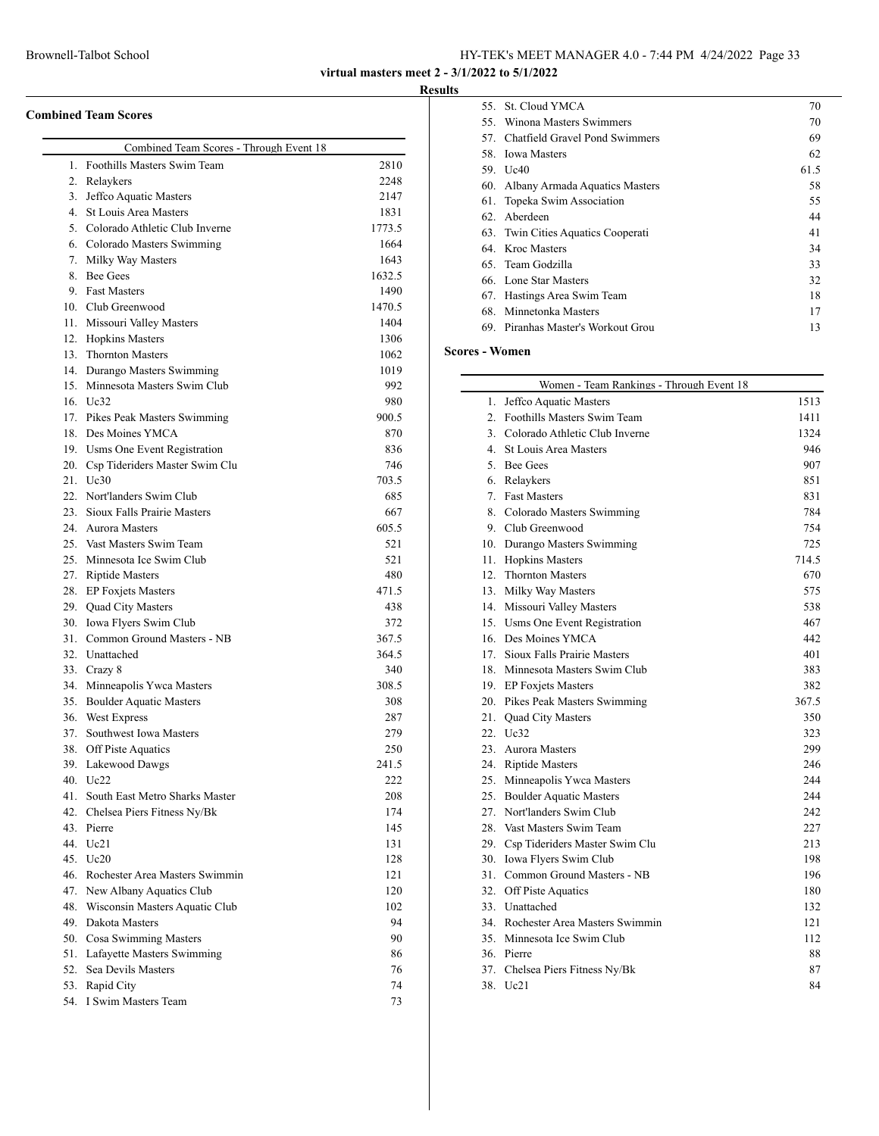**virtual masters meet 2 - 3/1/2022 to 5/1/2022**

#### **Results**

| <b>Combined Team Scores</b> |  |  |
|-----------------------------|--|--|
|                             |  |  |

|     | Combined Team Scores - Through Event 18  |          |
|-----|------------------------------------------|----------|
|     | 1. Foothills Masters Swim Team           | 2810     |
|     | 2. Relaykers                             | 2248     |
|     | 3. Jeffco Aquatic Masters                | 2147     |
|     | 4. St Louis Area Masters                 | 1831     |
|     | 5. Colorado Athletic Club Inverne        | 1773.5   |
|     | 6. Colorado Masters Swimming             | 1664     |
|     | 7. Milky Way Masters                     | 1643     |
|     | 8. Bee Gees                              | 1632.5   |
|     | 9. Fast Masters                          | 1490     |
|     | 10. Club Greenwood                       | 1470.5   |
|     | 11. Missouri Valley Masters              | 1404     |
|     | 12. Hopkins Masters                      | 1306     |
|     | 13. Thornton Masters                     | 1062     |
|     | 14. Durango Masters Swimming             | 1019     |
|     | 15. Minnesota Masters Swim Club          | 992      |
|     | 16. Uc32                                 | 980      |
|     | 17. Pikes Peak Masters Swimming          | 900.5    |
|     | 18. Des Moines YMCA                      | 870      |
|     | 19. Usms One Event Registration          | 836      |
|     | 20. Csp Tideriders Master Swim Clu       | 746      |
|     | 21. Uc30                                 | 703.5    |
|     | 22. Nort'landers Swim Club               | 685      |
|     | 23. Sioux Falls Prairie Masters          | 667      |
|     | 24. Aurora Masters                       | 605.5    |
|     | 25. Vast Masters Swim Team               | 521      |
|     | 25. Minnesota Ice Swim Club              | 521      |
|     | 27. Riptide Masters                      | 480      |
|     | 28. EP Foxjets Masters                   | 471.5    |
|     | 29. Quad City Masters                    | 438      |
|     | 30. Iowa Flyers Swim Club                | 372      |
|     | 31. Common Ground Masters - NB           | 367.5    |
|     | 32. Unattached                           | 364.5    |
|     | 33. Crazy 8                              | 340      |
|     | 34. Minneapolis Ywca Masters             | 308.5    |
|     | 35. Boulder Aquatic Masters              | 308      |
|     | 36. West Express                         | 287      |
|     | 37. Southwest Iowa Masters               | 279      |
|     | 38. Off Piste Aquatics                   | 250      |
| 39. | Lakewood Dawgs                           | 241.5    |
| 40. | Uc22                                     | 222      |
| 41. | South East Metro Sharks Master           | 208      |
|     | 42. Chelsea Piers Fitness Ny/Bk          | 174      |
|     | 43. Pierre                               | 145      |
|     | 44. Uc21                                 | 131      |
|     | 45. Uc20                                 | 128      |
|     | 46. Rochester Area Masters Swimmin       | 121      |
|     | 47. New Albany Aquatics Club             | 120      |
|     | 48. Wisconsin Masters Aquatic Club       | 102      |
|     | 49. Dakota Masters                       | 94       |
|     | 50. Cosa Swimming Masters                | 90       |
|     | 51. Lafayette Masters Swimming           |          |
|     |                                          |          |
|     |                                          | 86<br>76 |
|     | 52. Sea Devils Masters<br>53. Rapid City | 74       |

|     | 55. St. Cloud YMCA                 | 70   |
|-----|------------------------------------|------|
|     | 55. Winona Masters Swimmers        | 70   |
| 57. | Chatfield Gravel Pond Swimmers     | 69   |
| 58. | <b>Iowa Masters</b>                | 62   |
| 59. | Uc40                               | 61.5 |
| 60. | Albany Armada Aquatics Masters     | 58   |
| 61. | Topeka Swim Association            | 55   |
| 62. | Aberdeen                           | 44   |
|     | 63. Twin Cities Aquatics Cooperati | 41   |
|     | 64. Kroc Masters                   | 34   |
|     | 65. Team Godzilla                  | 33   |
|     | 66. Lone Star Masters              | 32   |
| 67. | Hastings Area Swim Team            | 18   |
| 68. | Minnetonka Masters                 | 17   |
| 69. | Piranhas Master's Workout Grou     | 13   |

### **Scores - Women**

|     | Women - Team Rankings - Through Event 18 |       |
|-----|------------------------------------------|-------|
| 1.  | Jeffco Aquatic Masters                   | 1513  |
|     | 2. Foothills Masters Swim Team           | 1411  |
|     | 3. Colorado Athletic Club Inverne        | 1324  |
|     | 4. St Louis Area Masters                 | 946   |
|     | 5. Bee Gees                              | 907   |
|     | 6. Relaykers                             | 851   |
|     | 7. Fast Masters                          | 831   |
|     | 8. Colorado Masters Swimming             | 784   |
|     | 9. Club Greenwood                        | 754   |
|     | 10. Durango Masters Swimming             | 725   |
|     | 11. Hopkins Masters                      | 714.5 |
|     | 12. Thornton Masters                     | 670   |
|     | 13. Milky Way Masters                    | 575   |
|     | 14. Missouri Valley Masters              | 538   |
|     | 15. Usms One Event Registration          | 467   |
|     | 16. Des Moines YMCA                      | 442   |
|     | 17. Sioux Falls Prairie Masters          | 401   |
|     | 18. Minnesota Masters Swim Club          | 383   |
|     | 19. EP Foxjets Masters                   | 382   |
|     | 20. Pikes Peak Masters Swimming          | 367.5 |
|     | 21. Quad City Masters                    | 350   |
|     | 22. Uc32                                 | 323   |
|     | 23. Aurora Masters                       | 299   |
|     | 24. Riptide Masters                      | 246   |
|     | 25. Minneapolis Ywca Masters             | 244   |
|     | 25. Boulder Aquatic Masters              | 244   |
|     | 27. Nort'landers Swim Club               | 242   |
|     | 28. Vast Masters Swim Team               | 227   |
|     | 29. Csp Tideriders Master Swim Clu       | 213   |
|     | 30. Iowa Flyers Swim Club                | 198   |
|     | 31. Common Ground Masters - NB           | 196   |
|     | 32. Off Piste Aquatics                   | 180   |
|     | 33. Unattached                           | 132   |
|     | 34. Rochester Area Masters Swimmin       | 121   |
|     | 35. Minnesota Ice Swim Club              | 112   |
|     | 36. Pierre                               | 88    |
|     | 37. Chelsea Piers Fitness Ny/Bk          | 87    |
| 38. | Uc21                                     | 84    |